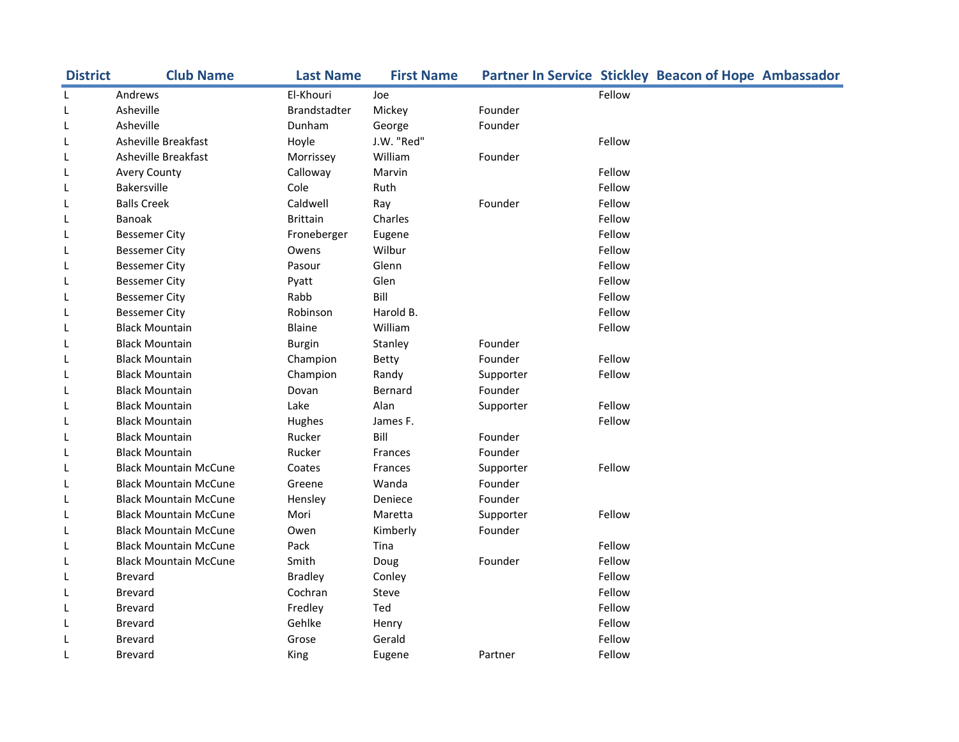| <b>District</b> | <b>Club Name</b>             | <b>Last Name</b>    | <b>First Name</b> | Partner In Service Stickley Beacon of Hope Ambassador |        |  |
|-----------------|------------------------------|---------------------|-------------------|-------------------------------------------------------|--------|--|
| L               | Andrews                      | El-Khouri           | Joe               |                                                       | Fellow |  |
| L               | Asheville                    | <b>Brandstadter</b> | Mickey            | Founder                                               |        |  |
| L               | Asheville                    | Dunham              | George            | Founder                                               |        |  |
| L               | Asheville Breakfast          | Hoyle               | J.W. "Red"        |                                                       | Fellow |  |
| L               | Asheville Breakfast          | Morrissey           | William           | Founder                                               |        |  |
| L               | <b>Avery County</b>          | Calloway            | Marvin            |                                                       | Fellow |  |
| L               | <b>Bakersville</b>           | Cole                | Ruth              |                                                       | Fellow |  |
| L               | <b>Balls Creek</b>           | Caldwell            | Ray               | Founder                                               | Fellow |  |
| L               | <b>Banoak</b>                | <b>Brittain</b>     | Charles           |                                                       | Fellow |  |
| L               | <b>Bessemer City</b>         | Froneberger         | Eugene            |                                                       | Fellow |  |
| L               | <b>Bessemer City</b>         | Owens               | Wilbur            |                                                       | Fellow |  |
| L               | <b>Bessemer City</b>         | Pasour              | Glenn             |                                                       | Fellow |  |
| L               | <b>Bessemer City</b>         | Pyatt               | Glen              |                                                       | Fellow |  |
| L               | <b>Bessemer City</b>         | Rabb                | Bill              |                                                       | Fellow |  |
| L               | <b>Bessemer City</b>         | Robinson            | Harold B.         |                                                       | Fellow |  |
| L               | <b>Black Mountain</b>        | Blaine              | William           |                                                       | Fellow |  |
| L               | <b>Black Mountain</b>        | <b>Burgin</b>       | Stanley           | Founder                                               |        |  |
| L               | <b>Black Mountain</b>        | Champion            | Betty             | Founder                                               | Fellow |  |
| L               | <b>Black Mountain</b>        | Champion            | Randy             | Supporter                                             | Fellow |  |
| L               | <b>Black Mountain</b>        | Dovan               | Bernard           | Founder                                               |        |  |
| L               | <b>Black Mountain</b>        | Lake                | Alan              | Supporter                                             | Fellow |  |
| L               | <b>Black Mountain</b>        | Hughes              | James F.          |                                                       | Fellow |  |
| L               | <b>Black Mountain</b>        | Rucker              | Bill              | Founder                                               |        |  |
| L               | <b>Black Mountain</b>        | Rucker              | <b>Frances</b>    | Founder                                               |        |  |
| L               | <b>Black Mountain McCune</b> | Coates              | Frances           | Supporter                                             | Fellow |  |
| L               | <b>Black Mountain McCune</b> | Greene              | Wanda             | Founder                                               |        |  |
| L               | <b>Black Mountain McCune</b> | Hensley             | Deniece           | Founder                                               |        |  |
| L               | <b>Black Mountain McCune</b> | Mori                | Maretta           | Supporter                                             | Fellow |  |
| L               | <b>Black Mountain McCune</b> | Owen                | Kimberly          | Founder                                               |        |  |
| L               | <b>Black Mountain McCune</b> | Pack                | Tina              |                                                       | Fellow |  |
| L               | <b>Black Mountain McCune</b> | Smith               | Doug              | Founder                                               | Fellow |  |
| L               | <b>Brevard</b>               | <b>Bradley</b>      | Conley            |                                                       | Fellow |  |
| L               | <b>Brevard</b>               | Cochran             | Steve             |                                                       | Fellow |  |
| L               | <b>Brevard</b>               | Fredley             | Ted               |                                                       | Fellow |  |
| L               | <b>Brevard</b>               | Gehlke              | Henry             |                                                       | Fellow |  |
| L               | <b>Brevard</b>               | Grose               | Gerald            |                                                       | Fellow |  |
| L               | <b>Brevard</b>               | King                | Eugene            | Partner                                               | Fellow |  |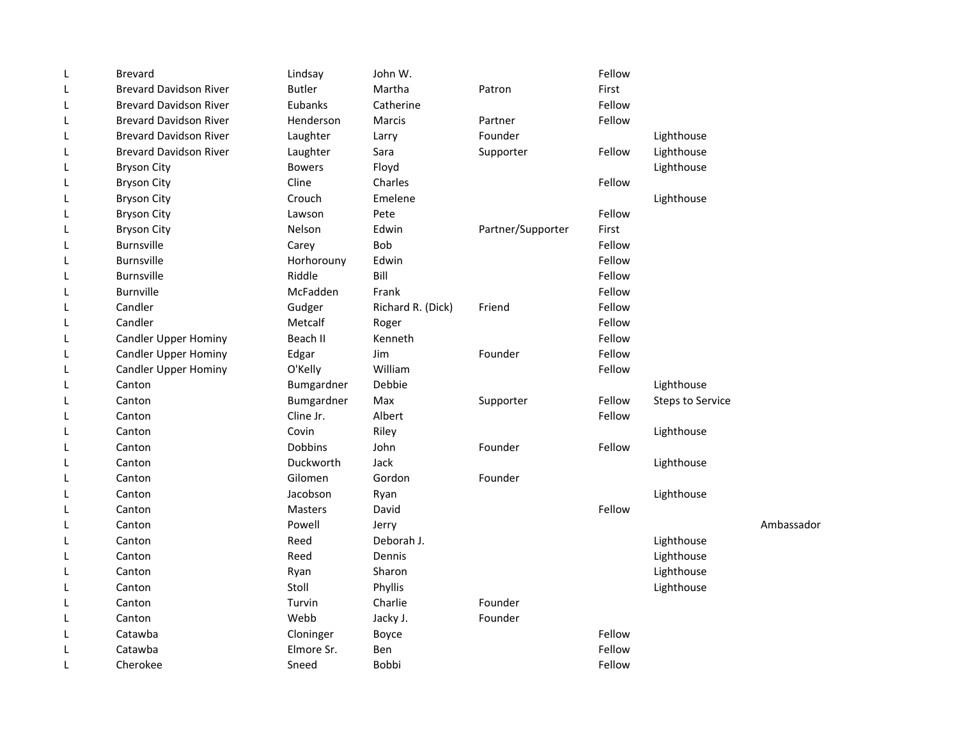| L | <b>Brevard</b>                | Lindsay        | John W.           |                   | Fellow |                         |            |
|---|-------------------------------|----------------|-------------------|-------------------|--------|-------------------------|------------|
| L | <b>Brevard Davidson River</b> | <b>Butler</b>  | Martha            | Patron            | First  |                         |            |
| L | <b>Brevard Davidson River</b> | Eubanks        | Catherine         |                   | Fellow |                         |            |
| L | <b>Brevard Davidson River</b> | Henderson      | Marcis            | Partner           | Fellow |                         |            |
| L | <b>Brevard Davidson River</b> | Laughter       | Larry             | Founder           |        | Lighthouse              |            |
| L | <b>Brevard Davidson River</b> | Laughter       | Sara              | Supporter         | Fellow | Lighthouse              |            |
| L | <b>Bryson City</b>            | <b>Bowers</b>  | Floyd             |                   |        | Lighthouse              |            |
| L | <b>Bryson City</b>            | Cline          | Charles           |                   | Fellow |                         |            |
| L | <b>Bryson City</b>            | Crouch         | Emelene           |                   |        | Lighthouse              |            |
| L | <b>Bryson City</b>            | Lawson         | Pete              |                   | Fellow |                         |            |
| L | <b>Bryson City</b>            | <b>Nelson</b>  | Edwin             | Partner/Supporter | First  |                         |            |
| L | <b>Burnsville</b>             | Carey          | <b>Bob</b>        |                   | Fellow |                         |            |
| L | <b>Burnsville</b>             | Horhorouny     | Edwin             |                   | Fellow |                         |            |
| L | <b>Burnsville</b>             | Riddle         | Bill              |                   | Fellow |                         |            |
| L | <b>Burnville</b>              | McFadden       | Frank             |                   | Fellow |                         |            |
| L | Candler                       | Gudger         | Richard R. (Dick) | Friend            | Fellow |                         |            |
| L | Candler                       | Metcalf        | Roger             |                   | Fellow |                         |            |
| L | <b>Candler Upper Hominy</b>   | Beach II       | Kenneth           |                   | Fellow |                         |            |
| L | <b>Candler Upper Hominy</b>   | Edgar          | Jim               | Founder           | Fellow |                         |            |
| L | <b>Candler Upper Hominy</b>   | O'Kelly        | William           |                   | Fellow |                         |            |
| L | Canton                        | Bumgardner     | Debbie            |                   |        | Lighthouse              |            |
| L | Canton                        | Bumgardner     | Max               | Supporter         | Fellow | <b>Steps to Service</b> |            |
| L | Canton                        | Cline Jr.      | Albert            |                   | Fellow |                         |            |
| L | Canton                        | Covin          | Riley             |                   |        | Lighthouse              |            |
| L | Canton                        | <b>Dobbins</b> | John              | Founder           | Fellow |                         |            |
| L | Canton                        | Duckworth      | Jack              |                   |        | Lighthouse              |            |
| L | Canton                        | Gilomen        | Gordon            | Founder           |        |                         |            |
| L | Canton                        | Jacobson       | Ryan              |                   |        | Lighthouse              |            |
| L | Canton                        | Masters        | David             |                   | Fellow |                         |            |
| L | Canton                        | Powell         | Jerry             |                   |        |                         | Ambassador |
| L | Canton                        | Reed           | Deborah J.        |                   |        | Lighthouse              |            |
| L | Canton                        | Reed           | Dennis            |                   |        | Lighthouse              |            |
| L | Canton                        | Ryan           | Sharon            |                   |        | Lighthouse              |            |
| L | Canton                        | Stoll          | Phyllis           |                   |        | Lighthouse              |            |
| L | Canton                        | Turvin         | Charlie           | Founder           |        |                         |            |
| L | Canton                        | Webb           | Jacky J.          | Founder           |        |                         |            |
| L | Catawba                       | Cloninger      | Boyce             |                   | Fellow |                         |            |
| L | Catawba                       | Elmore Sr.     | Ben               |                   | Fellow |                         |            |
| L | Cherokee                      | Sneed          | <b>Bobbi</b>      |                   | Fellow |                         |            |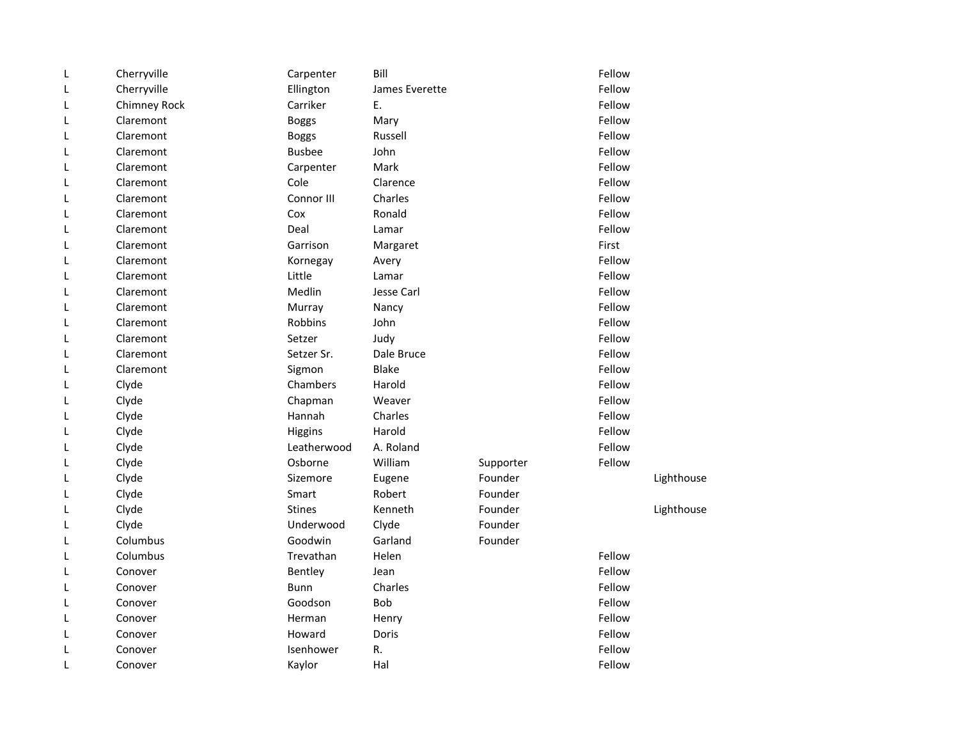| L | Cherryville  | Carpenter     | Bill           |           | Fellow |            |
|---|--------------|---------------|----------------|-----------|--------|------------|
| L | Cherryville  | Ellington     | James Everette |           | Fellow |            |
| L | Chimney Rock | Carriker      | E.             |           | Fellow |            |
| L | Claremont    | <b>Boggs</b>  | Mary           |           | Fellow |            |
| L | Claremont    | <b>Boggs</b>  | Russell        |           | Fellow |            |
| L | Claremont    | <b>Busbee</b> | John           |           | Fellow |            |
| L | Claremont    | Carpenter     | Mark           |           | Fellow |            |
| L | Claremont    | Cole          | Clarence       |           | Fellow |            |
| L | Claremont    | Connor III    | Charles        |           | Fellow |            |
| L | Claremont    | Cox           | Ronald         |           | Fellow |            |
| L | Claremont    | Deal          | Lamar          |           | Fellow |            |
| L | Claremont    | Garrison      | Margaret       |           | First  |            |
| L | Claremont    | Kornegay      | Avery          |           | Fellow |            |
| L | Claremont    | Little        | Lamar          |           | Fellow |            |
| L | Claremont    | Medlin        | Jesse Carl     |           | Fellow |            |
| L | Claremont    | Murray        | Nancy          |           | Fellow |            |
| L | Claremont    | Robbins       | John           |           | Fellow |            |
| L | Claremont    | Setzer        | Judy           |           | Fellow |            |
| L | Claremont    | Setzer Sr.    | Dale Bruce     |           | Fellow |            |
| L | Claremont    | Sigmon        | <b>Blake</b>   |           | Fellow |            |
| L | Clyde        | Chambers      | Harold         |           | Fellow |            |
| L | Clyde        | Chapman       | Weaver         |           | Fellow |            |
| L | Clyde        | Hannah        | Charles        |           | Fellow |            |
| L | Clyde        | Higgins       | Harold         |           | Fellow |            |
| L | Clyde        | Leatherwood   | A. Roland      |           | Fellow |            |
| L | Clyde        | Osborne       | William        | Supporter | Fellow |            |
| L | Clyde        | Sizemore      | Eugene         | Founder   |        | Lighthouse |
| L | Clyde        | Smart         | Robert         | Founder   |        |            |
| L | Clyde        | <b>Stines</b> | Kenneth        | Founder   |        | Lighthouse |
| L | Clyde        | Underwood     | Clyde          | Founder   |        |            |
| L | Columbus     | Goodwin       | Garland        | Founder   |        |            |
| L | Columbus     | Trevathan     | Helen          |           | Fellow |            |
| L | Conover      | Bentley       | Jean           |           | Fellow |            |
| L | Conover      | <b>Bunn</b>   | Charles        |           | Fellow |            |
| L | Conover      | Goodson       | <b>Bob</b>     |           | Fellow |            |
| L | Conover      | Herman        | Henry          |           | Fellow |            |
| L | Conover      | Howard        | Doris          |           | Fellow |            |
| L | Conover      | Isenhower     | R.             |           | Fellow |            |
| L | Conover      | Kaylor        | Hal            |           | Fellow |            |
|   |              |               |                |           |        |            |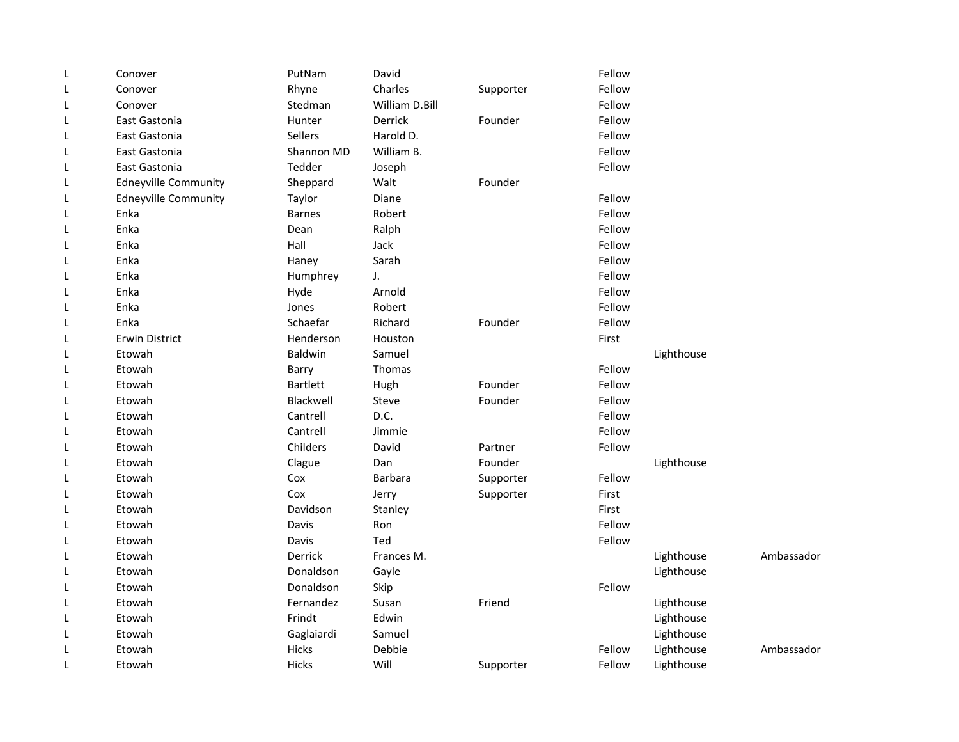| L | Conover                     | PutNam          | David          |           | Fellow |            |            |
|---|-----------------------------|-----------------|----------------|-----------|--------|------------|------------|
| L | Conover                     | Rhyne           | Charles        | Supporter | Fellow |            |            |
| L | Conover                     | Stedman         | William D.Bill |           | Fellow |            |            |
| L | East Gastonia               | Hunter          | Derrick        | Founder   | Fellow |            |            |
| L | East Gastonia               | Sellers         | Harold D.      |           | Fellow |            |            |
| L | East Gastonia               | Shannon MD      | William B.     |           | Fellow |            |            |
| L | East Gastonia               | Tedder          | Joseph         |           | Fellow |            |            |
| L | <b>Edneyville Community</b> | Sheppard        | Walt           | Founder   |        |            |            |
| L | <b>Edneyville Community</b> | Taylor          | Diane          |           | Fellow |            |            |
| L | Enka                        | <b>Barnes</b>   | Robert         |           | Fellow |            |            |
| L | Enka                        | Dean            | Ralph          |           | Fellow |            |            |
| L | Enka                        | Hall            | Jack           |           | Fellow |            |            |
| L | Enka                        | Haney           | Sarah          |           | Fellow |            |            |
| L | Enka                        | Humphrey        | J.             |           | Fellow |            |            |
| L | Enka                        | Hyde            | Arnold         |           | Fellow |            |            |
| L | Enka                        | Jones           | Robert         |           | Fellow |            |            |
| L | Enka                        | Schaefar        | Richard        | Founder   | Fellow |            |            |
| L | <b>Erwin District</b>       | Henderson       | Houston        |           | First  |            |            |
| L | Etowah                      | Baldwin         | Samuel         |           |        | Lighthouse |            |
| L | Etowah                      | Barry           | Thomas         |           | Fellow |            |            |
| L | Etowah                      | <b>Bartlett</b> | Hugh           | Founder   | Fellow |            |            |
| L | Etowah                      | Blackwell       | Steve          | Founder   | Fellow |            |            |
| L | Etowah                      | Cantrell        | D.C.           |           | Fellow |            |            |
| L | Etowah                      | Cantrell        | Jimmie         |           | Fellow |            |            |
| L | Etowah                      | Childers        | David          | Partner   | Fellow |            |            |
| L | Etowah                      | Clague          | Dan            | Founder   |        | Lighthouse |            |
| L | Etowah                      | Cox             | <b>Barbara</b> | Supporter | Fellow |            |            |
| L | Etowah                      | Cox             | Jerry          | Supporter | First  |            |            |
| L | Etowah                      | Davidson        | Stanley        |           | First  |            |            |
| L | Etowah                      | Davis           | Ron            |           | Fellow |            |            |
| L | Etowah                      | Davis           | Ted            |           | Fellow |            |            |
| L | Etowah                      | Derrick         | Frances M.     |           |        | Lighthouse | Ambassador |
| L | Etowah                      | Donaldson       | Gayle          |           |        | Lighthouse |            |
| L | Etowah                      | Donaldson       | Skip           |           | Fellow |            |            |
| L | Etowah                      | Fernandez       | Susan          | Friend    |        | Lighthouse |            |
| L | Etowah                      | Frindt          | Edwin          |           |        | Lighthouse |            |
| L | Etowah                      | Gaglaiardi      | Samuel         |           |        | Lighthouse |            |
| L | Etowah                      | Hicks           | Debbie         |           | Fellow | Lighthouse | Ambassador |
| L | Etowah                      | Hicks           | Will           | Supporter | Fellow | Lighthouse |            |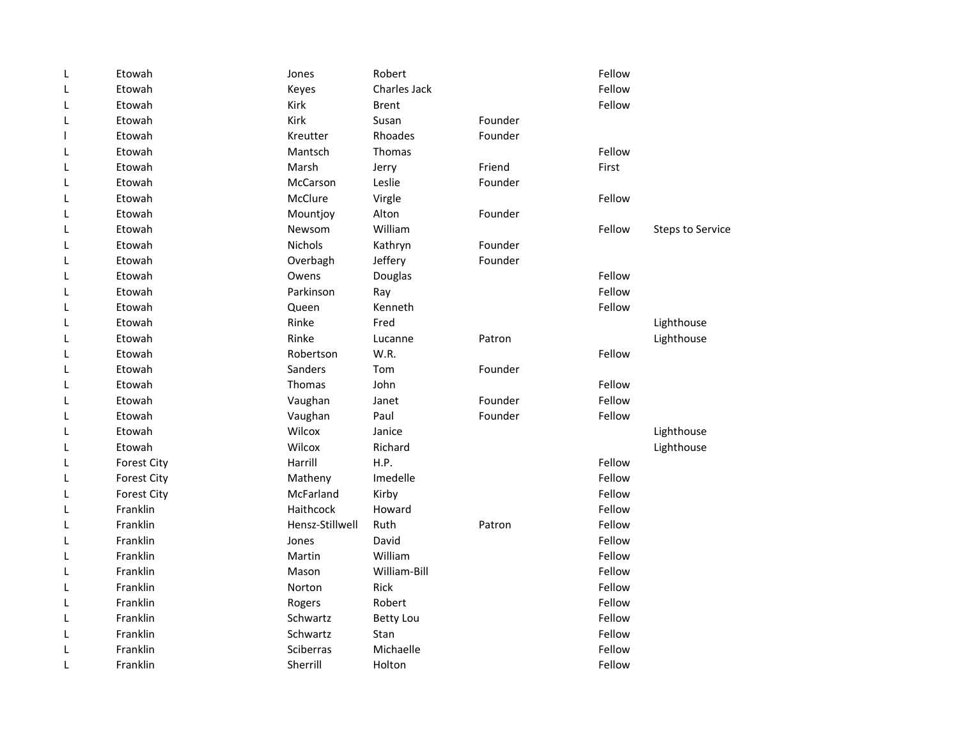| L | Etowah             | Jones           | Robert           |         | Fellow |                         |
|---|--------------------|-----------------|------------------|---------|--------|-------------------------|
| L | Etowah             | Keyes           | Charles Jack     |         | Fellow |                         |
| L | Etowah             | Kirk            | <b>Brent</b>     |         | Fellow |                         |
| L | Etowah             | <b>Kirk</b>     | Susan            | Founder |        |                         |
|   | Etowah             | Kreutter        | Rhoades          | Founder |        |                         |
| L | Etowah             | Mantsch         | Thomas           |         | Fellow |                         |
| L | Etowah             | Marsh           | Jerry            | Friend  | First  |                         |
| L | Etowah             | McCarson        | Leslie           | Founder |        |                         |
| L | Etowah             | McClure         | Virgle           |         | Fellow |                         |
| L | Etowah             | Mountjoy        | Alton            | Founder |        |                         |
| L | Etowah             | Newsom          | William          |         | Fellow | <b>Steps to Service</b> |
| L | Etowah             | Nichols         | Kathryn          | Founder |        |                         |
| L | Etowah             | Overbagh        | Jeffery          | Founder |        |                         |
| L | Etowah             | Owens           | Douglas          |         | Fellow |                         |
| L | Etowah             | Parkinson       | Ray              |         | Fellow |                         |
| L | Etowah             | Queen           | Kenneth          |         | Fellow |                         |
| L | Etowah             | Rinke           | Fred             |         |        | Lighthouse              |
| L | Etowah             | Rinke           | Lucanne          | Patron  |        | Lighthouse              |
| L | Etowah             | Robertson       | W.R.             |         | Fellow |                         |
| L | Etowah             | Sanders         | Tom              | Founder |        |                         |
| L | Etowah             | Thomas          | John             |         | Fellow |                         |
| L | Etowah             | Vaughan         | Janet            | Founder | Fellow |                         |
| L | Etowah             | Vaughan         | Paul             | Founder | Fellow |                         |
| L | Etowah             | Wilcox          | Janice           |         |        | Lighthouse              |
| L | Etowah             | Wilcox          | Richard          |         |        | Lighthouse              |
| L | <b>Forest City</b> | Harrill         | H.P.             |         | Fellow |                         |
| L | <b>Forest City</b> | Matheny         | Imedelle         |         | Fellow |                         |
| L | <b>Forest City</b> | McFarland       | Kirby            |         | Fellow |                         |
| L | Franklin           | Haithcock       | Howard           |         | Fellow |                         |
| L | Franklin           | Hensz-Stillwell | Ruth             | Patron  | Fellow |                         |
| L | Franklin           | Jones           | David            |         | Fellow |                         |
| L | Franklin           | Martin          | William          |         | Fellow |                         |
| L | Franklin           | Mason           | William-Bill     |         | Fellow |                         |
| L | Franklin           | Norton          | Rick             |         | Fellow |                         |
| L | Franklin           | Rogers          | Robert           |         | Fellow |                         |
| L | Franklin           | Schwartz        | <b>Betty Lou</b> |         | Fellow |                         |
| L | Franklin           | Schwartz        | Stan             |         | Fellow |                         |
| L | Franklin           | Sciberras       | Michaelle        |         | Fellow |                         |
| L | Franklin           | Sherrill        | Holton           |         | Fellow |                         |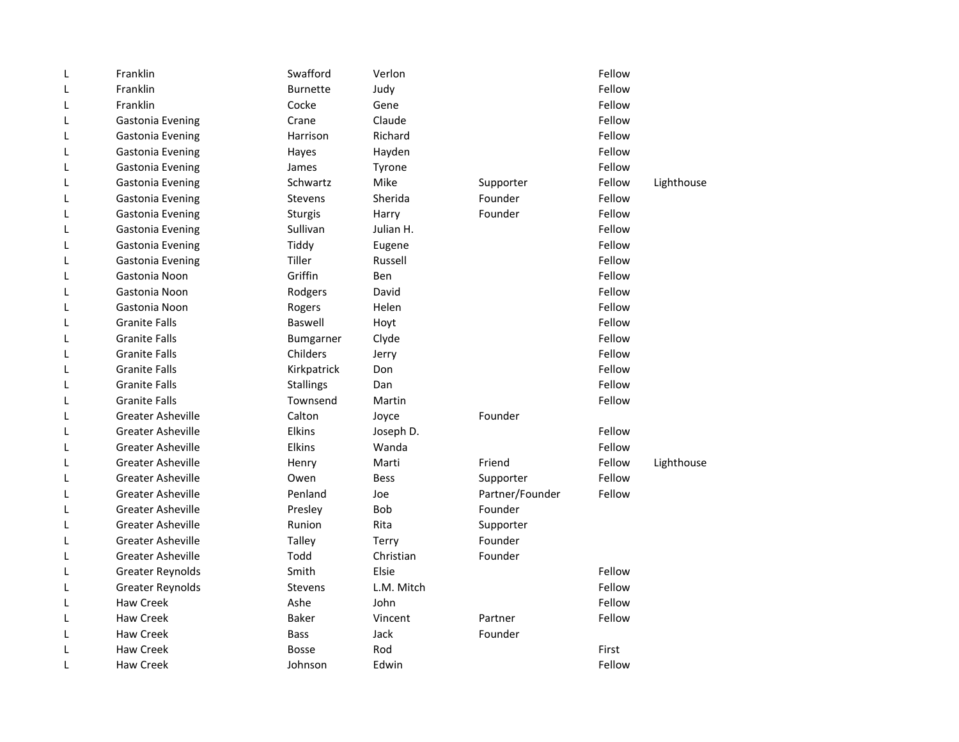| L | Franklin                 | Swafford         | Verlon      |                 | Fellow |            |
|---|--------------------------|------------------|-------------|-----------------|--------|------------|
| L | Franklin                 | <b>Burnette</b>  | Judy        |                 | Fellow |            |
| L | Franklin                 | Cocke            | Gene        |                 | Fellow |            |
| L | Gastonia Evening         | Crane            | Claude      |                 | Fellow |            |
| L | Gastonia Evening         | Harrison         | Richard     |                 | Fellow |            |
| L | Gastonia Evening         | Hayes            | Hayden      |                 | Fellow |            |
| L | Gastonia Evening         | James            | Tyrone      |                 | Fellow |            |
| L | Gastonia Evening         | Schwartz         | Mike        | Supporter       | Fellow | Lighthouse |
| L | Gastonia Evening         | <b>Stevens</b>   | Sherida     | Founder         | Fellow |            |
| L | Gastonia Evening         | Sturgis          | Harry       | Founder         | Fellow |            |
| L | Gastonia Evening         | Sullivan         | Julian H.   |                 | Fellow |            |
| L | Gastonia Evening         | Tiddy            | Eugene      |                 | Fellow |            |
| L | Gastonia Evening         | Tiller           | Russell     |                 | Fellow |            |
| L | Gastonia Noon            | Griffin          | Ben         |                 | Fellow |            |
| L | Gastonia Noon            | Rodgers          | David       |                 | Fellow |            |
| L | Gastonia Noon            | Rogers           | Helen       |                 | Fellow |            |
| L | <b>Granite Falls</b>     | Baswell          | Hoyt        |                 | Fellow |            |
| L | <b>Granite Falls</b>     | Bumgarner        | Clyde       |                 | Fellow |            |
| L | <b>Granite Falls</b>     | Childers         | Jerry       |                 | Fellow |            |
| L | <b>Granite Falls</b>     | Kirkpatrick      | Don         |                 | Fellow |            |
| L | <b>Granite Falls</b>     | <b>Stallings</b> | Dan         |                 | Fellow |            |
| L | <b>Granite Falls</b>     | Townsend         | Martin      |                 | Fellow |            |
| L | <b>Greater Asheville</b> | Calton           | Joyce       | Founder         |        |            |
| L | <b>Greater Asheville</b> | <b>Elkins</b>    | Joseph D.   |                 | Fellow |            |
| L | <b>Greater Asheville</b> | Elkins           | Wanda       |                 | Fellow |            |
| L | <b>Greater Asheville</b> | Henry            | Marti       | Friend          | Fellow | Lighthouse |
| L | <b>Greater Asheville</b> | Owen             | <b>Bess</b> | Supporter       | Fellow |            |
| L | <b>Greater Asheville</b> | Penland          | Joe         | Partner/Founder | Fellow |            |
| L | <b>Greater Asheville</b> | Presley          | Bob         | Founder         |        |            |
| L | <b>Greater Asheville</b> | Runion           | Rita        | Supporter       |        |            |
| L | <b>Greater Asheville</b> | <b>Talley</b>    | Terry       | Founder         |        |            |
| L | <b>Greater Asheville</b> | Todd             | Christian   | Founder         |        |            |
| L | <b>Greater Reynolds</b>  | Smith            | Elsie       |                 | Fellow |            |
| L | <b>Greater Reynolds</b>  | <b>Stevens</b>   | L.M. Mitch  |                 | Fellow |            |
| L | <b>Haw Creek</b>         | Ashe             | John        |                 | Fellow |            |
| L | <b>Haw Creek</b>         | <b>Baker</b>     | Vincent     | Partner         | Fellow |            |
| L | <b>Haw Creek</b>         | <b>Bass</b>      | Jack        | Founder         |        |            |
| L | <b>Haw Creek</b>         | <b>Bosse</b>     | Rod         |                 | First  |            |
| L | <b>Haw Creek</b>         | Johnson          | Edwin       |                 | Fellow |            |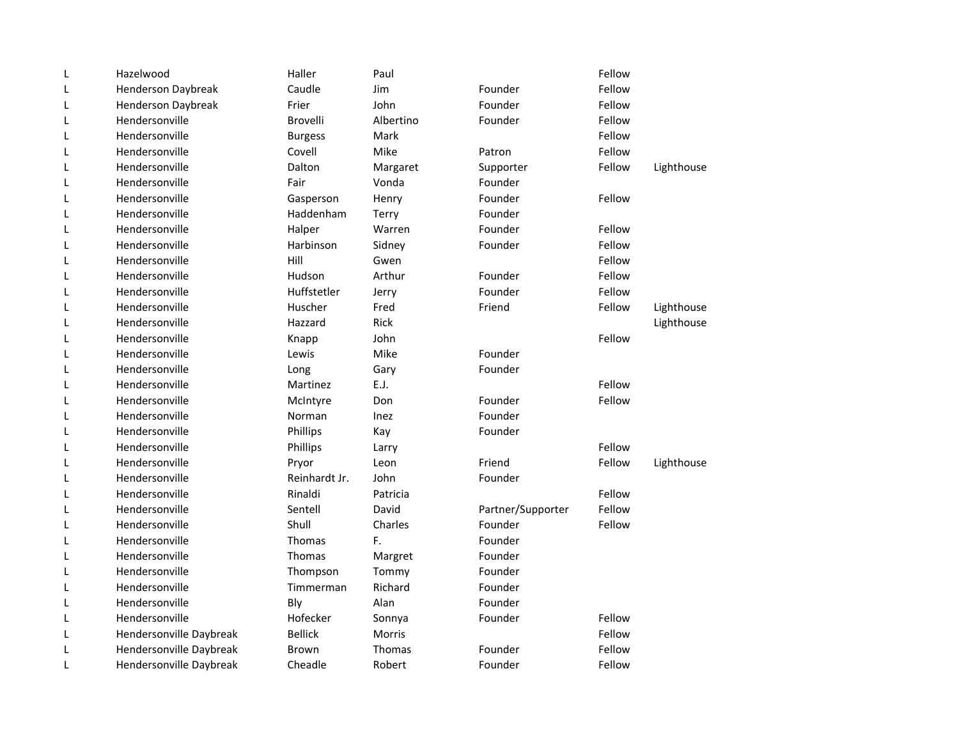| L | Hazelwood               | Haller         | Paul          |                   | Fellow |            |
|---|-------------------------|----------------|---------------|-------------------|--------|------------|
| L | Henderson Daybreak      | Caudle         | Jim           | Founder           | Fellow |            |
| L | Henderson Daybreak      | Frier          | John          | Founder           | Fellow |            |
| L | Hendersonville          | Brovelli       | Albertino     | Founder           | Fellow |            |
| L | Hendersonville          | <b>Burgess</b> | Mark          |                   | Fellow |            |
| L | Hendersonville          | Covell         | Mike          | Patron            | Fellow |            |
| L | Hendersonville          | Dalton         | Margaret      | Supporter         | Fellow | Lighthouse |
| L | Hendersonville          | Fair           | Vonda         | Founder           |        |            |
| L | Hendersonville          | Gasperson      | Henry         | Founder           | Fellow |            |
| L | Hendersonville          | Haddenham      | Terry         | Founder           |        |            |
| L | Hendersonville          | Halper         | Warren        | Founder           | Fellow |            |
| Г | Hendersonville          | Harbinson      | Sidney        | Founder           | Fellow |            |
| L | Hendersonville          | Hill           | Gwen          |                   | Fellow |            |
| L | Hendersonville          | Hudson         | Arthur        | Founder           | Fellow |            |
| L | Hendersonville          | Huffstetler    | Jerry         | Founder           | Fellow |            |
| L | Hendersonville          | Huscher        | Fred          | Friend            | Fellow | Lighthouse |
| L | Hendersonville          | Hazzard        | <b>Rick</b>   |                   |        | Lighthouse |
| L | Hendersonville          | Knapp          | John          |                   | Fellow |            |
| L | Hendersonville          | Lewis          | Mike          | Founder           |        |            |
| L | Hendersonville          | Long           | Gary          | Founder           |        |            |
| L | Hendersonville          | Martinez       | E.J.          |                   | Fellow |            |
| L | Hendersonville          | McIntyre       | Don           | Founder           | Fellow |            |
| L | Hendersonville          | Norman         | Inez          | Founder           |        |            |
| L | Hendersonville          | Phillips       | Kay           | Founder           |        |            |
| L | Hendersonville          | Phillips       | Larry         |                   | Fellow |            |
| L | Hendersonville          | Pryor          | Leon          | Friend            | Fellow | Lighthouse |
| L | Hendersonville          | Reinhardt Jr.  | John          | Founder           |        |            |
| L | Hendersonville          | Rinaldi        | Patricia      |                   | Fellow |            |
| L | Hendersonville          | Sentell        | David         | Partner/Supporter | Fellow |            |
| L | Hendersonville          | Shull          | Charles       | Founder           | Fellow |            |
| L | Hendersonville          | Thomas         | F.            | Founder           |        |            |
| L | Hendersonville          | Thomas         | Margret       | Founder           |        |            |
| L | Hendersonville          | Thompson       | Tommy         | Founder           |        |            |
| Г | Hendersonville          | Timmerman      | Richard       | Founder           |        |            |
| L | Hendersonville          | Bly            | Alan          | Founder           |        |            |
| L | Hendersonville          | Hofecker       | Sonnya        | Founder           | Fellow |            |
| L | Hendersonville Daybreak | <b>Bellick</b> | <b>Morris</b> |                   | Fellow |            |
| L | Hendersonville Daybreak | <b>Brown</b>   | <b>Thomas</b> | Founder           | Fellow |            |
| L | Hendersonville Daybreak | Cheadle        | Robert        | Founder           | Fellow |            |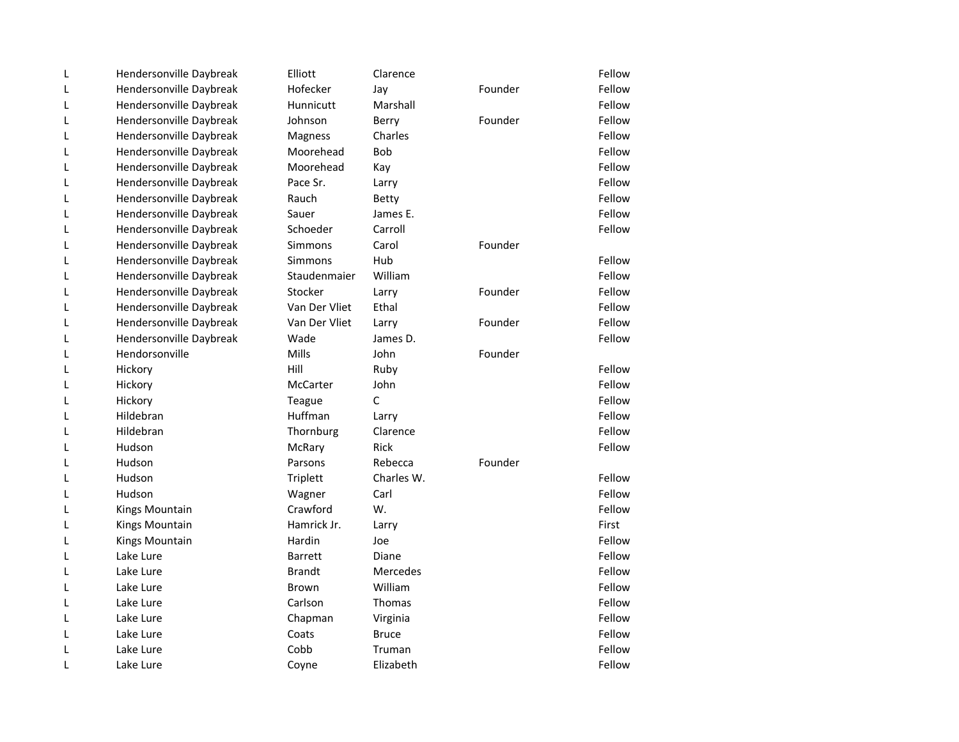| L | Hendersonville Daybreak | Elliott        | Clarence        |         | Fellow |
|---|-------------------------|----------------|-----------------|---------|--------|
| L | Hendersonville Daybreak | Hofecker       | Jay             | Founder | Fellow |
| L | Hendersonville Daybreak | Hunnicutt      | Marshall        |         | Fellow |
| L | Hendersonville Daybreak | Johnson        | Berry           | Founder | Fellow |
| L | Hendersonville Daybreak | Magness        | Charles         |         | Fellow |
| L | Hendersonville Daybreak | Moorehead      | Bob             |         | Fellow |
| L | Hendersonville Daybreak | Moorehead      | Kay             |         | Fellow |
| L | Hendersonville Daybreak | Pace Sr.       | Larry           |         | Fellow |
| L | Hendersonville Daybreak | Rauch          | Betty           |         | Fellow |
| L | Hendersonville Daybreak | Sauer          | James E.        |         | Fellow |
| L | Hendersonville Daybreak | Schoeder       | Carroll         |         | Fellow |
| Г | Hendersonville Daybreak | <b>Simmons</b> | Carol           | Founder |        |
| L | Hendersonville Daybreak | <b>Simmons</b> | Hub             |         | Fellow |
| L | Hendersonville Daybreak | Staudenmaier   | William         |         | Fellow |
| L | Hendersonville Daybreak | Stocker        | Larry           | Founder | Fellow |
| L | Hendersonville Daybreak | Van Der Vliet  | Ethal           |         | Fellow |
| L | Hendersonville Daybreak | Van Der Vliet  | Larry           | Founder | Fellow |
| L | Hendersonville Daybreak | Wade           | James D.        |         | Fellow |
| L | Hendorsonville          | Mills          | John            | Founder |        |
| L | Hickory                 | Hill           | Ruby            |         | Fellow |
| L | Hickory                 | McCarter       | John            |         | Fellow |
| L | Hickory                 | Teague         | $\mathsf{C}$    |         | Fellow |
| L | Hildebran               | Huffman        | Larry           |         | Fellow |
| L | Hildebran               | Thornburg      | Clarence        |         | Fellow |
| L | Hudson                  | McRary         | Rick            |         | Fellow |
| L | Hudson                  | Parsons        | Rebecca         | Founder |        |
| L | Hudson                  | Triplett       | Charles W.      |         | Fellow |
| L | Hudson                  | Wagner         | Carl            |         | Fellow |
| L | Kings Mountain          | Crawford       | W.              |         | Fellow |
| L | Kings Mountain          | Hamrick Jr.    | Larry           |         | First  |
| L | Kings Mountain          | Hardin         | Joe             |         | Fellow |
| L | Lake Lure               | <b>Barrett</b> | Diane           |         | Fellow |
| L | Lake Lure               | <b>Brandt</b>  | <b>Mercedes</b> |         | Fellow |
| L | Lake Lure               | <b>Brown</b>   | William         |         | Fellow |
| L | Lake Lure               | Carlson        | Thomas          |         | Fellow |
| L | Lake Lure               | Chapman        | Virginia        |         | Fellow |
| L | Lake Lure               | Coats          | <b>Bruce</b>    |         | Fellow |
| L | Lake Lure               | Cobb           | Truman          |         | Fellow |
| L | Lake Lure               | Coyne          | Elizabeth       |         | Fellow |
|   |                         |                |                 |         |        |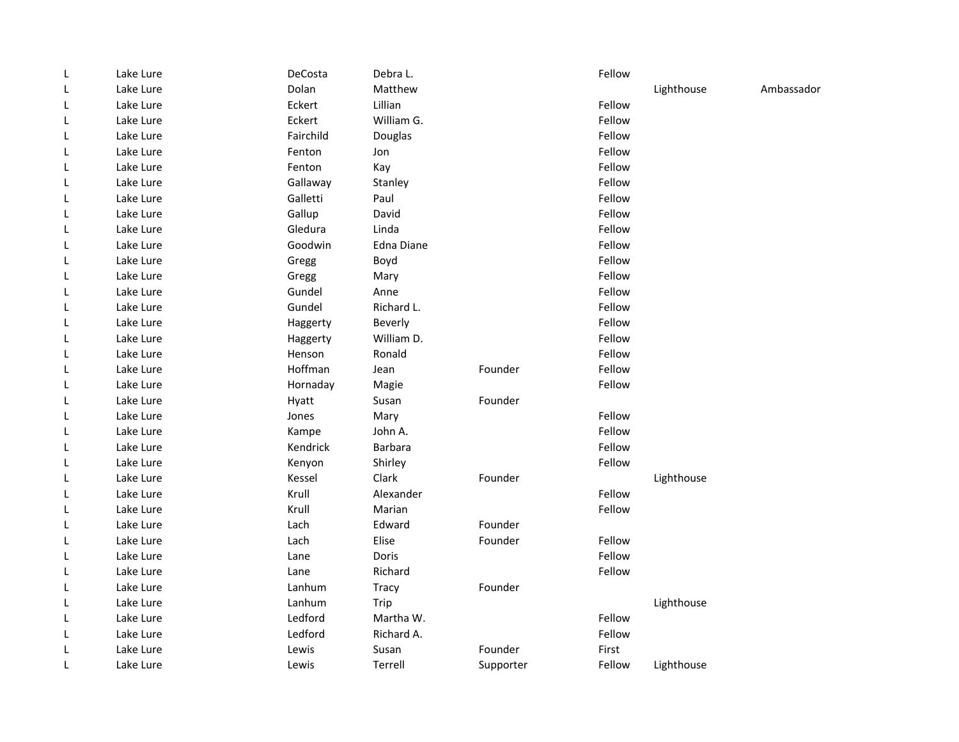| L | Lake Lure | DeCosta   | Debra L.   |           | Fellow |            |            |
|---|-----------|-----------|------------|-----------|--------|------------|------------|
| L | Lake Lure | Dolan     | Matthew    |           |        | Lighthouse | Ambassador |
| L | Lake Lure | Eckert    | Lillian    |           | Fellow |            |            |
| L | Lake Lure | Eckert    | William G. |           | Fellow |            |            |
| L | Lake Lure | Fairchild | Douglas    |           | Fellow |            |            |
| L | Lake Lure | Fenton    | Jon        |           | Fellow |            |            |
| L | Lake Lure | Fenton    | Kay        |           | Fellow |            |            |
| L | Lake Lure | Gallaway  | Stanley    |           | Fellow |            |            |
| L | Lake Lure | Galletti  | Paul       |           | Fellow |            |            |
| L | Lake Lure | Gallup    | David      |           | Fellow |            |            |
| L | Lake Lure | Gledura   | Linda      |           | Fellow |            |            |
| L | Lake Lure | Goodwin   | Edna Diane |           | Fellow |            |            |
| L | Lake Lure | Gregg     | Boyd       |           | Fellow |            |            |
| L | Lake Lure | Gregg     | Mary       |           | Fellow |            |            |
| L | Lake Lure | Gundel    | Anne       |           | Fellow |            |            |
| L | Lake Lure | Gundel    | Richard L. |           | Fellow |            |            |
| L | Lake Lure | Haggerty  | Beverly    |           | Fellow |            |            |
| L | Lake Lure | Haggerty  | William D. |           | Fellow |            |            |
| L | Lake Lure | Henson    | Ronald     |           | Fellow |            |            |
| L | Lake Lure | Hoffman   | Jean       | Founder   | Fellow |            |            |
| L | Lake Lure | Hornaday  | Magie      |           | Fellow |            |            |
| L | Lake Lure | Hyatt     | Susan      | Founder   |        |            |            |
| L | Lake Lure | Jones     | Mary       |           | Fellow |            |            |
| L | Lake Lure | Kampe     | John A.    |           | Fellow |            |            |
| L | Lake Lure | Kendrick  | Barbara    |           | Fellow |            |            |
| L | Lake Lure | Kenyon    | Shirley    |           | Fellow |            |            |
| L | Lake Lure | Kessel    | Clark      | Founder   |        | Lighthouse |            |
| L | Lake Lure | Krull     | Alexander  |           | Fellow |            |            |
| L | Lake Lure | Krull     | Marian     |           | Fellow |            |            |
| L | Lake Lure | Lach      | Edward     | Founder   |        |            |            |
| L | Lake Lure | Lach      | Elise      | Founder   | Fellow |            |            |
| L | Lake Lure | Lane      | Doris      |           | Fellow |            |            |
| L | Lake Lure | Lane      | Richard    |           | Fellow |            |            |
| L | Lake Lure | Lanhum    | Tracy      | Founder   |        |            |            |
| L | Lake Lure | Lanhum    | Trip       |           |        | Lighthouse |            |
| L | Lake Lure | Ledford   | Martha W.  |           | Fellow |            |            |
| L | Lake Lure | Ledford   | Richard A. |           | Fellow |            |            |
| L | Lake Lure | Lewis     | Susan      | Founder   | First  |            |            |
| L | Lake Lure | Lewis     | Terrell    | Supporter | Fellow | Lighthouse |            |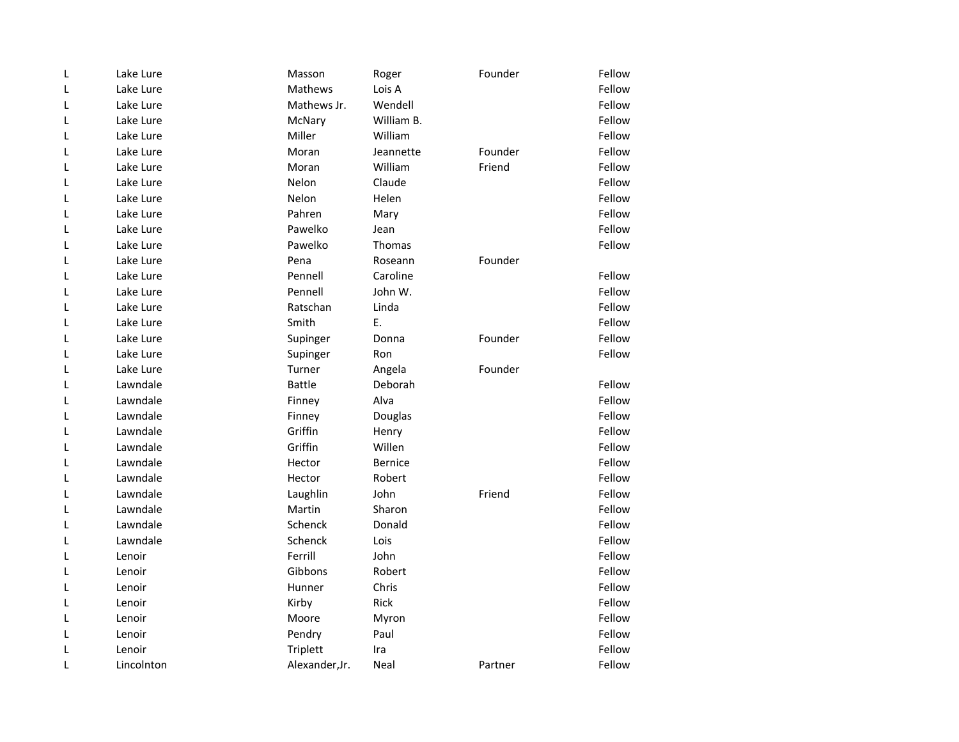| L | Lake Lure  | Masson         | Roger          | Founder | Fellow |
|---|------------|----------------|----------------|---------|--------|
| L | Lake Lure  | Mathews        | Lois A         |         | Fellow |
| L | Lake Lure  | Mathews Jr.    | Wendell        |         | Fellow |
| L | Lake Lure  | McNary         | William B.     |         | Fellow |
| L | Lake Lure  | Miller         | William        |         | Fellow |
| L | Lake Lure  | Moran          | Jeannette      | Founder | Fellow |
| L | Lake Lure  | Moran          | William        | Friend  | Fellow |
| L | Lake Lure  | Nelon          | Claude         |         | Fellow |
| L | Lake Lure  | Nelon          | Helen          |         | Fellow |
| L | Lake Lure  | Pahren         | Mary           |         | Fellow |
| L | Lake Lure  | Pawelko        | Jean           |         | Fellow |
| L | Lake Lure  | Pawelko        | Thomas         |         | Fellow |
| L | Lake Lure  | Pena           | Roseann        | Founder |        |
| Г | Lake Lure  | Pennell        | Caroline       |         | Fellow |
| L | Lake Lure  | Pennell        | John W.        |         | Fellow |
| L | Lake Lure  | Ratschan       | Linda          |         | Fellow |
| L | Lake Lure  | Smith          | E.             |         | Fellow |
| L | Lake Lure  | Supinger       | Donna          | Founder | Fellow |
| L | Lake Lure  | Supinger       | Ron            |         | Fellow |
| L | Lake Lure  | Turner         | Angela         | Founder |        |
| L | Lawndale   | <b>Battle</b>  | Deborah        |         | Fellow |
| L | Lawndale   | Finney         | Alva           |         | Fellow |
| L | Lawndale   | Finney         | Douglas        |         | Fellow |
| L | Lawndale   | Griffin        | Henry          |         | Fellow |
| L | Lawndale   | Griffin        | Willen         |         | Fellow |
| L | Lawndale   | Hector         | <b>Bernice</b> |         | Fellow |
| L | Lawndale   | Hector         | Robert         |         | Fellow |
| Г | Lawndale   | Laughlin       | John           | Friend  | Fellow |
| L | Lawndale   | Martin         | Sharon         |         | Fellow |
| L | Lawndale   | Schenck        | Donald         |         | Fellow |
| L | Lawndale   | Schenck        | Lois           |         | Fellow |
| L | Lenoir     | Ferrill        | John           |         | Fellow |
| L | Lenoir     | Gibbons        | Robert         |         | Fellow |
| L | Lenoir     | Hunner         | Chris          |         | Fellow |
| L | Lenoir     | Kirby          | Rick           |         | Fellow |
| L | Lenoir     | Moore          | Myron          |         | Fellow |
| L | Lenoir     | Pendry         | Paul           |         | Fellow |
| L | Lenoir     | Triplett       | Ira            |         | Fellow |
| L | Lincolnton | Alexander, Jr. | Neal           | Partner | Fellow |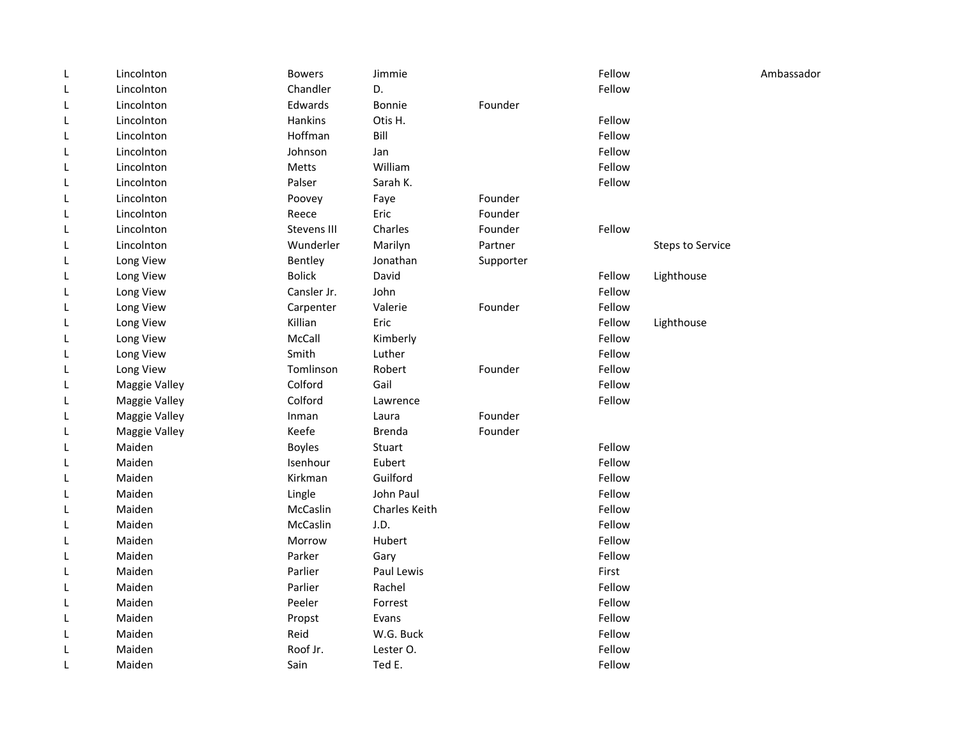| L | Lincolnton    | <b>Bowers</b> | Jimmie        |           | Fellow |                         | Ambassador |
|---|---------------|---------------|---------------|-----------|--------|-------------------------|------------|
| L | Lincolnton    | Chandler      | D.            |           | Fellow |                         |            |
| L | Lincolnton    | Edwards       | Bonnie        | Founder   |        |                         |            |
| L | Lincolnton    | Hankins       | Otis H.       |           | Fellow |                         |            |
| L | Lincolnton    | Hoffman       | Bill          |           | Fellow |                         |            |
| L | Lincolnton    | Johnson       | Jan           |           | Fellow |                         |            |
| L | Lincolnton    | Metts         | William       |           | Fellow |                         |            |
| L | Lincolnton    | Palser        | Sarah K.      |           | Fellow |                         |            |
| L | Lincolnton    | Poovey        | Faye          | Founder   |        |                         |            |
| L | Lincolnton    | Reece         | Eric          | Founder   |        |                         |            |
| L | Lincolnton    | Stevens III   | Charles       | Founder   | Fellow |                         |            |
| L | Lincolnton    | Wunderler     | Marilyn       | Partner   |        | <b>Steps to Service</b> |            |
| L | Long View     | Bentley       | Jonathan      | Supporter |        |                         |            |
| L | Long View     | <b>Bolick</b> | David         |           | Fellow | Lighthouse              |            |
| L | Long View     | Cansler Jr.   | John          |           | Fellow |                         |            |
| L | Long View     | Carpenter     | Valerie       | Founder   | Fellow |                         |            |
| L | Long View     | Killian       | Eric          |           | Fellow | Lighthouse              |            |
| L | Long View     | McCall        | Kimberly      |           | Fellow |                         |            |
| L | Long View     | Smith         | Luther        |           | Fellow |                         |            |
| L | Long View     | Tomlinson     | Robert        | Founder   | Fellow |                         |            |
| L | Maggie Valley | Colford       | Gail          |           | Fellow |                         |            |
| L | Maggie Valley | Colford       | Lawrence      |           | Fellow |                         |            |
| L | Maggie Valley | Inman         | Laura         | Founder   |        |                         |            |
| L | Maggie Valley | Keefe         | <b>Brenda</b> | Founder   |        |                         |            |
| L | Maiden        | <b>Boyles</b> | Stuart        |           | Fellow |                         |            |
| L | Maiden        | Isenhour      | Eubert        |           | Fellow |                         |            |
| L | Maiden        | Kirkman       | Guilford      |           | Fellow |                         |            |
| L | Maiden        | Lingle        | John Paul     |           | Fellow |                         |            |
| L | Maiden        | McCaslin      | Charles Keith |           | Fellow |                         |            |
| L | Maiden        | McCaslin      | J.D.          |           | Fellow |                         |            |
| L | Maiden        | Morrow        | Hubert        |           | Fellow |                         |            |
| L | Maiden        | Parker        | Gary          |           | Fellow |                         |            |
| L | Maiden        | Parlier       | Paul Lewis    |           | First  |                         |            |
| L | Maiden        | Parlier       | Rachel        |           | Fellow |                         |            |
| L | Maiden        | Peeler        | Forrest       |           | Fellow |                         |            |
| L | Maiden        | Propst        | Evans         |           | Fellow |                         |            |
| L | Maiden        | Reid          | W.G. Buck     |           | Fellow |                         |            |
| L | Maiden        | Roof Jr.      | Lester O.     |           | Fellow |                         |            |
| L | Maiden        | Sain          | Ted E.        |           | Fellow |                         |            |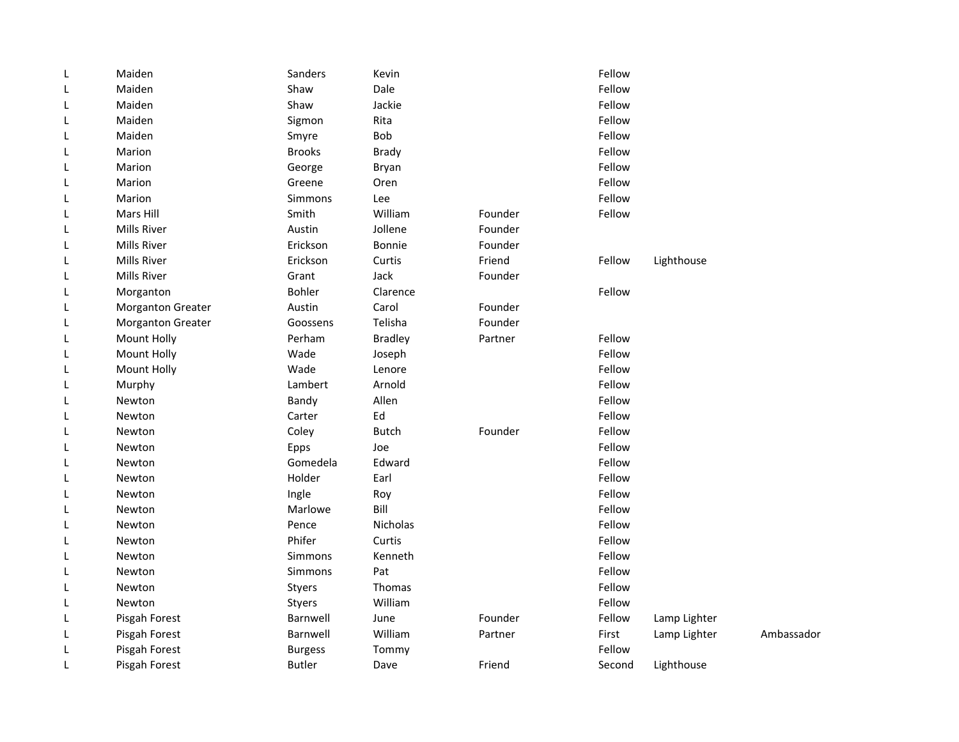| Dale<br>Fellow<br>Maiden<br>Shaw<br>L<br>Shaw<br>Jackie<br>Fellow<br>Maiden<br>L<br>Rita<br>Fellow<br>Maiden<br>Sigmon<br>L<br><b>Bob</b><br>Fellow<br>Maiden<br>Smyre<br>L<br><b>Brooks</b><br>Fellow<br>Marion<br>Brady<br>L<br>Fellow<br>Marion<br>George<br>Bryan<br>L<br>Fellow<br>Marion<br>Greene<br>L<br>Oren<br>Fellow<br>Simmons<br>Marion<br>Lee<br>L<br>William<br>Fellow<br>Mars Hill<br>Smith<br>Founder<br>L<br>Mills River<br>Austin<br>Jollene<br>Founder<br>L<br>Erickson<br>Mills River<br>Bonnie<br>Founder<br>L<br>Erickson<br>Curtis<br>Friend<br>Fellow<br>Lighthouse<br>L<br>Mills River<br>L<br>Mills River<br>Grant<br>Jack<br>Founder<br>Fellow<br>Bohler<br>L<br>Clarence<br>Morganton<br>Austin<br>Carol<br>Founder<br>L<br><b>Morganton Greater</b><br>Telisha<br>Morganton Greater<br>Goossens<br>Founder<br>L<br>Fellow<br>Mount Holly<br>Perham<br><b>Bradley</b><br>Partner<br>L<br>Fellow<br>Mount Holly<br>Wade<br>Joseph<br>L<br>Fellow<br>Mount Holly<br>Wade<br>Lenore<br>L<br>Fellow<br>Lambert<br>Arnold<br>Murphy<br>L<br>Fellow<br>Bandy<br>Allen<br>L<br>Newton<br>Ed<br>Fellow<br>Newton<br>Carter<br>L<br>Coley<br>Fellow<br><b>Butch</b><br>Founder<br>Newton<br>L<br>Fellow<br>Newton<br>Epps<br>Joe<br>L<br>Fellow<br>Gomedela<br>Edward<br>L<br>Newton<br>Fellow<br>Holder<br>Earl<br>L<br>Newton<br>Fellow<br>Ingle<br>L<br>Newton<br>Roy<br>Bill<br>Marlowe<br>Fellow<br>Newton<br>L<br>Nicholas<br>Fellow<br>Newton<br>Pence<br>L<br>Phifer<br>Fellow<br>Curtis<br>Newton<br>L<br>Fellow<br>Kenneth<br>Newton<br><b>Simmons</b><br>L<br>Fellow<br>Newton<br><b>Simmons</b><br>Pat<br>L<br>Fellow<br>Thomas<br>L<br>Newton<br>Styers | L | Maiden | Sanders | Kevin   | Fellow |            |
|------------------------------------------------------------------------------------------------------------------------------------------------------------------------------------------------------------------------------------------------------------------------------------------------------------------------------------------------------------------------------------------------------------------------------------------------------------------------------------------------------------------------------------------------------------------------------------------------------------------------------------------------------------------------------------------------------------------------------------------------------------------------------------------------------------------------------------------------------------------------------------------------------------------------------------------------------------------------------------------------------------------------------------------------------------------------------------------------------------------------------------------------------------------------------------------------------------------------------------------------------------------------------------------------------------------------------------------------------------------------------------------------------------------------------------------------------------------------------------------------------------------------------------------------------------------------------------------------------------------------------------------------------------------------------------------|---|--------|---------|---------|--------|------------|
|                                                                                                                                                                                                                                                                                                                                                                                                                                                                                                                                                                                                                                                                                                                                                                                                                                                                                                                                                                                                                                                                                                                                                                                                                                                                                                                                                                                                                                                                                                                                                                                                                                                                                          |   |        |         |         |        |            |
|                                                                                                                                                                                                                                                                                                                                                                                                                                                                                                                                                                                                                                                                                                                                                                                                                                                                                                                                                                                                                                                                                                                                                                                                                                                                                                                                                                                                                                                                                                                                                                                                                                                                                          |   |        |         |         |        |            |
|                                                                                                                                                                                                                                                                                                                                                                                                                                                                                                                                                                                                                                                                                                                                                                                                                                                                                                                                                                                                                                                                                                                                                                                                                                                                                                                                                                                                                                                                                                                                                                                                                                                                                          |   |        |         |         |        |            |
|                                                                                                                                                                                                                                                                                                                                                                                                                                                                                                                                                                                                                                                                                                                                                                                                                                                                                                                                                                                                                                                                                                                                                                                                                                                                                                                                                                                                                                                                                                                                                                                                                                                                                          |   |        |         |         |        |            |
|                                                                                                                                                                                                                                                                                                                                                                                                                                                                                                                                                                                                                                                                                                                                                                                                                                                                                                                                                                                                                                                                                                                                                                                                                                                                                                                                                                                                                                                                                                                                                                                                                                                                                          |   |        |         |         |        |            |
|                                                                                                                                                                                                                                                                                                                                                                                                                                                                                                                                                                                                                                                                                                                                                                                                                                                                                                                                                                                                                                                                                                                                                                                                                                                                                                                                                                                                                                                                                                                                                                                                                                                                                          |   |        |         |         |        |            |
|                                                                                                                                                                                                                                                                                                                                                                                                                                                                                                                                                                                                                                                                                                                                                                                                                                                                                                                                                                                                                                                                                                                                                                                                                                                                                                                                                                                                                                                                                                                                                                                                                                                                                          |   |        |         |         |        |            |
|                                                                                                                                                                                                                                                                                                                                                                                                                                                                                                                                                                                                                                                                                                                                                                                                                                                                                                                                                                                                                                                                                                                                                                                                                                                                                                                                                                                                                                                                                                                                                                                                                                                                                          |   |        |         |         |        |            |
|                                                                                                                                                                                                                                                                                                                                                                                                                                                                                                                                                                                                                                                                                                                                                                                                                                                                                                                                                                                                                                                                                                                                                                                                                                                                                                                                                                                                                                                                                                                                                                                                                                                                                          |   |        |         |         |        |            |
|                                                                                                                                                                                                                                                                                                                                                                                                                                                                                                                                                                                                                                                                                                                                                                                                                                                                                                                                                                                                                                                                                                                                                                                                                                                                                                                                                                                                                                                                                                                                                                                                                                                                                          |   |        |         |         |        |            |
|                                                                                                                                                                                                                                                                                                                                                                                                                                                                                                                                                                                                                                                                                                                                                                                                                                                                                                                                                                                                                                                                                                                                                                                                                                                                                                                                                                                                                                                                                                                                                                                                                                                                                          |   |        |         |         |        |            |
|                                                                                                                                                                                                                                                                                                                                                                                                                                                                                                                                                                                                                                                                                                                                                                                                                                                                                                                                                                                                                                                                                                                                                                                                                                                                                                                                                                                                                                                                                                                                                                                                                                                                                          |   |        |         |         |        |            |
|                                                                                                                                                                                                                                                                                                                                                                                                                                                                                                                                                                                                                                                                                                                                                                                                                                                                                                                                                                                                                                                                                                                                                                                                                                                                                                                                                                                                                                                                                                                                                                                                                                                                                          |   |        |         |         |        |            |
|                                                                                                                                                                                                                                                                                                                                                                                                                                                                                                                                                                                                                                                                                                                                                                                                                                                                                                                                                                                                                                                                                                                                                                                                                                                                                                                                                                                                                                                                                                                                                                                                                                                                                          |   |        |         |         |        |            |
|                                                                                                                                                                                                                                                                                                                                                                                                                                                                                                                                                                                                                                                                                                                                                                                                                                                                                                                                                                                                                                                                                                                                                                                                                                                                                                                                                                                                                                                                                                                                                                                                                                                                                          |   |        |         |         |        |            |
|                                                                                                                                                                                                                                                                                                                                                                                                                                                                                                                                                                                                                                                                                                                                                                                                                                                                                                                                                                                                                                                                                                                                                                                                                                                                                                                                                                                                                                                                                                                                                                                                                                                                                          |   |        |         |         |        |            |
|                                                                                                                                                                                                                                                                                                                                                                                                                                                                                                                                                                                                                                                                                                                                                                                                                                                                                                                                                                                                                                                                                                                                                                                                                                                                                                                                                                                                                                                                                                                                                                                                                                                                                          |   |        |         |         |        |            |
|                                                                                                                                                                                                                                                                                                                                                                                                                                                                                                                                                                                                                                                                                                                                                                                                                                                                                                                                                                                                                                                                                                                                                                                                                                                                                                                                                                                                                                                                                                                                                                                                                                                                                          |   |        |         |         |        |            |
|                                                                                                                                                                                                                                                                                                                                                                                                                                                                                                                                                                                                                                                                                                                                                                                                                                                                                                                                                                                                                                                                                                                                                                                                                                                                                                                                                                                                                                                                                                                                                                                                                                                                                          |   |        |         |         |        |            |
|                                                                                                                                                                                                                                                                                                                                                                                                                                                                                                                                                                                                                                                                                                                                                                                                                                                                                                                                                                                                                                                                                                                                                                                                                                                                                                                                                                                                                                                                                                                                                                                                                                                                                          |   |        |         |         |        |            |
|                                                                                                                                                                                                                                                                                                                                                                                                                                                                                                                                                                                                                                                                                                                                                                                                                                                                                                                                                                                                                                                                                                                                                                                                                                                                                                                                                                                                                                                                                                                                                                                                                                                                                          |   |        |         |         |        |            |
|                                                                                                                                                                                                                                                                                                                                                                                                                                                                                                                                                                                                                                                                                                                                                                                                                                                                                                                                                                                                                                                                                                                                                                                                                                                                                                                                                                                                                                                                                                                                                                                                                                                                                          |   |        |         |         |        |            |
|                                                                                                                                                                                                                                                                                                                                                                                                                                                                                                                                                                                                                                                                                                                                                                                                                                                                                                                                                                                                                                                                                                                                                                                                                                                                                                                                                                                                                                                                                                                                                                                                                                                                                          |   |        |         |         |        |            |
|                                                                                                                                                                                                                                                                                                                                                                                                                                                                                                                                                                                                                                                                                                                                                                                                                                                                                                                                                                                                                                                                                                                                                                                                                                                                                                                                                                                                                                                                                                                                                                                                                                                                                          |   |        |         |         |        |            |
|                                                                                                                                                                                                                                                                                                                                                                                                                                                                                                                                                                                                                                                                                                                                                                                                                                                                                                                                                                                                                                                                                                                                                                                                                                                                                                                                                                                                                                                                                                                                                                                                                                                                                          |   |        |         |         |        |            |
|                                                                                                                                                                                                                                                                                                                                                                                                                                                                                                                                                                                                                                                                                                                                                                                                                                                                                                                                                                                                                                                                                                                                                                                                                                                                                                                                                                                                                                                                                                                                                                                                                                                                                          |   |        |         |         |        |            |
|                                                                                                                                                                                                                                                                                                                                                                                                                                                                                                                                                                                                                                                                                                                                                                                                                                                                                                                                                                                                                                                                                                                                                                                                                                                                                                                                                                                                                                                                                                                                                                                                                                                                                          |   |        |         |         |        |            |
|                                                                                                                                                                                                                                                                                                                                                                                                                                                                                                                                                                                                                                                                                                                                                                                                                                                                                                                                                                                                                                                                                                                                                                                                                                                                                                                                                                                                                                                                                                                                                                                                                                                                                          |   |        |         |         |        |            |
|                                                                                                                                                                                                                                                                                                                                                                                                                                                                                                                                                                                                                                                                                                                                                                                                                                                                                                                                                                                                                                                                                                                                                                                                                                                                                                                                                                                                                                                                                                                                                                                                                                                                                          |   |        |         |         |        |            |
|                                                                                                                                                                                                                                                                                                                                                                                                                                                                                                                                                                                                                                                                                                                                                                                                                                                                                                                                                                                                                                                                                                                                                                                                                                                                                                                                                                                                                                                                                                                                                                                                                                                                                          |   |        |         |         |        |            |
|                                                                                                                                                                                                                                                                                                                                                                                                                                                                                                                                                                                                                                                                                                                                                                                                                                                                                                                                                                                                                                                                                                                                                                                                                                                                                                                                                                                                                                                                                                                                                                                                                                                                                          |   |        |         |         |        |            |
|                                                                                                                                                                                                                                                                                                                                                                                                                                                                                                                                                                                                                                                                                                                                                                                                                                                                                                                                                                                                                                                                                                                                                                                                                                                                                                                                                                                                                                                                                                                                                                                                                                                                                          |   |        |         |         |        |            |
|                                                                                                                                                                                                                                                                                                                                                                                                                                                                                                                                                                                                                                                                                                                                                                                                                                                                                                                                                                                                                                                                                                                                                                                                                                                                                                                                                                                                                                                                                                                                                                                                                                                                                          |   |        |         |         |        |            |
|                                                                                                                                                                                                                                                                                                                                                                                                                                                                                                                                                                                                                                                                                                                                                                                                                                                                                                                                                                                                                                                                                                                                                                                                                                                                                                                                                                                                                                                                                                                                                                                                                                                                                          | L | Newton | Styers  | William | Fellow |            |
| Barnwell<br>Founder<br>Fellow<br>Lamp Lighter<br>Pisgah Forest<br>June<br>L                                                                                                                                                                                                                                                                                                                                                                                                                                                                                                                                                                                                                                                                                                                                                                                                                                                                                                                                                                                                                                                                                                                                                                                                                                                                                                                                                                                                                                                                                                                                                                                                              |   |        |         |         |        |            |
| William<br>Barnwell<br>First<br>Lamp Lighter<br>Pisgah Forest<br>Partner<br>L                                                                                                                                                                                                                                                                                                                                                                                                                                                                                                                                                                                                                                                                                                                                                                                                                                                                                                                                                                                                                                                                                                                                                                                                                                                                                                                                                                                                                                                                                                                                                                                                            |   |        |         |         |        | Ambassador |
| Fellow<br>Pisgah Forest<br><b>Burgess</b><br>Tommy<br>L                                                                                                                                                                                                                                                                                                                                                                                                                                                                                                                                                                                                                                                                                                                                                                                                                                                                                                                                                                                                                                                                                                                                                                                                                                                                                                                                                                                                                                                                                                                                                                                                                                  |   |        |         |         |        |            |
| Pisgah Forest<br>Friend<br>Lighthouse<br><b>Butler</b><br>Dave<br>Second<br>L                                                                                                                                                                                                                                                                                                                                                                                                                                                                                                                                                                                                                                                                                                                                                                                                                                                                                                                                                                                                                                                                                                                                                                                                                                                                                                                                                                                                                                                                                                                                                                                                            |   |        |         |         |        |            |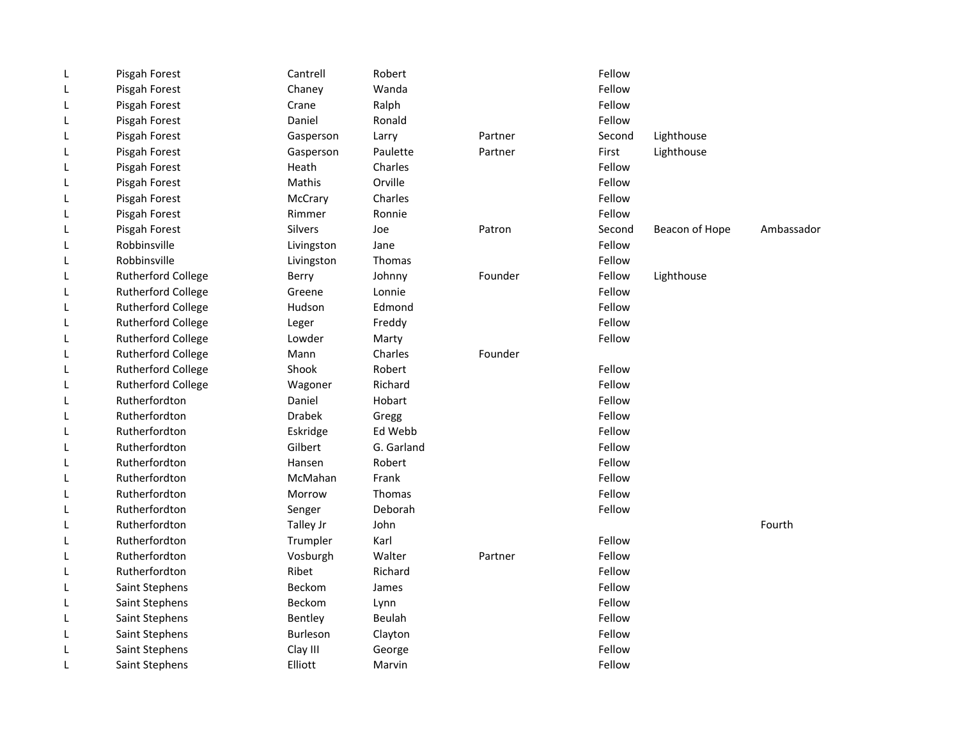| L | Pisgah Forest             | Cantrell        | Robert     |         | Fellow |                |            |
|---|---------------------------|-----------------|------------|---------|--------|----------------|------------|
| L | Pisgah Forest             | Chaney          | Wanda      |         | Fellow |                |            |
| L | Pisgah Forest             | Crane           | Ralph      |         | Fellow |                |            |
| L | Pisgah Forest             | Daniel          | Ronald     |         | Fellow |                |            |
| L | Pisgah Forest             | Gasperson       | Larry      | Partner | Second | Lighthouse     |            |
| L | Pisgah Forest             | Gasperson       | Paulette   | Partner | First  | Lighthouse     |            |
| L | Pisgah Forest             | Heath           | Charles    |         | Fellow |                |            |
| L | Pisgah Forest             | Mathis          | Orville    |         | Fellow |                |            |
| L | Pisgah Forest             | McCrary         | Charles    |         | Fellow |                |            |
| L | Pisgah Forest             | Rimmer          | Ronnie     |         | Fellow |                |            |
| L | Pisgah Forest             | <b>Silvers</b>  | Joe        | Patron  | Second | Beacon of Hope | Ambassador |
| L | Robbinsville              | Livingston      | Jane       |         | Fellow |                |            |
| L | Robbinsville              | Livingston      | Thomas     |         | Fellow |                |            |
| L | <b>Rutherford College</b> | Berry           | Johnny     | Founder | Fellow | Lighthouse     |            |
| L | <b>Rutherford College</b> | Greene          | Lonnie     |         | Fellow |                |            |
| L | <b>Rutherford College</b> | Hudson          | Edmond     |         | Fellow |                |            |
| L | <b>Rutherford College</b> | Leger           | Freddy     |         | Fellow |                |            |
| L | <b>Rutherford College</b> | Lowder          | Marty      |         | Fellow |                |            |
| L | <b>Rutherford College</b> | Mann            | Charles    | Founder |        |                |            |
| L | <b>Rutherford College</b> | Shook           | Robert     |         | Fellow |                |            |
| L | <b>Rutherford College</b> | Wagoner         | Richard    |         | Fellow |                |            |
| L | Rutherfordton             | Daniel          | Hobart     |         | Fellow |                |            |
| L | Rutherfordton             | <b>Drabek</b>   | Gregg      |         | Fellow |                |            |
| L | Rutherfordton             | Eskridge        | Ed Webb    |         | Fellow |                |            |
| L | Rutherfordton             | Gilbert         | G. Garland |         | Fellow |                |            |
| L | Rutherfordton             | Hansen          | Robert     |         | Fellow |                |            |
| L | Rutherfordton             | McMahan         | Frank      |         | Fellow |                |            |
| L | Rutherfordton             | Morrow          | Thomas     |         | Fellow |                |            |
| L | Rutherfordton             | Senger          | Deborah    |         | Fellow |                |            |
| L | Rutherfordton             | Talley Jr       | John       |         |        |                | Fourth     |
| L | Rutherfordton             | Trumpler        | Karl       |         | Fellow |                |            |
| L | Rutherfordton             | Vosburgh        | Walter     | Partner | Fellow |                |            |
| L | Rutherfordton             | Ribet           | Richard    |         | Fellow |                |            |
| L | Saint Stephens            | <b>Beckom</b>   | James      |         | Fellow |                |            |
| L | Saint Stephens            | <b>Beckom</b>   | Lynn       |         | Fellow |                |            |
| L | Saint Stephens            | Bentley         | Beulah     |         | Fellow |                |            |
| L | Saint Stephens            | <b>Burleson</b> | Clayton    |         | Fellow |                |            |
| L | Saint Stephens            | Clay III        | George     |         | Fellow |                |            |
| L | Saint Stephens            | Elliott         | Marvin     |         | Fellow |                |            |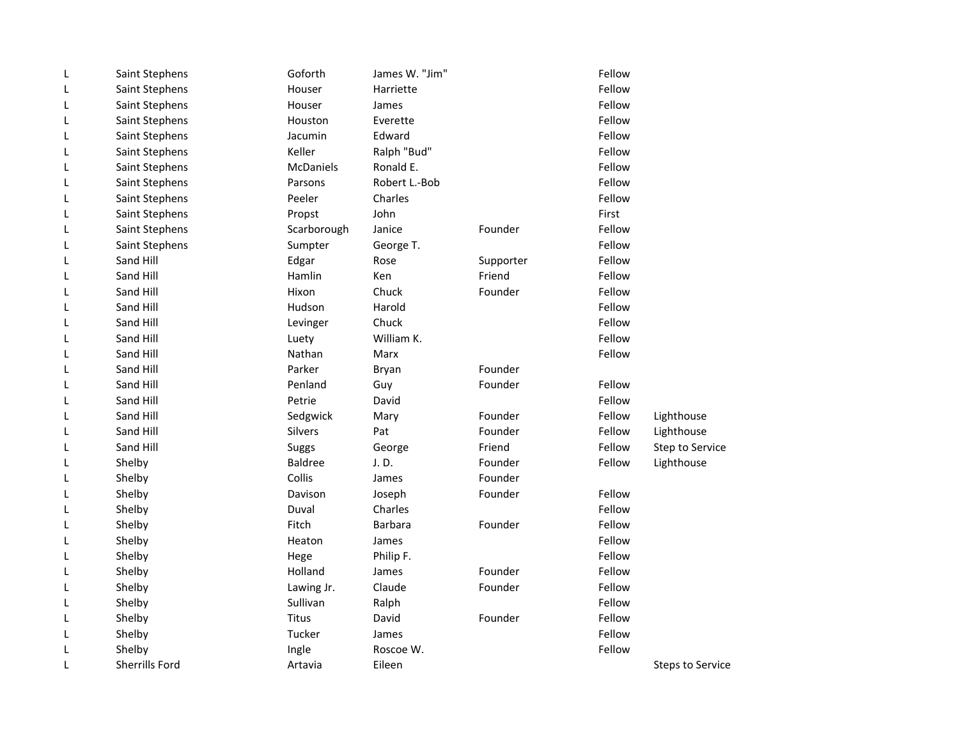| L | Saint Stephens | Goforth        | James W. "Jim" |           | Fellow |                         |
|---|----------------|----------------|----------------|-----------|--------|-------------------------|
| L | Saint Stephens | Houser         | Harriette      |           | Fellow |                         |
| L | Saint Stephens | Houser         | James          |           | Fellow |                         |
| L | Saint Stephens | Houston        | Everette       |           | Fellow |                         |
| L | Saint Stephens | Jacumin        | Edward         |           | Fellow |                         |
| L | Saint Stephens | Keller         | Ralph "Bud"    |           | Fellow |                         |
| L | Saint Stephens | McDaniels      | Ronald E.      |           | Fellow |                         |
| L | Saint Stephens | Parsons        | Robert L.-Bob  |           | Fellow |                         |
| L | Saint Stephens | Peeler         | Charles        |           | Fellow |                         |
| L | Saint Stephens | Propst         | John           |           | First  |                         |
| L | Saint Stephens | Scarborough    | Janice         | Founder   | Fellow |                         |
| L | Saint Stephens | Sumpter        | George T.      |           | Fellow |                         |
| L | Sand Hill      | Edgar          | Rose           | Supporter | Fellow |                         |
| L | Sand Hill      | Hamlin         | Ken            | Friend    | Fellow |                         |
| L | Sand Hill      | Hixon          | Chuck          | Founder   | Fellow |                         |
| L | Sand Hill      | Hudson         | Harold         |           | Fellow |                         |
| L | Sand Hill      | Levinger       | Chuck          |           | Fellow |                         |
| L | Sand Hill      | Luety          | William K.     |           | Fellow |                         |
| L | Sand Hill      | Nathan         | Marx           |           | Fellow |                         |
| L | Sand Hill      | Parker         | Bryan          | Founder   |        |                         |
| L | Sand Hill      | Penland        | Guy            | Founder   | Fellow |                         |
| L | Sand Hill      | Petrie         | David          |           | Fellow |                         |
| L | Sand Hill      | Sedgwick       | Mary           | Founder   | Fellow | Lighthouse              |
| L | Sand Hill      | <b>Silvers</b> | Pat            | Founder   | Fellow | Lighthouse              |
| L | Sand Hill      | Suggs          | George         | Friend    | Fellow | Step to Service         |
| L | Shelby         | <b>Baldree</b> | J.D.           | Founder   | Fellow | Lighthouse              |
| L | Shelby         | Collis         | James          | Founder   |        |                         |
| L | Shelby         | Davison        | Joseph         | Founder   | Fellow |                         |
| L | Shelby         | Duval          | Charles        |           | Fellow |                         |
| L | Shelby         | Fitch          | <b>Barbara</b> | Founder   | Fellow |                         |
| L | Shelby         | Heaton         | James          |           | Fellow |                         |
| L | Shelby         | Hege           | Philip F.      |           | Fellow |                         |
| L | Shelby         | Holland        | James          | Founder   | Fellow |                         |
| L | Shelby         | Lawing Jr.     | Claude         | Founder   | Fellow |                         |
| L | Shelby         | Sullivan       | Ralph          |           | Fellow |                         |
| L | Shelby         | Titus          | David          | Founder   | Fellow |                         |
| L | Shelby         | Tucker         | James          |           | Fellow |                         |
| L | Shelby         | Ingle          | Roscoe W.      |           | Fellow |                         |
| L | Sherrills Ford | Artavia        | Eileen         |           |        | <b>Steps to Service</b> |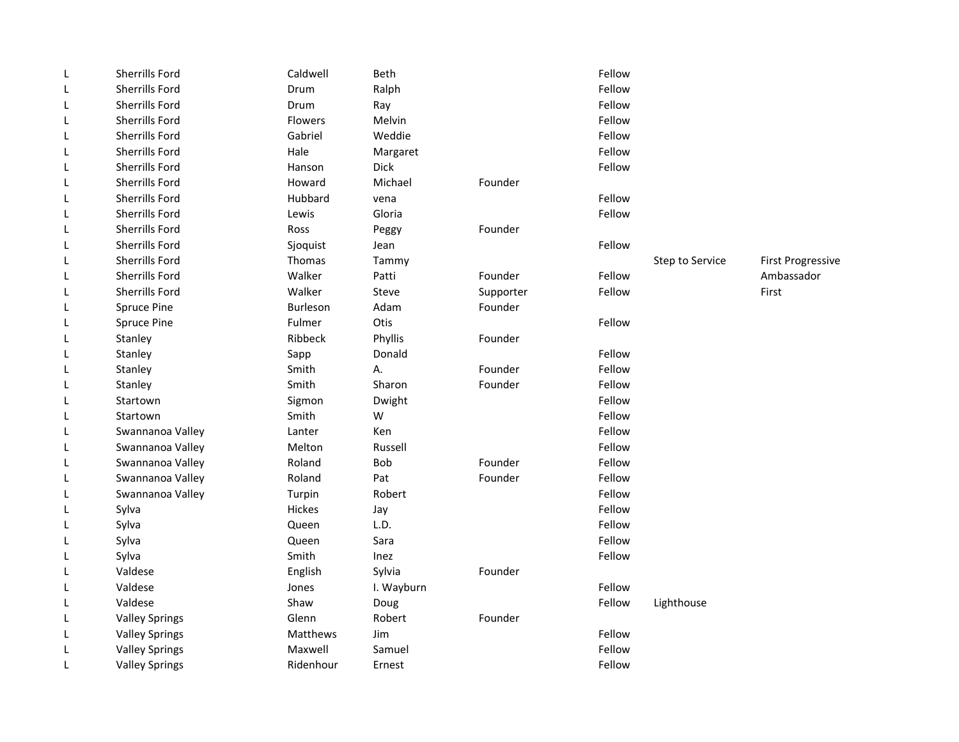| L | Sherrills Ford        | Caldwell        | Beth       |           | Fellow |                 |                          |
|---|-----------------------|-----------------|------------|-----------|--------|-----------------|--------------------------|
| L | <b>Sherrills Ford</b> | Drum            | Ralph      |           | Fellow |                 |                          |
| L | <b>Sherrills Ford</b> | Drum            | Ray        |           | Fellow |                 |                          |
| L | Sherrills Ford        | <b>Flowers</b>  | Melvin     |           | Fellow |                 |                          |
| L | <b>Sherrills Ford</b> | Gabriel         | Weddie     |           | Fellow |                 |                          |
| L | Sherrills Ford        | Hale            | Margaret   |           | Fellow |                 |                          |
| L | <b>Sherrills Ford</b> | Hanson          | Dick       |           | Fellow |                 |                          |
| L | Sherrills Ford        | Howard          | Michael    | Founder   |        |                 |                          |
| L | Sherrills Ford        | Hubbard         | vena       |           | Fellow |                 |                          |
| L | Sherrills Ford        | Lewis           | Gloria     |           | Fellow |                 |                          |
| L | <b>Sherrills Ford</b> | Ross            | Peggy      | Founder   |        |                 |                          |
| L | Sherrills Ford        | Sjoquist        | Jean       |           | Fellow |                 |                          |
| L | <b>Sherrills Ford</b> | Thomas          | Tammy      |           |        | Step to Service | <b>First Progressive</b> |
| L | Sherrills Ford        | Walker          | Patti      | Founder   | Fellow |                 | Ambassador               |
| L | <b>Sherrills Ford</b> | Walker          | Steve      | Supporter | Fellow |                 | First                    |
| L | <b>Spruce Pine</b>    | <b>Burleson</b> | Adam       | Founder   |        |                 |                          |
| L | Spruce Pine           | Fulmer          | Otis       |           | Fellow |                 |                          |
| L | Stanley               | Ribbeck         | Phyllis    | Founder   |        |                 |                          |
| L | Stanley               | Sapp            | Donald     |           | Fellow |                 |                          |
| L | Stanley               | Smith           | А.         | Founder   | Fellow |                 |                          |
| L | Stanley               | Smith           | Sharon     | Founder   | Fellow |                 |                          |
| L | Startown              | Sigmon          | Dwight     |           | Fellow |                 |                          |
| L | Startown              | Smith           | W          |           | Fellow |                 |                          |
| L | Swannanoa Valley      | Lanter          | Ken        |           | Fellow |                 |                          |
| L | Swannanoa Valley      | Melton          | Russell    |           | Fellow |                 |                          |
| L | Swannanoa Valley      | Roland          | <b>Bob</b> | Founder   | Fellow |                 |                          |
| L | Swannanoa Valley      | Roland          | Pat        | Founder   | Fellow |                 |                          |
| L | Swannanoa Valley      | Turpin          | Robert     |           | Fellow |                 |                          |
| L | Sylva                 | Hickes          | Jay        |           | Fellow |                 |                          |
| L | Sylva                 | Queen           | L.D.       |           | Fellow |                 |                          |
| L | Sylva                 | Queen           | Sara       |           | Fellow |                 |                          |
| L | Sylva                 | Smith           | Inez       |           | Fellow |                 |                          |
| L | Valdese               | English         | Sylvia     | Founder   |        |                 |                          |
| L | Valdese               | Jones           | I. Wayburn |           | Fellow |                 |                          |
| L | Valdese               | Shaw            | Doug       |           | Fellow | Lighthouse      |                          |
| L | <b>Valley Springs</b> | Glenn           | Robert     | Founder   |        |                 |                          |
| L | <b>Valley Springs</b> | Matthews        | Jim        |           | Fellow |                 |                          |
| L | <b>Valley Springs</b> | Maxwell         | Samuel     |           | Fellow |                 |                          |
| L | <b>Valley Springs</b> | Ridenhour       | Ernest     |           | Fellow |                 |                          |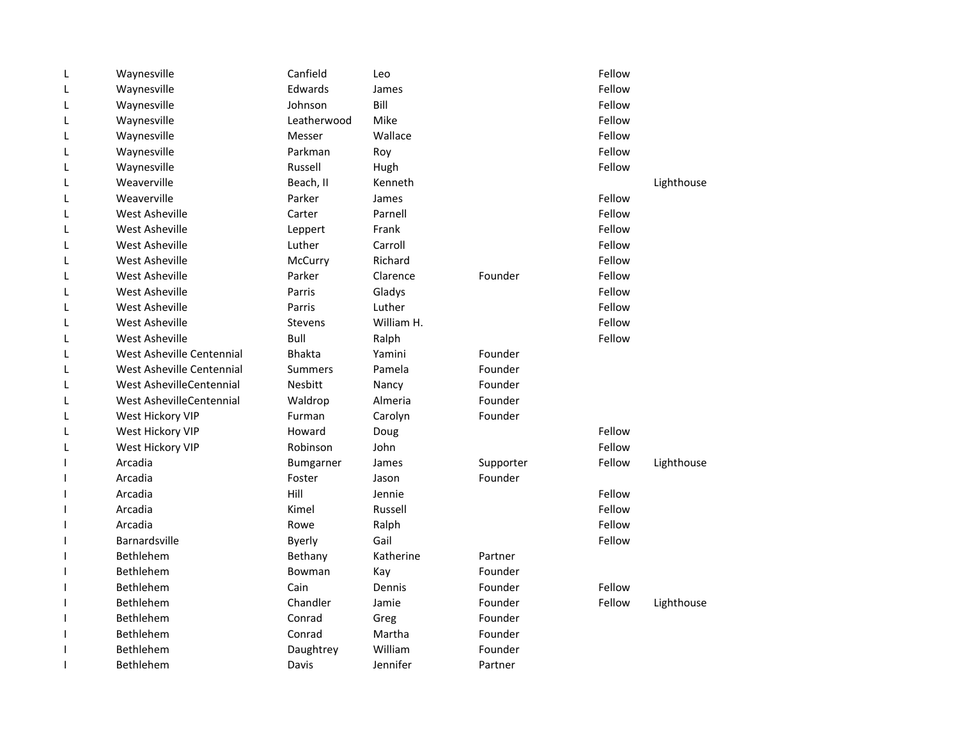| L | Waynesville               | Canfield       | Leo        |           | Fellow |            |
|---|---------------------------|----------------|------------|-----------|--------|------------|
| L | Waynesville               | Edwards        | James      |           | Fellow |            |
| L | Waynesville               | Johnson        | Bill       |           | Fellow |            |
| L | Waynesville               | Leatherwood    | Mike       |           | Fellow |            |
| L | Waynesville               | Messer         | Wallace    |           | Fellow |            |
| L | Waynesville               | Parkman        | Roy        |           | Fellow |            |
| L | Waynesville               | Russell        | Hugh       |           | Fellow |            |
| L | Weaverville               | Beach, II      | Kenneth    |           |        | Lighthouse |
| L | Weaverville               | Parker         | James      |           | Fellow |            |
| L | West Asheville            | Carter         | Parnell    |           | Fellow |            |
| L | <b>West Asheville</b>     | Leppert        | Frank      |           | Fellow |            |
| L | West Asheville            | Luther         | Carroll    |           | Fellow |            |
| L | <b>West Asheville</b>     | McCurry        | Richard    |           | Fellow |            |
| L | West Asheville            | Parker         | Clarence   | Founder   | Fellow |            |
| L | <b>West Asheville</b>     | Parris         | Gladys     |           | Fellow |            |
| L | West Asheville            | Parris         | Luther     |           | Fellow |            |
| L | <b>West Asheville</b>     | <b>Stevens</b> | William H. |           | Fellow |            |
| L | West Asheville            | Bull           | Ralph      |           | Fellow |            |
| L | West Asheville Centennial | <b>Bhakta</b>  | Yamini     | Founder   |        |            |
| L | West Asheville Centennial | <b>Summers</b> | Pamela     | Founder   |        |            |
| L | West AshevilleCentennial  | <b>Nesbitt</b> | Nancy      | Founder   |        |            |
| L | West AshevilleCentennial  | Waldrop        | Almeria    | Founder   |        |            |
| L | West Hickory VIP          | Furman         | Carolyn    | Founder   |        |            |
| L | West Hickory VIP          | Howard         | Doug       |           | Fellow |            |
| L | West Hickory VIP          | Robinson       | John       |           | Fellow |            |
| ı | Arcadia                   | Bumgarner      | James      | Supporter | Fellow | Lighthouse |
| ı | Arcadia                   | Foster         | Jason      | Founder   |        |            |
| ı | Arcadia                   | Hill           | Jennie     |           | Fellow |            |
| I | Arcadia                   | Kimel          | Russell    |           | Fellow |            |
|   | Arcadia                   | Rowe           | Ralph      |           | Fellow |            |
|   | <b>Barnardsville</b>      | <b>Byerly</b>  | Gail       |           | Fellow |            |
| ı | Bethlehem                 | Bethany        | Katherine  | Partner   |        |            |
| ı | <b>Bethlehem</b>          | Bowman         | Kay        | Founder   |        |            |
|   | Bethlehem                 | Cain           | Dennis     | Founder   | Fellow |            |
| ı | <b>Bethlehem</b>          | Chandler       | Jamie      | Founder   | Fellow | Lighthouse |
| ı | Bethlehem                 | Conrad         | Greg       | Founder   |        |            |
| ı | Bethlehem                 | Conrad         | Martha     | Founder   |        |            |
| ı | Bethlehem                 | Daughtrey      | William    | Founder   |        |            |
| 1 | <b>Bethlehem</b>          | Davis          | Jennifer   | Partner   |        |            |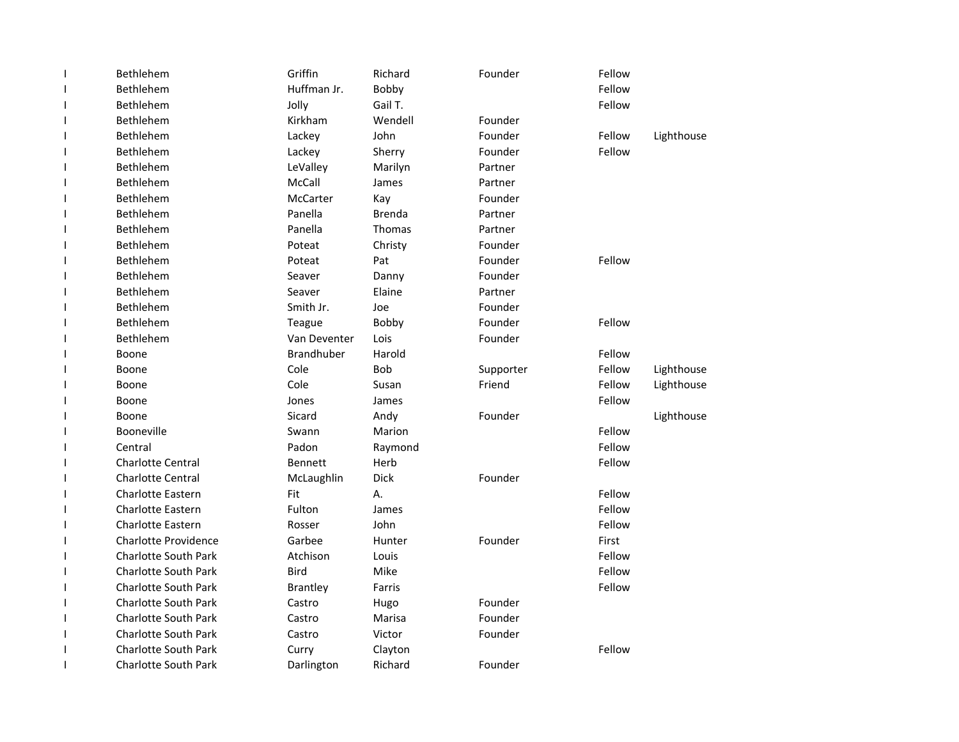|    | Bethlehem                   | Griffin           | Richard       | Founder   | Fellow |            |
|----|-----------------------------|-------------------|---------------|-----------|--------|------------|
|    | Bethlehem                   | Huffman Jr.       | Bobby         |           | Fellow |            |
|    | <b>Bethlehem</b>            | Jolly             | Gail T.       |           | Fellow |            |
|    | Bethlehem                   | Kirkham           | Wendell       | Founder   |        |            |
|    | Bethlehem                   | Lackey            | John          | Founder   | Fellow | Lighthouse |
|    | Bethlehem                   | Lackey            | Sherry        | Founder   | Fellow |            |
|    | Bethlehem                   | LeValley          | Marilyn       | Partner   |        |            |
|    | Bethlehem                   | McCall            | James         | Partner   |        |            |
|    | <b>Bethlehem</b>            | <b>McCarter</b>   | Kay           | Founder   |        |            |
|    | Bethlehem                   | Panella           | <b>Brenda</b> | Partner   |        |            |
|    | Bethlehem                   | Panella           | Thomas        | Partner   |        |            |
|    | Bethlehem                   | Poteat            | Christy       | Founder   |        |            |
|    | Bethlehem                   | Poteat            | Pat           | Founder   | Fellow |            |
|    | Bethlehem                   | Seaver            | Danny         | Founder   |        |            |
|    | Bethlehem                   | Seaver            | Elaine        | Partner   |        |            |
|    | Bethlehem                   | Smith Jr.         | Joe           | Founder   |        |            |
|    | Bethlehem                   | Teague            | Bobby         | Founder   | Fellow |            |
|    | Bethlehem                   | Van Deventer      | Lois          | Founder   |        |            |
|    | Boone                       | <b>Brandhuber</b> | Harold        |           | Fellow |            |
|    | Boone                       | Cole              | <b>Bob</b>    | Supporter | Fellow | Lighthouse |
|    | Boone                       | Cole              | Susan         | Friend    | Fellow | Lighthouse |
|    | Boone                       | Jones             | James         |           | Fellow |            |
| 1  | Boone                       | Sicard            | Andy          | Founder   |        | Lighthouse |
| H  | Booneville                  | Swann             | Marion        |           | Fellow |            |
|    | Central                     | Padon             | Raymond       |           | Fellow |            |
|    | <b>Charlotte Central</b>    | <b>Bennett</b>    | Herb          |           | Fellow |            |
|    | <b>Charlotte Central</b>    | McLaughlin        | <b>Dick</b>   | Founder   |        |            |
|    | <b>Charlotte Eastern</b>    | Fit               | А.            |           | Fellow |            |
|    | <b>Charlotte Eastern</b>    | Fulton            | James         |           | Fellow |            |
|    | <b>Charlotte Eastern</b>    | Rosser            | John          |           | Fellow |            |
|    | <b>Charlotte Providence</b> | Garbee            | Hunter        | Founder   | First  |            |
|    | <b>Charlotte South Park</b> | Atchison          | Louis         |           | Fellow |            |
|    | <b>Charlotte South Park</b> | <b>Bird</b>       | Mike          |           | Fellow |            |
|    | <b>Charlotte South Park</b> | <b>Brantley</b>   | Farris        |           | Fellow |            |
| I. | <b>Charlotte South Park</b> | Castro            | Hugo          | Founder   |        |            |
|    | <b>Charlotte South Park</b> | Castro            | Marisa        | Founder   |        |            |
|    | <b>Charlotte South Park</b> | Castro            | Victor        | Founder   |        |            |
|    | <b>Charlotte South Park</b> | Curry             | Clayton       |           | Fellow |            |
| 1  | <b>Charlotte South Park</b> | Darlington        | Richard       | Founder   |        |            |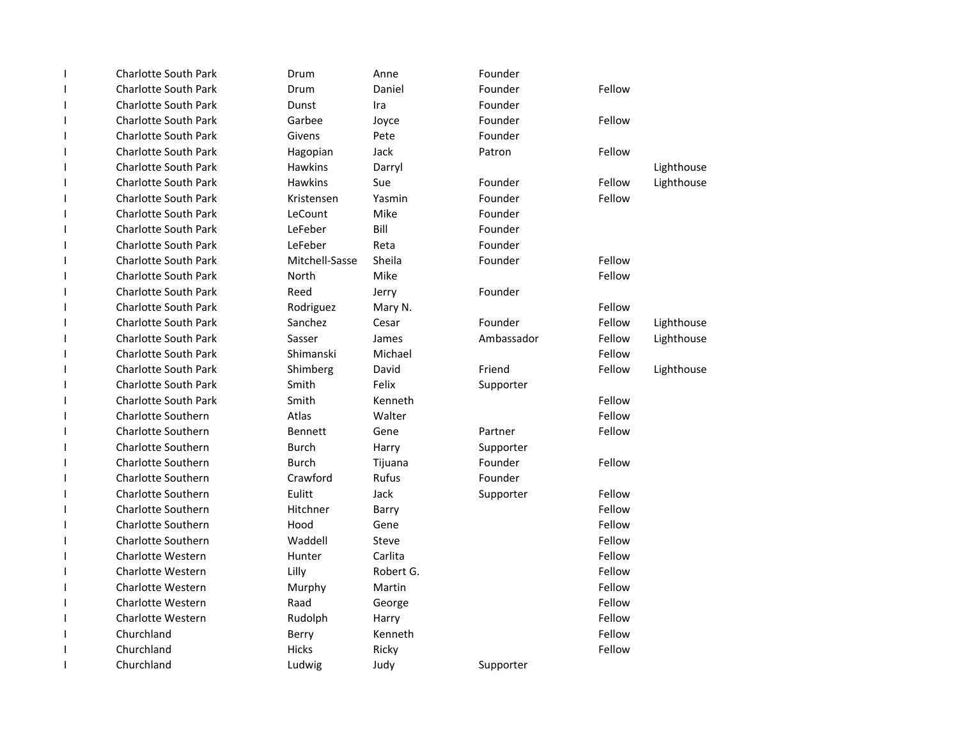| <b>Charlotte South Park</b> | Drum            | Anne         | Founder    |        |            |
|-----------------------------|-----------------|--------------|------------|--------|------------|
| <b>Charlotte South Park</b> | Drum            | Daniel       | Founder    | Fellow |            |
| <b>Charlotte South Park</b> | Dunst           | Ira          | Founder    |        |            |
| <b>Charlotte South Park</b> | Garbee          | Joyce        | Founder    | Fellow |            |
| <b>Charlotte South Park</b> | Givens          | Pete         | Founder    |        |            |
| <b>Charlotte South Park</b> | Hagopian        | Jack         | Patron     | Fellow |            |
| <b>Charlotte South Park</b> | <b>Hawkins</b>  | Darryl       |            |        | Lighthouse |
| <b>Charlotte South Park</b> | <b>Hawkins</b>  | Sue          | Founder    | Fellow | Lighthouse |
| <b>Charlotte South Park</b> | Kristensen      | Yasmin       | Founder    | Fellow |            |
| <b>Charlotte South Park</b> | LeCount         | Mike         | Founder    |        |            |
| <b>Charlotte South Park</b> | LeFeber         | Bill         | Founder    |        |            |
| <b>Charlotte South Park</b> | LeFeber         | Reta         | Founder    |        |            |
| <b>Charlotte South Park</b> | Mitchell-Sasse  | Sheila       | Founder    | Fellow |            |
| <b>Charlotte South Park</b> | North           | Mike         |            | Fellow |            |
| <b>Charlotte South Park</b> | Reed            | Jerry        | Founder    |        |            |
| <b>Charlotte South Park</b> | Rodriguez       | Mary N.      |            | Fellow |            |
| <b>Charlotte South Park</b> | Sanchez         | Cesar        | Founder    | Fellow | Lighthouse |
| <b>Charlotte South Park</b> | Sasser          | James        | Ambassador | Fellow | Lighthouse |
| <b>Charlotte South Park</b> | Shimanski       | Michael      |            | Fellow |            |
| <b>Charlotte South Park</b> | Shimberg        | David        | Friend     | Fellow | Lighthouse |
| <b>Charlotte South Park</b> | Smith           | Felix        | Supporter  |        |            |
| <b>Charlotte South Park</b> | Smith           | Kenneth      |            | Fellow |            |
| <b>Charlotte Southern</b>   | Atlas           | Walter       |            | Fellow |            |
| <b>Charlotte Southern</b>   | <b>Bennett</b>  | Gene         | Partner    | Fellow |            |
| Charlotte Southern          | <b>Burch</b>    | Harry        | Supporter  |        |            |
| <b>Charlotte Southern</b>   | <b>Burch</b>    | Tijuana      | Founder    | Fellow |            |
| <b>Charlotte Southern</b>   | Crawford        | <b>Rufus</b> | Founder    |        |            |
| <b>Charlotte Southern</b>   | Eulitt          | Jack         | Supporter  | Fellow |            |
| Charlotte Southern          | <b>Hitchner</b> | Barry        |            | Fellow |            |
| <b>Charlotte Southern</b>   | Hood            | Gene         |            | Fellow |            |
| <b>Charlotte Southern</b>   | Waddell         | Steve        |            | Fellow |            |
| <b>Charlotte Western</b>    | Hunter          | Carlita      |            | Fellow |            |
| <b>Charlotte Western</b>    | Lilly           | Robert G.    |            | Fellow |            |
| Charlotte Western           | Murphy          | Martin       |            | Fellow |            |
| <b>Charlotte Western</b>    | Raad            | George       |            | Fellow |            |
| Charlotte Western           | Rudolph         | Harry        |            | Fellow |            |
| Churchland                  | Berry           | Kenneth      |            | Fellow |            |
| Churchland                  | Hicks           | Ricky        |            | Fellow |            |
| Churchland                  | Ludwig          | Judy         | Supporter  |        |            |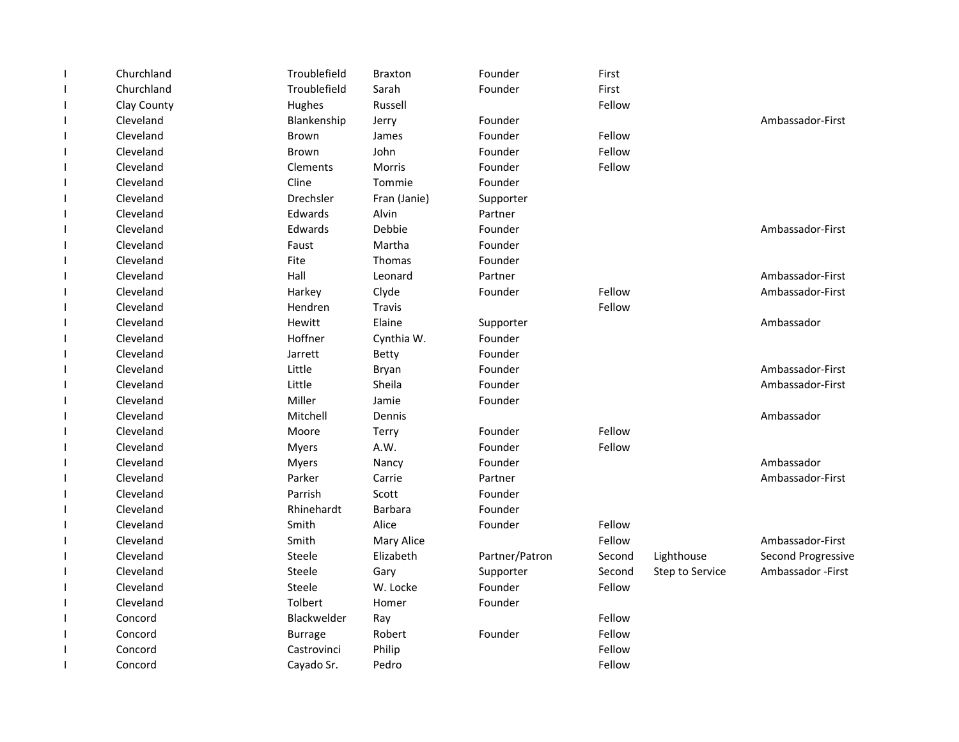|                          | Churchland  | Troublefield   | <b>Braxton</b> | Founder        | First  |                 |                           |
|--------------------------|-------------|----------------|----------------|----------------|--------|-----------------|---------------------------|
|                          | Churchland  | Troublefield   | Sarah          | Founder        | First  |                 |                           |
| $\mathbf{I}$             | Clay County | Hughes         | Russell        |                | Fellow |                 |                           |
|                          | Cleveland   | Blankenship    | Jerry          | Founder        |        |                 | Ambassador-First          |
| <b>I</b>                 | Cleveland   | Brown          | James          | Founder        | Fellow |                 |                           |
|                          | Cleveland   | <b>Brown</b>   | John           | Founder        | Fellow |                 |                           |
|                          | Cleveland   | Clements       | Morris         | Founder        | Fellow |                 |                           |
|                          | Cleveland   | Cline          | Tommie         | Founder        |        |                 |                           |
| $\overline{\phantom{a}}$ | Cleveland   | Drechsler      | Fran (Janie)   | Supporter      |        |                 |                           |
| $\mathbf{I}$             | Cleveland   | Edwards        | Alvin          | Partner        |        |                 |                           |
| $\overline{\phantom{a}}$ | Cleveland   | Edwards        | Debbie         | Founder        |        |                 | Ambassador-First          |
| $\overline{\phantom{a}}$ | Cleveland   | Faust          | Martha         | Founder        |        |                 |                           |
| $\overline{\phantom{a}}$ | Cleveland   | Fite           | Thomas         | Founder        |        |                 |                           |
| $\mathbf{I}$             | Cleveland   | Hall           | Leonard        | Partner        |        |                 | Ambassador-First          |
| $\overline{\phantom{a}}$ | Cleveland   | Harkey         | Clyde          | Founder        | Fellow |                 | Ambassador-First          |
| $\overline{\phantom{a}}$ | Cleveland   | Hendren        | Travis         |                | Fellow |                 |                           |
|                          | Cleveland   | Hewitt         | Elaine         | Supporter      |        |                 | Ambassador                |
|                          | Cleveland   | Hoffner        | Cynthia W.     | Founder        |        |                 |                           |
|                          | Cleveland   | Jarrett        | Betty          | Founder        |        |                 |                           |
|                          | Cleveland   | Little         | Bryan          | Founder        |        |                 | Ambassador-First          |
|                          | Cleveland   | Little         | Sheila         | Founder        |        |                 | Ambassador-First          |
|                          | Cleveland   | Miller         | Jamie          | Founder        |        |                 |                           |
| $\mathbf{I}$             | Cleveland   | Mitchell       | Dennis         |                |        |                 | Ambassador                |
| $\overline{\phantom{a}}$ | Cleveland   | Moore          | Terry          | Founder        | Fellow |                 |                           |
| $\mathbf{I}$             | Cleveland   | Myers          | A.W.           | Founder        | Fellow |                 |                           |
| $\overline{\phantom{a}}$ | Cleveland   | <b>Myers</b>   | Nancy          | Founder        |        |                 | Ambassador                |
|                          | Cleveland   | Parker         | Carrie         | Partner        |        |                 | Ambassador-First          |
|                          | Cleveland   | Parrish        | Scott          | Founder        |        |                 |                           |
|                          | Cleveland   | Rhinehardt     | <b>Barbara</b> | Founder        |        |                 |                           |
|                          | Cleveland   | Smith          | Alice          | Founder        | Fellow |                 |                           |
|                          | Cleveland   | Smith          | Mary Alice     |                | Fellow |                 | Ambassador-First          |
|                          | Cleveland   | Steele         | Elizabeth      | Partner/Patron | Second | Lighthouse      | <b>Second Progressive</b> |
|                          | Cleveland   | Steele         | Gary           | Supporter      | Second | Step to Service | Ambassador - First        |
|                          | Cleveland   | Steele         | W. Locke       | Founder        | Fellow |                 |                           |
| $\overline{\phantom{a}}$ | Cleveland   | Tolbert        | Homer          | Founder        |        |                 |                           |
|                          | Concord     | Blackwelder    | Ray            |                | Fellow |                 |                           |
|                          | Concord     | <b>Burrage</b> | Robert         | Founder        | Fellow |                 |                           |
|                          | Concord     | Castrovinci    | Philip         |                | Fellow |                 |                           |
|                          | Concord     | Cayado Sr.     | Pedro          |                | Fellow |                 |                           |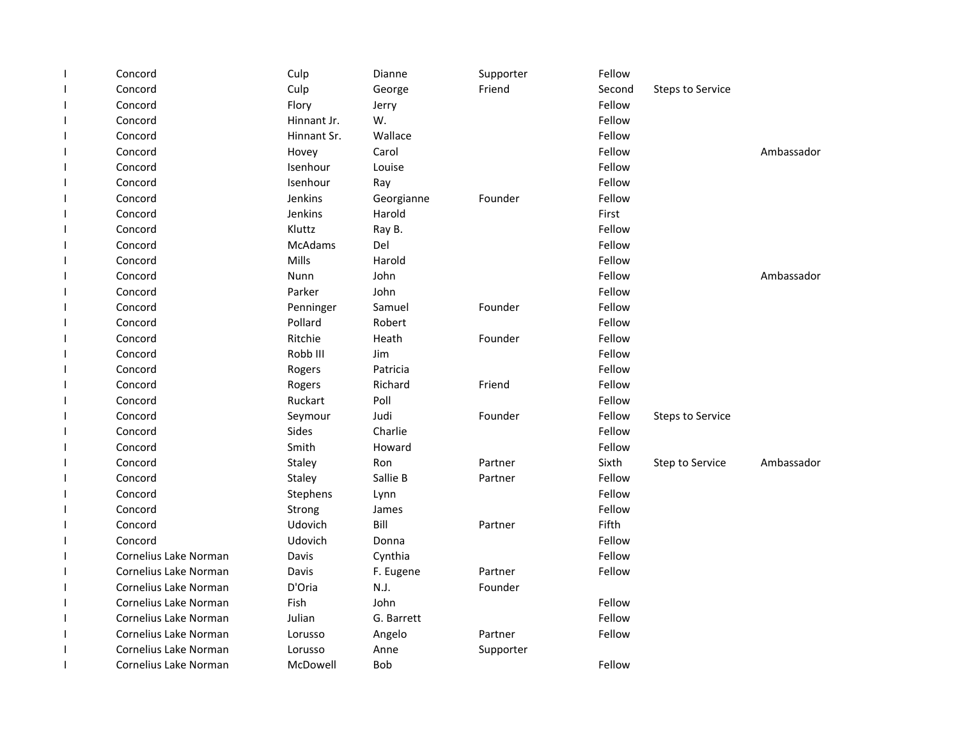| $\mathbf{I}$             | Concord               | Culp           | Dianne     | Supporter | Fellow |                         |            |
|--------------------------|-----------------------|----------------|------------|-----------|--------|-------------------------|------------|
| $\mathbf{I}$             | Concord               | Culp           | George     | Friend    | Second | <b>Steps to Service</b> |            |
| $\mathbf{I}$             | Concord               | Flory          | Jerry      |           | Fellow |                         |            |
| $\mathbf{I}$             | Concord               | Hinnant Jr.    | W.         |           | Fellow |                         |            |
| <b>I</b>                 | Concord               | Hinnant Sr.    | Wallace    |           | Fellow |                         |            |
| <b>I</b>                 | Concord               | Hovey          | Carol      |           | Fellow |                         | Ambassador |
| <b>I</b>                 | Concord               | Isenhour       | Louise     |           | Fellow |                         |            |
| J.                       | Concord               | Isenhour       | Ray        |           | Fellow |                         |            |
| $\overline{\phantom{a}}$ | Concord               | Jenkins        | Georgianne | Founder   | Fellow |                         |            |
| $\mathbf{I}$             | Concord               | Jenkins        | Harold     |           | First  |                         |            |
| $\mathbf{I}$             | Concord               | Kluttz         | Ray B.     |           | Fellow |                         |            |
| $\mathbf{I}$             | Concord               | <b>McAdams</b> | Del        |           | Fellow |                         |            |
| $\mathbf{I}$             | Concord               | Mills          | Harold     |           | Fellow |                         |            |
| $\mathbf{I}$             | Concord               | Nunn           | John       |           | Fellow |                         | Ambassador |
| $\mathbf{I}$             | Concord               | Parker         | John       |           | Fellow |                         |            |
| $\mathbf{I}$             | Concord               | Penninger      | Samuel     | Founder   | Fellow |                         |            |
| $\mathbf{I}$             | Concord               | Pollard        | Robert     |           | Fellow |                         |            |
| <b>I</b>                 | Concord               | Ritchie        | Heath      | Founder   | Fellow |                         |            |
| $\mathbf{I}$             | Concord               | Robb III       | Jim        |           | Fellow |                         |            |
| $\mathbf{I}$             | Concord               | Rogers         | Patricia   |           | Fellow |                         |            |
| <b>I</b>                 | Concord               | Rogers         | Richard    | Friend    | Fellow |                         |            |
|                          | Concord               | Ruckart        | Poll       |           | Fellow |                         |            |
| $\overline{\phantom{a}}$ | Concord               | Seymour        | Judi       | Founder   | Fellow | <b>Steps to Service</b> |            |
| $\overline{\phantom{a}}$ | Concord               | Sides          | Charlie    |           | Fellow |                         |            |
| $\mathbf{I}$             | Concord               | Smith          | Howard     |           | Fellow |                         |            |
| $\overline{\phantom{a}}$ | Concord               | Staley         | Ron        | Partner   | Sixth  | Step to Service         | Ambassador |
| $\mathbf{I}$             | Concord               | Staley         | Sallie B   | Partner   | Fellow |                         |            |
| $\mathbf{I}$             | Concord               | Stephens       | Lynn       |           | Fellow |                         |            |
| $\mathbf{I}$             | Concord               | Strong         | James      |           | Fellow |                         |            |
| $\overline{\phantom{a}}$ | Concord               | Udovich        | Bill       | Partner   | Fifth  |                         |            |
| <b>I</b>                 | Concord               | Udovich        | Donna      |           | Fellow |                         |            |
| $\mathbf{I}$             | Cornelius Lake Norman | Davis          | Cynthia    |           | Fellow |                         |            |
| $\mathbf{I}$             | Cornelius Lake Norman | Davis          | F. Eugene  | Partner   | Fellow |                         |            |
| $\mathbf{I}$             | Cornelius Lake Norman | D'Oria         | N.J.       | Founder   |        |                         |            |
| $\overline{\phantom{a}}$ | Cornelius Lake Norman | Fish           | John       |           | Fellow |                         |            |
|                          | Cornelius Lake Norman | Julian         | G. Barrett |           | Fellow |                         |            |
| $\mathbf{I}$             | Cornelius Lake Norman | Lorusso        | Angelo     | Partner   | Fellow |                         |            |
|                          | Cornelius Lake Norman | Lorusso        | Anne       | Supporter |        |                         |            |
| $\mathbf{I}$             | Cornelius Lake Norman | McDowell       | <b>Bob</b> |           | Fellow |                         |            |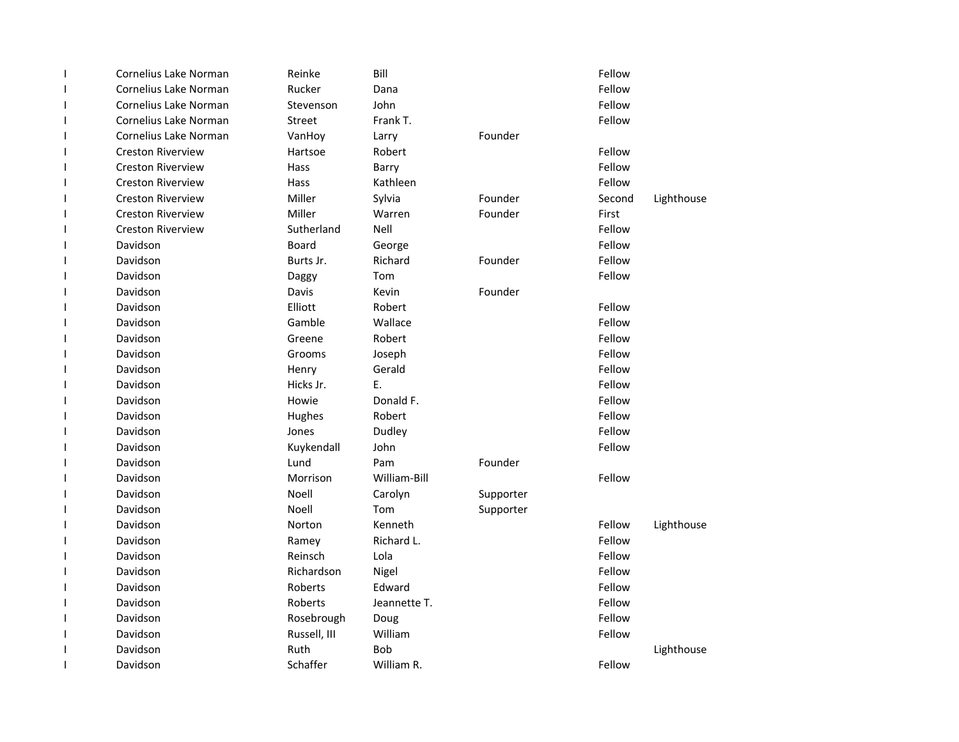| $\mathbf{I}$             | Cornelius Lake Norman    | Reinke        | Bill         |           | Fellow |            |
|--------------------------|--------------------------|---------------|--------------|-----------|--------|------------|
| $\overline{\phantom{a}}$ | Cornelius Lake Norman    | Rucker        | Dana         |           | Fellow |            |
| $\overline{\phantom{a}}$ | Cornelius Lake Norman    | Stevenson     | John         |           | Fellow |            |
| $\overline{\phantom{a}}$ | Cornelius Lake Norman    | <b>Street</b> | Frank T.     |           | Fellow |            |
| $\mathbf{I}$             | Cornelius Lake Norman    | VanHoy        | Larry        | Founder   |        |            |
| 1                        | <b>Creston Riverview</b> | Hartsoe       | Robert       |           | Fellow |            |
| J.                       | <b>Creston Riverview</b> | Hass          | Barry        |           | Fellow |            |
| 1                        | <b>Creston Riverview</b> | Hass          | Kathleen     |           | Fellow |            |
| 1                        | <b>Creston Riverview</b> | Miller        | Sylvia       | Founder   | Second | Lighthouse |
| I                        | <b>Creston Riverview</b> | Miller        | Warren       | Founder   | First  |            |
| $\mathbf{I}$             | <b>Creston Riverview</b> | Sutherland    | Nell         |           | Fellow |            |
| I                        | Davidson                 | Board         | George       |           | Fellow |            |
| 1                        | Davidson                 | Burts Jr.     | Richard      | Founder   | Fellow |            |
| I                        | Davidson                 | Daggy         | Tom          |           | Fellow |            |
| $\overline{\phantom{a}}$ | Davidson                 | Davis         | Kevin        | Founder   |        |            |
| I                        | Davidson                 | Elliott       | Robert       |           | Fellow |            |
| $\mathbf{I}$             | Davidson                 | Gamble        | Wallace      |           | Fellow |            |
| 1                        | Davidson                 | Greene        | Robert       |           | Fellow |            |
| J.                       | Davidson                 | Grooms        | Joseph       |           | Fellow |            |
| 1                        | Davidson                 | Henry         | Gerald       |           | Fellow |            |
| $\mathsf{l}$             | Davidson                 | Hicks Jr.     | E.           |           | Fellow |            |
| I                        | Davidson                 | Howie         | Donald F.    |           | Fellow |            |
| $\mathsf{l}$             | Davidson                 | Hughes        | Robert       |           | Fellow |            |
| I                        | Davidson                 | Jones         | Dudley       |           | Fellow |            |
| $\mathsf{l}$             | Davidson                 | Kuykendall    | John         |           | Fellow |            |
| I                        | Davidson                 | Lund          | Pam          | Founder   |        |            |
| I                        | Davidson                 | Morrison      | William-Bill |           | Fellow |            |
| I                        | Davidson                 | Noell         | Carolyn      | Supporter |        |            |
| I                        | Davidson                 | Noell         | Tom          | Supporter |        |            |
| 1                        | Davidson                 | Norton        | Kenneth      |           | Fellow | Lighthouse |
| $\mathbf{I}$             | Davidson                 | Ramey         | Richard L.   |           | Fellow |            |
| J.                       | Davidson                 | Reinsch       | Lola         |           | Fellow |            |
| $\mathbf{I}$             | Davidson                 | Richardson    | Nigel        |           | Fellow |            |
| $\mathbf{I}$             | Davidson                 | Roberts       | Edward       |           | Fellow |            |
| $\mathsf{l}$             | Davidson                 | Roberts       | Jeannette T. |           | Fellow |            |
| $\mathbf{I}$             | Davidson                 | Rosebrough    | Doug         |           | Fellow |            |
| $\mathsf{l}$             | Davidson                 | Russell, III  | William      |           | Fellow |            |
| $\mathbf{I}$             | Davidson                 | Ruth          | <b>Bob</b>   |           |        | Lighthouse |
| $\mathbf{I}$             | Davidson                 | Schaffer      | William R.   |           | Fellow |            |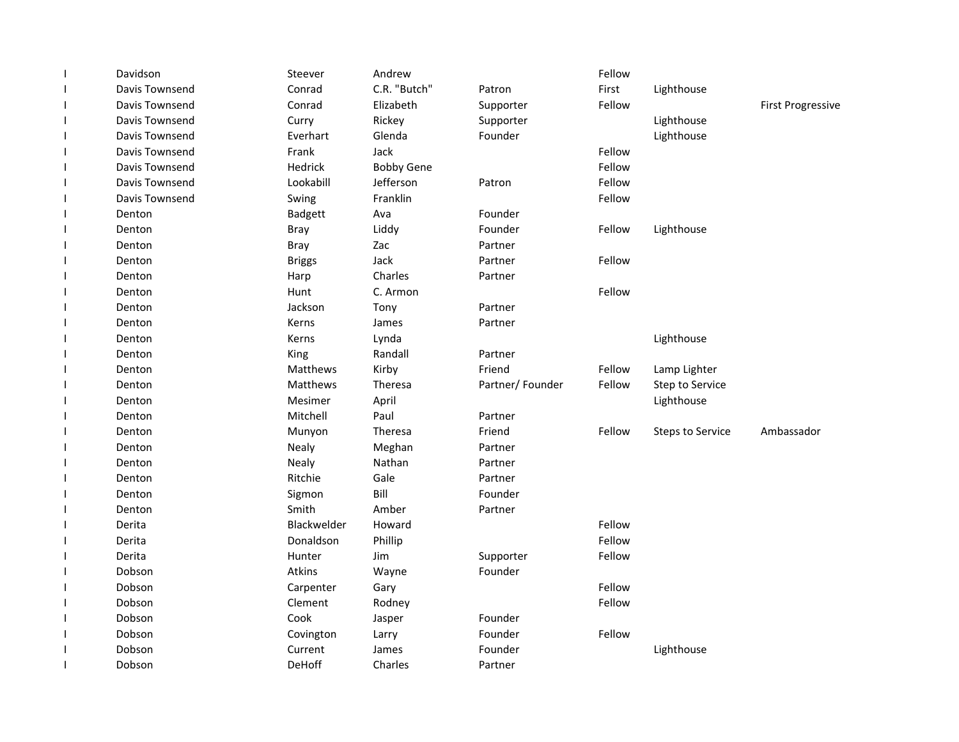| $\mathsf{I}$ | Davidson       | Steever        | Andrew            |                 | Fellow |                         |                          |
|--------------|----------------|----------------|-------------------|-----------------|--------|-------------------------|--------------------------|
| $\mathsf{I}$ | Davis Townsend | Conrad         | C.R. "Butch"      | Patron          | First  | Lighthouse              |                          |
| $\mathbf{I}$ | Davis Townsend | Conrad         | Elizabeth         | Supporter       | Fellow |                         | <b>First Progressive</b> |
| $\mathbf{I}$ | Davis Townsend | Curry          | Rickey            | Supporter       |        | Lighthouse              |                          |
| $\mathbf{I}$ | Davis Townsend | Everhart       | Glenda            | Founder         |        | Lighthouse              |                          |
| J.           | Davis Townsend | Frank          | Jack              |                 | Fellow |                         |                          |
| $\mathbf{I}$ | Davis Townsend | Hedrick        | <b>Bobby Gene</b> |                 | Fellow |                         |                          |
| J.           | Davis Townsend | Lookabill      | Jefferson         | Patron          | Fellow |                         |                          |
| $\mathsf{I}$ | Davis Townsend | Swing          | Franklin          |                 | Fellow |                         |                          |
| $\mathbf{I}$ | Denton         | <b>Badgett</b> | Ava               | Founder         |        |                         |                          |
| $\mathbf{I}$ | Denton         | <b>Bray</b>    | Liddy             | Founder         | Fellow | Lighthouse              |                          |
| $\mathbf{I}$ | Denton         | <b>Bray</b>    | Zac               | Partner         |        |                         |                          |
| $\mathbf{I}$ | Denton         | <b>Briggs</b>  | Jack              | Partner         | Fellow |                         |                          |
| $\mathbf{I}$ | Denton         | Harp           | Charles           | Partner         |        |                         |                          |
| $\mathbf{I}$ | Denton         | Hunt           | C. Armon          |                 | Fellow |                         |                          |
| $\mathsf{I}$ | Denton         | Jackson        | Tony              | Partner         |        |                         |                          |
| $\mathbf{I}$ | Denton         | Kerns          | James             | Partner         |        |                         |                          |
| $\mathbf{I}$ | Denton         | Kerns          | Lynda             |                 |        | Lighthouse              |                          |
| J.           | Denton         | King           | Randall           | Partner         |        |                         |                          |
| $\mathbf{I}$ | Denton         | Matthews       | Kirby             | Friend          | Fellow | Lamp Lighter            |                          |
| J.           | Denton         | Matthews       | Theresa           | Partner/Founder | Fellow | Step to Service         |                          |
| I            | Denton         | Mesimer        | April             |                 |        | Lighthouse              |                          |
| $\mathbf{I}$ | Denton         | Mitchell       | Paul              | Partner         |        |                         |                          |
| $\mathbf{I}$ | Denton         | Munyon         | Theresa           | Friend          | Fellow | <b>Steps to Service</b> | Ambassador               |
| $\mathbf{I}$ | Denton         | <b>Nealy</b>   | Meghan            | Partner         |        |                         |                          |
| $\mathbf{I}$ | Denton         | Nealy          | Nathan            | Partner         |        |                         |                          |
| $\mathbf{I}$ | Denton         | Ritchie        | Gale              | Partner         |        |                         |                          |
| J.           | Denton         | Sigmon         | Bill              | Founder         |        |                         |                          |
| I            | Denton         | Smith          | Amber             | Partner         |        |                         |                          |
| $\mathbf{I}$ | Derita         | Blackwelder    | Howard            |                 | Fellow |                         |                          |
| J.           | Derita         | Donaldson      | Phillip           |                 | Fellow |                         |                          |
| J.           | Derita         | Hunter         | Jim               | Supporter       | Fellow |                         |                          |
| J.           | Dobson         | Atkins         | Wayne             | Founder         |        |                         |                          |
| J.           | Dobson         | Carpenter      | Gary              |                 | Fellow |                         |                          |
| $\mathbf{I}$ | Dobson         | Clement        | Rodney            |                 | Fellow |                         |                          |
| $\mathbf{I}$ | Dobson         | Cook           | Jasper            | Founder         |        |                         |                          |
| $\mathbf{I}$ | Dobson         | Covington      | Larry             | Founder         | Fellow |                         |                          |
| J.           | Dobson         | Current        | James             | Founder         |        | Lighthouse              |                          |
| $\mathbf{I}$ | Dobson         | DeHoff         | Charles           | Partner         |        |                         |                          |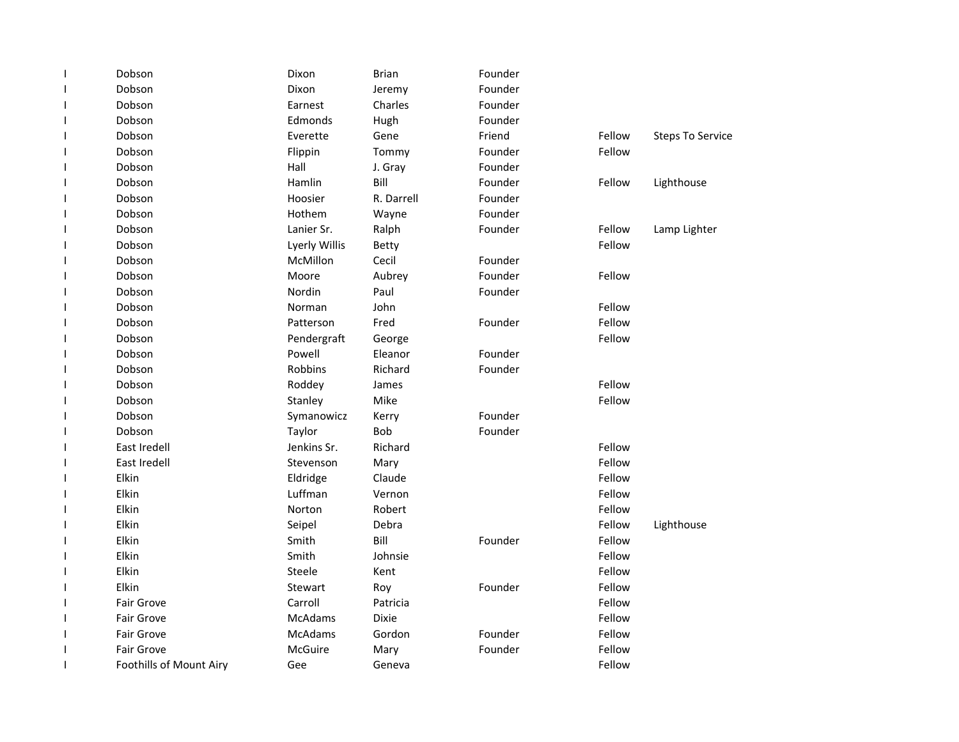| ı | Dobson                  | Dixon          | <b>Brian</b> | Founder |        |                         |
|---|-------------------------|----------------|--------------|---------|--------|-------------------------|
| ı | Dobson                  | Dixon          | Jeremy       | Founder |        |                         |
| 1 | Dobson                  | Earnest        | Charles      | Founder |        |                         |
| 1 | Dobson                  | Edmonds        | Hugh         | Founder |        |                         |
| ı | Dobson                  | Everette       | Gene         | Friend  | Fellow | <b>Steps To Service</b> |
| J | Dobson                  | Flippin        | Tommy        | Founder | Fellow |                         |
| J | Dobson                  | Hall           | J. Gray      | Founder |        |                         |
| ı | Dobson                  | Hamlin         | Bill         | Founder | Fellow | Lighthouse              |
| ı | Dobson                  | Hoosier        | R. Darrell   | Founder |        |                         |
| 1 | Dobson                  | Hothem         | Wayne        | Founder |        |                         |
| ı | Dobson                  | Lanier Sr.     | Ralph        | Founder | Fellow | Lamp Lighter            |
| 1 | Dobson                  | Lyerly Willis  | Betty        |         | Fellow |                         |
| ı | Dobson                  | McMillon       | Cecil        | Founder |        |                         |
| 1 | Dobson                  | Moore          | Aubrey       | Founder | Fellow |                         |
| ı | Dobson                  | Nordin         | Paul         | Founder |        |                         |
| 1 | Dobson                  | Norman         | John         |         | Fellow |                         |
| 1 | Dobson                  | Patterson      | Fred         | Founder | Fellow |                         |
| ı | Dobson                  | Pendergraft    | George       |         | Fellow |                         |
| 1 | Dobson                  | Powell         | Eleanor      | Founder |        |                         |
| J | Dobson                  | Robbins        | Richard      | Founder |        |                         |
| ı | Dobson                  | Roddey         | James        |         | Fellow |                         |
| ı | Dobson                  | Stanley        | Mike         |         | Fellow |                         |
| 1 | Dobson                  | Symanowicz     | Kerry        | Founder |        |                         |
| 1 | Dobson                  | Taylor         | Bob          | Founder |        |                         |
| 1 | East Iredell            | Jenkins Sr.    | Richard      |         | Fellow |                         |
| 1 | East Iredell            | Stevenson      | Mary         |         | Fellow |                         |
| ı | Elkin                   | Eldridge       | Claude       |         | Fellow |                         |
| ı | Elkin                   | Luffman        | Vernon       |         | Fellow |                         |
| ı | Elkin                   | Norton         | Robert       |         | Fellow |                         |
| ı | Elkin                   | Seipel         | Debra        |         | Fellow | Lighthouse              |
| J | Elkin                   | Smith          | Bill         | Founder | Fellow |                         |
| J | Elkin                   | Smith          | Johnsie      |         | Fellow |                         |
| J | Elkin                   | Steele         | Kent         |         | Fellow |                         |
| ı | Elkin                   | Stewart        | Roy          | Founder | Fellow |                         |
| ı | Fair Grove              | Carroll        | Patricia     |         | Fellow |                         |
| ı | <b>Fair Grove</b>       | <b>McAdams</b> | <b>Dixie</b> |         | Fellow |                         |
| 1 | <b>Fair Grove</b>       | <b>McAdams</b> | Gordon       | Founder | Fellow |                         |
| 1 | Fair Grove              | McGuire        | Mary         | Founder | Fellow |                         |
| ı | Foothills of Mount Airy | Gee            | Geneva       |         | Fellow |                         |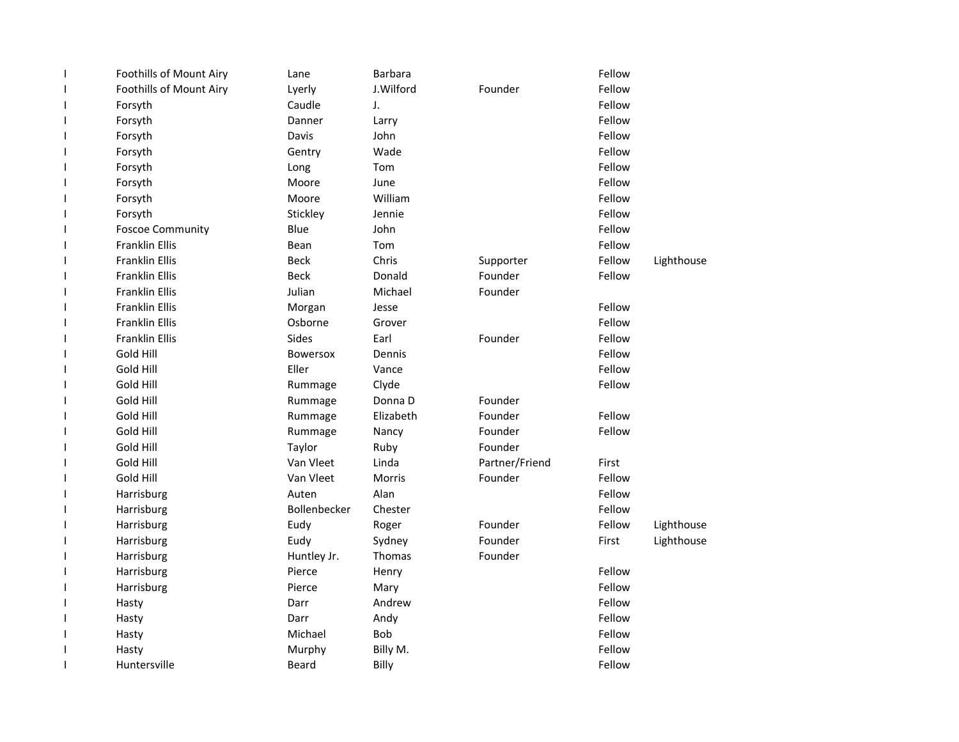| $\mathbf{I}$             | Foothills of Mount Airy | Lane            | <b>Barbara</b> |                | Fellow |            |
|--------------------------|-------------------------|-----------------|----------------|----------------|--------|------------|
| $\overline{\phantom{a}}$ | Foothills of Mount Airy | Lyerly          | J.Wilford      | Founder        | Fellow |            |
| $\mathbf{I}$             | Forsyth                 | Caudle          | J.             |                | Fellow |            |
| $\mathbf{I}$             | Forsyth                 | Danner          | Larry          |                | Fellow |            |
| ı                        | Forsyth                 | Davis           | John           |                | Fellow |            |
| $\overline{\phantom{a}}$ | Forsyth                 | Gentry          | Wade           |                | Fellow |            |
| $\overline{\phantom{a}}$ | Forsyth                 | Long            | Tom            |                | Fellow |            |
| $\overline{\phantom{a}}$ | Forsyth                 | Moore           | June           |                | Fellow |            |
| $\mathbf{I}$             | Forsyth                 | Moore           | William        |                | Fellow |            |
| $\mathbf{I}$             | Forsyth                 | Stickley        | Jennie         |                | Fellow |            |
| $\mathbf{I}$             | <b>Foscoe Community</b> | Blue            | John           |                | Fellow |            |
| $\mathbf{I}$             | <b>Franklin Ellis</b>   | Bean            | Tom            |                | Fellow |            |
| $\mathbf{I}$             | Franklin Ellis          | Beck            | Chris          | Supporter      | Fellow | Lighthouse |
| $\overline{\phantom{a}}$ | Franklin Ellis          | <b>Beck</b>     | Donald         | Founder        | Fellow |            |
| $\overline{\phantom{a}}$ | Franklin Ellis          | Julian          | Michael        | Founder        |        |            |
| $\mathbf{I}$             | <b>Franklin Ellis</b>   | Morgan          | Jesse          |                | Fellow |            |
| $\overline{\phantom{a}}$ | <b>Franklin Ellis</b>   | Osborne         | Grover         |                | Fellow |            |
| ı                        | <b>Franklin Ellis</b>   | <b>Sides</b>    | Earl           | Founder        | Fellow |            |
| $\overline{\phantom{a}}$ | Gold Hill               | <b>Bowersox</b> | Dennis         |                | Fellow |            |
| $\overline{\phantom{a}}$ | Gold Hill               | Eller           | Vance          |                | Fellow |            |
| $\overline{\phantom{a}}$ | Gold Hill               | Rummage         | Clyde          |                | Fellow |            |
| $\mathbf{I}$             | Gold Hill               | Rummage         | Donna D        | Founder        |        |            |
| $\mathbf{I}$             | Gold Hill               | Rummage         | Elizabeth      | Founder        | Fellow |            |
| $\mathbf{I}$             | Gold Hill               | Rummage         | Nancy          | Founder        | Fellow |            |
| $\mathbf{I}$             | Gold Hill               | Taylor          | Ruby           | Founder        |        |            |
| I                        | Gold Hill               | Van Vleet       | Linda          | Partner/Friend | First  |            |
| $\overline{1}$           | Gold Hill               | Van Vleet       | <b>Morris</b>  | Founder        | Fellow |            |
| $\mathsf{l}$             | Harrisburg              | Auten           | Alan           |                | Fellow |            |
| $\mathbf{I}$             | Harrisburg              | Bollenbecker    | Chester        |                | Fellow |            |
| J                        | Harrisburg              | Eudy            | Roger          | Founder        | Fellow | Lighthouse |
| ı                        | Harrisburg              | Eudy            | Sydney         | Founder        | First  | Lighthouse |
| $\overline{\phantom{a}}$ | Harrisburg              | Huntley Jr.     | Thomas         | Founder        |        |            |
| $\overline{\phantom{a}}$ | Harrisburg              | Pierce          | Henry          |                | Fellow |            |
| $\mathbf{I}$             | Harrisburg              | Pierce          | Mary           |                | Fellow |            |
| $\mathbf{I}$             | Hasty                   | Darr            | Andrew         |                | Fellow |            |
| $\mathbf{I}$             | Hasty                   | Darr            | Andy           |                | Fellow |            |
| $\mathbf{I}$             | Hasty                   | Michael         | <b>Bob</b>     |                | Fellow |            |
| $\mathbf{I}$             | Hasty                   | Murphy          | Billy M.       |                | Fellow |            |
| $\mathbf{I}$             | Huntersville            | Beard           | Billy          |                | Fellow |            |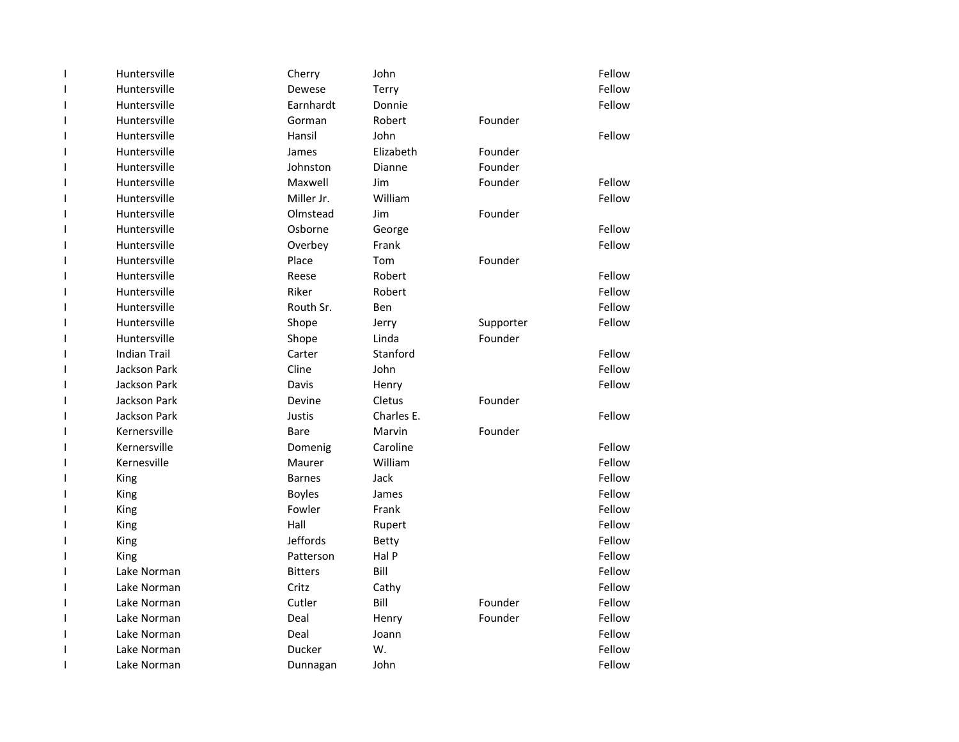| 1  | Huntersville        | Cherry         | John          |           | Fellow |
|----|---------------------|----------------|---------------|-----------|--------|
| 1  | Huntersville        | Dewese         | Terry         |           | Fellow |
| ı  | Huntersville        | Earnhardt      | Donnie        |           | Fellow |
| ı  | Huntersville        | Gorman         | Robert        | Founder   |        |
| ı  | Huntersville        | Hansil         | John          |           | Fellow |
| I. | Huntersville        | James          | Elizabeth     | Founder   |        |
| ı  | Huntersville        | Johnston       | <b>Dianne</b> | Founder   |        |
| ı  | Huntersville        | Maxwell        | Jim           | Founder   | Fellow |
| ı  | Huntersville        | Miller Jr.     | William       |           | Fellow |
| ı  | Huntersville        | Olmstead       | Jim           | Founder   |        |
| ı  | Huntersville        | Osborne        | George        |           | Fellow |
| I. | Huntersville        | Overbey        | Frank         |           | Fellow |
| ı  | Huntersville        | Place          | Tom           | Founder   |        |
| ı  | Huntersville        | Reese          | Robert        |           | Fellow |
| ı  | Huntersville        | Riker          | Robert        |           | Fellow |
| ı  | Huntersville        | Routh Sr.      | Ben           |           | Fellow |
| ı  | Huntersville        | Shope          | Jerry         | Supporter | Fellow |
| ı  | Huntersville        | Shope          | Linda         | Founder   |        |
| ı  | <b>Indian Trail</b> | Carter         | Stanford      |           | Fellow |
| ı  | <b>Jackson Park</b> | Cline          | John          |           | Fellow |
| I. | <b>Jackson Park</b> | Davis          | Henry         |           | Fellow |
| I  | Jackson Park        | Devine         | Cletus        | Founder   |        |
| ı  | <b>Jackson Park</b> | Justis         | Charles E.    |           | Fellow |
| ı  | Kernersville        | Bare           | Marvin        | Founder   |        |
| ı  | Kernersville        | Domenig        | Caroline      |           | Fellow |
| ı  | Kernesville         | Maurer         | William       |           | Fellow |
| ı  | King                | <b>Barnes</b>  | Jack          |           | Fellow |
| ı  | King                | <b>Boyles</b>  | James         |           | Fellow |
| I  | King                | Fowler         | Frank         |           | Fellow |
| ı  | King                | Hall           | Rupert        |           | Fellow |
| I. | King                | Jeffords       | Betty         |           | Fellow |
| I. | King                | Patterson      | Hal P         |           | Fellow |
| I. | Lake Norman         | <b>Bitters</b> | Bill          |           | Fellow |
| ı  | Lake Norman         | Critz          | Cathy         |           | Fellow |
| I. | Lake Norman         | Cutler         | Bill          | Founder   | Fellow |
| ı  | Lake Norman         | Deal           | Henry         | Founder   | Fellow |
| I  | Lake Norman         | Deal           | Joann         |           | Fellow |
| I. | Lake Norman         | Ducker         | W.            |           | Fellow |
| ı  | Lake Norman         | Dunnagan       | John          |           | Fellow |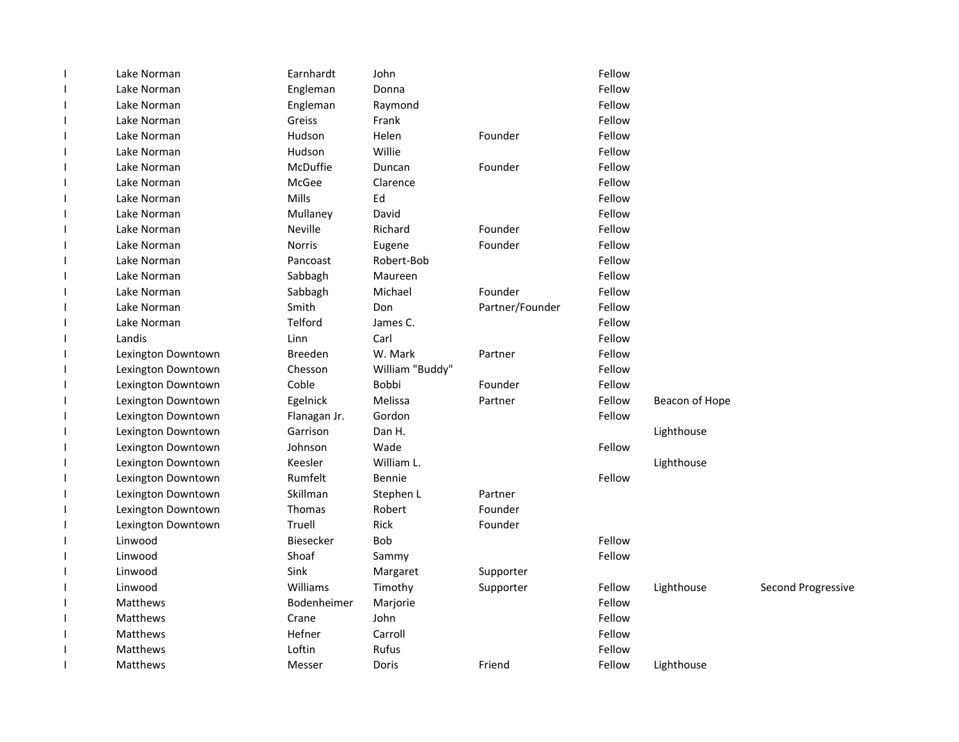| $\mathbf{I}$ | Lake Norman        | Earnhardt      | John            |                 | Fellow |                |                    |
|--------------|--------------------|----------------|-----------------|-----------------|--------|----------------|--------------------|
|              | Lake Norman        | Engleman       | Donna           |                 | Fellow |                |                    |
|              | Lake Norman        | Engleman       | Raymond         |                 | Fellow |                |                    |
|              | Lake Norman        | Greiss         | Frank           |                 | Fellow |                |                    |
|              | Lake Norman        | Hudson         | Helen           | Founder         | Fellow |                |                    |
|              | Lake Norman        | Hudson         | Willie          |                 | Fellow |                |                    |
|              | Lake Norman        | McDuffie       | Duncan          | Founder         | Fellow |                |                    |
|              | Lake Norman        | McGee          | Clarence        |                 | Fellow |                |                    |
|              | Lake Norman        | Mills          | Ed              |                 | Fellow |                |                    |
|              | Lake Norman        | Mullaney       | David           |                 | Fellow |                |                    |
|              | Lake Norman        | Neville        | Richard         | Founder         | Fellow |                |                    |
| $\mathbf{I}$ | Lake Norman        | <b>Norris</b>  | Eugene          | Founder         | Fellow |                |                    |
|              | Lake Norman        | Pancoast       | Robert-Bob      |                 | Fellow |                |                    |
|              | Lake Norman        | Sabbagh        | Maureen         |                 | Fellow |                |                    |
|              | Lake Norman        | Sabbagh        | Michael         | Founder         | Fellow |                |                    |
|              | Lake Norman        | Smith          | Don             | Partner/Founder | Fellow |                |                    |
|              | Lake Norman        | Telford        | James C.        |                 | Fellow |                |                    |
|              | Landis             | Linn           | Carl            |                 | Fellow |                |                    |
|              | Lexington Downtown | <b>Breeden</b> | W. Mark         | Partner         | Fellow |                |                    |
|              | Lexington Downtown | Chesson        | William "Buddy" |                 | Fellow |                |                    |
|              | Lexington Downtown | Coble          | Bobbi           | Founder         | Fellow |                |                    |
|              | Lexington Downtown | Egelnick       | Melissa         | Partner         | Fellow | Beacon of Hope |                    |
| $\mathbf{I}$ | Lexington Downtown | Flanagan Jr.   | Gordon          |                 | Fellow |                |                    |
| $\mathbf{I}$ | Lexington Downtown | Garrison       | Dan H.          |                 |        | Lighthouse     |                    |
|              | Lexington Downtown | Johnson        | Wade            |                 | Fellow |                |                    |
|              | Lexington Downtown | Keesler        | William L.      |                 |        | Lighthouse     |                    |
|              | Lexington Downtown | Rumfelt        | Bennie          |                 | Fellow |                |                    |
|              | Lexington Downtown | Skillman       | Stephen L       | Partner         |        |                |                    |
|              | Lexington Downtown | Thomas         | Robert          | Founder         |        |                |                    |
|              | Lexington Downtown | Truell         | Rick            | Founder         |        |                |                    |
|              | Linwood            | Biesecker      | Bob             |                 | Fellow |                |                    |
|              | Linwood            | Shoaf          | Sammy           |                 | Fellow |                |                    |
|              | Linwood            | Sink           | Margaret        | Supporter       |        |                |                    |
|              | Linwood            | Williams       | Timothy         | Supporter       | Fellow | Lighthouse     | Second Progressive |
|              | Matthews           | Bodenheimer    | Marjorie        |                 | Fellow |                |                    |
|              | Matthews           | Crane          | John            |                 | Fellow |                |                    |
|              | Matthews           | Hefner         | Carroll         |                 | Fellow |                |                    |
|              | Matthews           | Loftin         | Rufus           |                 | Fellow |                |                    |
|              | Matthews           | Messer         | Doris           | Friend          | Fellow | Lighthouse     |                    |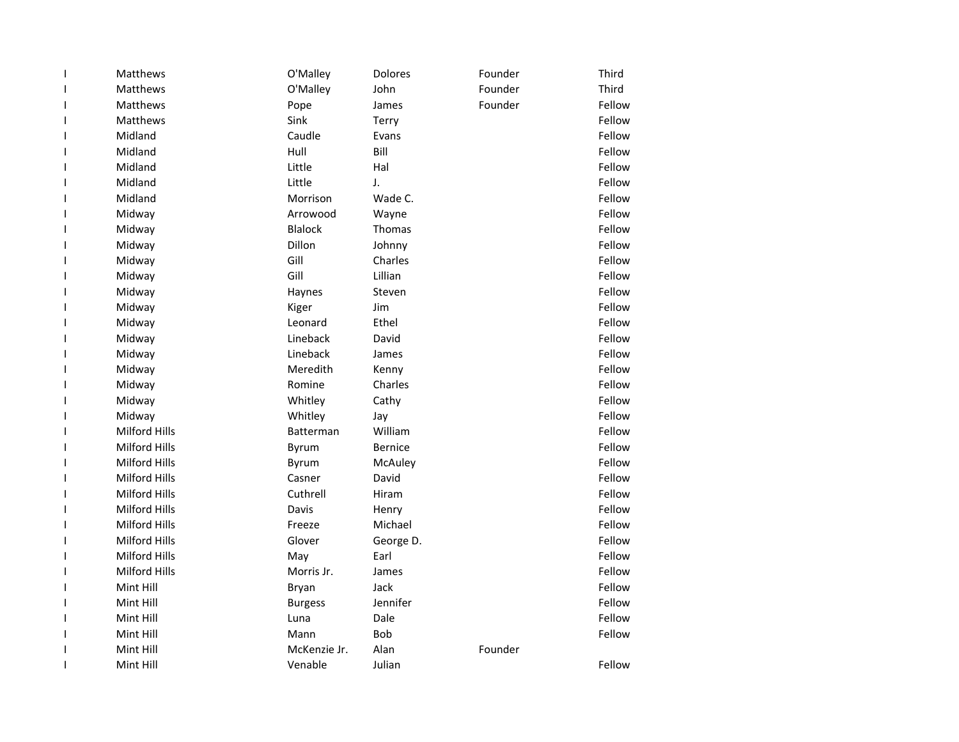| $\mathbf{I}$ | Matthews             | O'Malley       | Dolores        | Founder | Third  |
|--------------|----------------------|----------------|----------------|---------|--------|
| I            | Matthews             | O'Malley       | John           | Founder | Third  |
| ı            | <b>Matthews</b>      | Pope           | James          | Founder | Fellow |
| I            | Matthews             | Sink           | Terry          |         | Fellow |
| ı            | Midland              | Caudle         | Evans          |         | Fellow |
| ı            | Midland              | Hull           | Bill           |         | Fellow |
| ı            | Midland              | Little         | Hal            |         | Fellow |
| ı            | Midland              | Little         | J.             |         | Fellow |
| I            | Midland              | Morrison       | Wade C.        |         | Fellow |
| I            | Midway               | Arrowood       | Wayne          |         | Fellow |
| I            | Midway               | <b>Blalock</b> | Thomas         |         | Fellow |
| I            | Midway               | Dillon         | Johnny         |         | Fellow |
| I            | Midway               | Gill           | Charles        |         | Fellow |
| I            | Midway               | Gill           | Lillian        |         | Fellow |
| ı            | Midway               | Haynes         | Steven         |         | Fellow |
| I            | Midway               | Kiger          | Jim            |         | Fellow |
| ı            | Midway               | Leonard        | Ethel          |         | Fellow |
| I            | Midway               | Lineback       | David          |         | Fellow |
| J.           | Midway               | Lineback       | James          |         | Fellow |
| I            | Midway               | Meredith       | Kenny          |         | Fellow |
| ı            | Midway               | Romine         | Charles        |         | Fellow |
| ı            | Midway               | Whitley        | Cathy          |         | Fellow |
| I            | Midway               | Whitley        | Jay            |         | Fellow |
| $\mathsf{l}$ | <b>Milford Hills</b> | Batterman      | William        |         | Fellow |
| I            | Milford Hills        | Byrum          | <b>Bernice</b> |         | Fellow |
| ı            | <b>Milford Hills</b> | Byrum          | McAuley        |         | Fellow |
| I            | Milford Hills        | Casner         | David          |         | Fellow |
| I            | <b>Milford Hills</b> | Cuthrell       | Hiram          |         | Fellow |
| ı            | Milford Hills        | Davis          | Henry          |         | Fellow |
| ı            | Milford Hills        | Freeze         | Michael        |         | Fellow |
| ı            | <b>Milford Hills</b> | Glover         | George D.      |         | Fellow |
| I            | <b>Milford Hills</b> | May            | Earl           |         | Fellow |
| ı            | <b>Milford Hills</b> | Morris Jr.     | James          |         | Fellow |
| ı            | Mint Hill            | Bryan          | Jack           |         | Fellow |
| ı            | Mint Hill            | <b>Burgess</b> | Jennifer       |         | Fellow |
| ı            | Mint Hill            | Luna           | Dale           |         | Fellow |
| $\mathsf{l}$ | Mint Hill            | Mann           | <b>Bob</b>     |         | Fellow |
| $\mathsf{l}$ | Mint Hill            | McKenzie Jr.   | Alan           | Founder |        |
| ı            | Mint Hill            | Venable        | Julian         |         | Fellow |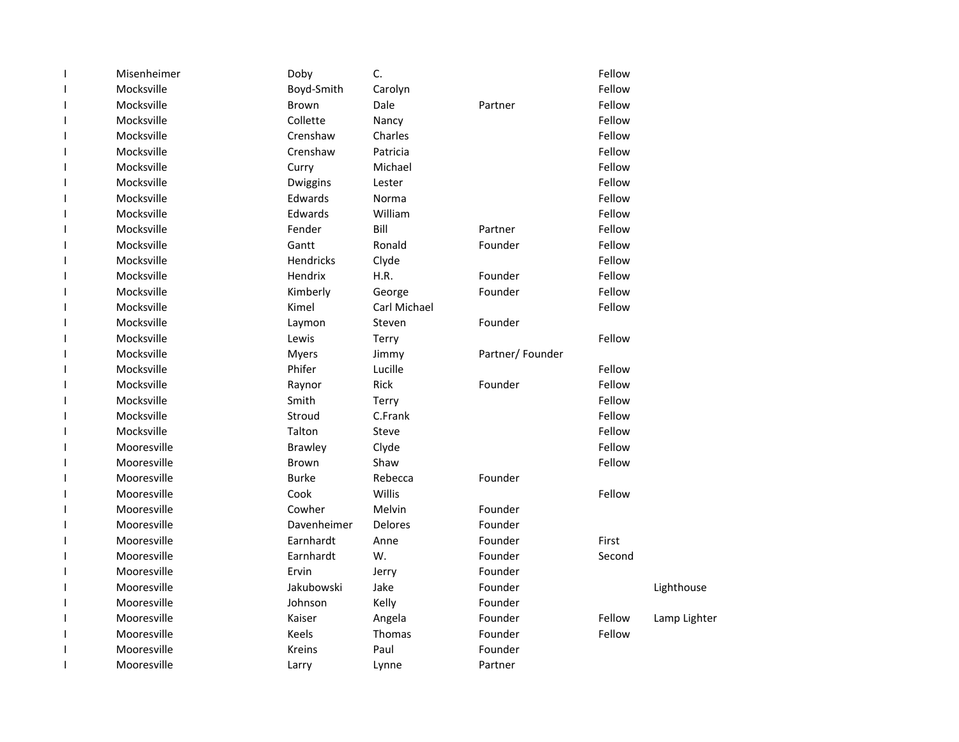| Mocksville<br>Fellow<br>Boyd-Smith<br>Carolyn<br>T<br>Mocksville<br>Fellow<br>Dale<br>Brown<br>Partner<br>T<br>Mocksville<br>Collette<br>Fellow<br>Nancy<br>T<br>Fellow<br>Mocksville<br>Crenshaw<br>Charles<br>T<br>Mocksville<br>Fellow<br>Crenshaw<br>Patricia<br>I.<br>Mocksville<br>Fellow<br>Curry<br>Michael<br>T<br>Mocksville<br>Fellow<br>ı<br>Dwiggins<br>Lester<br>Mocksville<br>Edwards<br>Fellow<br>Norma<br>T<br>Mocksville<br>Edwards<br>William<br>Fellow<br>T<br>Mocksville<br>Fender<br>Bill<br>Fellow<br>Partner<br>T<br>Mocksville<br>Gantt<br>Ronald<br>Founder<br>Fellow<br>T<br>Hendricks<br>Fellow<br>Mocksville<br>Clyde<br>T<br>Mocksville<br>Hendrix<br>H.R.<br>Fellow<br>Founder<br>T<br>Fellow<br>Mocksville<br>Kimberly<br>Founder<br>I<br>George<br>Mocksville<br>Carl Michael<br>Fellow<br>Kimel<br>I<br>Mocksville<br>Founder<br>Steven<br>T<br>Laymon<br>Mocksville<br>Fellow<br>Lewis<br>Terry<br>T<br>Mocksville<br>Partner/Founder<br><b>Myers</b><br>Jimmy<br>L<br>Mocksville<br>Phifer<br>Fellow<br>Lucille<br>T<br>Fellow<br>Mocksville<br>Rick<br>Founder<br>Raynor<br>ı<br>Mocksville<br>Fellow<br>Smith<br>I<br>Terry<br>Mocksville<br>Fellow<br>Stroud<br>C.Frank<br>I.<br>Mocksville<br>Fellow<br>Talton<br>T<br>Steve<br>Mooresville<br>Fellow<br><b>Brawley</b><br>Clyde<br>T<br>Fellow<br>Mooresville<br>Brown<br>Shaw<br>T<br>Mooresville<br><b>Burke</b><br>Rebecca<br>Founder<br>ı<br>Willis<br>Fellow<br>Mooresville<br>Cook<br>ı<br>Cowher<br>Mooresville<br>Melvin<br>Founder<br>I<br>Mooresville<br>Davenheimer<br>Founder<br><b>Delores</b><br>T<br>First<br>Mooresville<br>Earnhardt<br>Founder<br>Anne<br>L<br>Mooresville<br>Earnhardt<br>W.<br>Founder<br>Second<br>T<br>Mooresville<br>Ervin<br>Founder<br>Jerry<br>L<br>Mooresville<br>Jakubowski<br>Jake<br>Founder<br>ı<br>Mooresville<br>Johnson<br>Founder<br>I<br>Kelly<br>Fellow<br>Mooresville<br>Kaiser<br>Angela<br>Founder<br>T<br>Mooresville<br>Founder<br>Fellow<br>Keels<br>Thomas<br>T<br>Mooresville<br>Paul<br>Founder<br>Kreins<br>ı<br>Mooresville<br>Partner<br>Lynne<br>ı | $\overline{1}$ | Misenheimer | Doby  | C. | Fellow |              |
|---------------------------------------------------------------------------------------------------------------------------------------------------------------------------------------------------------------------------------------------------------------------------------------------------------------------------------------------------------------------------------------------------------------------------------------------------------------------------------------------------------------------------------------------------------------------------------------------------------------------------------------------------------------------------------------------------------------------------------------------------------------------------------------------------------------------------------------------------------------------------------------------------------------------------------------------------------------------------------------------------------------------------------------------------------------------------------------------------------------------------------------------------------------------------------------------------------------------------------------------------------------------------------------------------------------------------------------------------------------------------------------------------------------------------------------------------------------------------------------------------------------------------------------------------------------------------------------------------------------------------------------------------------------------------------------------------------------------------------------------------------------------------------------------------------------------------------------------------------------------------------------------------------------------------------------------------------------------------------------------------------------------------------------------------------------------------------------------------------------|----------------|-------------|-------|----|--------|--------------|
|                                                                                                                                                                                                                                                                                                                                                                                                                                                                                                                                                                                                                                                                                                                                                                                                                                                                                                                                                                                                                                                                                                                                                                                                                                                                                                                                                                                                                                                                                                                                                                                                                                                                                                                                                                                                                                                                                                                                                                                                                                                                                                               |                |             |       |    |        |              |
|                                                                                                                                                                                                                                                                                                                                                                                                                                                                                                                                                                                                                                                                                                                                                                                                                                                                                                                                                                                                                                                                                                                                                                                                                                                                                                                                                                                                                                                                                                                                                                                                                                                                                                                                                                                                                                                                                                                                                                                                                                                                                                               |                |             |       |    |        |              |
|                                                                                                                                                                                                                                                                                                                                                                                                                                                                                                                                                                                                                                                                                                                                                                                                                                                                                                                                                                                                                                                                                                                                                                                                                                                                                                                                                                                                                                                                                                                                                                                                                                                                                                                                                                                                                                                                                                                                                                                                                                                                                                               |                |             |       |    |        |              |
|                                                                                                                                                                                                                                                                                                                                                                                                                                                                                                                                                                                                                                                                                                                                                                                                                                                                                                                                                                                                                                                                                                                                                                                                                                                                                                                                                                                                                                                                                                                                                                                                                                                                                                                                                                                                                                                                                                                                                                                                                                                                                                               |                |             |       |    |        |              |
|                                                                                                                                                                                                                                                                                                                                                                                                                                                                                                                                                                                                                                                                                                                                                                                                                                                                                                                                                                                                                                                                                                                                                                                                                                                                                                                                                                                                                                                                                                                                                                                                                                                                                                                                                                                                                                                                                                                                                                                                                                                                                                               |                |             |       |    |        |              |
|                                                                                                                                                                                                                                                                                                                                                                                                                                                                                                                                                                                                                                                                                                                                                                                                                                                                                                                                                                                                                                                                                                                                                                                                                                                                                                                                                                                                                                                                                                                                                                                                                                                                                                                                                                                                                                                                                                                                                                                                                                                                                                               |                |             |       |    |        |              |
|                                                                                                                                                                                                                                                                                                                                                                                                                                                                                                                                                                                                                                                                                                                                                                                                                                                                                                                                                                                                                                                                                                                                                                                                                                                                                                                                                                                                                                                                                                                                                                                                                                                                                                                                                                                                                                                                                                                                                                                                                                                                                                               |                |             |       |    |        |              |
|                                                                                                                                                                                                                                                                                                                                                                                                                                                                                                                                                                                                                                                                                                                                                                                                                                                                                                                                                                                                                                                                                                                                                                                                                                                                                                                                                                                                                                                                                                                                                                                                                                                                                                                                                                                                                                                                                                                                                                                                                                                                                                               |                |             |       |    |        |              |
|                                                                                                                                                                                                                                                                                                                                                                                                                                                                                                                                                                                                                                                                                                                                                                                                                                                                                                                                                                                                                                                                                                                                                                                                                                                                                                                                                                                                                                                                                                                                                                                                                                                                                                                                                                                                                                                                                                                                                                                                                                                                                                               |                |             |       |    |        |              |
|                                                                                                                                                                                                                                                                                                                                                                                                                                                                                                                                                                                                                                                                                                                                                                                                                                                                                                                                                                                                                                                                                                                                                                                                                                                                                                                                                                                                                                                                                                                                                                                                                                                                                                                                                                                                                                                                                                                                                                                                                                                                                                               |                |             |       |    |        |              |
|                                                                                                                                                                                                                                                                                                                                                                                                                                                                                                                                                                                                                                                                                                                                                                                                                                                                                                                                                                                                                                                                                                                                                                                                                                                                                                                                                                                                                                                                                                                                                                                                                                                                                                                                                                                                                                                                                                                                                                                                                                                                                                               |                |             |       |    |        |              |
|                                                                                                                                                                                                                                                                                                                                                                                                                                                                                                                                                                                                                                                                                                                                                                                                                                                                                                                                                                                                                                                                                                                                                                                                                                                                                                                                                                                                                                                                                                                                                                                                                                                                                                                                                                                                                                                                                                                                                                                                                                                                                                               |                |             |       |    |        |              |
|                                                                                                                                                                                                                                                                                                                                                                                                                                                                                                                                                                                                                                                                                                                                                                                                                                                                                                                                                                                                                                                                                                                                                                                                                                                                                                                                                                                                                                                                                                                                                                                                                                                                                                                                                                                                                                                                                                                                                                                                                                                                                                               |                |             |       |    |        |              |
|                                                                                                                                                                                                                                                                                                                                                                                                                                                                                                                                                                                                                                                                                                                                                                                                                                                                                                                                                                                                                                                                                                                                                                                                                                                                                                                                                                                                                                                                                                                                                                                                                                                                                                                                                                                                                                                                                                                                                                                                                                                                                                               |                |             |       |    |        |              |
|                                                                                                                                                                                                                                                                                                                                                                                                                                                                                                                                                                                                                                                                                                                                                                                                                                                                                                                                                                                                                                                                                                                                                                                                                                                                                                                                                                                                                                                                                                                                                                                                                                                                                                                                                                                                                                                                                                                                                                                                                                                                                                               |                |             |       |    |        |              |
|                                                                                                                                                                                                                                                                                                                                                                                                                                                                                                                                                                                                                                                                                                                                                                                                                                                                                                                                                                                                                                                                                                                                                                                                                                                                                                                                                                                                                                                                                                                                                                                                                                                                                                                                                                                                                                                                                                                                                                                                                                                                                                               |                |             |       |    |        |              |
|                                                                                                                                                                                                                                                                                                                                                                                                                                                                                                                                                                                                                                                                                                                                                                                                                                                                                                                                                                                                                                                                                                                                                                                                                                                                                                                                                                                                                                                                                                                                                                                                                                                                                                                                                                                                                                                                                                                                                                                                                                                                                                               |                |             |       |    |        |              |
|                                                                                                                                                                                                                                                                                                                                                                                                                                                                                                                                                                                                                                                                                                                                                                                                                                                                                                                                                                                                                                                                                                                                                                                                                                                                                                                                                                                                                                                                                                                                                                                                                                                                                                                                                                                                                                                                                                                                                                                                                                                                                                               |                |             |       |    |        |              |
|                                                                                                                                                                                                                                                                                                                                                                                                                                                                                                                                                                                                                                                                                                                                                                                                                                                                                                                                                                                                                                                                                                                                                                                                                                                                                                                                                                                                                                                                                                                                                                                                                                                                                                                                                                                                                                                                                                                                                                                                                                                                                                               |                |             |       |    |        |              |
|                                                                                                                                                                                                                                                                                                                                                                                                                                                                                                                                                                                                                                                                                                                                                                                                                                                                                                                                                                                                                                                                                                                                                                                                                                                                                                                                                                                                                                                                                                                                                                                                                                                                                                                                                                                                                                                                                                                                                                                                                                                                                                               |                |             |       |    |        |              |
|                                                                                                                                                                                                                                                                                                                                                                                                                                                                                                                                                                                                                                                                                                                                                                                                                                                                                                                                                                                                                                                                                                                                                                                                                                                                                                                                                                                                                                                                                                                                                                                                                                                                                                                                                                                                                                                                                                                                                                                                                                                                                                               |                |             |       |    |        |              |
|                                                                                                                                                                                                                                                                                                                                                                                                                                                                                                                                                                                                                                                                                                                                                                                                                                                                                                                                                                                                                                                                                                                                                                                                                                                                                                                                                                                                                                                                                                                                                                                                                                                                                                                                                                                                                                                                                                                                                                                                                                                                                                               |                |             |       |    |        |              |
|                                                                                                                                                                                                                                                                                                                                                                                                                                                                                                                                                                                                                                                                                                                                                                                                                                                                                                                                                                                                                                                                                                                                                                                                                                                                                                                                                                                                                                                                                                                                                                                                                                                                                                                                                                                                                                                                                                                                                                                                                                                                                                               |                |             |       |    |        |              |
|                                                                                                                                                                                                                                                                                                                                                                                                                                                                                                                                                                                                                                                                                                                                                                                                                                                                                                                                                                                                                                                                                                                                                                                                                                                                                                                                                                                                                                                                                                                                                                                                                                                                                                                                                                                                                                                                                                                                                                                                                                                                                                               |                |             |       |    |        |              |
|                                                                                                                                                                                                                                                                                                                                                                                                                                                                                                                                                                                                                                                                                                                                                                                                                                                                                                                                                                                                                                                                                                                                                                                                                                                                                                                                                                                                                                                                                                                                                                                                                                                                                                                                                                                                                                                                                                                                                                                                                                                                                                               |                |             |       |    |        |              |
|                                                                                                                                                                                                                                                                                                                                                                                                                                                                                                                                                                                                                                                                                                                                                                                                                                                                                                                                                                                                                                                                                                                                                                                                                                                                                                                                                                                                                                                                                                                                                                                                                                                                                                                                                                                                                                                                                                                                                                                                                                                                                                               |                |             |       |    |        |              |
|                                                                                                                                                                                                                                                                                                                                                                                                                                                                                                                                                                                                                                                                                                                                                                                                                                                                                                                                                                                                                                                                                                                                                                                                                                                                                                                                                                                                                                                                                                                                                                                                                                                                                                                                                                                                                                                                                                                                                                                                                                                                                                               |                |             |       |    |        |              |
|                                                                                                                                                                                                                                                                                                                                                                                                                                                                                                                                                                                                                                                                                                                                                                                                                                                                                                                                                                                                                                                                                                                                                                                                                                                                                                                                                                                                                                                                                                                                                                                                                                                                                                                                                                                                                                                                                                                                                                                                                                                                                                               |                |             |       |    |        |              |
|                                                                                                                                                                                                                                                                                                                                                                                                                                                                                                                                                                                                                                                                                                                                                                                                                                                                                                                                                                                                                                                                                                                                                                                                                                                                                                                                                                                                                                                                                                                                                                                                                                                                                                                                                                                                                                                                                                                                                                                                                                                                                                               |                |             |       |    |        |              |
|                                                                                                                                                                                                                                                                                                                                                                                                                                                                                                                                                                                                                                                                                                                                                                                                                                                                                                                                                                                                                                                                                                                                                                                                                                                                                                                                                                                                                                                                                                                                                                                                                                                                                                                                                                                                                                                                                                                                                                                                                                                                                                               |                |             |       |    |        |              |
|                                                                                                                                                                                                                                                                                                                                                                                                                                                                                                                                                                                                                                                                                                                                                                                                                                                                                                                                                                                                                                                                                                                                                                                                                                                                                                                                                                                                                                                                                                                                                                                                                                                                                                                                                                                                                                                                                                                                                                                                                                                                                                               |                |             |       |    |        |              |
|                                                                                                                                                                                                                                                                                                                                                                                                                                                                                                                                                                                                                                                                                                                                                                                                                                                                                                                                                                                                                                                                                                                                                                                                                                                                                                                                                                                                                                                                                                                                                                                                                                                                                                                                                                                                                                                                                                                                                                                                                                                                                                               |                |             |       |    |        |              |
|                                                                                                                                                                                                                                                                                                                                                                                                                                                                                                                                                                                                                                                                                                                                                                                                                                                                                                                                                                                                                                                                                                                                                                                                                                                                                                                                                                                                                                                                                                                                                                                                                                                                                                                                                                                                                                                                                                                                                                                                                                                                                                               |                |             |       |    |        | Lighthouse   |
|                                                                                                                                                                                                                                                                                                                                                                                                                                                                                                                                                                                                                                                                                                                                                                                                                                                                                                                                                                                                                                                                                                                                                                                                                                                                                                                                                                                                                                                                                                                                                                                                                                                                                                                                                                                                                                                                                                                                                                                                                                                                                                               |                |             |       |    |        |              |
|                                                                                                                                                                                                                                                                                                                                                                                                                                                                                                                                                                                                                                                                                                                                                                                                                                                                                                                                                                                                                                                                                                                                                                                                                                                                                                                                                                                                                                                                                                                                                                                                                                                                                                                                                                                                                                                                                                                                                                                                                                                                                                               |                |             |       |    |        | Lamp Lighter |
|                                                                                                                                                                                                                                                                                                                                                                                                                                                                                                                                                                                                                                                                                                                                                                                                                                                                                                                                                                                                                                                                                                                                                                                                                                                                                                                                                                                                                                                                                                                                                                                                                                                                                                                                                                                                                                                                                                                                                                                                                                                                                                               |                |             |       |    |        |              |
|                                                                                                                                                                                                                                                                                                                                                                                                                                                                                                                                                                                                                                                                                                                                                                                                                                                                                                                                                                                                                                                                                                                                                                                                                                                                                                                                                                                                                                                                                                                                                                                                                                                                                                                                                                                                                                                                                                                                                                                                                                                                                                               |                |             |       |    |        |              |
|                                                                                                                                                                                                                                                                                                                                                                                                                                                                                                                                                                                                                                                                                                                                                                                                                                                                                                                                                                                                                                                                                                                                                                                                                                                                                                                                                                                                                                                                                                                                                                                                                                                                                                                                                                                                                                                                                                                                                                                                                                                                                                               |                |             | Larry |    |        |              |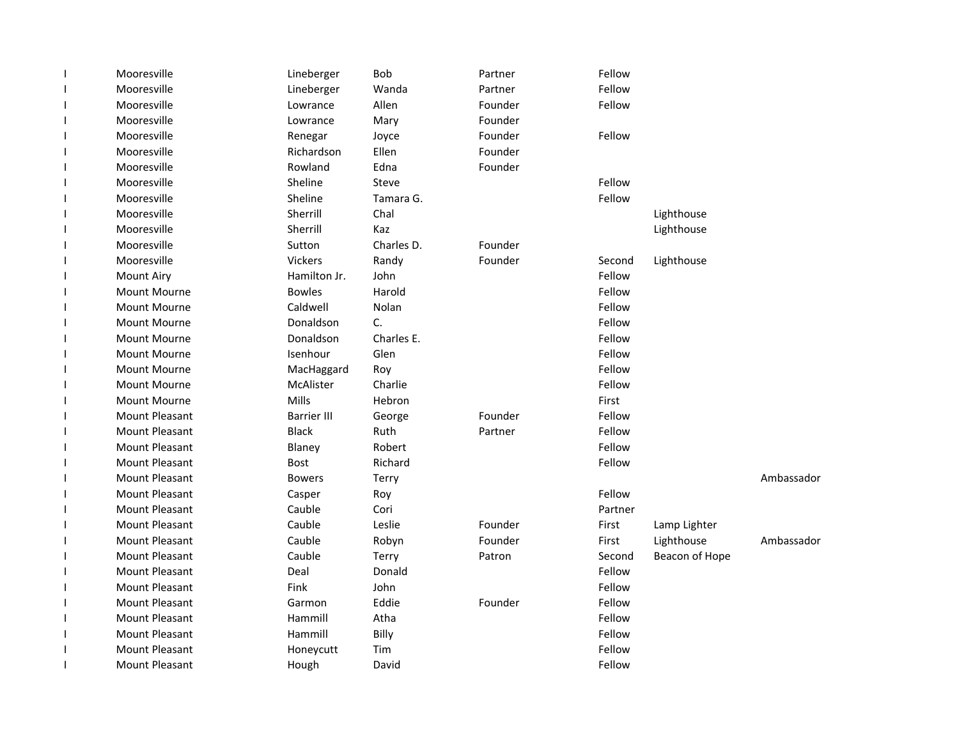| -1                       | Mooresville           | Lineberger         | Bob        | Partner | Fellow  |                |            |
|--------------------------|-----------------------|--------------------|------------|---------|---------|----------------|------------|
| $\mathbf{I}$             | Mooresville           | Lineberger         | Wanda      | Partner | Fellow  |                |            |
| $\mathbf{I}$             | Mooresville           | Lowrance           | Allen      | Founder | Fellow  |                |            |
|                          | Mooresville           | Lowrance           | Mary       | Founder |         |                |            |
| -1                       | Mooresville           | Renegar            | Joyce      | Founder | Fellow  |                |            |
|                          | Mooresville           | Richardson         | Ellen      | Founder |         |                |            |
|                          | Mooresville           | Rowland            | Edna       | Founder |         |                |            |
|                          | Mooresville           | Sheline            | Steve      |         | Fellow  |                |            |
|                          | Mooresville           | Sheline            | Tamara G.  |         | Fellow  |                |            |
| -1                       | Mooresville           | Sherrill           | Chal       |         |         | Lighthouse     |            |
| $\mathbf{I}$             | Mooresville           | Sherrill           | Kaz        |         |         | Lighthouse     |            |
| $\mathbf{I}$             | Mooresville           | Sutton             | Charles D. | Founder |         |                |            |
| -1                       | Mooresville           | <b>Vickers</b>     | Randy      | Founder | Second  | Lighthouse     |            |
| $\mathbf{I}$             | Mount Airy            | Hamilton Jr.       | John       |         | Fellow  |                |            |
| $\overline{\phantom{a}}$ | Mount Mourne          | <b>Bowles</b>      | Harold     |         | Fellow  |                |            |
| -1                       | Mount Mourne          | Caldwell           | Nolan      |         | Fellow  |                |            |
|                          | Mount Mourne          | Donaldson          | C.         |         | Fellow  |                |            |
|                          | Mount Mourne          | Donaldson          | Charles E. |         | Fellow  |                |            |
|                          | Mount Mourne          | Isenhour           | Glen       |         | Fellow  |                |            |
|                          | Mount Mourne          | MacHaggard         | Roy        |         | Fellow  |                |            |
|                          | Mount Mourne          | McAlister          | Charlie    |         | Fellow  |                |            |
| $\mathbf{I}$             | Mount Mourne          | Mills              | Hebron     |         | First   |                |            |
| $\mathbf{I}$             | Mount Pleasant        | <b>Barrier III</b> | George     | Founder | Fellow  |                |            |
| $\mathbf{I}$             | Mount Pleasant        | <b>Black</b>       | Ruth       | Partner | Fellow  |                |            |
|                          | <b>Mount Pleasant</b> | Blaney             | Robert     |         | Fellow  |                |            |
|                          | Mount Pleasant        | Bost               | Richard    |         | Fellow  |                |            |
|                          | Mount Pleasant        | <b>Bowers</b>      | Terry      |         |         |                | Ambassador |
|                          | <b>Mount Pleasant</b> | Casper             | Roy        |         | Fellow  |                |            |
|                          | <b>Mount Pleasant</b> | Cauble             | Cori       |         | Partner |                |            |
|                          | Mount Pleasant        | Cauble             | Leslie     | Founder | First   | Lamp Lighter   |            |
|                          | <b>Mount Pleasant</b> | Cauble             | Robyn      | Founder | First   | Lighthouse     | Ambassador |
|                          | Mount Pleasant        | Cauble             | Terry      | Patron  | Second  | Beacon of Hope |            |
| $\mathbf{I}$             | Mount Pleasant        | Deal               | Donald     |         | Fellow  |                |            |
| $\mathbf{I}$             | Mount Pleasant        | Fink               | John       |         | Fellow  |                |            |
| $\mathbf{I}$             | Mount Pleasant        | Garmon             | Eddie      | Founder | Fellow  |                |            |
| J.                       | <b>Mount Pleasant</b> | Hammill            | Atha       |         | Fellow  |                |            |
| $\mathbf{I}$             | Mount Pleasant        | Hammill            | Billy      |         | Fellow  |                |            |
|                          | Mount Pleasant        | Honeycutt          | Tim        |         | Fellow  |                |            |
|                          | <b>Mount Pleasant</b> | Hough              | David      |         | Fellow  |                |            |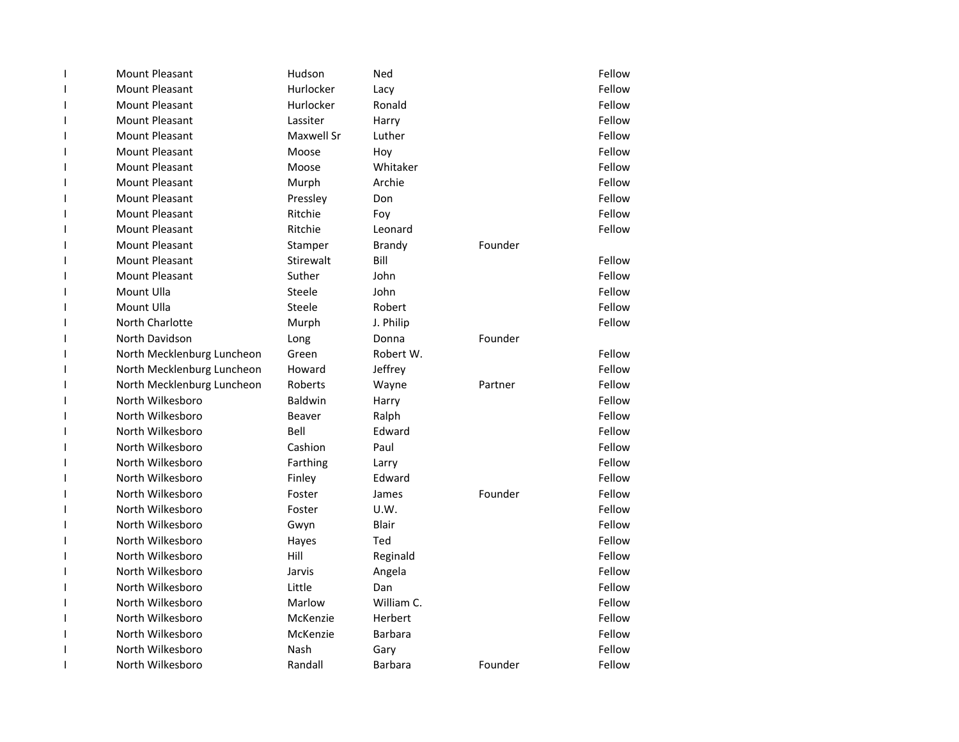| $\mathbf{I}$             | <b>Mount Pleasant</b>      | Hudson         | Ned            |         | Fellow |
|--------------------------|----------------------------|----------------|----------------|---------|--------|
| $\mathbf{I}$             | <b>Mount Pleasant</b>      | Hurlocker      | Lacy           |         | Fellow |
| 1                        | <b>Mount Pleasant</b>      | Hurlocker      | Ronald         |         | Fellow |
| 1                        | <b>Mount Pleasant</b>      | Lassiter       | Harry          |         | Fellow |
| $\mathsf{l}$             | <b>Mount Pleasant</b>      | Maxwell Sr     | Luther         |         | Fellow |
| 1                        | <b>Mount Pleasant</b>      | Moose          | Hoy            |         | Fellow |
| $\mathsf{l}$             | <b>Mount Pleasant</b>      | Moose          | Whitaker       |         | Fellow |
| I                        | Mount Pleasant             | Murph          | Archie         |         | Fellow |
| 1                        | <b>Mount Pleasant</b>      | Pressley       | Don            |         | Fellow |
| $\mathbf{I}$             | <b>Mount Pleasant</b>      | Ritchie        | Foy            |         | Fellow |
| $\mathbf{I}$             | <b>Mount Pleasant</b>      | Ritchie        | Leonard        |         | Fellow |
| $\mathbf{I}$             | <b>Mount Pleasant</b>      | Stamper        | <b>Brandy</b>  | Founder |        |
| I                        | <b>Mount Pleasant</b>      | Stirewalt      | Bill           |         | Fellow |
| $\overline{\phantom{a}}$ | <b>Mount Pleasant</b>      | Suther         | John           |         | Fellow |
| I                        | Mount Ulla                 | Steele         | John           |         | Fellow |
| 1                        | Mount Ulla                 | Steele         | Robert         |         | Fellow |
| 1                        | North Charlotte            | Murph          | J. Philip      |         | Fellow |
| $\mathsf{l}$             | North Davidson             | Long           | Donna          | Founder |        |
| 1                        | North Mecklenburg Luncheon | Green          | Robert W.      |         | Fellow |
| 1                        | North Mecklenburg Luncheon | Howard         | Jeffrey        |         | Fellow |
| I                        | North Mecklenburg Luncheon | Roberts        | Wayne          | Partner | Fellow |
| $\mathbf{I}$             | North Wilkesboro           | <b>Baldwin</b> | Harry          |         | Fellow |
| $\mathbf{I}$             | North Wilkesboro           | <b>Beaver</b>  | Ralph          |         | Fellow |
| $\mathbf{I}$             | North Wilkesboro           | Bell           | Edward         |         | Fellow |
| $\mathbf{I}$             | North Wilkesboro           | Cashion        | Paul           |         | Fellow |
| I                        | North Wilkesboro           | Farthing       | Larry          |         | Fellow |
| $\overline{\phantom{a}}$ | North Wilkesboro           | Finley         | Edward         |         | Fellow |
| I                        | North Wilkesboro           | Foster         | James          | Founder | Fellow |
| 1                        | North Wilkesboro           | Foster         | U.W.           |         | Fellow |
| $\mathsf{l}$             | North Wilkesboro           | Gwyn           | Blair          |         | Fellow |
| $\mathsf{l}$             | North Wilkesboro           | Hayes          | Ted            |         | Fellow |
| 1                        | North Wilkesboro           | Hill           | Reginald       |         | Fellow |
| $\mathsf{l}$             | North Wilkesboro           | Jarvis         | Angela         |         | Fellow |
| I                        | North Wilkesboro           | Little         | Dan            |         | Fellow |
| 1                        | North Wilkesboro           | Marlow         | William C.     |         | Fellow |
| 1                        | North Wilkesboro           | McKenzie       | Herbert        |         | Fellow |
| 1                        | North Wilkesboro           | McKenzie       | <b>Barbara</b> |         | Fellow |
| 1                        | North Wilkesboro           | Nash           | Gary           |         | Fellow |
| 1                        | North Wilkesboro           | Randall        | <b>Barbara</b> | Founder | Fellow |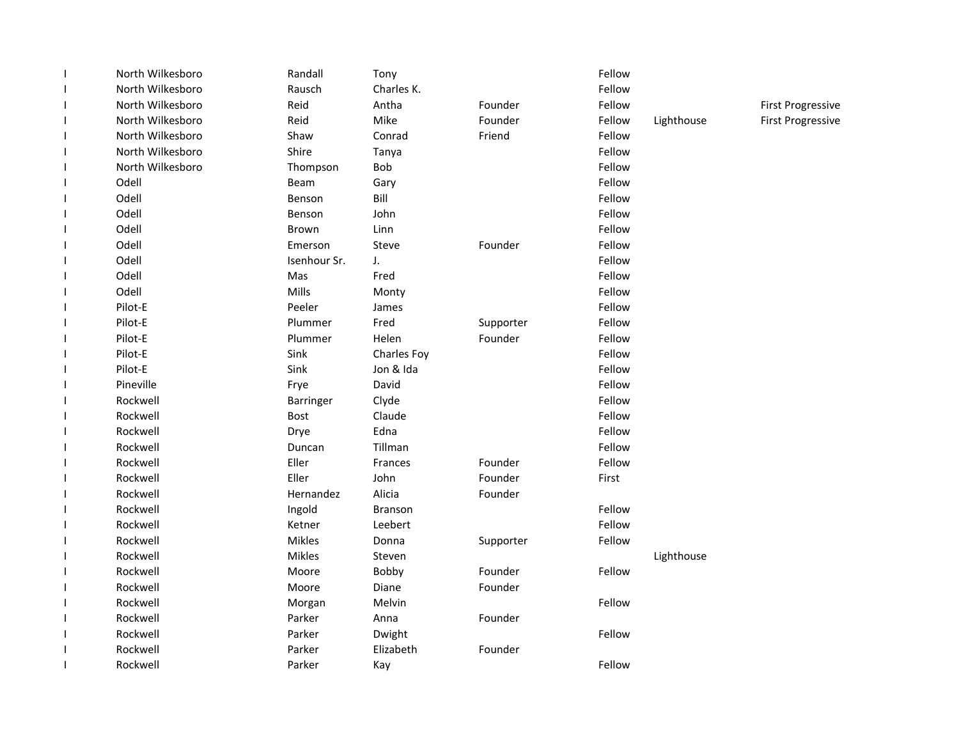| $\mathsf I$              | North Wilkesboro | Randall      | Tony           |           | Fellow |            |                          |
|--------------------------|------------------|--------------|----------------|-----------|--------|------------|--------------------------|
| $\mathbf{I}$             | North Wilkesboro | Rausch       | Charles K.     |           | Fellow |            |                          |
| $\mathbf{I}$             | North Wilkesboro | Reid         | Antha          | Founder   | Fellow |            | <b>First Progressive</b> |
| $\mathbf{I}$             | North Wilkesboro | Reid         | Mike           | Founder   | Fellow | Lighthouse | <b>First Progressive</b> |
| I                        | North Wilkesboro | Shaw         | Conrad         | Friend    | Fellow |            |                          |
| $\mathbf{I}$             | North Wilkesboro | Shire        | Tanya          |           | Fellow |            |                          |
| J.                       | North Wilkesboro | Thompson     | <b>Bob</b>     |           | Fellow |            |                          |
| $\mathbf{I}$             | Odell            | Beam         | Gary           |           | Fellow |            |                          |
| $\overline{\phantom{a}}$ | Odell            | Benson       | Bill           |           | Fellow |            |                          |
| I                        | Odell            | Benson       | John           |           | Fellow |            |                          |
| $\mathbf{I}$             | Odell            | <b>Brown</b> | Linn           |           | Fellow |            |                          |
| I                        | Odell            | Emerson      | Steve          | Founder   | Fellow |            |                          |
| $\overline{\phantom{a}}$ | Odell            | Isenhour Sr. | J.             |           | Fellow |            |                          |
| $\overline{\phantom{a}}$ | Odell            | Mas          | Fred           |           | Fellow |            |                          |
| I                        | Odell            | Mills        | Monty          |           | Fellow |            |                          |
| 1                        | Pilot-E          | Peeler       | James          |           | Fellow |            |                          |
| $\mathbf{I}$             | Pilot-E          | Plummer      | Fred           | Supporter | Fellow |            |                          |
| $\overline{\phantom{a}}$ | Pilot-E          | Plummer      | Helen          | Founder   | Fellow |            |                          |
| $\overline{\phantom{a}}$ | Pilot-E          | Sink         | Charles Foy    |           | Fellow |            |                          |
| $\overline{\phantom{a}}$ | Pilot-E          | Sink         | Jon & Ida      |           | Fellow |            |                          |
| I                        | Pineville        | Frye         | David          |           | Fellow |            |                          |
| $\overline{\phantom{a}}$ | Rockwell         | Barringer    | Clyde          |           | Fellow |            |                          |
| $\overline{\phantom{a}}$ | Rockwell         | Bost         | Claude         |           | Fellow |            |                          |
| $\overline{\phantom{a}}$ | Rockwell         | Drye         | Edna           |           | Fellow |            |                          |
| I                        | Rockwell         | Duncan       | Tillman        |           | Fellow |            |                          |
| $\mathbf{I}$             | Rockwell         | Eller        | Frances        | Founder   | Fellow |            |                          |
| $\mathbf{I}$             | Rockwell         | Eller        | John           | Founder   | First  |            |                          |
| $\mathbf{I}$             | Rockwell         | Hernandez    | Alicia         | Founder   |        |            |                          |
| $\mathbf{I}$             | Rockwell         | Ingold       | <b>Branson</b> |           | Fellow |            |                          |
| I                        | Rockwell         | Ketner       | Leebert        |           | Fellow |            |                          |
| $\overline{\phantom{a}}$ | Rockwell         | Mikles       | Donna          | Supporter | Fellow |            |                          |
| $\overline{\phantom{a}}$ | Rockwell         | Mikles       | Steven         |           |        | Lighthouse |                          |
| $\mathbf{I}$             | Rockwell         | Moore        | Bobby          | Founder   | Fellow |            |                          |
| 1                        | Rockwell         | Moore        | Diane          | Founder   |        |            |                          |
| $\overline{\phantom{a}}$ | Rockwell         | Morgan       | Melvin         |           | Fellow |            |                          |
| $\overline{\phantom{a}}$ | Rockwell         | Parker       | Anna           | Founder   |        |            |                          |
| $\mathbf{I}$             | Rockwell         | Parker       | Dwight         |           | Fellow |            |                          |
|                          | Rockwell         | Parker       | Elizabeth      | Founder   |        |            |                          |
|                          | Rockwell         | Parker       | Kay            |           | Fellow |            |                          |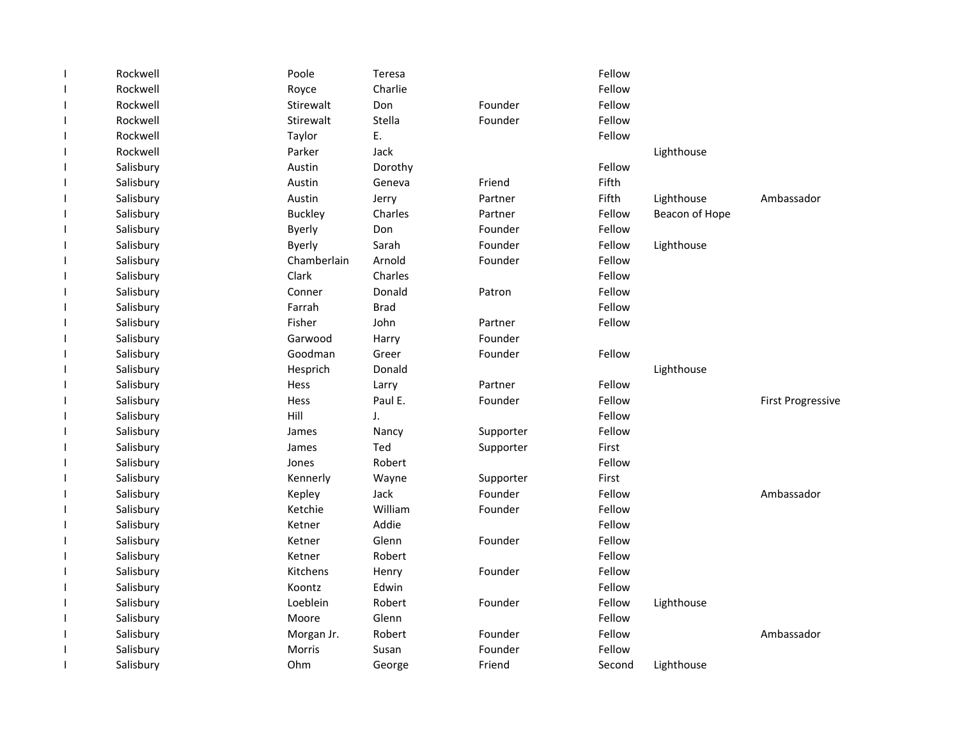| $\overline{\phantom{a}}$ | Rockwell  | Poole          | Teresa      |           | Fellow |                |                          |
|--------------------------|-----------|----------------|-------------|-----------|--------|----------------|--------------------------|
| J.                       | Rockwell  | Royce          | Charlie     |           | Fellow |                |                          |
| T                        | Rockwell  | Stirewalt      | Don         | Founder   | Fellow |                |                          |
| J.                       | Rockwell  | Stirewalt      | Stella      | Founder   | Fellow |                |                          |
| T                        | Rockwell  | Taylor         | E.          |           | Fellow |                |                          |
| $\mathbf{I}$             | Rockwell  | Parker         | Jack        |           |        | Lighthouse     |                          |
| -1                       | Salisbury | Austin         | Dorothy     |           | Fellow |                |                          |
| J.                       | Salisbury | Austin         | Geneva      | Friend    | Fifth  |                |                          |
| J.                       | Salisbury | Austin         | Jerry       | Partner   | Fifth  | Lighthouse     | Ambassador               |
| T                        | Salisbury | <b>Buckley</b> | Charles     | Partner   | Fellow | Beacon of Hope |                          |
| T                        | Salisbury | <b>Byerly</b>  | Don         | Founder   | Fellow |                |                          |
| J.                       | Salisbury | <b>Byerly</b>  | Sarah       | Founder   | Fellow | Lighthouse     |                          |
| T                        | Salisbury | Chamberlain    | Arnold      | Founder   | Fellow |                |                          |
| J.                       | Salisbury | Clark          | Charles     |           | Fellow |                |                          |
| T                        | Salisbury | Conner         | Donald      | Patron    | Fellow |                |                          |
| T                        | Salisbury | Farrah         | <b>Brad</b> |           | Fellow |                |                          |
| $\overline{\phantom{a}}$ | Salisbury | Fisher         | John        | Partner   | Fellow |                |                          |
| -1                       | Salisbury | Garwood        | Harry       | Founder   |        |                |                          |
| T                        | Salisbury | Goodman        | Greer       | Founder   | Fellow |                |                          |
| -1                       | Salisbury | Hesprich       | Donald      |           |        | Lighthouse     |                          |
| T                        | Salisbury | Hess           | Larry       | Partner   | Fellow |                |                          |
| -1                       | Salisbury | Hess           | Paul E.     | Founder   | Fellow |                | <b>First Progressive</b> |
| $\overline{\phantom{a}}$ | Salisbury | Hill           | J.          |           | Fellow |                |                          |
| T                        | Salisbury | James          | Nancy       | Supporter | Fellow |                |                          |
| T                        | Salisbury | James          | Ted         | Supporter | First  |                |                          |
| T                        | Salisbury | Jones          | Robert      |           | Fellow |                |                          |
| T                        | Salisbury | Kennerly       | Wayne       | Supporter | First  |                |                          |
| -1                       | Salisbury | Kepley         | Jack        | Founder   | Fellow |                | Ambassador               |
| T                        | Salisbury | Ketchie        | William     | Founder   | Fellow |                |                          |
| T                        | Salisbury | Ketner         | Addie       |           | Fellow |                |                          |
| T                        | Salisbury | Ketner         | Glenn       | Founder   | Fellow |                |                          |
| $\mathbf{I}$             | Salisbury | Ketner         | Robert      |           | Fellow |                |                          |
| T                        | Salisbury | Kitchens       | Henry       | Founder   | Fellow |                |                          |
| J.                       | Salisbury | Koontz         | Edwin       |           | Fellow |                |                          |
| T                        | Salisbury | Loeblein       | Robert      | Founder   | Fellow | Lighthouse     |                          |
| -1                       | Salisbury | Moore          | Glenn       |           | Fellow |                |                          |
| T                        | Salisbury | Morgan Jr.     | Robert      | Founder   | Fellow |                | Ambassador               |
| $\mathbf{I}$             | Salisbury | Morris         | Susan       | Founder   | Fellow |                |                          |
| $\mathbf{I}$             | Salisbury | Ohm            | George      | Friend    | Second | Lighthouse     |                          |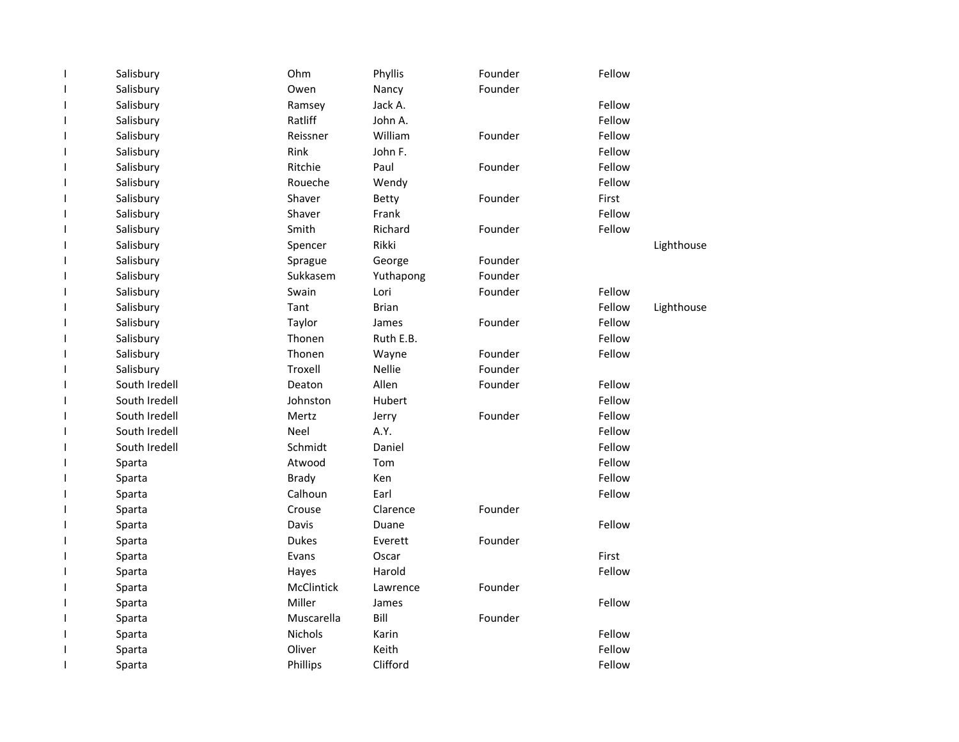|   | Salisbury     | Ohm          | Phyllis       | Founder | Fellow |            |
|---|---------------|--------------|---------------|---------|--------|------------|
|   | Salisbury     | Owen         | Nancy         | Founder |        |            |
|   | Salisbury     | Ramsey       | Jack A.       |         | Fellow |            |
|   | Salisbury     | Ratliff      | John A.       |         | Fellow |            |
|   | Salisbury     | Reissner     | William       | Founder | Fellow |            |
|   | Salisbury     | Rink         | John F.       |         | Fellow |            |
| ı | Salisbury     | Ritchie      | Paul          | Founder | Fellow |            |
|   | Salisbury     | Roueche      | Wendy         |         | Fellow |            |
|   | Salisbury     | Shaver       | Betty         | Founder | First  |            |
|   | Salisbury     | Shaver       | Frank         |         | Fellow |            |
|   | Salisbury     | Smith        | Richard       | Founder | Fellow |            |
|   | Salisbury     | Spencer      | Rikki         |         |        | Lighthouse |
|   | Salisbury     | Sprague      | George        | Founder |        |            |
|   | Salisbury     | Sukkasem     | Yuthapong     | Founder |        |            |
|   | Salisbury     | Swain        | Lori          | Founder | Fellow |            |
|   | Salisbury     | Tant         | <b>Brian</b>  |         | Fellow | Lighthouse |
|   | Salisbury     | Taylor       | James         | Founder | Fellow |            |
| ı | Salisbury     | Thonen       | Ruth E.B.     |         | Fellow |            |
|   | Salisbury     | Thonen       | Wayne         | Founder | Fellow |            |
|   | Salisbury     | Troxell      | <b>Nellie</b> | Founder |        |            |
|   | South Iredell | Deaton       | Allen         | Founder | Fellow |            |
|   | South Iredell | Johnston     | Hubert        |         | Fellow |            |
|   | South Iredell | Mertz        | Jerry         | Founder | Fellow |            |
|   | South Iredell | Neel         | A.Y.          |         | Fellow |            |
|   | South Iredell | Schmidt      | Daniel        |         | Fellow |            |
|   | Sparta        | Atwood       | Tom           |         | Fellow |            |
|   | Sparta        | <b>Brady</b> | Ken           |         | Fellow |            |
|   | Sparta        | Calhoun      | Earl          |         | Fellow |            |
|   | Sparta        | Crouse       | Clarence      | Founder |        |            |
|   | Sparta        | <b>Davis</b> | Duane         |         | Fellow |            |
|   | Sparta        | <b>Dukes</b> | Everett       | Founder |        |            |
|   | Sparta        | Evans        | Oscar         |         | First  |            |
|   | Sparta        | Hayes        | Harold        |         | Fellow |            |
|   | Sparta        | McClintick   | Lawrence      | Founder |        |            |
|   | Sparta        | Miller       | James         |         | Fellow |            |
|   | Sparta        | Muscarella   | Bill          | Founder |        |            |
|   | Sparta        | Nichols      | Karin         |         | Fellow |            |
|   | Sparta        | Oliver       | Keith         |         | Fellow |            |
| 1 | Sparta        | Phillips     | Clifford      |         | Fellow |            |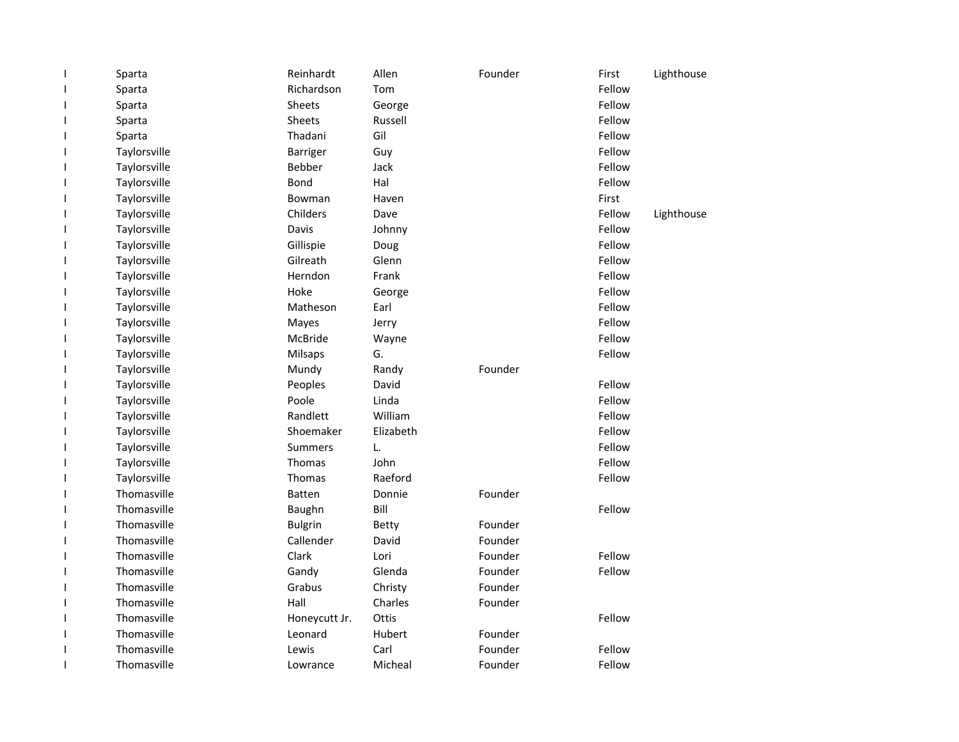| Sparta       | Reinhardt       | Allen     | Founder | First  | Lighthouse |
|--------------|-----------------|-----------|---------|--------|------------|
| Sparta       | Richardson      | Tom       |         | Fellow |            |
| Sparta       | <b>Sheets</b>   | George    |         | Fellow |            |
| Sparta       | Sheets          | Russell   |         | Fellow |            |
| Sparta       | Thadani         | Gil       |         | Fellow |            |
| Taylorsville | <b>Barriger</b> | Guy       |         | Fellow |            |
| Taylorsville | <b>Bebber</b>   | Jack      |         | Fellow |            |
| Taylorsville | Bond            | Hal       |         | Fellow |            |
| Taylorsville | Bowman          | Haven     |         | First  |            |
| Taylorsville | Childers        | Dave      |         | Fellow | Lighthouse |
| Taylorsville | Davis           | Johnny    |         | Fellow |            |
| Taylorsville | Gillispie       | Doug      |         | Fellow |            |
| Taylorsville | Gilreath        | Glenn     |         | Fellow |            |
| Taylorsville | Herndon         | Frank     |         | Fellow |            |
| Taylorsville | Hoke            | George    |         | Fellow |            |
| Taylorsville | Matheson        | Earl      |         | Fellow |            |
| Taylorsville | Mayes           | Jerry     |         | Fellow |            |
| Taylorsville | <b>McBride</b>  | Wayne     |         | Fellow |            |
| Taylorsville | Milsaps         | G.        |         | Fellow |            |
| Taylorsville | Mundy           | Randy     | Founder |        |            |
| Taylorsville | Peoples         | David     |         | Fellow |            |
| Taylorsville | Poole           | Linda     |         | Fellow |            |
| Taylorsville | Randlett        | William   |         | Fellow |            |
| Taylorsville | Shoemaker       | Elizabeth |         | Fellow |            |
| Taylorsville | <b>Summers</b>  | L.        |         | Fellow |            |
| Taylorsville | Thomas          | John      |         | Fellow |            |
| Taylorsville | Thomas          | Raeford   |         | Fellow |            |
| Thomasville  | <b>Batten</b>   | Donnie    | Founder |        |            |
| Thomasville  | Baughn          | Bill      |         | Fellow |            |
| Thomasville  | <b>Bulgrin</b>  | Betty     | Founder |        |            |
| Thomasville  | Callender       | David     | Founder |        |            |
| Thomasville  | Clark           | Lori      | Founder | Fellow |            |
| Thomasville  | Gandy           | Glenda    | Founder | Fellow |            |
| Thomasville  | Grabus          | Christy   | Founder |        |            |
| Thomasville  | Hall            | Charles   | Founder |        |            |
| Thomasville  | Honeycutt Jr.   | Ottis     |         | Fellow |            |
| Thomasville  | Leonard         | Hubert    | Founder |        |            |
| Thomasville  | Lewis           | Carl      | Founder | Fellow |            |
| Thomasville  | Lowrance        | Micheal   | Founder | Fellow |            |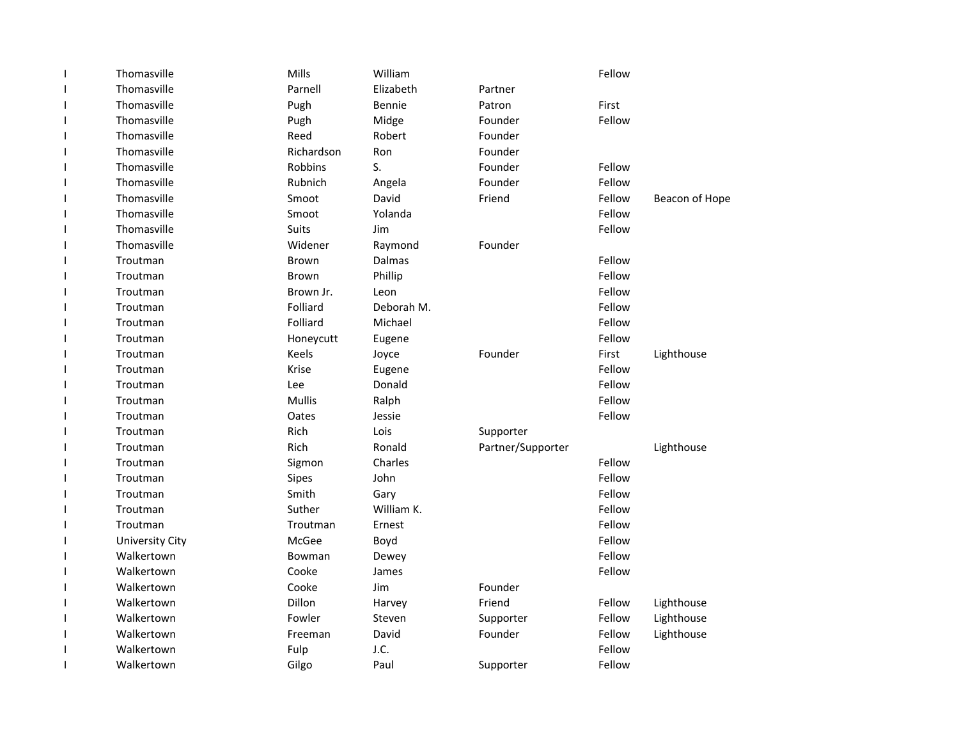|              | Thomasville            | Mills         | William    |                   | Fellow |                |
|--------------|------------------------|---------------|------------|-------------------|--------|----------------|
|              | Thomasville            | Parnell       | Elizabeth  | Partner           |        |                |
| $\mathbf{I}$ | Thomasville            | Pugh          | Bennie     | Patron            | First  |                |
|              | Thomasville            | Pugh          | Midge      | Founder           | Fellow |                |
|              | Thomasville            | Reed          | Robert     | Founder           |        |                |
|              | Thomasville            | Richardson    | Ron        | Founder           |        |                |
|              | Thomasville            | Robbins       | S.         | Founder           | Fellow |                |
|              | Thomasville            | Rubnich       | Angela     | Founder           | Fellow |                |
|              | Thomasville            | Smoot         | David      | Friend            | Fellow | Beacon of Hope |
|              | Thomasville            | Smoot         | Yolanda    |                   | Fellow |                |
|              | Thomasville            | Suits         | Jim        |                   | Fellow |                |
| ı            | Thomasville            | Widener       | Raymond    | Founder           |        |                |
|              | Troutman               | <b>Brown</b>  | Dalmas     |                   | Fellow |                |
|              | Troutman               | <b>Brown</b>  | Phillip    |                   | Fellow |                |
|              | Troutman               | Brown Jr.     | Leon       |                   | Fellow |                |
|              | Troutman               | Folliard      | Deborah M. |                   | Fellow |                |
|              | Troutman               | Folliard      | Michael    |                   | Fellow |                |
| H            | Troutman               | Honeycutt     | Eugene     |                   | Fellow |                |
|              | Troutman               | Keels         | Joyce      | Founder           | First  | Lighthouse     |
|              | Troutman               | Krise         | Eugene     |                   | Fellow |                |
|              | Troutman               | Lee           | Donald     |                   | Fellow |                |
|              | Troutman               | <b>Mullis</b> | Ralph      |                   | Fellow |                |
|              | Troutman               | Oates         | Jessie     |                   | Fellow |                |
|              | Troutman               | Rich          | Lois       | Supporter         |        |                |
| ı            | Troutman               | Rich          | Ronald     | Partner/Supporter |        | Lighthouse     |
|              | Troutman               | Sigmon        | Charles    |                   | Fellow |                |
|              | Troutman               | Sipes         | John       |                   | Fellow |                |
|              | Troutman               | Smith         | Gary       |                   | Fellow |                |
|              | Troutman               | Suther        | William K. |                   | Fellow |                |
|              | Troutman               | Troutman      | Ernest     |                   | Fellow |                |
|              | <b>University City</b> | McGee         | Boyd       |                   | Fellow |                |
|              | Walkertown             | Bowman        | Dewey      |                   | Fellow |                |
|              | Walkertown             | Cooke         | James      |                   | Fellow |                |
|              | Walkertown             | Cooke         | Jim        | Founder           |        |                |
|              | Walkertown             | Dillon        | Harvey     | Friend            | Fellow | Lighthouse     |
|              | Walkertown             | Fowler        | Steven     | Supporter         | Fellow | Lighthouse     |
|              | Walkertown             | Freeman       | David      | Founder           | Fellow | Lighthouse     |
|              | Walkertown             | Fulp          | J.C.       |                   | Fellow |                |
|              | Walkertown             | Gilgo         | Paul       | Supporter         | Fellow |                |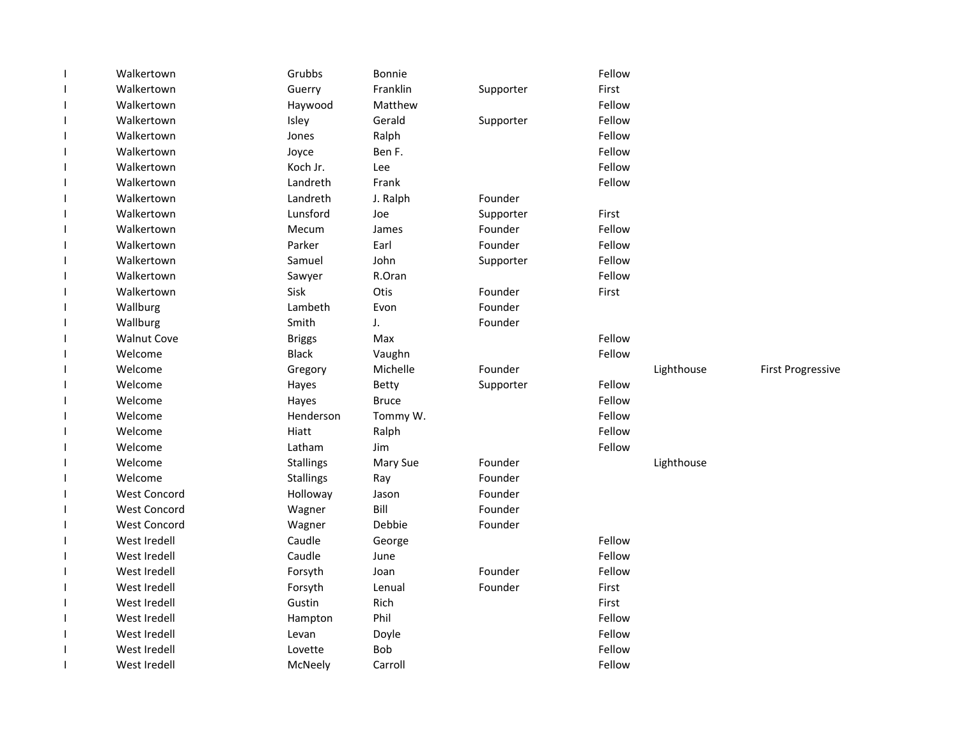| 1                        | Walkertown          | Grubbs           | Bonnie       |           | Fellow |            |                          |
|--------------------------|---------------------|------------------|--------------|-----------|--------|------------|--------------------------|
| $\mathbf{I}$             | Walkertown          | Guerry           | Franklin     | Supporter | First  |            |                          |
| $\overline{\phantom{a}}$ | Walkertown          | Haywood          | Matthew      |           | Fellow |            |                          |
| J.                       | Walkertown          | Isley            | Gerald       | Supporter | Fellow |            |                          |
| J.                       | Walkertown          | Jones            | Ralph        |           | Fellow |            |                          |
| J.                       | Walkertown          | Joyce            | Ben F.       |           | Fellow |            |                          |
| J.                       | Walkertown          | Koch Jr.         | Lee          |           | Fellow |            |                          |
| $\overline{\phantom{a}}$ | Walkertown          | Landreth         | Frank        |           | Fellow |            |                          |
| $\mathbf{I}$             | Walkertown          | Landreth         | J. Ralph     | Founder   |        |            |                          |
| 1                        | Walkertown          | Lunsford         | Joe          | Supporter | First  |            |                          |
| J.                       | Walkertown          | Mecum            | James        | Founder   | Fellow |            |                          |
| 1                        | Walkertown          | Parker           | Earl         | Founder   | Fellow |            |                          |
| I                        | Walkertown          | Samuel           | John         | Supporter | Fellow |            |                          |
| J.                       | Walkertown          | Sawyer           | R.Oran       |           | Fellow |            |                          |
| J.                       | Walkertown          | Sisk             | Otis         | Founder   | First  |            |                          |
| J.                       | Wallburg            | Lambeth          | Evon         | Founder   |        |            |                          |
| J.                       | Wallburg            | Smith            | J.           | Founder   |        |            |                          |
| $\mathbf{I}$             | <b>Walnut Cove</b>  | <b>Briggs</b>    | Max          |           | Fellow |            |                          |
| $\mathbf{I}$             | Welcome             | <b>Black</b>     | Vaughn       |           | Fellow |            |                          |
| $\mathbf{I}$             | Welcome             | Gregory          | Michelle     | Founder   |        | Lighthouse | <b>First Progressive</b> |
| J.                       | Welcome             | Hayes            | <b>Betty</b> | Supporter | Fellow |            |                          |
| 1                        | Welcome             | Hayes            | <b>Bruce</b> |           | Fellow |            |                          |
| $\mathbf{I}$             | Welcome             | Henderson        | Tommy W.     |           | Fellow |            |                          |
| $\mathbf{I}$             | Welcome             | Hiatt            | Ralph        |           | Fellow |            |                          |
| J.                       | Welcome             | Latham           | Jim          |           | Fellow |            |                          |
| J.                       | Welcome             | <b>Stallings</b> | Mary Sue     | Founder   |        | Lighthouse |                          |
| J.                       | Welcome             | <b>Stallings</b> | Ray          | Founder   |        |            |                          |
| $\mathbf{I}$             | <b>West Concord</b> | Holloway         | Jason        | Founder   |        |            |                          |
| $\mathbf{I}$             | <b>West Concord</b> | Wagner           | Bill         | Founder   |        |            |                          |
| $\mathbf{I}$             | <b>West Concord</b> | Wagner           | Debbie       | Founder   |        |            |                          |
| J.                       | West Iredell        | Caudle           | George       |           | Fellow |            |                          |
| J.                       | West Iredell        | Caudle           | June         |           | Fellow |            |                          |
| $\mathbf{I}$             | West Iredell        | Forsyth          | Joan         | Founder   | Fellow |            |                          |
| $\mathbf{I}$             | West Iredell        | Forsyth          | Lenual       | Founder   | First  |            |                          |
| J.                       | West Iredell        | Gustin           | Rich         |           | First  |            |                          |
| J.                       | West Iredell        | Hampton          | Phil         |           | Fellow |            |                          |
| <sup>1</sup>             | West Iredell        | Levan            | Doyle        |           | Fellow |            |                          |
|                          | West Iredell        | Lovette          | <b>Bob</b>   |           | Fellow |            |                          |
|                          | West Iredell        | McNeely          | Carroll      |           | Fellow |            |                          |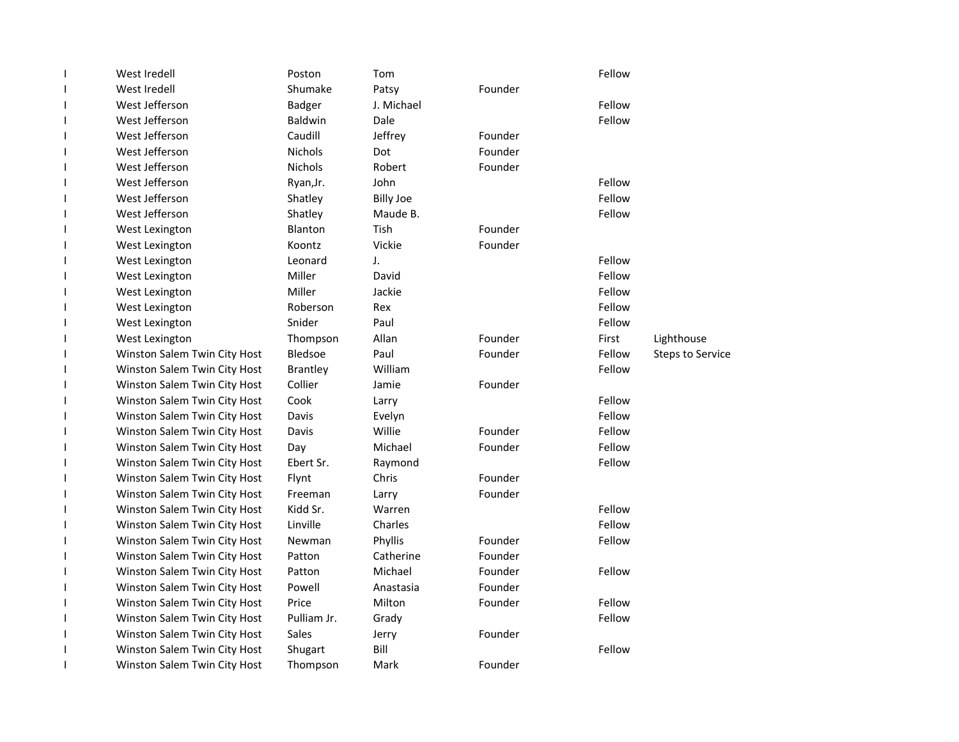| West Iredell                 | Poston          | Tom              |         | Fellow |                         |
|------------------------------|-----------------|------------------|---------|--------|-------------------------|
| West Iredell                 | Shumake         | Patsy            | Founder |        |                         |
| West Jefferson               | <b>Badger</b>   | J. Michael       |         | Fellow |                         |
| West Jefferson               | Baldwin         | Dale             |         | Fellow |                         |
| West Jefferson               | Caudill         | Jeffrey          | Founder |        |                         |
| West Jefferson               | <b>Nichols</b>  | Dot              | Founder |        |                         |
| West Jefferson               | <b>Nichols</b>  | Robert           | Founder |        |                         |
| West Jefferson               | Ryan, Jr.       | John             |         | Fellow |                         |
| West Jefferson               | Shatley         | <b>Billy Joe</b> |         | Fellow |                         |
| West Jefferson               | Shatley         | Maude B.         |         | Fellow |                         |
| West Lexington               | Blanton         | Tish             | Founder |        |                         |
| West Lexington               | Koontz          | Vickie           | Founder |        |                         |
| West Lexington               | Leonard         | J.               |         | Fellow |                         |
| West Lexington               | Miller          | David            |         | Fellow |                         |
| West Lexington               | Miller          | Jackie           |         | Fellow |                         |
| West Lexington               | Roberson        | Rex              |         | Fellow |                         |
| West Lexington               | Snider          | Paul             |         | Fellow |                         |
| West Lexington               | Thompson        | Allan            | Founder | First  | Lighthouse              |
| Winston Salem Twin City Host | Bledsoe         | Paul             | Founder | Fellow | <b>Steps to Service</b> |
| Winston Salem Twin City Host | <b>Brantley</b> | William          |         | Fellow |                         |
| Winston Salem Twin City Host | Collier         | Jamie            | Founder |        |                         |
| Winston Salem Twin City Host | Cook            | Larry            |         | Fellow |                         |
| Winston Salem Twin City Host | Davis           | Evelyn           |         | Fellow |                         |
| Winston Salem Twin City Host | Davis           | Willie           | Founder | Fellow |                         |
| Winston Salem Twin City Host | Day             | Michael          | Founder | Fellow |                         |
| Winston Salem Twin City Host | Ebert Sr.       | Raymond          |         | Fellow |                         |
| Winston Salem Twin City Host | Flynt           | Chris            | Founder |        |                         |
| Winston Salem Twin City Host | Freeman         | Larry            | Founder |        |                         |
| Winston Salem Twin City Host | Kidd Sr.        | Warren           |         | Fellow |                         |
| Winston Salem Twin City Host | Linville        | Charles          |         | Fellow |                         |
| Winston Salem Twin City Host | Newman          | Phyllis          | Founder | Fellow |                         |
| Winston Salem Twin City Host | Patton          | Catherine        | Founder |        |                         |
| Winston Salem Twin City Host | Patton          | Michael          | Founder | Fellow |                         |
| Winston Salem Twin City Host | Powell          | Anastasia        | Founder |        |                         |
| Winston Salem Twin City Host | Price           | Milton           | Founder | Fellow |                         |
| Winston Salem Twin City Host | Pulliam Jr.     | Grady            |         | Fellow |                         |
| Winston Salem Twin City Host | Sales           | Jerry            | Founder |        |                         |
| Winston Salem Twin City Host | Shugart         | Bill             |         | Fellow |                         |
| Winston Salem Twin City Host | Thompson        | Mark             | Founder |        |                         |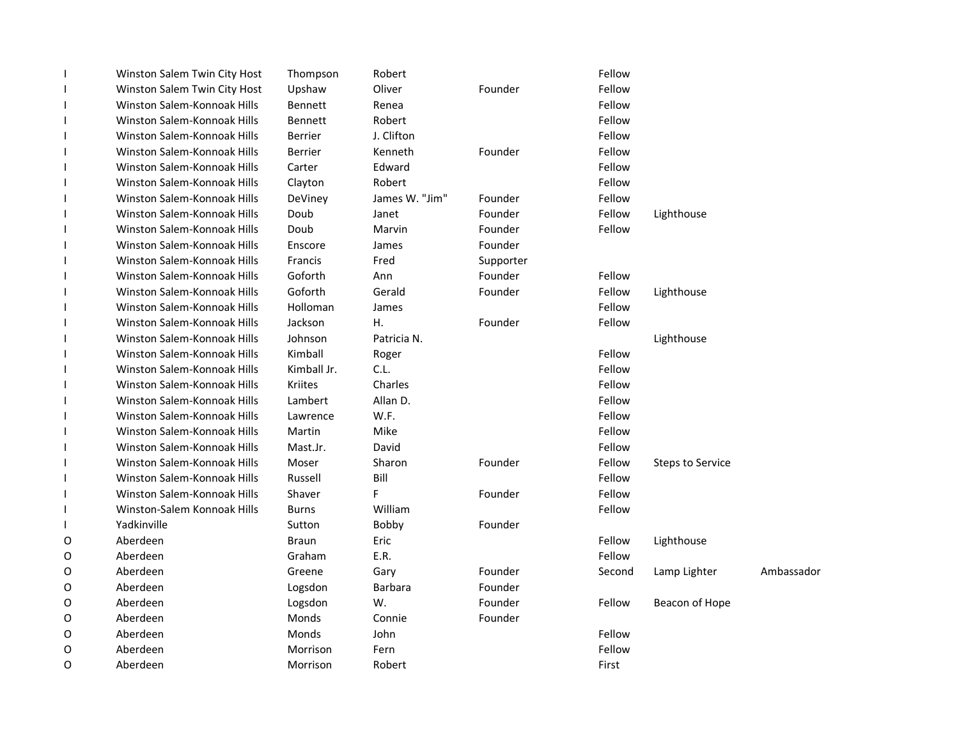|   | Winston Salem Twin City Host | Thompson       | Robert         |           | Fellow |                         |            |
|---|------------------------------|----------------|----------------|-----------|--------|-------------------------|------------|
|   | Winston Salem Twin City Host | Upshaw         | Oliver         | Founder   | Fellow |                         |            |
|   | Winston Salem-Konnoak Hills  | <b>Bennett</b> | Renea          |           | Fellow |                         |            |
|   | Winston Salem-Konnoak Hills  | <b>Bennett</b> | Robert         |           | Fellow |                         |            |
|   | Winston Salem-Konnoak Hills  | <b>Berrier</b> | J. Clifton     |           | Fellow |                         |            |
|   | Winston Salem-Konnoak Hills  | <b>Berrier</b> | Kenneth        | Founder   | Fellow |                         |            |
|   | Winston Salem-Konnoak Hills  | Carter         | Edward         |           | Fellow |                         |            |
|   | Winston Salem-Konnoak Hills  | Clayton        | Robert         |           | Fellow |                         |            |
|   | Winston Salem-Konnoak Hills  | DeViney        | James W. "Jim" | Founder   | Fellow |                         |            |
|   | Winston Salem-Konnoak Hills  | Doub           | Janet          | Founder   | Fellow | Lighthouse              |            |
|   | Winston Salem-Konnoak Hills  | Doub           | Marvin         | Founder   | Fellow |                         |            |
|   | Winston Salem-Konnoak Hills  | Enscore        | James          | Founder   |        |                         |            |
|   | Winston Salem-Konnoak Hills  | Francis        | Fred           | Supporter |        |                         |            |
|   | Winston Salem-Konnoak Hills  | Goforth        | Ann            | Founder   | Fellow |                         |            |
|   | Winston Salem-Konnoak Hills  | Goforth        | Gerald         | Founder   | Fellow | Lighthouse              |            |
|   | Winston Salem-Konnoak Hills  | Holloman       | James          |           | Fellow |                         |            |
|   | Winston Salem-Konnoak Hills  | Jackson        | Η.             | Founder   | Fellow |                         |            |
|   | Winston Salem-Konnoak Hills  | Johnson        | Patricia N.    |           |        | Lighthouse              |            |
|   | Winston Salem-Konnoak Hills  | Kimball        | Roger          |           | Fellow |                         |            |
|   | Winston Salem-Konnoak Hills  | Kimball Jr.    | C.L.           |           | Fellow |                         |            |
|   | Winston Salem-Konnoak Hills  | Kriites        | Charles        |           | Fellow |                         |            |
|   | Winston Salem-Konnoak Hills  | Lambert        | Allan D.       |           | Fellow |                         |            |
|   | Winston Salem-Konnoak Hills  | Lawrence       | W.F.           |           | Fellow |                         |            |
|   | Winston Salem-Konnoak Hills  | Martin         | Mike           |           | Fellow |                         |            |
|   | Winston Salem-Konnoak Hills  | Mast.Jr.       | David          |           | Fellow |                         |            |
|   | Winston Salem-Konnoak Hills  | Moser          | Sharon         | Founder   | Fellow | <b>Steps to Service</b> |            |
|   | Winston Salem-Konnoak Hills  | Russell        | Bill           |           | Fellow |                         |            |
|   | Winston Salem-Konnoak Hills  | Shaver         | F              | Founder   | Fellow |                         |            |
|   | Winston-Salem Konnoak Hills  | <b>Burns</b>   | William        |           | Fellow |                         |            |
|   | Yadkinville                  | Sutton         | Bobby          | Founder   |        |                         |            |
| O | Aberdeen                     | <b>Braun</b>   | Eric           |           | Fellow | Lighthouse              |            |
| O | Aberdeen                     | Graham         | E.R.           |           | Fellow |                         |            |
| O | Aberdeen                     | Greene         | Gary           | Founder   | Second | Lamp Lighter            | Ambassador |
| O | Aberdeen                     | Logsdon        | <b>Barbara</b> | Founder   |        |                         |            |
| O | Aberdeen                     | Logsdon        | W.             | Founder   | Fellow | Beacon of Hope          |            |
| O | Aberdeen                     | Monds          | Connie         | Founder   |        |                         |            |
| 0 | Aberdeen                     | Monds          | John           |           | Fellow |                         |            |
| O | Aberdeen                     | Morrison       | Fern           |           | Fellow |                         |            |
| O | Aberdeen                     | Morrison       | Robert         |           | First  |                         |            |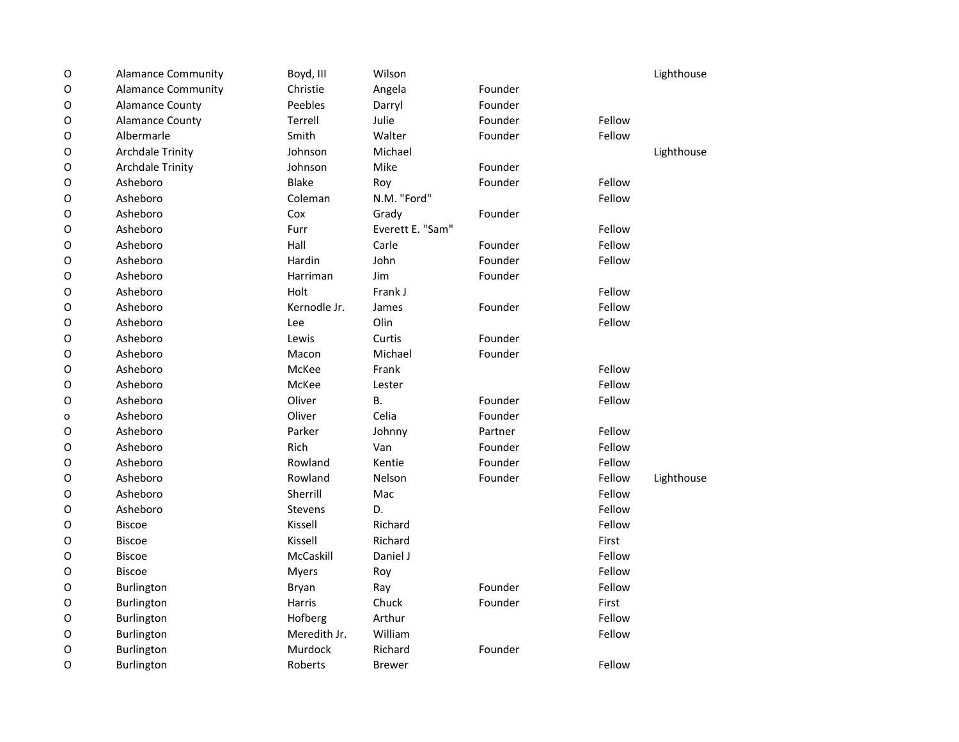| $\mathsf O$  | <b>Alamance Community</b> | Boyd, III    | Wilson           |         |        | Lighthouse |
|--------------|---------------------------|--------------|------------------|---------|--------|------------|
| $\mathsf O$  | <b>Alamance Community</b> | Christie     | Angela           | Founder |        |            |
| $\mathsf O$  | <b>Alamance County</b>    | Peebles      | Darryl           | Founder |        |            |
| $\mathsf O$  | <b>Alamance County</b>    | Terrell      | Julie            | Founder | Fellow |            |
| $\mathsf O$  | Albermarle                | Smith        | Walter           | Founder | Fellow |            |
| $\mathsf O$  | <b>Archdale Trinity</b>   | Johnson      | Michael          |         |        | Lighthouse |
| $\mathsf O$  | <b>Archdale Trinity</b>   | Johnson      | Mike             | Founder |        |            |
| $\mathsf O$  | Asheboro                  | <b>Blake</b> | Roy              | Founder | Fellow |            |
| $\circ$      | Asheboro                  | Coleman      | N.M. "Ford"      |         | Fellow |            |
| $\mathsf O$  | Asheboro                  | Cox          | Grady            | Founder |        |            |
| $\mathsf O$  | Asheboro                  | Furr         | Everett E. "Sam" |         | Fellow |            |
| $\mathsf O$  | Asheboro                  | Hall         | Carle            | Founder | Fellow |            |
| $\mathsf O$  | Asheboro                  | Hardin       | John             | Founder | Fellow |            |
| $\mathsf O$  | Asheboro                  | Harriman     | Jim              | Founder |        |            |
| $\mathsf O$  | Asheboro                  | Holt         | Frank J          |         | Fellow |            |
| $\mathsf O$  | Asheboro                  | Kernodle Jr. | James            | Founder | Fellow |            |
| $\mathsf O$  | Asheboro                  | Lee          | Olin             |         | Fellow |            |
| $\mathsf O$  | Asheboro                  | Lewis        | Curtis           | Founder |        |            |
| $\circ$      | Asheboro                  | Macon        | Michael          | Founder |        |            |
| $\mathsf O$  | Asheboro                  | McKee        | Frank            |         | Fellow |            |
| O            | Asheboro                  | McKee        | Lester           |         | Fellow |            |
| $\mathsf O$  | Asheboro                  | Oliver       | <b>B.</b>        | Founder | Fellow |            |
| $\mathsf{o}$ | Asheboro                  | Oliver       | Celia            | Founder |        |            |
| $\mathsf O$  | Asheboro                  | Parker       | Johnny           | Partner | Fellow |            |
| $\circ$      | Asheboro                  | Rich         | Van              | Founder | Fellow |            |
| $\mathsf O$  | Asheboro                  | Rowland      | Kentie           | Founder | Fellow |            |
| $\mathsf O$  | Asheboro                  | Rowland      | Nelson           | Founder | Fellow | Lighthouse |
| $\mathsf O$  | Asheboro                  | Sherrill     | Mac              |         | Fellow |            |
| $\mathsf O$  | Asheboro                  | Stevens      | D.               |         | Fellow |            |
| $\mathsf O$  | <b>Biscoe</b>             | Kissell      | Richard          |         | Fellow |            |
| O            | <b>Biscoe</b>             | Kissell      | Richard          |         | First  |            |
| $\mathsf O$  | <b>Biscoe</b>             | McCaskill    | Daniel J         |         | Fellow |            |
| $\mathsf O$  | <b>Biscoe</b>             | Myers        | Roy              |         | Fellow |            |
| $\mathsf O$  | Burlington                | Bryan        | Ray              | Founder | Fellow |            |
| $\mathsf O$  | Burlington                | Harris       | Chuck            | Founder | First  |            |
| $\mathsf O$  | Burlington                | Hofberg      | Arthur           |         | Fellow |            |
| O            | Burlington                | Meredith Jr. | William          |         | Fellow |            |
| $\mathsf O$  | Burlington                | Murdock      | Richard          | Founder |        |            |
| O            | Burlington                | Roberts      | <b>Brewer</b>    |         | Fellow |            |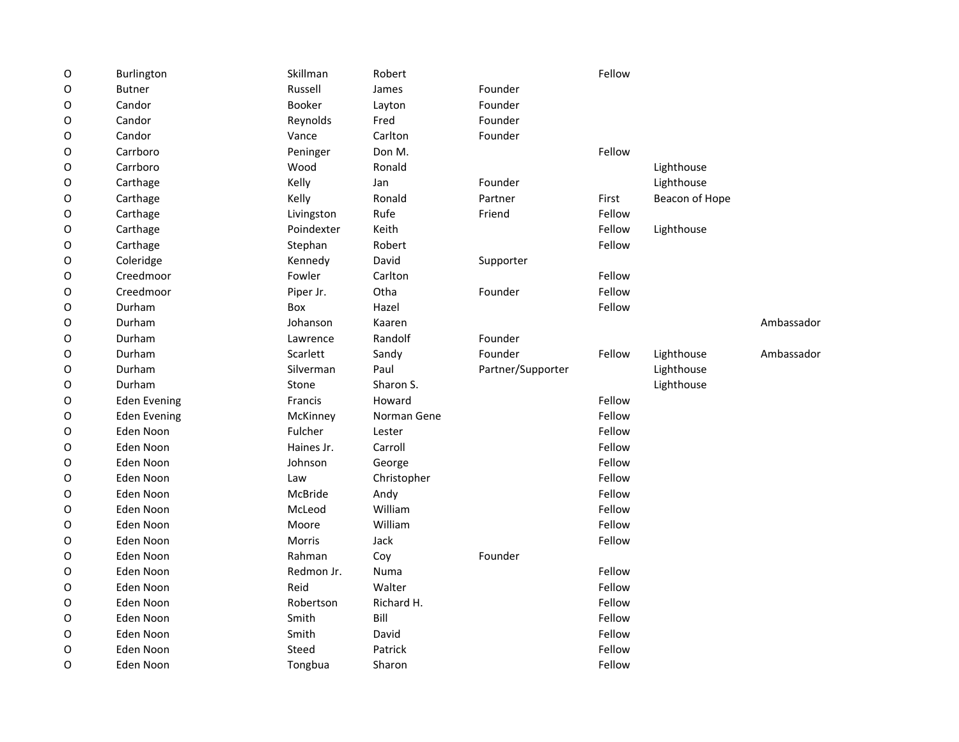| $\mathsf O$ | Burlington          | Skillman   | Robert      |                   | Fellow |                |            |
|-------------|---------------------|------------|-------------|-------------------|--------|----------------|------------|
| O           | <b>Butner</b>       | Russell    | James       | Founder           |        |                |            |
| O           | Candor              | Booker     | Layton      | Founder           |        |                |            |
| O           | Candor              | Reynolds   | Fred        | Founder           |        |                |            |
| O           | Candor              | Vance      | Carlton     | Founder           |        |                |            |
| O           | Carrboro            | Peninger   | Don M.      |                   | Fellow |                |            |
| O           | Carrboro            | Wood       | Ronald      |                   |        | Lighthouse     |            |
| O           | Carthage            | Kelly      | Jan         | Founder           |        | Lighthouse     |            |
| O           | Carthage            | Kelly      | Ronald      | Partner           | First  | Beacon of Hope |            |
| O           | Carthage            | Livingston | Rufe        | Friend            | Fellow |                |            |
| O           | Carthage            | Poindexter | Keith       |                   | Fellow | Lighthouse     |            |
| O           | Carthage            | Stephan    | Robert      |                   | Fellow |                |            |
| O           | Coleridge           | Kennedy    | David       | Supporter         |        |                |            |
| O           | Creedmoor           | Fowler     | Carlton     |                   | Fellow |                |            |
| O           | Creedmoor           | Piper Jr.  | Otha        | Founder           | Fellow |                |            |
| O           | Durham              | Box        | Hazel       |                   | Fellow |                |            |
| O           | Durham              | Johanson   | Kaaren      |                   |        |                | Ambassador |
| O           | Durham              | Lawrence   | Randolf     | Founder           |        |                |            |
| O           | Durham              | Scarlett   | Sandy       | Founder           | Fellow | Lighthouse     | Ambassador |
| 0           | Durham              | Silverman  | Paul        | Partner/Supporter |        | Lighthouse     |            |
| 0           | Durham              | Stone      | Sharon S.   |                   |        | Lighthouse     |            |
| 0           | <b>Eden Evening</b> | Francis    | Howard      |                   | Fellow |                |            |
| O           | <b>Eden Evening</b> | McKinney   | Norman Gene |                   | Fellow |                |            |
| O           | Eden Noon           | Fulcher    | Lester      |                   | Fellow |                |            |
| 0           | Eden Noon           | Haines Jr. | Carroll     |                   | Fellow |                |            |
| 0           | Eden Noon           | Johnson    | George      |                   | Fellow |                |            |
| O           | Eden Noon           | Law        | Christopher |                   | Fellow |                |            |
| O           | Eden Noon           | McBride    | Andy        |                   | Fellow |                |            |
| O           | Eden Noon           | McLeod     | William     |                   | Fellow |                |            |
| O           | Eden Noon           | Moore      | William     |                   | Fellow |                |            |
| O           | Eden Noon           | Morris     | Jack        |                   | Fellow |                |            |
| O           | Eden Noon           | Rahman     | Coy         | Founder           |        |                |            |
| O           | Eden Noon           | Redmon Jr. | Numa        |                   | Fellow |                |            |
| O           | Eden Noon           | Reid       | Walter      |                   | Fellow |                |            |
| O           | Eden Noon           | Robertson  | Richard H.  |                   | Fellow |                |            |
| O           | Eden Noon           | Smith      | Bill        |                   | Fellow |                |            |
| O           | Eden Noon           | Smith      | David       |                   | Fellow |                |            |
| O           | Eden Noon           | Steed      | Patrick     |                   | Fellow |                |            |
| O           | Eden Noon           | Tongbua    | Sharon      |                   | Fellow |                |            |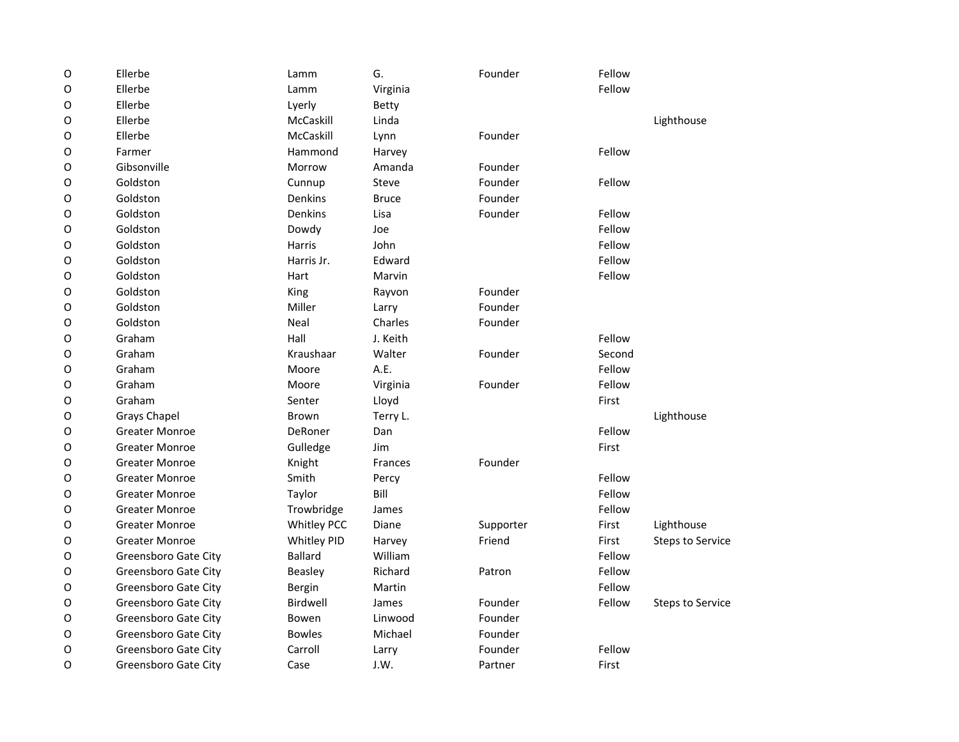| $\mathsf O$ | Ellerbe               | Lamm               | G.           | Founder   | Fellow |                         |
|-------------|-----------------------|--------------------|--------------|-----------|--------|-------------------------|
| $\mathsf O$ | Ellerbe               | Lamm               | Virginia     |           | Fellow |                         |
| $\mathsf O$ | Ellerbe               | Lyerly             | Betty        |           |        |                         |
| O           | Ellerbe               | McCaskill          | Linda        |           |        | Lighthouse              |
| O           | Ellerbe               | McCaskill          | Lynn         | Founder   |        |                         |
| $\mathsf O$ | Farmer                | Hammond            | Harvey       |           | Fellow |                         |
| O           | Gibsonville           | Morrow             | Amanda       | Founder   |        |                         |
| O           | Goldston              | Cunnup             | <b>Steve</b> | Founder   | Fellow |                         |
| O           | Goldston              | Denkins            | <b>Bruce</b> | Founder   |        |                         |
| O           | Goldston              | Denkins            | Lisa         | Founder   | Fellow |                         |
| O           | Goldston              | Dowdy              | Joe          |           | Fellow |                         |
| O           | Goldston              | Harris             | John         |           | Fellow |                         |
| O           | Goldston              | Harris Jr.         | Edward       |           | Fellow |                         |
| O           | Goldston              | Hart               | Marvin       |           | Fellow |                         |
| $\mathsf O$ | Goldston              | King               | Rayvon       | Founder   |        |                         |
| $\mathsf O$ | Goldston              | Miller             | Larry        | Founder   |        |                         |
| O           | Goldston              | Neal               | Charles      | Founder   |        |                         |
| O           | Graham                | Hall               | J. Keith     |           | Fellow |                         |
| O           | Graham                | Kraushaar          | Walter       | Founder   | Second |                         |
| O           | Graham                | Moore              | A.E.         |           | Fellow |                         |
| $\mathsf O$ | Graham                | Moore              | Virginia     | Founder   | Fellow |                         |
| O           | Graham                | Senter             | Lloyd        |           | First  |                         |
| O           | <b>Grays Chapel</b>   | Brown              | Terry L.     |           |        | Lighthouse              |
| O           | <b>Greater Monroe</b> | <b>DeRoner</b>     | Dan          |           | Fellow |                         |
| O           | <b>Greater Monroe</b> | Gulledge           | Jim          |           | First  |                         |
| O           | <b>Greater Monroe</b> | Knight             | Frances      | Founder   |        |                         |
| $\mathsf O$ | <b>Greater Monroe</b> | Smith              | Percy        |           | Fellow |                         |
| $\mathsf O$ | <b>Greater Monroe</b> | Taylor             | Bill         |           | Fellow |                         |
| $\mathsf O$ | <b>Greater Monroe</b> | Trowbridge         | James        |           | Fellow |                         |
| O           | <b>Greater Monroe</b> | <b>Whitley PCC</b> | Diane        | Supporter | First  | Lighthouse              |
| O           | <b>Greater Monroe</b> | Whitley PID        | Harvey       | Friend    | First  | <b>Steps to Service</b> |
| O           | Greensboro Gate City  | <b>Ballard</b>     | William      |           | Fellow |                         |
| O           | Greensboro Gate City  | <b>Beasley</b>     | Richard      | Patron    | Fellow |                         |
| $\mathsf O$ | Greensboro Gate City  | Bergin             | Martin       |           | Fellow |                         |
| O           | Greensboro Gate City  | <b>Birdwell</b>    | James        | Founder   | Fellow | <b>Steps to Service</b> |
| O           | Greensboro Gate City  | Bowen              | Linwood      | Founder   |        |                         |
| O           | Greensboro Gate City  | <b>Bowles</b>      | Michael      | Founder   |        |                         |
| O           | Greensboro Gate City  | Carroll            | Larry        | Founder   | Fellow |                         |
| O           | Greensboro Gate City  | Case               | J.W.         | Partner   | First  |                         |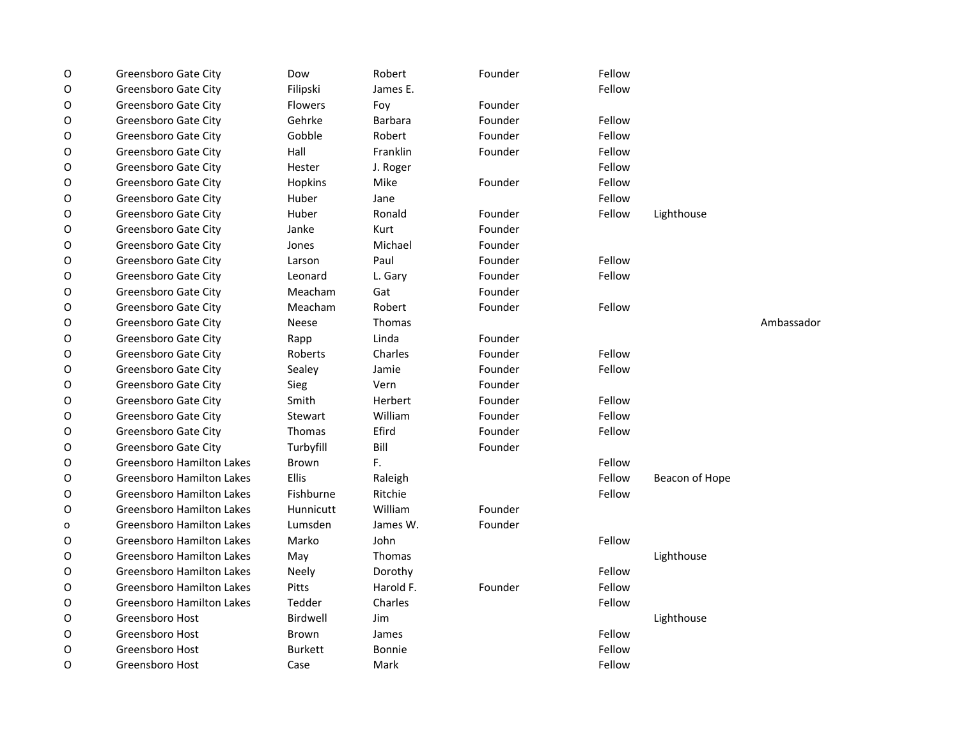| O | Greensboro Gate City             | Dow             | Robert         | Founder | Fellow |                |            |
|---|----------------------------------|-----------------|----------------|---------|--------|----------------|------------|
| O | Greensboro Gate City             | Filipski        | James E.       |         | Fellow |                |            |
| O | Greensboro Gate City             | <b>Flowers</b>  | Foy            | Founder |        |                |            |
| O | Greensboro Gate City             | Gehrke          | <b>Barbara</b> | Founder | Fellow |                |            |
| O | Greensboro Gate City             | Gobble          | Robert         | Founder | Fellow |                |            |
| O | Greensboro Gate City             | Hall            | Franklin       | Founder | Fellow |                |            |
| O | Greensboro Gate City             | Hester          | J. Roger       |         | Fellow |                |            |
| O | Greensboro Gate City             | Hopkins         | Mike           | Founder | Fellow |                |            |
| O | Greensboro Gate City             | Huber           | Jane           |         | Fellow |                |            |
| O | Greensboro Gate City             | Huber           | Ronald         | Founder | Fellow | Lighthouse     |            |
| O | Greensboro Gate City             | Janke           | Kurt           | Founder |        |                |            |
| O | Greensboro Gate City             | Jones           | Michael        | Founder |        |                |            |
| O | Greensboro Gate City             | Larson          | Paul           | Founder | Fellow |                |            |
| O | Greensboro Gate City             | Leonard         | L. Gary        | Founder | Fellow |                |            |
| O | Greensboro Gate City             | Meacham         | Gat            | Founder |        |                |            |
| O | Greensboro Gate City             | Meacham         | Robert         | Founder | Fellow |                |            |
| O | Greensboro Gate City             | <b>Neese</b>    | Thomas         |         |        |                | Ambassador |
| O | Greensboro Gate City             | Rapp            | Linda          | Founder |        |                |            |
| O | Greensboro Gate City             | Roberts         | Charles        | Founder | Fellow |                |            |
| O | Greensboro Gate City             | Sealey          | Jamie          | Founder | Fellow |                |            |
| O | Greensboro Gate City             | Sieg            | Vern           | Founder |        |                |            |
| O | Greensboro Gate City             | Smith           | Herbert        | Founder | Fellow |                |            |
| O | Greensboro Gate City             | Stewart         | William        | Founder | Fellow |                |            |
| O | Greensboro Gate City             | Thomas          | Efird          | Founder | Fellow |                |            |
| O | Greensboro Gate City             | Turbyfill       | Bill           | Founder |        |                |            |
| O | <b>Greensboro Hamilton Lakes</b> | <b>Brown</b>    | F.             |         | Fellow |                |            |
| O | <b>Greensboro Hamilton Lakes</b> | Ellis           | Raleigh        |         | Fellow | Beacon of Hope |            |
| O | <b>Greensboro Hamilton Lakes</b> | Fishburne       | Ritchie        |         | Fellow |                |            |
| O | <b>Greensboro Hamilton Lakes</b> | Hunnicutt       | William        | Founder |        |                |            |
| o | <b>Greensboro Hamilton Lakes</b> | Lumsden         | James W.       | Founder |        |                |            |
| O | <b>Greensboro Hamilton Lakes</b> | Marko           | John           |         | Fellow |                |            |
| O | <b>Greensboro Hamilton Lakes</b> | May             | Thomas         |         |        | Lighthouse     |            |
| O | <b>Greensboro Hamilton Lakes</b> | Neely           | Dorothy        |         | Fellow |                |            |
| O | Greensboro Hamilton Lakes        | Pitts           | Harold F.      | Founder | Fellow |                |            |
| O | <b>Greensboro Hamilton Lakes</b> | Tedder          | Charles        |         | Fellow |                |            |
| O | Greensboro Host                  | <b>Birdwell</b> | Jim            |         |        | Lighthouse     |            |
| O | Greensboro Host                  | Brown           | James          |         | Fellow |                |            |
| O | Greensboro Host                  | <b>Burkett</b>  | <b>Bonnie</b>  |         | Fellow |                |            |
| O | Greensboro Host                  | Case            | Mark           |         | Fellow |                |            |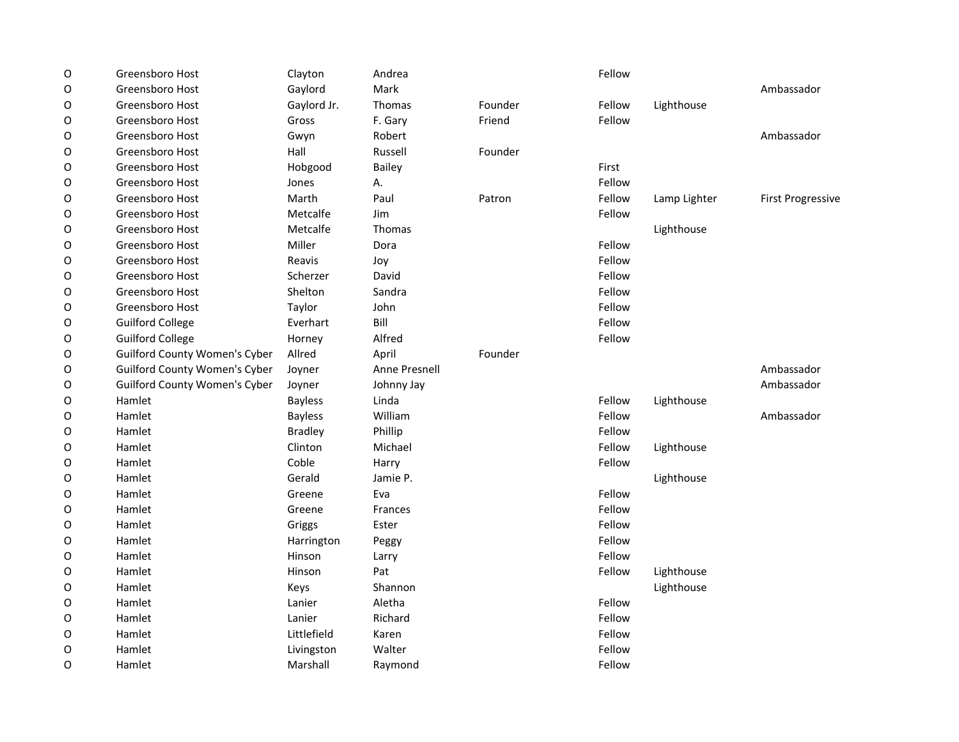| O | Greensboro Host                      | Clayton        | Andrea        |         | Fellow |              |                          |
|---|--------------------------------------|----------------|---------------|---------|--------|--------------|--------------------------|
| O | Greensboro Host                      | Gaylord        | Mark          |         |        |              | Ambassador               |
| O | Greensboro Host                      | Gaylord Jr.    | Thomas        | Founder | Fellow | Lighthouse   |                          |
| O | Greensboro Host                      | Gross          | F. Gary       | Friend  | Fellow |              |                          |
| 0 | Greensboro Host                      | Gwyn           | Robert        |         |        |              | Ambassador               |
| O | Greensboro Host                      | Hall           | Russell       | Founder |        |              |                          |
| O | Greensboro Host                      | Hobgood        | <b>Bailey</b> |         | First  |              |                          |
| O | Greensboro Host                      | Jones          | А.            |         | Fellow |              |                          |
| O | Greensboro Host                      | Marth          | Paul          | Patron  | Fellow | Lamp Lighter | <b>First Progressive</b> |
| O | Greensboro Host                      | Metcalfe       | Jim           |         | Fellow |              |                          |
| 0 | Greensboro Host                      | Metcalfe       | Thomas        |         |        | Lighthouse   |                          |
| O | Greensboro Host                      | Miller         | Dora          |         | Fellow |              |                          |
| O | Greensboro Host                      | Reavis         | Joy           |         | Fellow |              |                          |
| O | Greensboro Host                      | Scherzer       | David         |         | Fellow |              |                          |
| O | Greensboro Host                      | Shelton        | Sandra        |         | Fellow |              |                          |
| O | Greensboro Host                      | Taylor         | John          |         | Fellow |              |                          |
| 0 | <b>Guilford College</b>              | Everhart       | Bill          |         | Fellow |              |                          |
| O | <b>Guilford College</b>              | Horney         | Alfred        |         | Fellow |              |                          |
| 0 | <b>Guilford County Women's Cyber</b> | Allred         | April         | Founder |        |              |                          |
| O | <b>Guilford County Women's Cyber</b> | Joyner         | Anne Presnell |         |        |              | Ambassador               |
| 0 | <b>Guilford County Women's Cyber</b> | Joyner         | Johnny Jay    |         |        |              | Ambassador               |
| 0 | Hamlet                               | <b>Bayless</b> | Linda         |         | Fellow | Lighthouse   |                          |
| 0 | Hamlet                               | <b>Bayless</b> | William       |         | Fellow |              | Ambassador               |
| O | Hamlet                               | <b>Bradley</b> | Phillip       |         | Fellow |              |                          |
| O | Hamlet                               | Clinton        | Michael       |         | Fellow | Lighthouse   |                          |
| O | Hamlet                               | Coble          | Harry         |         | Fellow |              |                          |
| O | Hamlet                               | Gerald         | Jamie P.      |         |        | Lighthouse   |                          |
| O | Hamlet                               | Greene         | Eva           |         | Fellow |              |                          |
| 0 | Hamlet                               | Greene         | Frances       |         | Fellow |              |                          |
| O | Hamlet                               | Griggs         | Ester         |         | Fellow |              |                          |
| 0 | Hamlet                               | Harrington     | Peggy         |         | Fellow |              |                          |
| O | Hamlet                               | Hinson         | Larry         |         | Fellow |              |                          |
| O | Hamlet                               | Hinson         | Pat           |         | Fellow | Lighthouse   |                          |
| O | Hamlet                               | Keys           | Shannon       |         |        | Lighthouse   |                          |
| O | Hamlet                               | Lanier         | Aletha        |         | Fellow |              |                          |
| O | Hamlet                               | Lanier         | Richard       |         | Fellow |              |                          |
| O | Hamlet                               | Littlefield    | Karen         |         | Fellow |              |                          |
| O | Hamlet                               | Livingston     | Walter        |         | Fellow |              |                          |
| O | Hamlet                               | Marshall       | Raymond       |         | Fellow |              |                          |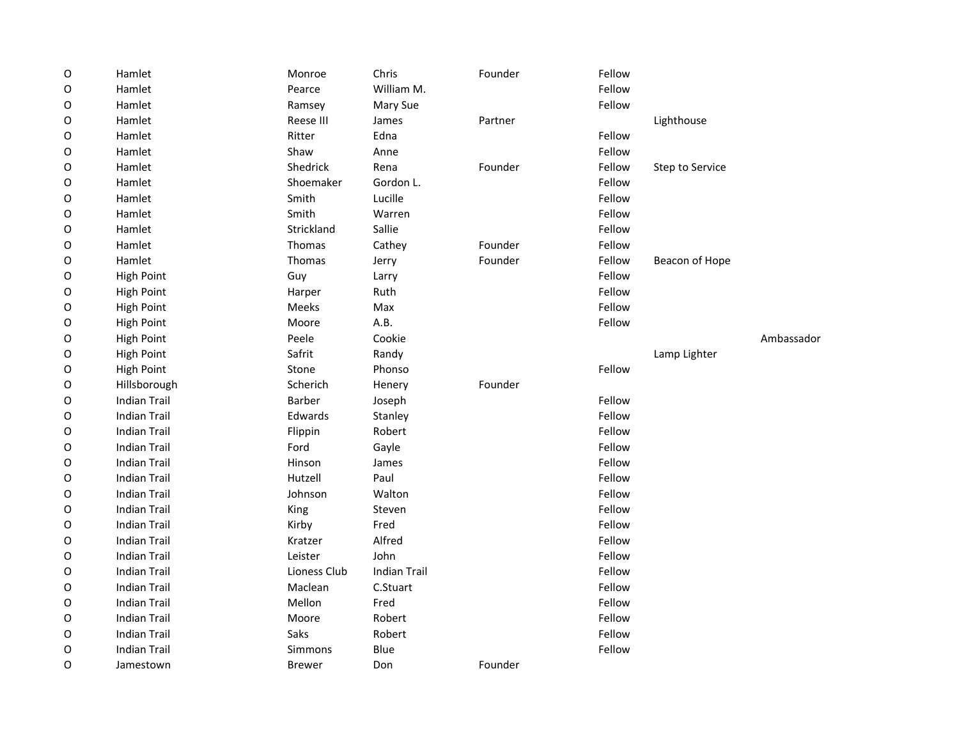| $\circ$     | Hamlet              | Monroe        | Chris               | Founder | Fellow |                 |            |
|-------------|---------------------|---------------|---------------------|---------|--------|-----------------|------------|
| O           | Hamlet              | Pearce        | William M.          |         | Fellow |                 |            |
| O           | Hamlet              | Ramsey        | Mary Sue            |         | Fellow |                 |            |
| O           | Hamlet              | Reese III     | James               | Partner |        | Lighthouse      |            |
| O           | Hamlet              | Ritter        | Edna                |         | Fellow |                 |            |
| O           | Hamlet              | Shaw          | Anne                |         | Fellow |                 |            |
| O           | Hamlet              | Shedrick      | Rena                | Founder | Fellow | Step to Service |            |
| O           | Hamlet              | Shoemaker     | Gordon L.           |         | Fellow |                 |            |
| O           | Hamlet              | Smith         | Lucille             |         | Fellow |                 |            |
| O           | Hamlet              | Smith         | Warren              |         | Fellow |                 |            |
| O           | Hamlet              | Strickland    | Sallie              |         | Fellow |                 |            |
| O           | Hamlet              | Thomas        | Cathey              | Founder | Fellow |                 |            |
| 0           | Hamlet              | Thomas        | Jerry               | Founder | Fellow | Beacon of Hope  |            |
| $\mathsf O$ | <b>High Point</b>   | Guy           | Larry               |         | Fellow |                 |            |
| O           | <b>High Point</b>   | Harper        | Ruth                |         | Fellow |                 |            |
| O           | High Point          | Meeks         | Max                 |         | Fellow |                 |            |
| O           | <b>High Point</b>   | Moore         | A.B.                |         | Fellow |                 |            |
| O           | High Point          | Peele         | Cookie              |         |        |                 | Ambassador |
| O           | <b>High Point</b>   | Safrit        | Randy               |         |        | Lamp Lighter    |            |
| O           | <b>High Point</b>   | Stone         | Phonso              |         | Fellow |                 |            |
| O           | Hillsborough        | Scherich      | Henery              | Founder |        |                 |            |
| O           | <b>Indian Trail</b> | <b>Barber</b> | Joseph              |         | Fellow |                 |            |
| O           | <b>Indian Trail</b> | Edwards       | Stanley             |         | Fellow |                 |            |
| O           | <b>Indian Trail</b> | Flippin       | Robert              |         | Fellow |                 |            |
| O           | <b>Indian Trail</b> | Ford          | Gayle               |         | Fellow |                 |            |
| O           | <b>Indian Trail</b> | Hinson        | James               |         | Fellow |                 |            |
| $\mathsf O$ | <b>Indian Trail</b> | Hutzell       | Paul                |         | Fellow |                 |            |
| O           | <b>Indian Trail</b> | Johnson       | Walton              |         | Fellow |                 |            |
| O           | <b>Indian Trail</b> | King          | Steven              |         | Fellow |                 |            |
| O           | <b>Indian Trail</b> | Kirby         | Fred                |         | Fellow |                 |            |
| O           | <b>Indian Trail</b> | Kratzer       | Alfred              |         | Fellow |                 |            |
| O           | <b>Indian Trail</b> | Leister       | John                |         | Fellow |                 |            |
| O           | <b>Indian Trail</b> | Lioness Club  | <b>Indian Trail</b> |         | Fellow |                 |            |
| O           | <b>Indian Trail</b> | Maclean       | C.Stuart            |         | Fellow |                 |            |
| O           | <b>Indian Trail</b> | Mellon        | Fred                |         | Fellow |                 |            |
| O           | <b>Indian Trail</b> | Moore         | Robert              |         | Fellow |                 |            |
| O           | <b>Indian Trail</b> | Saks          | Robert              |         | Fellow |                 |            |
| O           | <b>Indian Trail</b> | Simmons       | Blue                |         | Fellow |                 |            |
| 0           | Jamestown           | <b>Brewer</b> | Don                 | Founder |        |                 |            |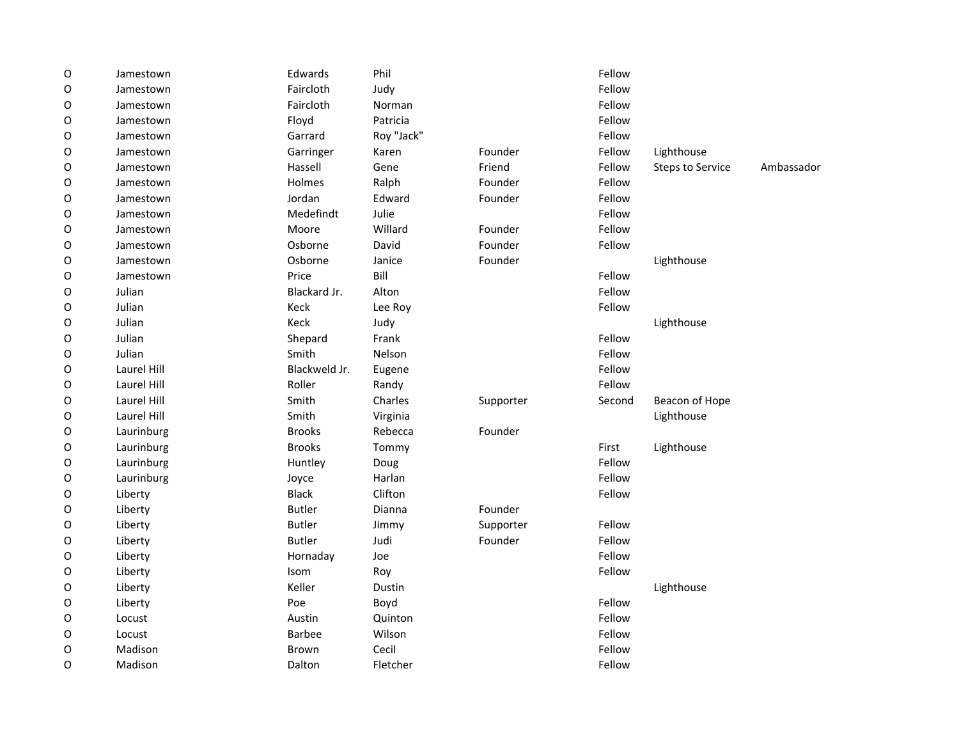| $\mathsf O$ | Jamestown   | Edwards       | Phil       |           | Fellow |                                       |  |
|-------------|-------------|---------------|------------|-----------|--------|---------------------------------------|--|
| O           | Jamestown   | Faircloth     | Judy       |           | Fellow |                                       |  |
| O           | Jamestown   | Faircloth     | Norman     |           | Fellow |                                       |  |
| O           | Jamestown   | Floyd         | Patricia   |           | Fellow |                                       |  |
| O           | Jamestown   | Garrard       | Roy "Jack" |           | Fellow |                                       |  |
| O           | Jamestown   | Garringer     | Karen      | Founder   | Fellow | Lighthouse                            |  |
| O           | Jamestown   | Hassell       | Gene       | Friend    | Fellow | Ambassador<br><b>Steps to Service</b> |  |
| 0           | Jamestown   | Holmes        | Ralph      | Founder   | Fellow |                                       |  |
| 0           | Jamestown   | Jordan        | Edward     | Founder   | Fellow |                                       |  |
| O           | Jamestown   | Medefindt     | Julie      |           | Fellow |                                       |  |
| O           | Jamestown   | Moore         | Willard    | Founder   | Fellow |                                       |  |
| O           | Jamestown   | Osborne       | David      | Founder   | Fellow |                                       |  |
| O           | Jamestown   | Osborne       | Janice     | Founder   |        | Lighthouse                            |  |
| 0           | Jamestown   | Price         | Bill       |           | Fellow |                                       |  |
| 0           | Julian      | Blackard Jr.  | Alton      |           | Fellow |                                       |  |
| O           | Julian      | Keck          | Lee Roy    |           | Fellow |                                       |  |
| O           | Julian      | Keck          | Judy       |           |        | Lighthouse                            |  |
| 0           | Julian      | Shepard       | Frank      |           | Fellow |                                       |  |
| 0           | Julian      | Smith         | Nelson     |           | Fellow |                                       |  |
| 0           | Laurel Hill | Blackweld Jr. | Eugene     |           | Fellow |                                       |  |
| O           | Laurel Hill | Roller        | Randy      |           | Fellow |                                       |  |
| O           | Laurel Hill | Smith         | Charles    | Supporter | Second | Beacon of Hope                        |  |
| O           | Laurel Hill | Smith         | Virginia   |           |        | Lighthouse                            |  |
| O           | Laurinburg  | <b>Brooks</b> | Rebecca    | Founder   |        |                                       |  |
| 0           | Laurinburg  | <b>Brooks</b> | Tommy      |           | First  | Lighthouse                            |  |
| 0           | Laurinburg  | Huntley       | Doug       |           | Fellow |                                       |  |
| O           | Laurinburg  | Joyce         | Harlan     |           | Fellow |                                       |  |
| 0           | Liberty     | <b>Black</b>  | Clifton    |           | Fellow |                                       |  |
| 0           | Liberty     | <b>Butler</b> | Dianna     | Founder   |        |                                       |  |
| 0           | Liberty     | <b>Butler</b> | Jimmy      | Supporter | Fellow |                                       |  |
| 0           | Liberty     | <b>Butler</b> | Judi       | Founder   | Fellow |                                       |  |
| O           | Liberty     | Hornaday      | Joe        |           | Fellow |                                       |  |
| O           | Liberty     | Isom          | Roy        |           | Fellow |                                       |  |
| 0           | Liberty     | Keller        | Dustin     |           |        | Lighthouse                            |  |
| 0           | Liberty     | Poe           | Boyd       |           | Fellow |                                       |  |
| 0           | Locust      | Austin        | Quinton    |           | Fellow |                                       |  |
| O           | Locust      | <b>Barbee</b> | Wilson     |           | Fellow |                                       |  |
| O           | Madison     | Brown         | Cecil      |           | Fellow |                                       |  |
| O           | Madison     | Dalton        | Fletcher   |           | Fellow |                                       |  |
|             |             |               |            |           |        |                                       |  |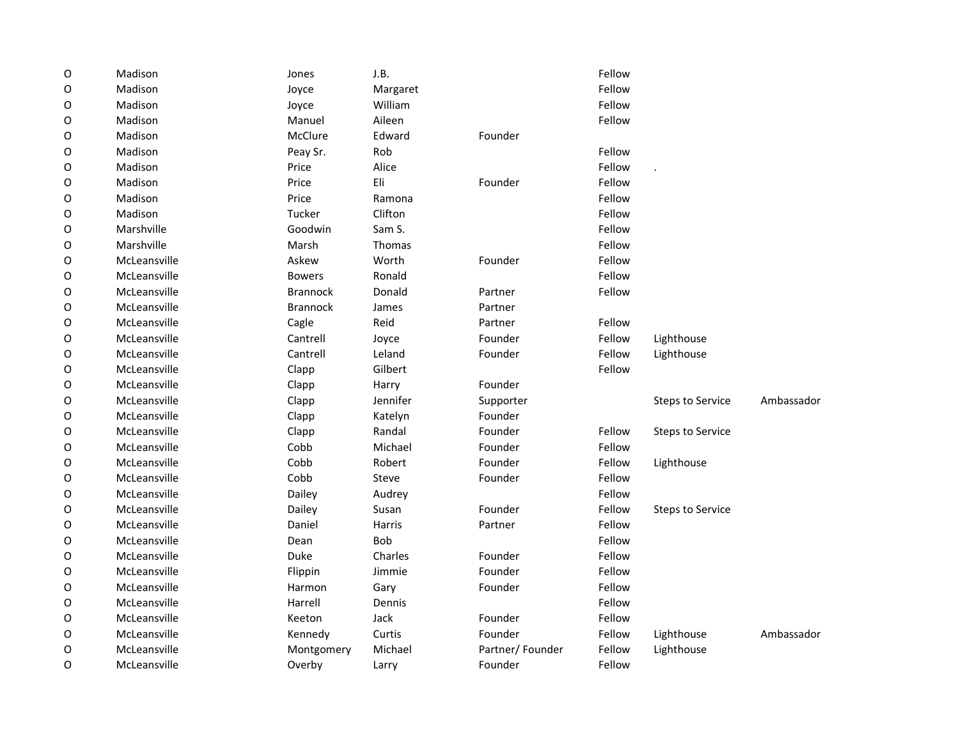| $\mathsf O$ | Madison      | Jones           | J.B.          |                 | Fellow |                         |            |
|-------------|--------------|-----------------|---------------|-----------------|--------|-------------------------|------------|
| O           | Madison      | Joyce           | Margaret      |                 | Fellow |                         |            |
| O           | Madison      | Joyce           | William       |                 | Fellow |                         |            |
| O           | Madison      | Manuel          | Aileen        |                 | Fellow |                         |            |
| O           | Madison      | McClure         | Edward        | Founder         |        |                         |            |
| O           | Madison      | Peay Sr.        | Rob           |                 | Fellow |                         |            |
| O           | Madison      | Price           | Alice         |                 | Fellow |                         |            |
| O           | Madison      | Price           | Eli           | Founder         | Fellow |                         |            |
| O           | Madison      | Price           | Ramona        |                 | Fellow |                         |            |
| O           | Madison      | Tucker          | Clifton       |                 | Fellow |                         |            |
| O           | Marshville   | Goodwin         | Sam S.        |                 | Fellow |                         |            |
| O           | Marshville   | Marsh           | Thomas        |                 | Fellow |                         |            |
| O           | McLeansville | Askew           | Worth         | Founder         | Fellow |                         |            |
| O           | McLeansville | <b>Bowers</b>   | Ronald        |                 | Fellow |                         |            |
| O           | McLeansville | <b>Brannock</b> | Donald        | Partner         | Fellow |                         |            |
| O           | McLeansville | <b>Brannock</b> | James         | Partner         |        |                         |            |
| O           | McLeansville | Cagle           | Reid          | Partner         | Fellow |                         |            |
| O           | McLeansville | Cantrell        | Joyce         | Founder         | Fellow | Lighthouse              |            |
| O           | McLeansville | Cantrell        | Leland        | Founder         | Fellow | Lighthouse              |            |
| O           | McLeansville | Clapp           | Gilbert       |                 | Fellow |                         |            |
| O           | McLeansville | Clapp           | Harry         | Founder         |        |                         |            |
| O           | McLeansville | Clapp           | Jennifer      | Supporter       |        | <b>Steps to Service</b> | Ambassador |
| O           | McLeansville | Clapp           | Katelyn       | Founder         |        |                         |            |
| O           | McLeansville | Clapp           | Randal        | Founder         | Fellow | <b>Steps to Service</b> |            |
| O           | McLeansville | Cobb            | Michael       | Founder         | Fellow |                         |            |
| O           | McLeansville | Cobb            | Robert        | Founder         | Fellow | Lighthouse              |            |
| O           | McLeansville | Cobb            | Steve         | Founder         | Fellow |                         |            |
| O           | McLeansville | Dailey          | Audrey        |                 | Fellow |                         |            |
| O           | McLeansville | Dailey          | Susan         | Founder         | Fellow | <b>Steps to Service</b> |            |
| O           | McLeansville | Daniel          | <b>Harris</b> | Partner         | Fellow |                         |            |
| O           | McLeansville | Dean            | <b>Bob</b>    |                 | Fellow |                         |            |
| O           | McLeansville | Duke            | Charles       | Founder         | Fellow |                         |            |
| O           | McLeansville | Flippin         | Jimmie        | Founder         | Fellow |                         |            |
| O           | McLeansville | Harmon          | Gary          | Founder         | Fellow |                         |            |
| O           | McLeansville | Harrell         | Dennis        |                 | Fellow |                         |            |
| O           | McLeansville | Keeton          | Jack          | Founder         | Fellow |                         |            |
| $\circ$     | McLeansville | Kennedy         | Curtis        | Founder         | Fellow | Lighthouse              | Ambassador |
| O           | McLeansville | Montgomery      | Michael       | Partner/Founder | Fellow | Lighthouse              |            |
| O           | McLeansville | Overby          | Larry         | Founder         | Fellow |                         |            |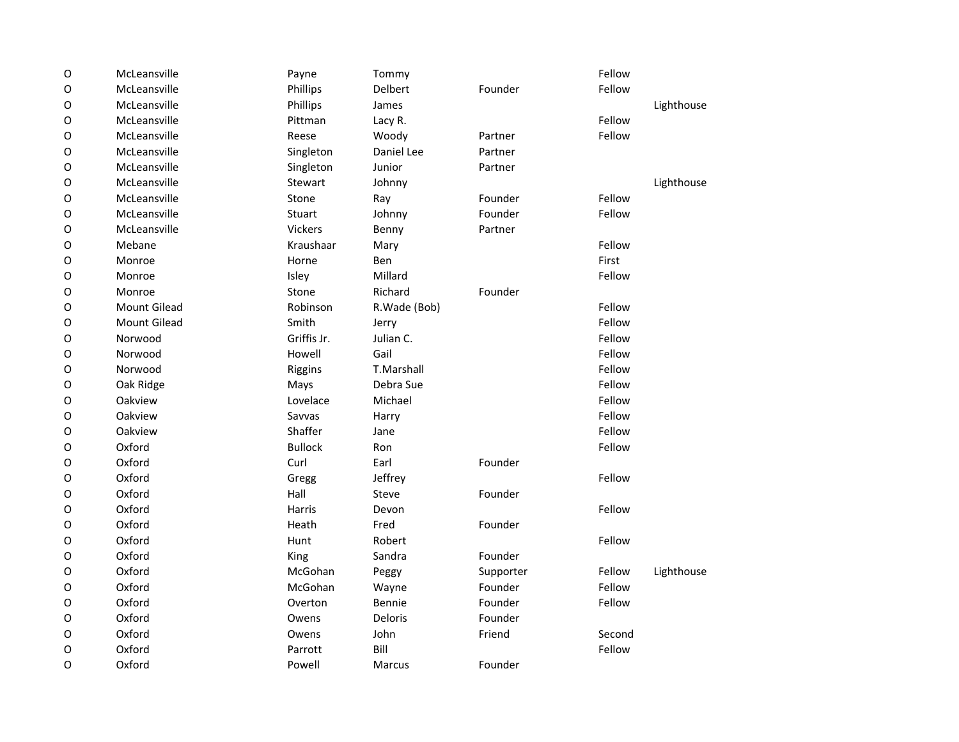| $\mathsf O$ | McLeansville        | Payne          | Tommy         |           | Fellow |            |
|-------------|---------------------|----------------|---------------|-----------|--------|------------|
| 0           | McLeansville        | Phillips       | Delbert       | Founder   | Fellow |            |
| O           | McLeansville        | Phillips       | James         |           |        | Lighthouse |
| O           | McLeansville        | Pittman        | Lacy R.       |           | Fellow |            |
| $\mathsf O$ | McLeansville        | Reese          | Woody         | Partner   | Fellow |            |
| O           | McLeansville        | Singleton      | Daniel Lee    | Partner   |        |            |
| O           | McLeansville        | Singleton      | Junior        | Partner   |        |            |
| $\mathsf O$ | McLeansville        | Stewart        | Johnny        |           |        | Lighthouse |
| 0           | McLeansville        | Stone          | Ray           | Founder   | Fellow |            |
| O           | McLeansville        | Stuart         | Johnny        | Founder   | Fellow |            |
| O           | McLeansville        | Vickers        | Benny         | Partner   |        |            |
| $\mathsf O$ | Mebane              | Kraushaar      | Mary          |           | Fellow |            |
| $\mathsf O$ | Monroe              | Horne          | Ben           |           | First  |            |
| O           | Monroe              | Isley          | Millard       |           | Fellow |            |
| O           | Monroe              | Stone          | Richard       | Founder   |        |            |
| O           | <b>Mount Gilead</b> | Robinson       | R.Wade (Bob)  |           | Fellow |            |
| O           | <b>Mount Gilead</b> | Smith          | Jerry         |           | Fellow |            |
| O           | Norwood             | Griffis Jr.    | Julian C.     |           | Fellow |            |
| $\mathsf O$ | Norwood             | Howell         | Gail          |           | Fellow |            |
| O           | Norwood             | Riggins        | T.Marshall    |           | Fellow |            |
| O           | Oak Ridge           | Mays           | Debra Sue     |           | Fellow |            |
| 0           | Oakview             | Lovelace       | Michael       |           | Fellow |            |
| O           | Oakview             | Savvas         | Harry         |           | Fellow |            |
| O           | Oakview             | Shaffer        | Jane          |           | Fellow |            |
| O           | Oxford              | <b>Bullock</b> | Ron           |           | Fellow |            |
| $\mathsf O$ | Oxford              | Curl           | Earl          | Founder   |        |            |
| O           | Oxford              | Gregg          | Jeffrey       |           | Fellow |            |
| O           | Oxford              | Hall           | Steve         | Founder   |        |            |
| 0           | Oxford              | Harris         | Devon         |           | Fellow |            |
| O           | Oxford              | Heath          | Fred          | Founder   |        |            |
| 0           | Oxford              | Hunt           | Robert        |           | Fellow |            |
| 0           | Oxford              | King           | Sandra        | Founder   |        |            |
| $\mathsf O$ | Oxford              | McGohan        | Peggy         | Supporter | Fellow | Lighthouse |
| O           | Oxford              | McGohan        | Wayne         | Founder   | Fellow |            |
| O           | Oxford              | Overton        | Bennie        | Founder   | Fellow |            |
| 0           | Oxford              | Owens          | Deloris       | Founder   |        |            |
| O           | Oxford              | Owens          | John          | Friend    | Second |            |
| O           | Oxford              | Parrott        | Bill          |           | Fellow |            |
| O           | Oxford              | Powell         | <b>Marcus</b> | Founder   |        |            |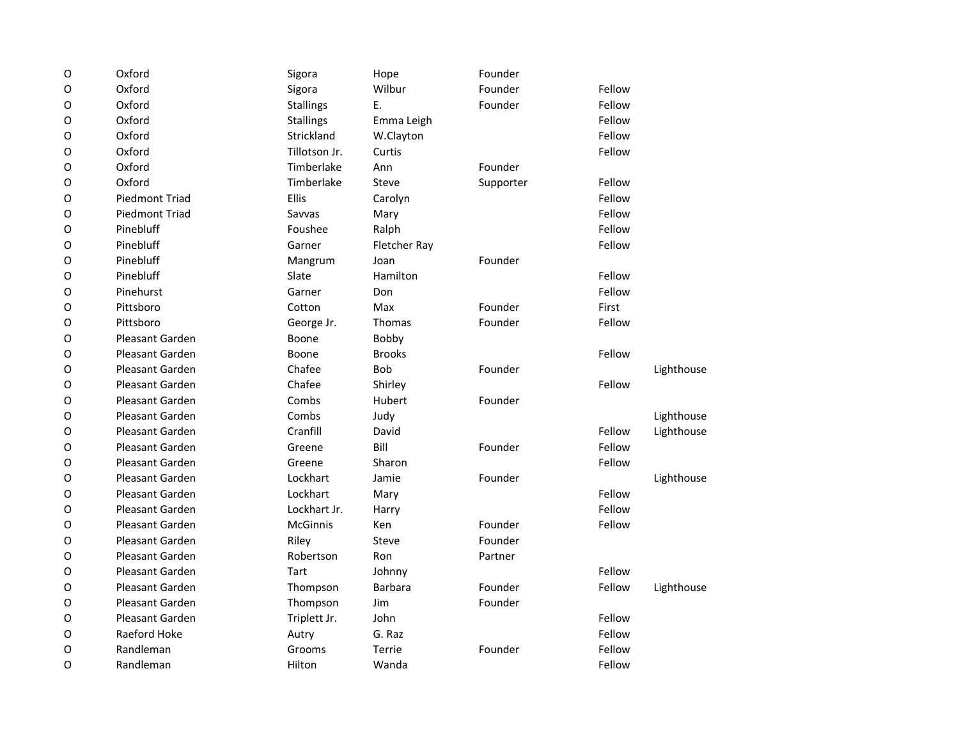| $\mathsf O$ | Oxford                 | Sigora           | Hope           | Founder   |        |            |
|-------------|------------------------|------------------|----------------|-----------|--------|------------|
| O           | Oxford                 | Sigora           | Wilbur         | Founder   | Fellow |            |
| $\mathsf O$ | Oxford                 | <b>Stallings</b> | Ε.             | Founder   | Fellow |            |
| O           | Oxford                 | <b>Stallings</b> | Emma Leigh     |           | Fellow |            |
| 0           | Oxford                 | Strickland       | W.Clayton      |           | Fellow |            |
| O           | Oxford                 | Tillotson Jr.    | Curtis         |           | Fellow |            |
| 0           | Oxford                 | Timberlake       | Ann            | Founder   |        |            |
| O           | Oxford                 | Timberlake       | Steve          | Supporter | Fellow |            |
| 0           | <b>Piedmont Triad</b>  | Ellis            | Carolyn        |           | Fellow |            |
| 0           | <b>Piedmont Triad</b>  | Savvas           | Mary           |           | Fellow |            |
| 0           | Pinebluff              | Foushee          | Ralph          |           | Fellow |            |
| O           | Pinebluff              | Garner           | Fletcher Ray   |           | Fellow |            |
| 0           | Pinebluff              | Mangrum          | Joan           | Founder   |        |            |
| O           | Pinebluff              | Slate            | Hamilton       |           | Fellow |            |
| $\mathsf O$ | Pinehurst              | Garner           | Don            |           | Fellow |            |
| O           | Pittsboro              | Cotton           | Max            | Founder   | First  |            |
| O           | Pittsboro              | George Jr.       | Thomas         | Founder   | Fellow |            |
| O           | <b>Pleasant Garden</b> | Boone            | Bobby          |           |        |            |
| O           | <b>Pleasant Garden</b> | Boone            | <b>Brooks</b>  |           | Fellow |            |
| O           | <b>Pleasant Garden</b> | Chafee           | <b>Bob</b>     | Founder   |        | Lighthouse |
| 0           | Pleasant Garden        | Chafee           | Shirley        |           | Fellow |            |
| O           | <b>Pleasant Garden</b> | Combs            | Hubert         | Founder   |        |            |
| 0           | Pleasant Garden        | Combs            | Judy           |           |        | Lighthouse |
| O           | <b>Pleasant Garden</b> | Cranfill         | David          |           | Fellow | Lighthouse |
| O           | <b>Pleasant Garden</b> | Greene           | Bill           | Founder   | Fellow |            |
| O           | <b>Pleasant Garden</b> | Greene           | Sharon         |           | Fellow |            |
| O           | Pleasant Garden        | Lockhart         | Jamie          | Founder   |        | Lighthouse |
| O           | <b>Pleasant Garden</b> | Lockhart         | Mary           |           | Fellow |            |
| 0           | <b>Pleasant Garden</b> | Lockhart Jr.     | Harry          |           | Fellow |            |
| 0           | <b>Pleasant Garden</b> | McGinnis         | Ken            | Founder   | Fellow |            |
| O           | <b>Pleasant Garden</b> | Riley            | Steve          | Founder   |        |            |
| O           | Pleasant Garden        | Robertson        | Ron            | Partner   |        |            |
| 0           | Pleasant Garden        | Tart             | Johnny         |           | Fellow |            |
| O           | <b>Pleasant Garden</b> | Thompson         | <b>Barbara</b> | Founder   | Fellow | Lighthouse |
| 0           | Pleasant Garden        | Thompson         | Jim            | Founder   |        |            |
| O           | <b>Pleasant Garden</b> | Triplett Jr.     | John           |           | Fellow |            |
| 0           | Raeford Hoke           | Autry            | G. Raz         |           | Fellow |            |
| O           | Randleman              | Grooms           | Terrie         | Founder   | Fellow |            |
| O           | Randleman              | Hilton           | Wanda          |           | Fellow |            |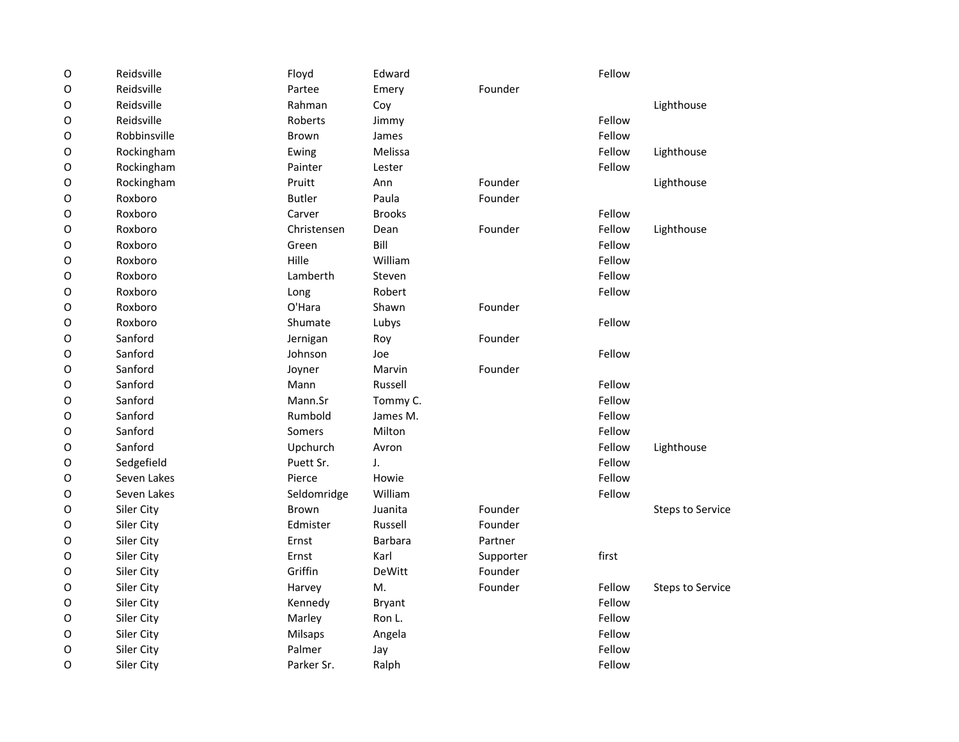| $\mathsf O$ | Reidsville   | Floyd         | Edward         |           | Fellow |                         |
|-------------|--------------|---------------|----------------|-----------|--------|-------------------------|
| $\mathsf O$ | Reidsville   | Partee        | Emery          | Founder   |        |                         |
| O           | Reidsville   | Rahman        | Coy            |           |        | Lighthouse              |
| 0           | Reidsville   | Roberts       | Jimmy          |           | Fellow |                         |
| 0           | Robbinsville | <b>Brown</b>  | James          |           | Fellow |                         |
| 0           | Rockingham   | Ewing         | Melissa        |           | Fellow | Lighthouse              |
| O           | Rockingham   | Painter       | Lester         |           | Fellow |                         |
| $\mathsf O$ | Rockingham   | Pruitt        | Ann            | Founder   |        | Lighthouse              |
| O           | Roxboro      | <b>Butler</b> | Paula          | Founder   |        |                         |
| O           | Roxboro      | Carver        | <b>Brooks</b>  |           | Fellow |                         |
| 0           | Roxboro      | Christensen   | Dean           | Founder   | Fellow | Lighthouse              |
| $\mathsf O$ | Roxboro      | Green         | Bill           |           | Fellow |                         |
| O           | Roxboro      | Hille         | William        |           | Fellow |                         |
| $\mathsf O$ | Roxboro      | Lamberth      | Steven         |           | Fellow |                         |
| $\mathsf O$ | Roxboro      | Long          | Robert         |           | Fellow |                         |
| 0           | Roxboro      | O'Hara        | Shawn          | Founder   |        |                         |
| 0           | Roxboro      | Shumate       | Lubys          |           | Fellow |                         |
| 0           | Sanford      | Jernigan      | Roy            | Founder   |        |                         |
| O           | Sanford      | Johnson       | Joe            |           | Fellow |                         |
| 0           | Sanford      | Joyner        | Marvin         | Founder   |        |                         |
| 0           | Sanford      | Mann          | Russell        |           | Fellow |                         |
| 0           | Sanford      | Mann.Sr       | Tommy C.       |           | Fellow |                         |
| O           | Sanford      | Rumbold       | James M.       |           | Fellow |                         |
| 0           | Sanford      | Somers        | Milton         |           | Fellow |                         |
| $\mathsf O$ | Sanford      | Upchurch      | Avron          |           | Fellow | Lighthouse              |
| $\mathsf O$ | Sedgefield   | Puett Sr.     | J.             |           | Fellow |                         |
| $\mathsf O$ | Seven Lakes  | Pierce        | Howie          |           | Fellow |                         |
| O           | Seven Lakes  | Seldomridge   | William        |           | Fellow |                         |
| O           | Siler City   | <b>Brown</b>  | Juanita        | Founder   |        | <b>Steps to Service</b> |
| O           | Siler City   | Edmister      | Russell        | Founder   |        |                         |
| $\mathsf O$ | Siler City   | Ernst         | <b>Barbara</b> | Partner   |        |                         |
| O           | Siler City   | Ernst         | Karl           | Supporter | first  |                         |
| $\mathsf O$ | Siler City   | Griffin       | DeWitt         | Founder   |        |                         |
| O           | Siler City   | Harvey        | M.             | Founder   | Fellow | <b>Steps to Service</b> |
| O           | Siler City   | Kennedy       | <b>Bryant</b>  |           | Fellow |                         |
| O           | Siler City   | Marley        | Ron L.         |           | Fellow |                         |
| O           | Siler City   | Milsaps       | Angela         |           | Fellow |                         |
| O           | Siler City   | Palmer        | Jay            |           | Fellow |                         |
| O           | Siler City   | Parker Sr.    | Ralph          |           | Fellow |                         |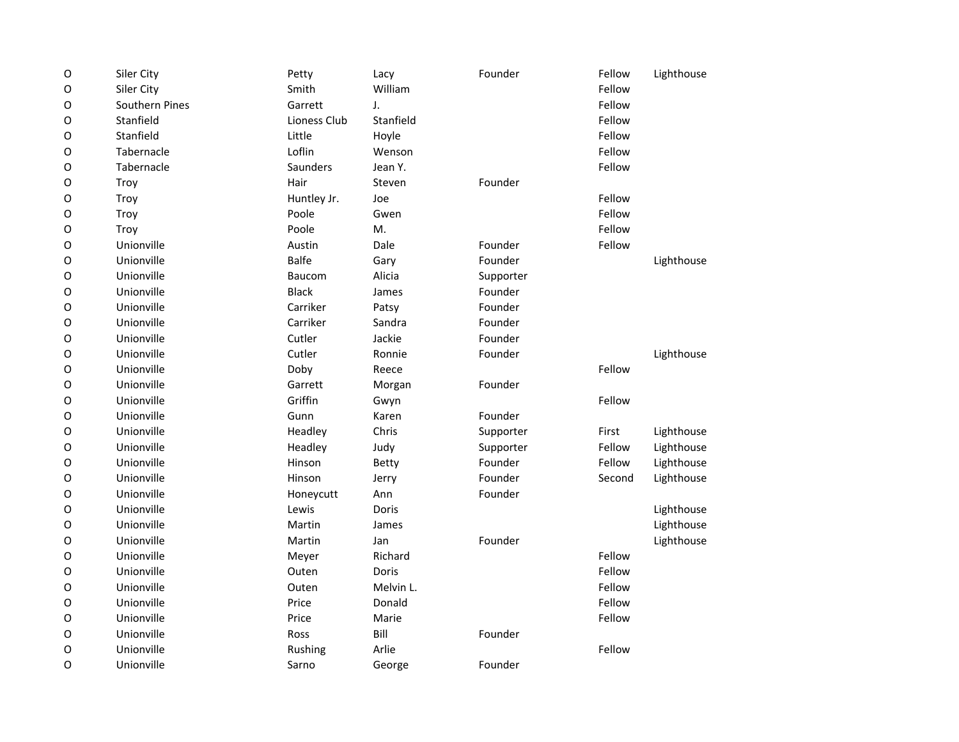| $\mathsf O$ | Siler City     | Petty           | Lacy         | Founder   | Fellow | Lighthouse |
|-------------|----------------|-----------------|--------------|-----------|--------|------------|
| $\mathsf O$ | Siler City     | Smith           | William      |           | Fellow |            |
| $\mathsf O$ | Southern Pines | Garrett         | J.           |           | Fellow |            |
| $\mathsf O$ | Stanfield      | Lioness Club    | Stanfield    |           | Fellow |            |
| $\circ$     | Stanfield      | Little          | Hoyle        |           | Fellow |            |
| $\mathsf O$ | Tabernacle     | Loflin          | Wenson       |           | Fellow |            |
| $\circ$     | Tabernacle     | <b>Saunders</b> | Jean Y.      |           | Fellow |            |
| $\mathsf O$ | Troy           | Hair            | Steven       | Founder   |        |            |
| O           | Troy           | Huntley Jr.     | Joe          |           | Fellow |            |
| O           | Troy           | Poole           | Gwen         |           | Fellow |            |
| O           | Troy           | Poole           | M.           |           | Fellow |            |
| $\mathsf O$ | Unionville     | Austin          | Dale         | Founder   | Fellow |            |
| $\mathsf O$ | Unionville     | <b>Balfe</b>    | Gary         | Founder   |        | Lighthouse |
| $\mathsf O$ | Unionville     | Baucom          | Alicia       | Supporter |        |            |
| $\mathsf O$ | Unionville     | <b>Black</b>    | James        | Founder   |        |            |
| $\mathsf O$ | Unionville     | Carriker        | Patsy        | Founder   |        |            |
| $\mathsf O$ | Unionville     | Carriker        | Sandra       | Founder   |        |            |
| $\circ$     | Unionville     | Cutler          | Jackie       | Founder   |        |            |
| $\mathsf O$ | Unionville     | Cutler          | Ronnie       | Founder   |        | Lighthouse |
| $\circ$     | Unionville     | Doby            | Reece        |           | Fellow |            |
| $\mathsf O$ | Unionville     | Garrett         | Morgan       | Founder   |        |            |
| $\circ$     | Unionville     | Griffin         | Gwyn         |           | Fellow |            |
| O           | Unionville     | Gunn            | Karen        | Founder   |        |            |
| O           | Unionville     | Headley         | Chris        | Supporter | First  | Lighthouse |
| $\mathsf O$ | Unionville     | Headley         | Judy         | Supporter | Fellow | Lighthouse |
| $\mathsf O$ | Unionville     | Hinson          | Betty        | Founder   | Fellow | Lighthouse |
| $\mathsf O$ | Unionville     | Hinson          | Jerry        | Founder   | Second | Lighthouse |
| $\mathsf O$ | Unionville     | Honeycutt       | Ann          | Founder   |        |            |
| $\mathsf O$ | Unionville     | Lewis           | Doris        |           |        | Lighthouse |
| $\mathsf O$ | Unionville     | Martin          | James        |           |        | Lighthouse |
| $\circ$     | Unionville     | Martin          | Jan          | Founder   |        | Lighthouse |
| $\mathsf O$ | Unionville     | Meyer           | Richard      |           | Fellow |            |
| $\mathsf O$ | Unionville     | Outen           | <b>Doris</b> |           | Fellow |            |
| $\mathsf O$ | Unionville     | Outen           | Melvin L.    |           | Fellow |            |
| $\circ$     | Unionville     | Price           | Donald       |           | Fellow |            |
| $\mathsf O$ | Unionville     | Price           | Marie        |           | Fellow |            |
| O           | Unionville     | Ross            | Bill         | Founder   |        |            |
| O           | Unionville     | Rushing         | Arlie        |           | Fellow |            |
| O           | Unionville     | Sarno           | George       | Founder   |        |            |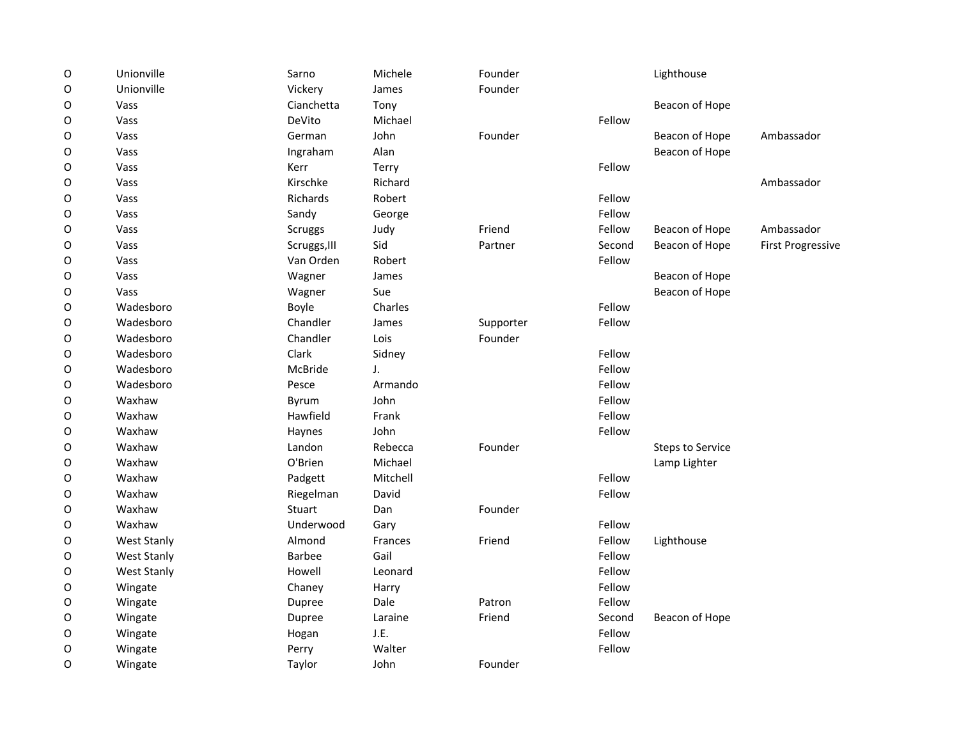| $\mathsf O$ | Unionville         | Sarno         | Michele  | Founder   |        | Lighthouse              |                          |
|-------------|--------------------|---------------|----------|-----------|--------|-------------------------|--------------------------|
| $\circ$     | Unionville         | Vickery       | James    | Founder   |        |                         |                          |
| O           | Vass               | Cianchetta    | Tony     |           |        | Beacon of Hope          |                          |
| $\circ$     | Vass               | DeVito        | Michael  |           | Fellow |                         |                          |
| O           | Vass               | German        | John     | Founder   |        | Beacon of Hope          | Ambassador               |
| 0           | Vass               | Ingraham      | Alan     |           |        | Beacon of Hope          |                          |
| 0           | Vass               | Kerr          | Terry    |           | Fellow |                         |                          |
| 0           | Vass               | Kirschke      | Richard  |           |        |                         | Ambassador               |
| 0           | Vass               | Richards      | Robert   |           | Fellow |                         |                          |
| 0           | Vass               | Sandy         | George   |           | Fellow |                         |                          |
| 0           | Vass               | Scruggs       | Judy     | Friend    | Fellow | Beacon of Hope          | Ambassador               |
| O           | Vass               | Scruggs, III  | Sid      | Partner   | Second | Beacon of Hope          | <b>First Progressive</b> |
| $\mathsf O$ | Vass               | Van Orden     | Robert   |           | Fellow |                         |                          |
| O           | Vass               | Wagner        | James    |           |        | Beacon of Hope          |                          |
| O           | Vass               | Wagner        | Sue      |           |        | Beacon of Hope          |                          |
| O           | Wadesboro          | Boyle         | Charles  |           | Fellow |                         |                          |
| O           | Wadesboro          | Chandler      | James    | Supporter | Fellow |                         |                          |
| 0           | Wadesboro          | Chandler      | Lois     | Founder   |        |                         |                          |
| 0           | Wadesboro          | Clark         | Sidney   |           | Fellow |                         |                          |
| 0           | Wadesboro          | McBride       | J.       |           | Fellow |                         |                          |
| 0           | Wadesboro          | Pesce         | Armando  |           | Fellow |                         |                          |
| 0           | Waxhaw             | Byrum         | John     |           | Fellow |                         |                          |
| O           | Waxhaw             | Hawfield      | Frank    |           | Fellow |                         |                          |
| $\mathsf O$ | Waxhaw             | Haynes        | John     |           | Fellow |                         |                          |
| O           | Waxhaw             | Landon        | Rebecca  | Founder   |        | <b>Steps to Service</b> |                          |
| O           | Waxhaw             | O'Brien       | Michael  |           |        | Lamp Lighter            |                          |
| O           | Waxhaw             | Padgett       | Mitchell |           | Fellow |                         |                          |
| O           | Waxhaw             | Riegelman     | David    |           | Fellow |                         |                          |
| O           | Waxhaw             | Stuart        | Dan      | Founder   |        |                         |                          |
| 0           | Waxhaw             | Underwood     | Gary     |           | Fellow |                         |                          |
| O           | <b>West Stanly</b> | Almond        | Frances  | Friend    | Fellow | Lighthouse              |                          |
| O           | <b>West Stanly</b> | <b>Barbee</b> | Gail     |           | Fellow |                         |                          |
| O           | <b>West Stanly</b> | Howell        | Leonard  |           | Fellow |                         |                          |
| 0           | Wingate            | Chaney        | Harry    |           | Fellow |                         |                          |
| $\mathsf O$ | Wingate            | Dupree        | Dale     | Patron    | Fellow |                         |                          |
| O           | Wingate            | Dupree        | Laraine  | Friend    | Second | Beacon of Hope          |                          |
| O           | Wingate            | Hogan         | J.E.     |           | Fellow |                         |                          |
| O           | Wingate            | Perry         | Walter   |           | Fellow |                         |                          |
| 0           | Wingate            | Taylor        | John     | Founder   |        |                         |                          |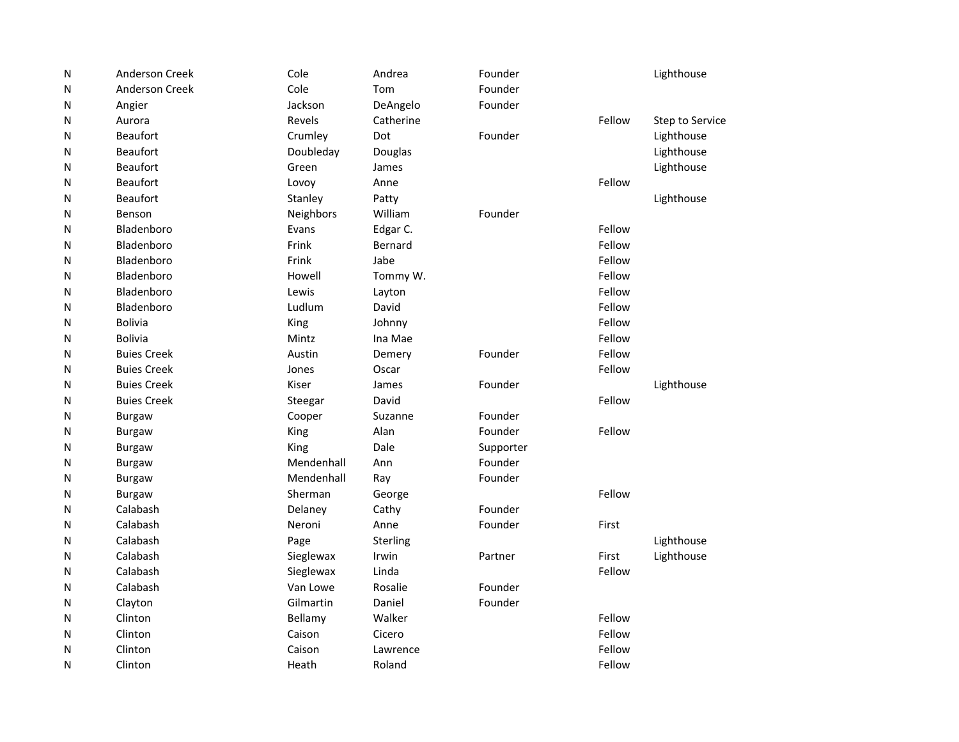| Ν | Anderson Creek     | Cole       | Andrea    | Founder   |        | Lighthouse      |
|---|--------------------|------------|-----------|-----------|--------|-----------------|
| Ν | Anderson Creek     | Cole       | Tom       | Founder   |        |                 |
| Ν | Angier             | Jackson    | DeAngelo  | Founder   |        |                 |
| Ν | Aurora             | Revels     | Catherine |           | Fellow | Step to Service |
| Ν | <b>Beaufort</b>    | Crumley    | Dot       | Founder   |        | Lighthouse      |
| Ν | <b>Beaufort</b>    | Doubleday  | Douglas   |           |        | Lighthouse      |
| Ν | <b>Beaufort</b>    | Green      | James     |           |        | Lighthouse      |
| Ν | <b>Beaufort</b>    | Lovoy      | Anne      |           | Fellow |                 |
| Ν | <b>Beaufort</b>    | Stanley    | Patty     |           |        | Lighthouse      |
| Ν | Benson             | Neighbors  | William   | Founder   |        |                 |
| Ν | Bladenboro         | Evans      | Edgar C.  |           | Fellow |                 |
| Ν | Bladenboro         | Frink      | Bernard   |           | Fellow |                 |
| Ν | Bladenboro         | Frink      | Jabe      |           | Fellow |                 |
| Ν | Bladenboro         | Howell     | Tommy W.  |           | Fellow |                 |
| Ν | Bladenboro         | Lewis      | Layton    |           | Fellow |                 |
| Ν | Bladenboro         | Ludlum     | David     |           | Fellow |                 |
| Ν | <b>Bolivia</b>     | King       | Johnny    |           | Fellow |                 |
| Ν | Bolivia            | Mintz      | Ina Mae   |           | Fellow |                 |
| Ν | <b>Buies Creek</b> | Austin     | Demery    | Founder   | Fellow |                 |
| Ν | <b>Buies Creek</b> | Jones      | Oscar     |           | Fellow |                 |
| Ν | <b>Buies Creek</b> | Kiser      | James     | Founder   |        | Lighthouse      |
| Ν | <b>Buies Creek</b> | Steegar    | David     |           | Fellow |                 |
| Ν | <b>Burgaw</b>      | Cooper     | Suzanne   | Founder   |        |                 |
| Ν | <b>Burgaw</b>      | King       | Alan      | Founder   | Fellow |                 |
| Ν | <b>Burgaw</b>      | King       | Dale      | Supporter |        |                 |
| Ν | <b>Burgaw</b>      | Mendenhall | Ann       | Founder   |        |                 |
| Ν | Burgaw             | Mendenhall | Ray       | Founder   |        |                 |
| Ν | <b>Burgaw</b>      | Sherman    | George    |           | Fellow |                 |
| Ν | Calabash           | Delaney    | Cathy     | Founder   |        |                 |
| Ν | Calabash           | Neroni     | Anne      | Founder   | First  |                 |
| Ν | Calabash           | Page       | Sterling  |           |        | Lighthouse      |
| Ν | Calabash           | Sieglewax  | Irwin     | Partner   | First  | Lighthouse      |
| Ν | Calabash           | Sieglewax  | Linda     |           | Fellow |                 |
| Ν | Calabash           | Van Lowe   | Rosalie   | Founder   |        |                 |
| Ν | Clayton            | Gilmartin  | Daniel    | Founder   |        |                 |
| Ν | Clinton            | Bellamy    | Walker    |           | Fellow |                 |
| Ν | Clinton            | Caison     | Cicero    |           | Fellow |                 |
| N | Clinton            | Caison     | Lawrence  |           | Fellow |                 |
| Ν | Clinton            | Heath      | Roland    |           | Fellow |                 |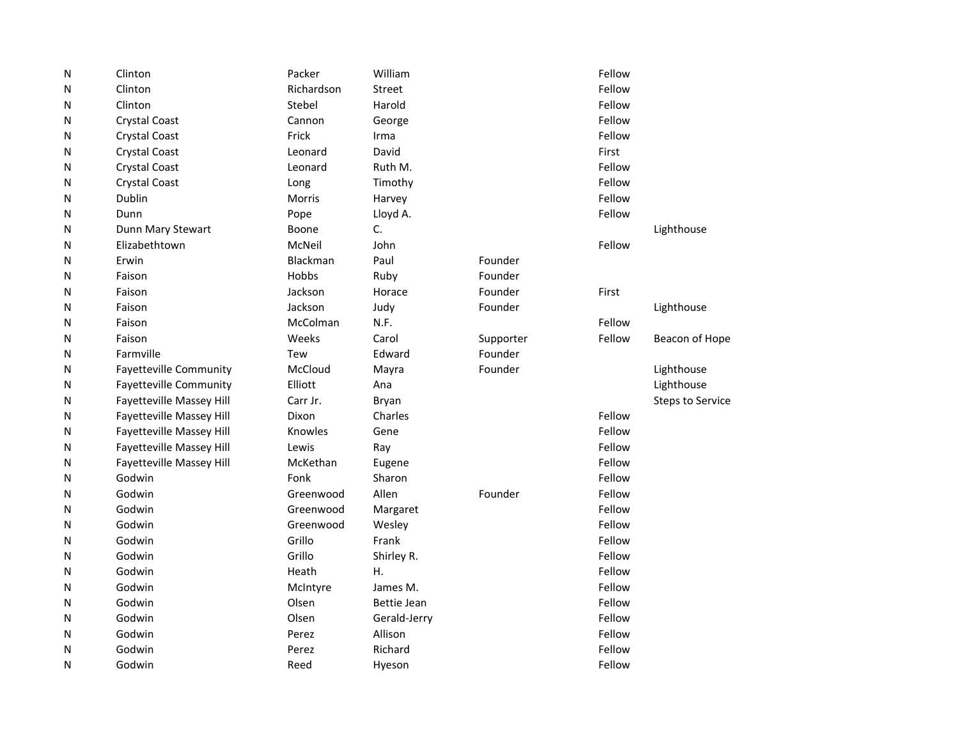| N | Clinton                         | Packer     | William      |           | Fellow |                         |
|---|---------------------------------|------------|--------------|-----------|--------|-------------------------|
| Ν | Clinton                         | Richardson | Street       |           | Fellow |                         |
| Ν | Clinton                         | Stebel     | Harold       |           | Fellow |                         |
| Ν | <b>Crystal Coast</b>            | Cannon     | George       |           | Fellow |                         |
| Ν | <b>Crystal Coast</b>            | Frick      | Irma         |           | Fellow |                         |
| Ν | <b>Crystal Coast</b>            | Leonard    | David        |           | First  |                         |
| N | <b>Crystal Coast</b>            | Leonard    | Ruth M.      |           | Fellow |                         |
| Ν | <b>Crystal Coast</b>            | Long       | Timothy      |           | Fellow |                         |
| Ν | Dublin                          | Morris     | Harvey       |           | Fellow |                         |
| Ν | Dunn                            | Pope       | Lloyd A.     |           | Fellow |                         |
| Ν | Dunn Mary Stewart               | Boone      | C.           |           |        | Lighthouse              |
| Ν | Elizabethtown                   | McNeil     | John         |           | Fellow |                         |
| Ν | Erwin                           | Blackman   | Paul         | Founder   |        |                         |
| Ν | Faison                          | Hobbs      | Ruby         | Founder   |        |                         |
| N | Faison                          | Jackson    | Horace       | Founder   | First  |                         |
| N | Faison                          | Jackson    | Judy         | Founder   |        | Lighthouse              |
| Ν | Faison                          | McColman   | N.F.         |           | Fellow |                         |
| Ν | Faison                          | Weeks      | Carol        | Supporter | Fellow | Beacon of Hope          |
| Ν | Farmville                       | Tew        | Edward       | Founder   |        |                         |
| Ν | <b>Fayetteville Community</b>   | McCloud    | Mayra        | Founder   |        | Lighthouse              |
| Ν | <b>Fayetteville Community</b>   | Elliott    | Ana          |           |        | Lighthouse              |
| Ν | <b>Fayetteville Massey Hill</b> | Carr Jr.   | Bryan        |           |        | <b>Steps to Service</b> |
| Ν | Fayetteville Massey Hill        | Dixon      | Charles      |           | Fellow |                         |
| Ν | Fayetteville Massey Hill        | Knowles    | Gene         |           | Fellow |                         |
| N | Fayetteville Massey Hill        | Lewis      | Ray          |           | Fellow |                         |
| Ν | Fayetteville Massey Hill        | McKethan   | Eugene       |           | Fellow |                         |
| Ν | Godwin                          | Fonk       | Sharon       |           | Fellow |                         |
| Ν | Godwin                          | Greenwood  | Allen        | Founder   | Fellow |                         |
| Ν | Godwin                          | Greenwood  | Margaret     |           | Fellow |                         |
| N | Godwin                          | Greenwood  | Wesley       |           | Fellow |                         |
| Ν | Godwin                          | Grillo     | Frank        |           | Fellow |                         |
| Ν | Godwin                          | Grillo     | Shirley R.   |           | Fellow |                         |
| N | Godwin                          | Heath      | Η.           |           | Fellow |                         |
| N | Godwin                          | McIntyre   | James M.     |           | Fellow |                         |
| Ν | Godwin                          | Olsen      | Bettie Jean  |           | Fellow |                         |
| Ν | Godwin                          | Olsen      | Gerald-Jerry |           | Fellow |                         |
| Ν | Godwin                          | Perez      | Allison      |           | Fellow |                         |
| N | Godwin                          | Perez      | Richard      |           | Fellow |                         |
| Ν | Godwin                          | Reed       | Hyeson       |           | Fellow |                         |
|   |                                 |            |              |           |        |                         |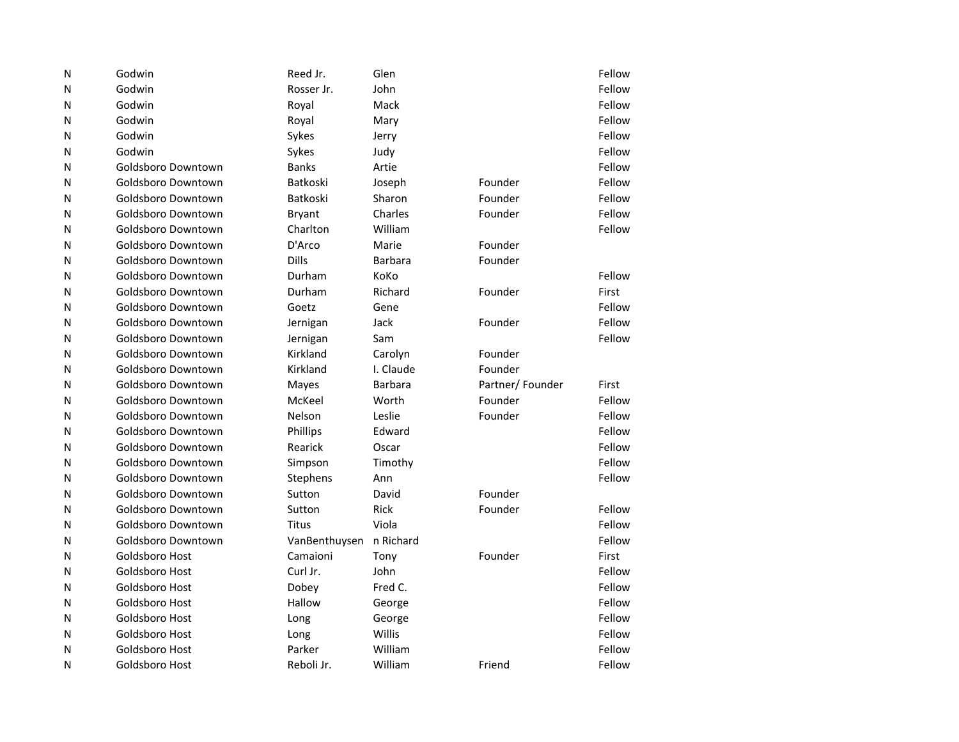| N | Godwin             | Reed Jr.        | Glen           |                 | Fellow |
|---|--------------------|-----------------|----------------|-----------------|--------|
| N | Godwin             | Rosser Jr.      | John           |                 | Fellow |
| N | Godwin             | Royal           | Mack           |                 | Fellow |
| N | Godwin             | Royal           | Mary           |                 | Fellow |
| N | Godwin             | Sykes           | Jerry          |                 | Fellow |
| N | Godwin             | Sykes           | Judy           |                 | Fellow |
| N | Goldsboro Downtown | <b>Banks</b>    | Artie          |                 | Fellow |
| N | Goldsboro Downtown | <b>Batkoski</b> | Joseph         | Founder         | Fellow |
| N | Goldsboro Downtown | <b>Batkoski</b> | Sharon         | Founder         | Fellow |
| N | Goldsboro Downtown | <b>Bryant</b>   | Charles        | Founder         | Fellow |
| N | Goldsboro Downtown | Charlton        | William        |                 | Fellow |
| N | Goldsboro Downtown | D'Arco          | Marie          | Founder         |        |
| N | Goldsboro Downtown | Dills           | <b>Barbara</b> | Founder         |        |
| N | Goldsboro Downtown | Durham          | KoKo           |                 | Fellow |
| N | Goldsboro Downtown | Durham          | Richard        | Founder         | First  |
| N | Goldsboro Downtown | Goetz           | Gene           |                 | Fellow |
| N | Goldsboro Downtown | Jernigan        | Jack           | Founder         | Fellow |
| N | Goldsboro Downtown | Jernigan        | Sam            |                 | Fellow |
| N | Goldsboro Downtown | Kirkland        | Carolyn        | Founder         |        |
| N | Goldsboro Downtown | Kirkland        | I. Claude      | Founder         |        |
| N | Goldsboro Downtown | Mayes           | <b>Barbara</b> | Partner/Founder | First  |
| N | Goldsboro Downtown | McKeel          | Worth          | Founder         | Fellow |
| N | Goldsboro Downtown | Nelson          | Leslie         | Founder         | Fellow |
| N | Goldsboro Downtown | Phillips        | Edward         |                 | Fellow |
| N | Goldsboro Downtown | Rearick         | Oscar          |                 | Fellow |
| N | Goldsboro Downtown | Simpson         | Timothy        |                 | Fellow |
| N | Goldsboro Downtown | Stephens        | Ann            |                 | Fellow |
| N | Goldsboro Downtown | Sutton          | David          | Founder         |        |
| N | Goldsboro Downtown | Sutton          | <b>Rick</b>    | Founder         | Fellow |
| N | Goldsboro Downtown | Titus           | Viola          |                 | Fellow |
| N | Goldsboro Downtown | VanBenthuysen   | n Richard      |                 | Fellow |
| N | Goldsboro Host     | Camaioni        | Tony           | Founder         | First  |
| N | Goldsboro Host     | Curl Jr.        | John           |                 | Fellow |
| N | Goldsboro Host     | Dobey           | Fred C.        |                 | Fellow |
| N | Goldsboro Host     | Hallow          | George         |                 | Fellow |
| N | Goldsboro Host     | Long            | George         |                 | Fellow |
| N | Goldsboro Host     | Long            | Willis         |                 | Fellow |
| N | Goldsboro Host     | Parker          | William        |                 | Fellow |
| N | Goldsboro Host     | Reboli Jr.      | William        | Friend          | Fellow |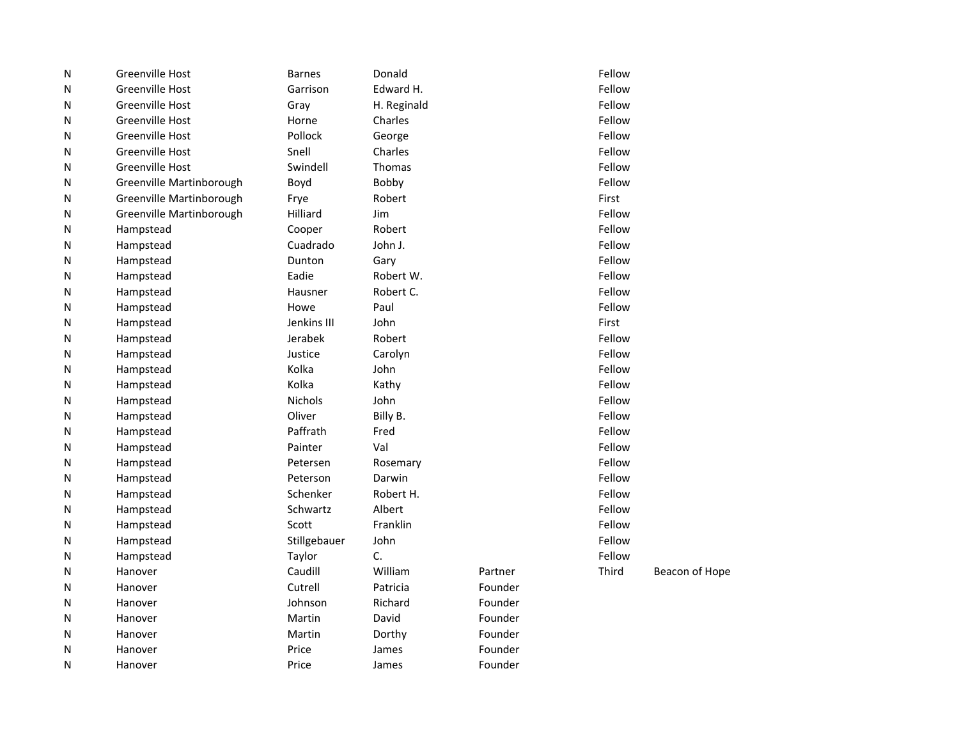| N | Greenville Host          | <b>Barnes</b>  | Donald      |         | Fellow |                |
|---|--------------------------|----------------|-------------|---------|--------|----------------|
| N | <b>Greenville Host</b>   | Garrison       | Edward H.   |         | Fellow |                |
| N | <b>Greenville Host</b>   | Gray           | H. Reginald |         | Fellow |                |
| N | <b>Greenville Host</b>   | Horne          | Charles     |         | Fellow |                |
| N | Greenville Host          | Pollock        | George      |         | Fellow |                |
| N | <b>Greenville Host</b>   | Snell          | Charles     |         | Fellow |                |
| N | Greenville Host          | Swindell       | Thomas      |         | Fellow |                |
| N | Greenville Martinborough | Boyd           | Bobby       |         | Fellow |                |
| N | Greenville Martinborough | Frye           | Robert      |         | First  |                |
| N | Greenville Martinborough | Hilliard       | Jim         |         | Fellow |                |
| N | Hampstead                | Cooper         | Robert      |         | Fellow |                |
| N | Hampstead                | Cuadrado       | John J.     |         | Fellow |                |
| N | Hampstead                | Dunton         | Gary        |         | Fellow |                |
| N | Hampstead                | Eadie          | Robert W.   |         | Fellow |                |
| N | Hampstead                | Hausner        | Robert C.   |         | Fellow |                |
| N | Hampstead                | Howe           | Paul        |         | Fellow |                |
| N | Hampstead                | Jenkins III    | John        |         | First  |                |
| N | Hampstead                | Jerabek        | Robert      |         | Fellow |                |
| N | Hampstead                | Justice        | Carolyn     |         | Fellow |                |
| N | Hampstead                | Kolka          | John        |         | Fellow |                |
| N | Hampstead                | Kolka          | Kathy       |         | Fellow |                |
| N | Hampstead                | <b>Nichols</b> | John        |         | Fellow |                |
| N | Hampstead                | Oliver         | Billy B.    |         | Fellow |                |
| N | Hampstead                | Paffrath       | Fred        |         | Fellow |                |
| N | Hampstead                | Painter        | Val         |         | Fellow |                |
| N | Hampstead                | Petersen       | Rosemary    |         | Fellow |                |
| N | Hampstead                | Peterson       | Darwin      |         | Fellow |                |
| N | Hampstead                | Schenker       | Robert H.   |         | Fellow |                |
| N | Hampstead                | Schwartz       | Albert      |         | Fellow |                |
| N | Hampstead                | Scott          | Franklin    |         | Fellow |                |
| N | Hampstead                | Stillgebauer   | John        |         | Fellow |                |
| N | Hampstead                | Taylor         | C.          |         | Fellow |                |
| N | Hanover                  | Caudill        | William     | Partner | Third  | Beacon of Hope |
| N | Hanover                  | Cutrell        | Patricia    | Founder |        |                |
| N | Hanover                  | Johnson        | Richard     | Founder |        |                |
| N | Hanover                  | Martin         | David       | Founder |        |                |
| N | Hanover                  | Martin         | Dorthy      | Founder |        |                |
| N | Hanover                  | Price          | James       | Founder |        |                |
| N | Hanover                  | Price          | James       | Founder |        |                |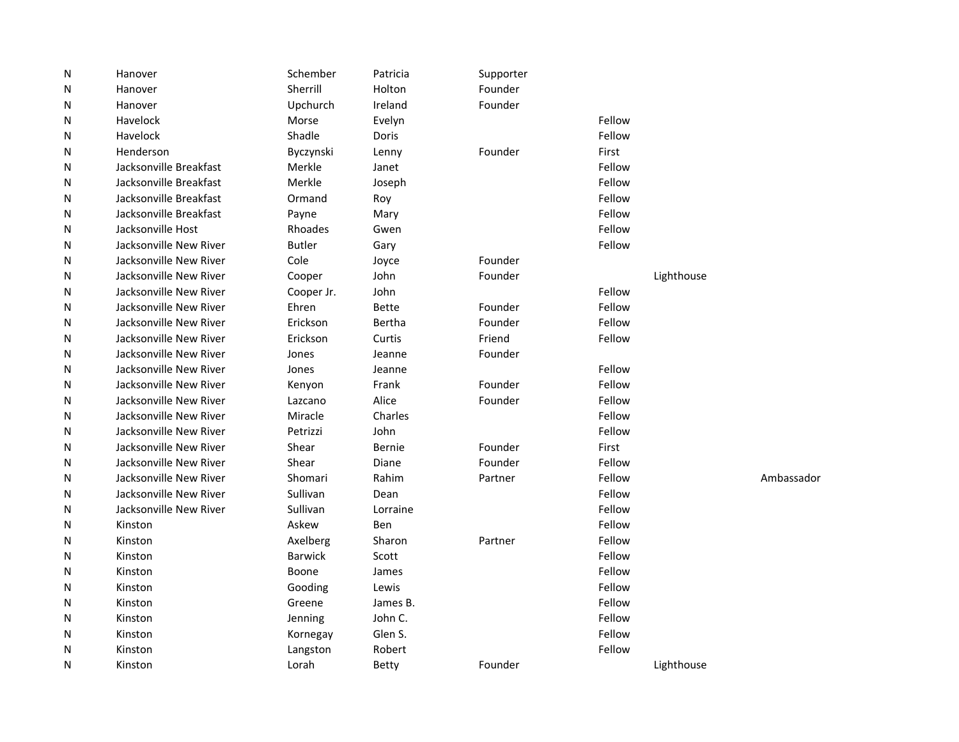| ${\sf N}$ | Hanover                | Schember       | Patricia     | Supporter |        |            |            |
|-----------|------------------------|----------------|--------------|-----------|--------|------------|------------|
| N         | Hanover                | Sherrill       | Holton       | Founder   |        |            |            |
| N         | Hanover                | Upchurch       | Ireland      | Founder   |        |            |            |
| N         | Havelock               | Morse          | Evelyn       |           | Fellow |            |            |
| N         | Havelock               | Shadle         | Doris        |           | Fellow |            |            |
| N         | Henderson              | Byczynski      | Lenny        | Founder   | First  |            |            |
| N         | Jacksonville Breakfast | Merkle         | Janet        |           | Fellow |            |            |
| N         | Jacksonville Breakfast | Merkle         | Joseph       |           | Fellow |            |            |
| N         | Jacksonville Breakfast | Ormand         | Roy          |           | Fellow |            |            |
| N         | Jacksonville Breakfast | Payne          | Mary         |           | Fellow |            |            |
| N         | Jacksonville Host      | Rhoades        | Gwen         |           | Fellow |            |            |
| N         | Jacksonville New River | <b>Butler</b>  | Gary         |           | Fellow |            |            |
| N         | Jacksonville New River | Cole           | Joyce        | Founder   |        |            |            |
| N         | Jacksonville New River | Cooper         | John         | Founder   |        | Lighthouse |            |
| N         | Jacksonville New River | Cooper Jr.     | John         |           | Fellow |            |            |
| N         | Jacksonville New River | Ehren          | <b>Bette</b> | Founder   | Fellow |            |            |
| N         | Jacksonville New River | Erickson       | Bertha       | Founder   | Fellow |            |            |
| N         | Jacksonville New River | Erickson       | Curtis       | Friend    | Fellow |            |            |
| N         | Jacksonville New River | Jones          | Jeanne       | Founder   |        |            |            |
| N         | Jacksonville New River | Jones          | Jeanne       |           | Fellow |            |            |
| N         | Jacksonville New River | Kenyon         | Frank        | Founder   | Fellow |            |            |
| N         | Jacksonville New River | Lazcano        | Alice        | Founder   | Fellow |            |            |
| N         | Jacksonville New River | Miracle        | Charles      |           | Fellow |            |            |
| N         | Jacksonville New River | Petrizzi       | John         |           | Fellow |            |            |
| N         | Jacksonville New River | Shear          | Bernie       | Founder   | First  |            |            |
| N         | Jacksonville New River | Shear          | Diane        | Founder   | Fellow |            |            |
| N         | Jacksonville New River | Shomari        | Rahim        | Partner   | Fellow |            | Ambassador |
| N         | Jacksonville New River | Sullivan       | Dean         |           | Fellow |            |            |
| N         | Jacksonville New River | Sullivan       | Lorraine     |           | Fellow |            |            |
| N         | Kinston                | Askew          | Ben          |           | Fellow |            |            |
| N         | Kinston                | Axelberg       | Sharon       | Partner   | Fellow |            |            |
| N         | Kinston                | <b>Barwick</b> | Scott        |           | Fellow |            |            |
| N         | Kinston                | Boone          | James        |           | Fellow |            |            |
| N         | Kinston                | Gooding        | Lewis        |           | Fellow |            |            |
| N         | Kinston                | Greene         | James B.     |           | Fellow |            |            |
| N         | Kinston                | Jenning        | John C.      |           | Fellow |            |            |
| N         | Kinston                | Kornegay       | Glen S.      |           | Fellow |            |            |
| N         | Kinston                | Langston       | Robert       |           | Fellow |            |            |
| N         | Kinston                | Lorah          | <b>Betty</b> | Founder   |        | Lighthouse |            |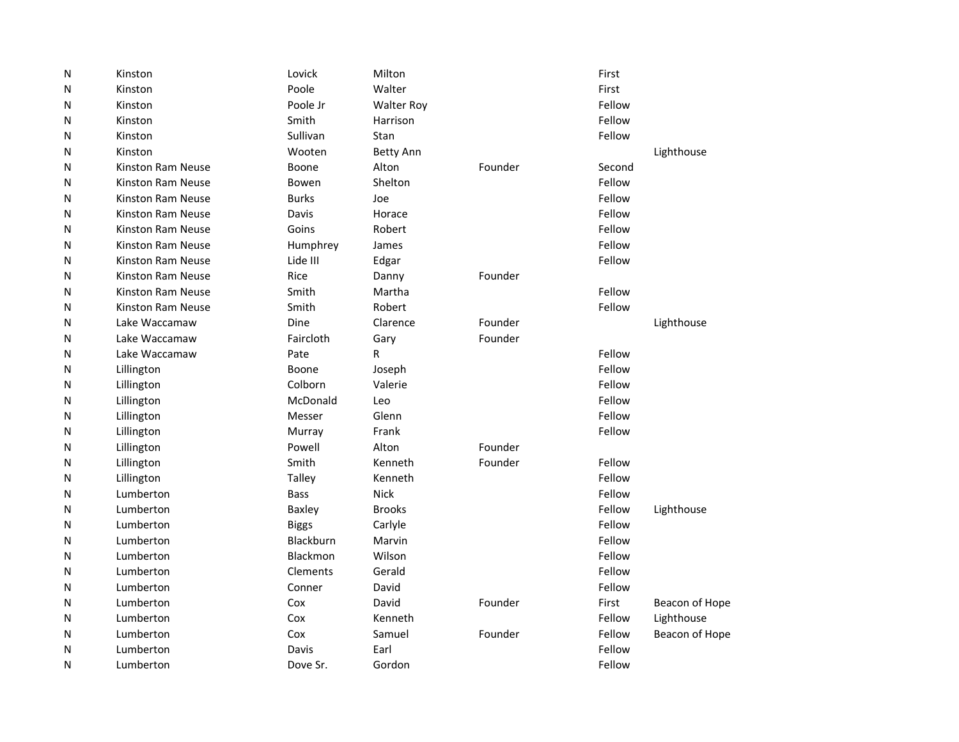| ${\sf N}$ | Kinston           | Lovick           | Milton            |         | First  |                |
|-----------|-------------------|------------------|-------------------|---------|--------|----------------|
| N         | Kinston           | Poole            | Walter            |         | First  |                |
| N         | Kinston           | Poole Jr         | <b>Walter Roy</b> |         | Fellow |                |
| N         | Kinston           | Smith            | Harrison          |         | Fellow |                |
| N         | Kinston           | Sullivan         | Stan              |         | Fellow |                |
| N         | Kinston           | Wooten           | <b>Betty Ann</b>  |         |        | Lighthouse     |
| N         | Kinston Ram Neuse | Boone            | Alton             | Founder | Second |                |
| N         | Kinston Ram Neuse | Bowen            | Shelton           |         | Fellow |                |
| N         | Kinston Ram Neuse | <b>Burks</b>     | Joe               |         | Fellow |                |
| N         | Kinston Ram Neuse | Davis            | Horace            |         | Fellow |                |
| N         | Kinston Ram Neuse | Goins            | Robert            |         | Fellow |                |
| N         | Kinston Ram Neuse | Humphrey         | James             |         | Fellow |                |
| N         | Kinston Ram Neuse | Lide III         | Edgar             |         | Fellow |                |
| N         | Kinston Ram Neuse | Rice             | Danny             | Founder |        |                |
| N         | Kinston Ram Neuse | Smith            | Martha            |         | Fellow |                |
| N         | Kinston Ram Neuse | Smith            | Robert            |         | Fellow |                |
| N         | Lake Waccamaw     | Dine             | Clarence          | Founder |        | Lighthouse     |
| N         | Lake Waccamaw     | Faircloth        | Gary              | Founder |        |                |
| N         | Lake Waccamaw     | Pate             | R                 |         | Fellow |                |
| N         | Lillington        | Boone            | Joseph            |         | Fellow |                |
| N         | Lillington        | Colborn          | Valerie           |         | Fellow |                |
| N         | Lillington        | McDonald         | Leo               |         | Fellow |                |
| N         | Lillington        | Messer           | Glenn             |         | Fellow |                |
| N         | Lillington        | Murray           | Frank             |         | Fellow |                |
| N         | Lillington        | Powell           | Alton             | Founder |        |                |
| N         | Lillington        | Smith            | Kenneth           | Founder | Fellow |                |
| N         | Lillington        | <b>Talley</b>    | Kenneth           |         | Fellow |                |
| N         | Lumberton         | <b>Bass</b>      | <b>Nick</b>       |         | Fellow |                |
| N         | Lumberton         | <b>Baxley</b>    | <b>Brooks</b>     |         | Fellow | Lighthouse     |
| N         | Lumberton         | <b>Biggs</b>     | Carlyle           |         | Fellow |                |
| N         | Lumberton         | <b>Blackburn</b> | Marvin            |         | Fellow |                |
| N         | Lumberton         | Blackmon         | Wilson            |         | Fellow |                |
| N         | Lumberton         | Clements         | Gerald            |         | Fellow |                |
| N         | Lumberton         | Conner           | David             |         | Fellow |                |
| N         | Lumberton         | Cox              | David             | Founder | First  | Beacon of Hope |
| N         | Lumberton         | Cox              | Kenneth           |         | Fellow | Lighthouse     |
| N         | Lumberton         | Cox              | Samuel            | Founder | Fellow | Beacon of Hope |
| N         | Lumberton         | Davis            | Earl              |         | Fellow |                |
| N         | Lumberton         | Dove Sr.         | Gordon            |         | Fellow |                |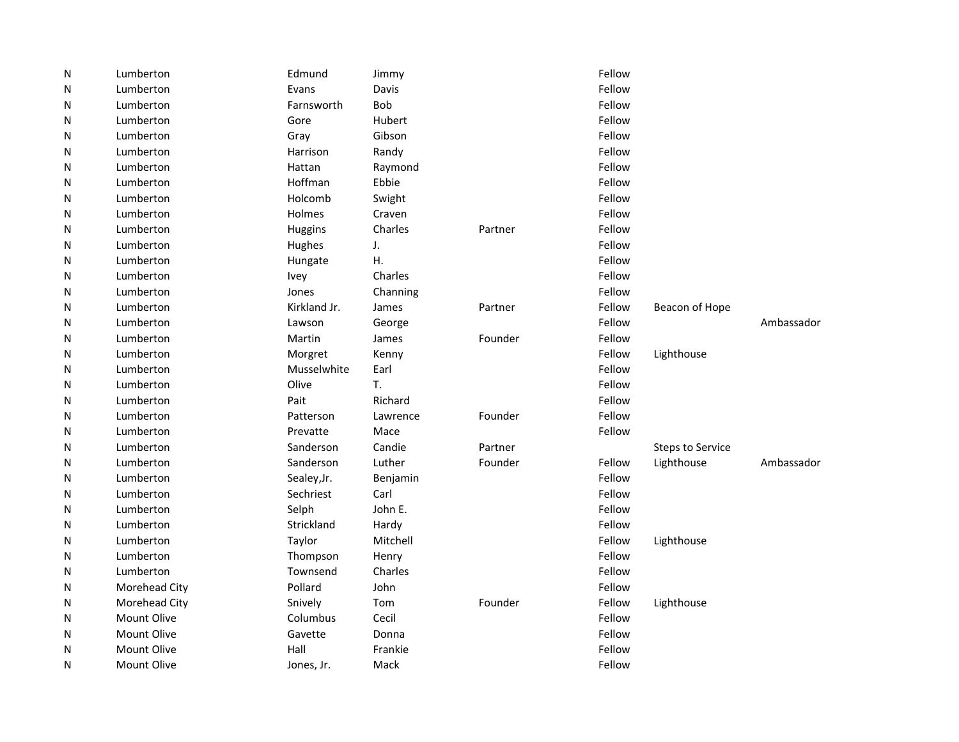| N | Lumberton          | Edmund       | Jimmy      |         | Fellow |                         |            |
|---|--------------------|--------------|------------|---------|--------|-------------------------|------------|
| N | Lumberton          | Evans        | Davis      |         | Fellow |                         |            |
| N | Lumberton          | Farnsworth   | <b>Bob</b> |         | Fellow |                         |            |
| N | Lumberton          | Gore         | Hubert     |         | Fellow |                         |            |
| N | Lumberton          | Gray         | Gibson     |         | Fellow |                         |            |
| N | Lumberton          | Harrison     | Randy      |         | Fellow |                         |            |
| N | Lumberton          | Hattan       | Raymond    |         | Fellow |                         |            |
| N | Lumberton          | Hoffman      | Ebbie      |         | Fellow |                         |            |
| N | Lumberton          | Holcomb      | Swight     |         | Fellow |                         |            |
| N | Lumberton          | Holmes       | Craven     |         | Fellow |                         |            |
| N | Lumberton          | Huggins      | Charles    | Partner | Fellow |                         |            |
| N | Lumberton          | Hughes       | J.         |         | Fellow |                         |            |
| N | Lumberton          | Hungate      | Η.         |         | Fellow |                         |            |
| N | Lumberton          | Ivey         | Charles    |         | Fellow |                         |            |
| N | Lumberton          | Jones        | Channing   |         | Fellow |                         |            |
| N | Lumberton          | Kirkland Jr. | James      | Partner | Fellow | Beacon of Hope          |            |
| N | Lumberton          | Lawson       | George     |         | Fellow |                         | Ambassador |
| N | Lumberton          | Martin       | James      | Founder | Fellow |                         |            |
| N | Lumberton          | Morgret      | Kenny      |         | Fellow | Lighthouse              |            |
| N | Lumberton          | Musselwhite  | Earl       |         | Fellow |                         |            |
| N | Lumberton          | Olive        | T.         |         | Fellow |                         |            |
| N | Lumberton          | Pait         | Richard    |         | Fellow |                         |            |
| N | Lumberton          | Patterson    | Lawrence   | Founder | Fellow |                         |            |
| N | Lumberton          | Prevatte     | Mace       |         | Fellow |                         |            |
| N | Lumberton          | Sanderson    | Candie     | Partner |        | <b>Steps to Service</b> |            |
| N | Lumberton          | Sanderson    | Luther     | Founder | Fellow | Lighthouse              | Ambassador |
| N | Lumberton          | Sealey, Jr.  | Benjamin   |         | Fellow |                         |            |
| N | Lumberton          | Sechriest    | Carl       |         | Fellow |                         |            |
| N | Lumberton          | Selph        | John E.    |         | Fellow |                         |            |
| N | Lumberton          | Strickland   | Hardy      |         | Fellow |                         |            |
| N | Lumberton          | Taylor       | Mitchell   |         | Fellow | Lighthouse              |            |
| N | Lumberton          | Thompson     | Henry      |         | Fellow |                         |            |
| N | Lumberton          | Townsend     | Charles    |         | Fellow |                         |            |
| N | Morehead City      | Pollard      | John       |         | Fellow |                         |            |
| N | Morehead City      | Snively      | Tom        | Founder | Fellow | Lighthouse              |            |
| N | <b>Mount Olive</b> | Columbus     | Cecil      |         | Fellow |                         |            |
| N | <b>Mount Olive</b> | Gavette      | Donna      |         | Fellow |                         |            |
| N | <b>Mount Olive</b> | Hall         | Frankie    |         | Fellow |                         |            |
| N | <b>Mount Olive</b> | Jones, Jr.   | Mack       |         | Fellow |                         |            |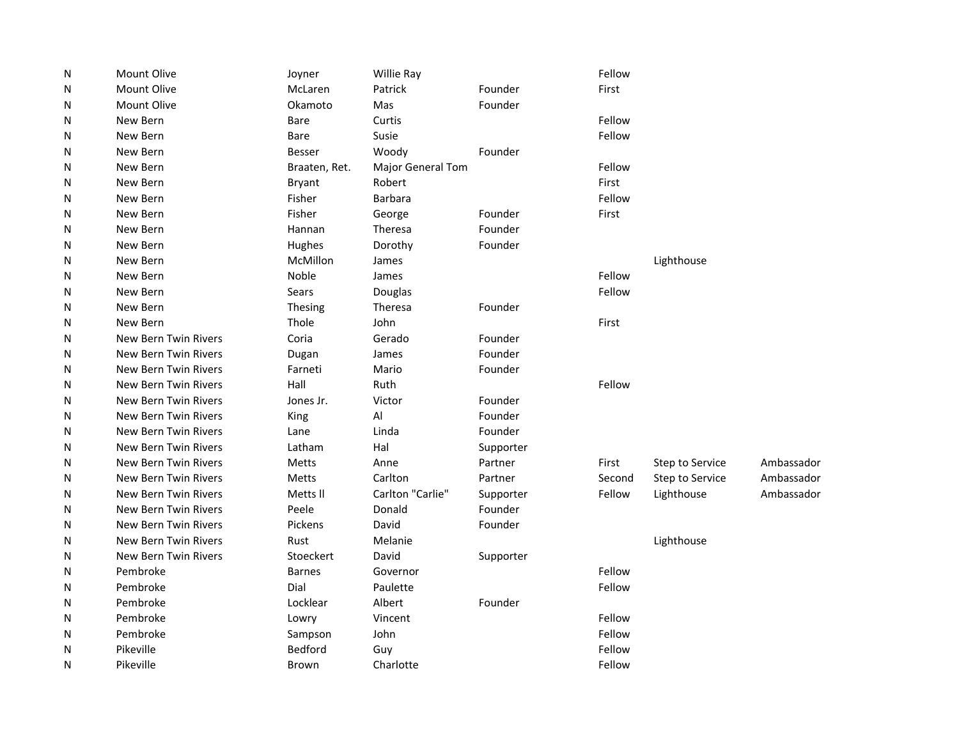| N | Mount Olive                 | Joyner         | Willie Ray        |           | Fellow |                 |            |
|---|-----------------------------|----------------|-------------------|-----------|--------|-----------------|------------|
| N | <b>Mount Olive</b>          | McLaren        | Patrick           | Founder   | First  |                 |            |
| N | <b>Mount Olive</b>          | Okamoto        | Mas               | Founder   |        |                 |            |
| N | New Bern                    | <b>Bare</b>    | Curtis            |           | Fellow |                 |            |
| N | New Bern                    | <b>Bare</b>    | Susie             |           | Fellow |                 |            |
| N | New Bern                    | Besser         | Woody             | Founder   |        |                 |            |
| N | New Bern                    | Braaten, Ret.  | Major General Tom |           | Fellow |                 |            |
| N | New Bern                    | Bryant         | Robert            |           | First  |                 |            |
| N | New Bern                    | Fisher         | <b>Barbara</b>    |           | Fellow |                 |            |
| N | New Bern                    | Fisher         | George            | Founder   | First  |                 |            |
| N | New Bern                    | Hannan         | <b>Theresa</b>    | Founder   |        |                 |            |
| N | New Bern                    | Hughes         | Dorothy           | Founder   |        |                 |            |
| N | New Bern                    | McMillon       | James             |           |        | Lighthouse      |            |
| N | New Bern                    | Noble          | James             |           | Fellow |                 |            |
| N | New Bern                    | Sears          | Douglas           |           | Fellow |                 |            |
| N | New Bern                    | Thesing        | Theresa           | Founder   |        |                 |            |
| N | New Bern                    | Thole          | John              |           | First  |                 |            |
| N | New Bern Twin Rivers        | Coria          | Gerado            | Founder   |        |                 |            |
| N | New Bern Twin Rivers        | Dugan          | James             | Founder   |        |                 |            |
| N | New Bern Twin Rivers        | Farneti        | Mario             | Founder   |        |                 |            |
| N | New Bern Twin Rivers        | Hall           | Ruth              |           | Fellow |                 |            |
| N | New Bern Twin Rivers        | Jones Jr.      | Victor            | Founder   |        |                 |            |
| N | New Bern Twin Rivers        | King           | Al                | Founder   |        |                 |            |
| N | New Bern Twin Rivers        | Lane           | Linda             | Founder   |        |                 |            |
| N | New Bern Twin Rivers        | Latham         | Hal               | Supporter |        |                 |            |
| N | New Bern Twin Rivers        | Metts          | Anne              | Partner   | First  | Step to Service | Ambassador |
| N | New Bern Twin Rivers        | Metts          | Carlton           | Partner   | Second | Step to Service | Ambassador |
| N | New Bern Twin Rivers        | Metts II       | Carlton "Carlie"  | Supporter | Fellow | Lighthouse      | Ambassador |
| N | <b>New Bern Twin Rivers</b> | Peele          | Donald            | Founder   |        |                 |            |
| N | New Bern Twin Rivers        | Pickens        | David             | Founder   |        |                 |            |
| N | New Bern Twin Rivers        | Rust           | Melanie           |           |        | Lighthouse      |            |
| N | New Bern Twin Rivers        | Stoeckert      | David             | Supporter |        |                 |            |
| N | Pembroke                    | <b>Barnes</b>  | Governor          |           | Fellow |                 |            |
| N | Pembroke                    | Dial           | Paulette          |           | Fellow |                 |            |
| N | Pembroke                    | Locklear       | Albert            | Founder   |        |                 |            |
| N | Pembroke                    | Lowry          | Vincent           |           | Fellow |                 |            |
| N | Pembroke                    | Sampson        | John              |           | Fellow |                 |            |
| N | Pikeville                   | <b>Bedford</b> | Guy               |           | Fellow |                 |            |
| N | Pikeville                   | Brown          | Charlotte         |           | Fellow |                 |            |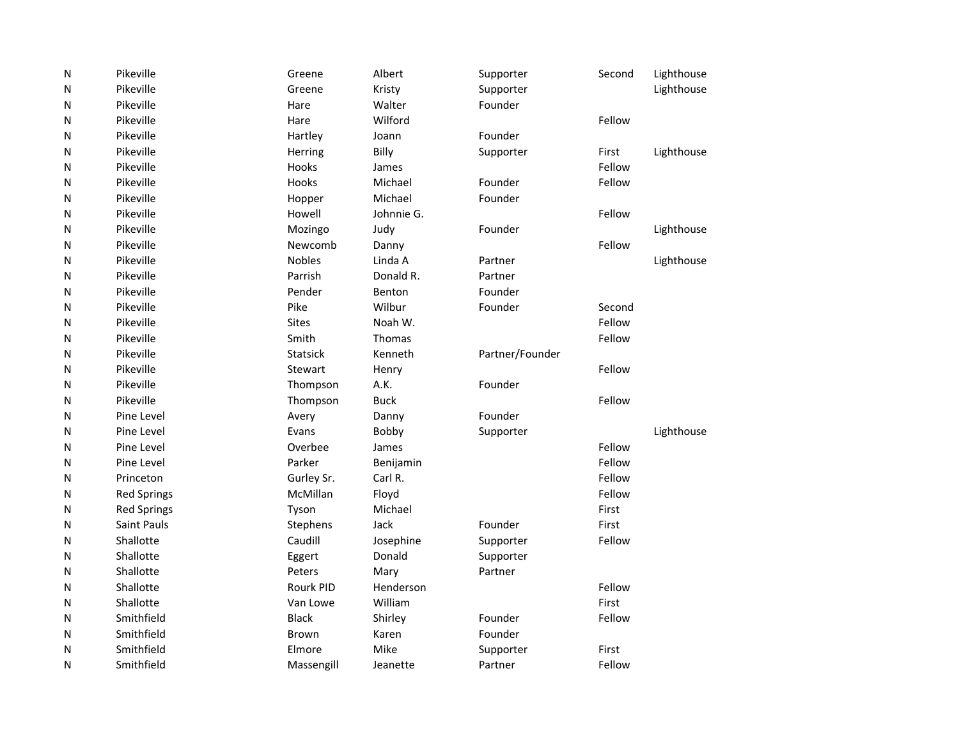| ${\sf N}$    | Pikeville          | Greene           | Albert      | Supporter       | Second | Lighthouse |
|--------------|--------------------|------------------|-------------|-----------------|--------|------------|
| N            | Pikeville          | Greene           | Kristy      | Supporter       |        | Lighthouse |
| N            | Pikeville          | Hare             | Walter      | Founder         |        |            |
| N            | Pikeville          | Hare             | Wilford     |                 | Fellow |            |
| N            | Pikeville          | Hartley          | Joann       | Founder         |        |            |
| N            | Pikeville          | Herring          | Billy       | Supporter       | First  | Lighthouse |
| N            | Pikeville          | Hooks            | James       |                 | Fellow |            |
| N            | Pikeville          | <b>Hooks</b>     | Michael     | Founder         | Fellow |            |
| N            | Pikeville          | Hopper           | Michael     | Founder         |        |            |
| N            | Pikeville          | Howell           | Johnnie G.  |                 | Fellow |            |
| N            | Pikeville          | Mozingo          | Judy        | Founder         |        | Lighthouse |
| $\mathsf{N}$ | Pikeville          | Newcomb          | Danny       |                 | Fellow |            |
| N            | Pikeville          | <b>Nobles</b>    | Linda A     | Partner         |        | Lighthouse |
| N            | Pikeville          | Parrish          | Donald R.   | Partner         |        |            |
| N            | Pikeville          | Pender           | Benton      | Founder         |        |            |
| N            | Pikeville          | Pike             | Wilbur      | Founder         | Second |            |
| N            | Pikeville          | <b>Sites</b>     | Noah W.     |                 | Fellow |            |
| N            | Pikeville          | Smith            | Thomas      |                 | Fellow |            |
| N            | Pikeville          | <b>Statsick</b>  | Kenneth     | Partner/Founder |        |            |
| N            | Pikeville          | Stewart          | Henry       |                 | Fellow |            |
| N            | Pikeville          | Thompson         | A.K.        | Founder         |        |            |
| N            | Pikeville          | Thompson         | <b>Buck</b> |                 | Fellow |            |
| N            | Pine Level         | Avery            | Danny       | Founder         |        |            |
| N            | Pine Level         | Evans            | Bobby       | Supporter       |        | Lighthouse |
| N            | Pine Level         | Overbee          | James       |                 | Fellow |            |
| N            | Pine Level         | Parker           | Benijamin   |                 | Fellow |            |
| N            | Princeton          | Gurley Sr.       | Carl R.     |                 | Fellow |            |
| N            | <b>Red Springs</b> | McMillan         | Floyd       |                 | Fellow |            |
| N            | <b>Red Springs</b> | Tyson            | Michael     |                 | First  |            |
| N            | <b>Saint Pauls</b> | Stephens         | Jack        | Founder         | First  |            |
| N            | Shallotte          | Caudill          | Josephine   | Supporter       | Fellow |            |
| N            | Shallotte          | Eggert           | Donald      | Supporter       |        |            |
| N            | Shallotte          | Peters           | Mary        | Partner         |        |            |
| N            | Shallotte          | <b>Rourk PID</b> | Henderson   |                 | Fellow |            |
| N            | Shallotte          | Van Lowe         | William     |                 | First  |            |
| N            | Smithfield         | <b>Black</b>     | Shirley     | Founder         | Fellow |            |
| N            | Smithfield         | Brown            | Karen       | Founder         |        |            |
| N            | Smithfield         | Elmore           | Mike        | Supporter       | First  |            |
| N            | Smithfield         | Massengill       | Jeanette    | Partner         | Fellow |            |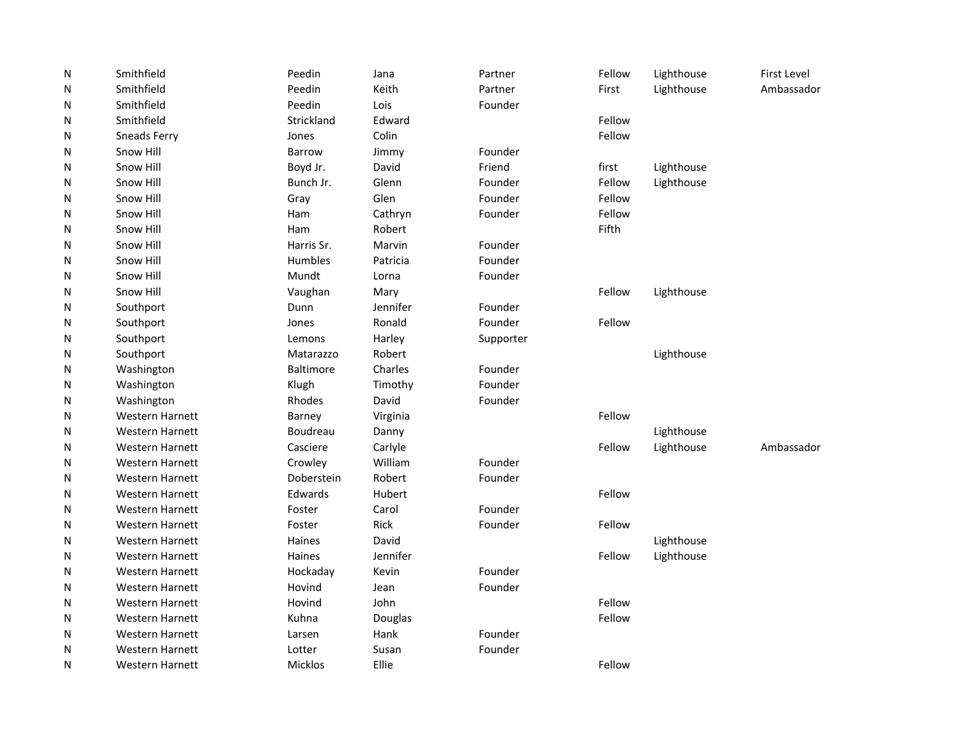| ${\sf N}$ | Smithfield             | Peedin           | Jana     | Partner   | Fellow | Lighthouse | <b>First Level</b> |
|-----------|------------------------|------------------|----------|-----------|--------|------------|--------------------|
| N         | Smithfield             | Peedin           | Keith    | Partner   | First  | Lighthouse | Ambassador         |
| N         | Smithfield             | Peedin           | Lois     | Founder   |        |            |                    |
| N         | Smithfield             | Strickland       | Edward   |           | Fellow |            |                    |
| N         | Sneads Ferry           | Jones            | Colin    |           | Fellow |            |                    |
| N         | Snow Hill              | <b>Barrow</b>    | Jimmy    | Founder   |        |            |                    |
| N         | Snow Hill              | Boyd Jr.         | David    | Friend    | first  | Lighthouse |                    |
| N         | Snow Hill              | Bunch Jr.        | Glenn    | Founder   | Fellow | Lighthouse |                    |
| N         | Snow Hill              | Gray             | Glen     | Founder   | Fellow |            |                    |
| N         | Snow Hill              | Ham              | Cathryn  | Founder   | Fellow |            |                    |
| N         | Snow Hill              | Ham              | Robert   |           | Fifth  |            |                    |
| N         | Snow Hill              | Harris Sr.       | Marvin   | Founder   |        |            |                    |
| N         | Snow Hill              | Humbles          | Patricia | Founder   |        |            |                    |
| N         | Snow Hill              | Mundt            | Lorna    | Founder   |        |            |                    |
| N         | Snow Hill              | Vaughan          | Mary     |           | Fellow | Lighthouse |                    |
| N         | Southport              | Dunn             | Jennifer | Founder   |        |            |                    |
| N         | Southport              | Jones            | Ronald   | Founder   | Fellow |            |                    |
| N         | Southport              | Lemons           | Harley   | Supporter |        |            |                    |
| N         | Southport              | Matarazzo        | Robert   |           |        | Lighthouse |                    |
| N         | Washington             | <b>Baltimore</b> | Charles  | Founder   |        |            |                    |
| N         | Washington             | Klugh            | Timothy  | Founder   |        |            |                    |
| N         | Washington             | Rhodes           | David    | Founder   |        |            |                    |
| N         | <b>Western Harnett</b> | Barney           | Virginia |           | Fellow |            |                    |
| N         | <b>Western Harnett</b> | Boudreau         | Danny    |           |        | Lighthouse |                    |
| N         | <b>Western Harnett</b> | Casciere         | Carlyle  |           | Fellow | Lighthouse | Ambassador         |
| N         | <b>Western Harnett</b> | Crowley          | William  | Founder   |        |            |                    |
| N         | <b>Western Harnett</b> | Doberstein       | Robert   | Founder   |        |            |                    |
| N         | <b>Western Harnett</b> | Edwards          | Hubert   |           | Fellow |            |                    |
| N         | <b>Western Harnett</b> | Foster           | Carol    | Founder   |        |            |                    |
| N         | <b>Western Harnett</b> | Foster           | Rick     | Founder   | Fellow |            |                    |
| N         | <b>Western Harnett</b> | Haines           | David    |           |        | Lighthouse |                    |
| N         | Western Harnett        | Haines           | Jennifer |           | Fellow | Lighthouse |                    |
| N         | <b>Western Harnett</b> | Hockaday         | Kevin    | Founder   |        |            |                    |
| N         | <b>Western Harnett</b> | Hovind           | Jean     | Founder   |        |            |                    |
| N         | <b>Western Harnett</b> | Hovind           | John     |           | Fellow |            |                    |
| N         | <b>Western Harnett</b> | Kuhna            | Douglas  |           | Fellow |            |                    |
| N         | <b>Western Harnett</b> | Larsen           | Hank     | Founder   |        |            |                    |
| N         | <b>Western Harnett</b> | Lotter           | Susan    | Founder   |        |            |                    |
| N         | <b>Western Harnett</b> | <b>Micklos</b>   | Ellie    |           | Fellow |            |                    |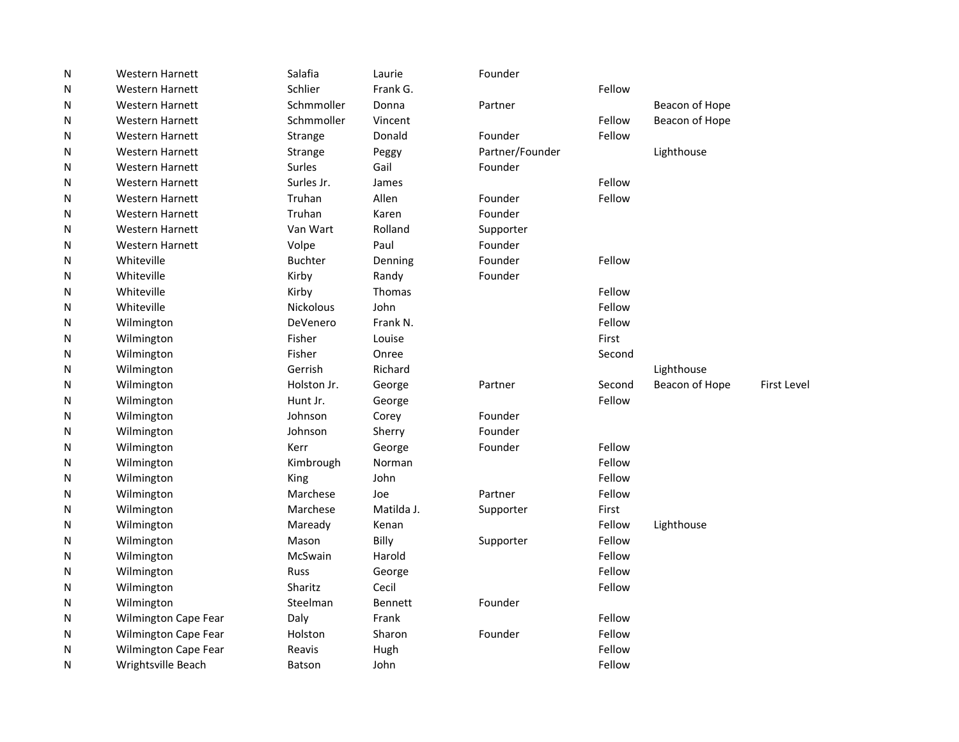| N | <b>Western Harnett</b> | Salafia          | Laurie         | Founder         |        |                |                    |
|---|------------------------|------------------|----------------|-----------------|--------|----------------|--------------------|
| N | <b>Western Harnett</b> | Schlier          | Frank G.       |                 | Fellow |                |                    |
| N | <b>Western Harnett</b> | Schmmoller       | Donna          | Partner         |        | Beacon of Hope |                    |
| N | <b>Western Harnett</b> | Schmmoller       | Vincent        |                 | Fellow | Beacon of Hope |                    |
| N | <b>Western Harnett</b> | Strange          | Donald         | Founder         | Fellow |                |                    |
| N | <b>Western Harnett</b> | Strange          | Peggy          | Partner/Founder |        | Lighthouse     |                    |
| N | <b>Western Harnett</b> | Surles           | Gail           | Founder         |        |                |                    |
| N | <b>Western Harnett</b> | Surles Jr.       | James          |                 | Fellow |                |                    |
| N | <b>Western Harnett</b> | Truhan           | Allen          | Founder         | Fellow |                |                    |
| N | <b>Western Harnett</b> | Truhan           | Karen          | Founder         |        |                |                    |
| N | <b>Western Harnett</b> | Van Wart         | Rolland        | Supporter       |        |                |                    |
| N | <b>Western Harnett</b> | Volpe            | Paul           | Founder         |        |                |                    |
| N | Whiteville             | <b>Buchter</b>   | Denning        | Founder         | Fellow |                |                    |
| N | Whiteville             | Kirby            | Randy          | Founder         |        |                |                    |
| N | Whiteville             | Kirby            | <b>Thomas</b>  |                 | Fellow |                |                    |
| N | Whiteville             | <b>Nickolous</b> | John           |                 | Fellow |                |                    |
| N | Wilmington             | DeVenero         | Frank N.       |                 | Fellow |                |                    |
| N | Wilmington             | Fisher           | Louise         |                 | First  |                |                    |
| N | Wilmington             | Fisher           | Onree          |                 | Second |                |                    |
| N | Wilmington             | Gerrish          | Richard        |                 |        | Lighthouse     |                    |
| N | Wilmington             | Holston Jr.      | George         | Partner         | Second | Beacon of Hope | <b>First Level</b> |
| N | Wilmington             | Hunt Jr.         | George         |                 | Fellow |                |                    |
| N | Wilmington             | Johnson          | Corey          | Founder         |        |                |                    |
| N | Wilmington             | Johnson          | Sherry         | Founder         |        |                |                    |
| N | Wilmington             | Kerr             | George         | Founder         | Fellow |                |                    |
| N | Wilmington             | Kimbrough        | Norman         |                 | Fellow |                |                    |
| N | Wilmington             | King             | John           |                 | Fellow |                |                    |
| N | Wilmington             | Marchese         | Joe            | Partner         | Fellow |                |                    |
| N | Wilmington             | Marchese         | Matilda J.     | Supporter       | First  |                |                    |
| N | Wilmington             | Maready          | Kenan          |                 | Fellow | Lighthouse     |                    |
| N | Wilmington             | Mason            | Billy          | Supporter       | Fellow |                |                    |
| N | Wilmington             | McSwain          | Harold         |                 | Fellow |                |                    |
| N | Wilmington             | <b>Russ</b>      | George         |                 | Fellow |                |                    |
| N | Wilmington             | Sharitz          | Cecil          |                 | Fellow |                |                    |
| N | Wilmington             | Steelman         | <b>Bennett</b> | Founder         |        |                |                    |
| N | Wilmington Cape Fear   | Daly             | Frank          |                 | Fellow |                |                    |
| N | Wilmington Cape Fear   | Holston          | Sharon         | Founder         | Fellow |                |                    |
| N | Wilmington Cape Fear   | Reavis           | Hugh           |                 | Fellow |                |                    |
| N | Wrightsville Beach     | <b>Batson</b>    | John           |                 | Fellow |                |                    |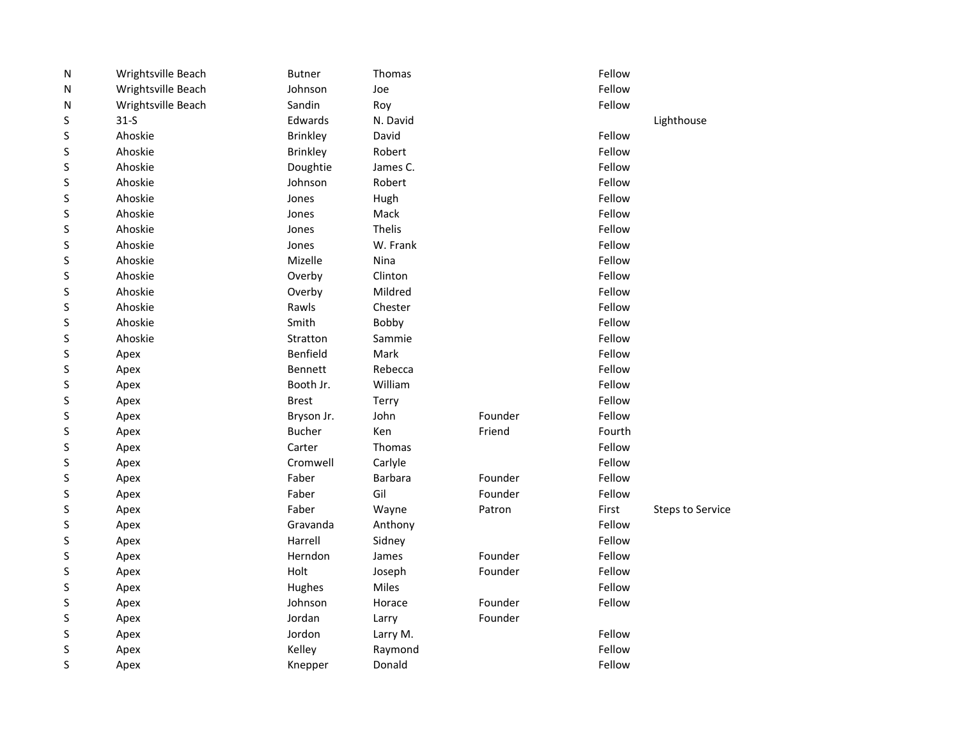| ${\sf N}$ | Wrightsville Beach | <b>Butner</b>   | Thomas         |         | Fellow |                         |
|-----------|--------------------|-----------------|----------------|---------|--------|-------------------------|
| Ν         | Wrightsville Beach | Johnson         | Joe            |         | Fellow |                         |
| N         | Wrightsville Beach | Sandin          | Roy            |         | Fellow |                         |
| S         | $31-5$             | Edwards         | N. David       |         |        | Lighthouse              |
| S         | Ahoskie            | <b>Brinkley</b> | David          |         | Fellow |                         |
| S         | Ahoskie            | <b>Brinkley</b> | Robert         |         | Fellow |                         |
| S         | Ahoskie            | Doughtie        | James C.       |         | Fellow |                         |
| S         | Ahoskie            | Johnson         | Robert         |         | Fellow |                         |
| S         | Ahoskie            | Jones           | Hugh           |         | Fellow |                         |
| S         | Ahoskie            | Jones           | Mack           |         | Fellow |                         |
| S         | Ahoskie            | Jones           | Thelis         |         | Fellow |                         |
| S         | Ahoskie            | Jones           | W. Frank       |         | Fellow |                         |
| S         | Ahoskie            | Mizelle         | Nina           |         | Fellow |                         |
| S         | Ahoskie            | Overby          | Clinton        |         | Fellow |                         |
| S         | Ahoskie            | Overby          | Mildred        |         | Fellow |                         |
| S         | Ahoskie            | Rawls           | Chester        |         | Fellow |                         |
| S         | Ahoskie            | Smith           | Bobby          |         | Fellow |                         |
| S         | Ahoskie            | Stratton        | Sammie         |         | Fellow |                         |
| S         | Apex               | Benfield        | Mark           |         | Fellow |                         |
| S         | Apex               | <b>Bennett</b>  | Rebecca        |         | Fellow |                         |
| S         | Apex               | Booth Jr.       | William        |         | Fellow |                         |
| S         | Apex               | <b>Brest</b>    | Terry          |         | Fellow |                         |
| S         | Apex               | Bryson Jr.      | John           | Founder | Fellow |                         |
| S         | Apex               | <b>Bucher</b>   | Ken            | Friend  | Fourth |                         |
| S         | Apex               | Carter          | Thomas         |         | Fellow |                         |
| S         | Apex               | Cromwell        | Carlyle        |         | Fellow |                         |
| S         | Apex               | Faber           | <b>Barbara</b> | Founder | Fellow |                         |
| S         | Apex               | Faber           | Gil            | Founder | Fellow |                         |
| S         | Apex               | Faber           | Wayne          | Patron  | First  | <b>Steps to Service</b> |
| S         | Apex               | Gravanda        | Anthony        |         | Fellow |                         |
| S         | Apex               | Harrell         | Sidney         |         | Fellow |                         |
| S         | Apex               | Herndon         | James          | Founder | Fellow |                         |
| S         | Apex               | Holt            | Joseph         | Founder | Fellow |                         |
| S         | Apex               | Hughes          | Miles          |         | Fellow |                         |
| S         | Apex               | Johnson         | Horace         | Founder | Fellow |                         |
| S         | Apex               | Jordan          | Larry          | Founder |        |                         |
| S         | Apex               | Jordon          | Larry M.       |         | Fellow |                         |
| S         | Apex               | Kelley          | Raymond        |         | Fellow |                         |
| S         | Apex               | Knepper         | Donald         |         | Fellow |                         |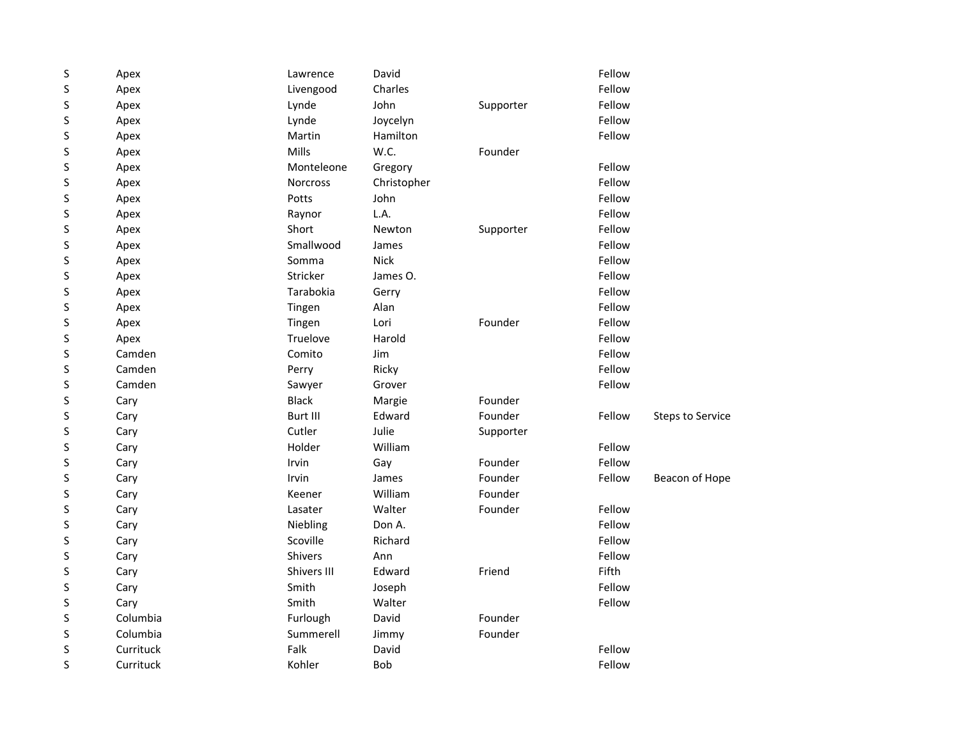| S       | Apex      | Lawrence        | David       |           | Fellow |                         |
|---------|-----------|-----------------|-------------|-----------|--------|-------------------------|
| $\sf S$ | Apex      | Livengood       | Charles     |           | Fellow |                         |
| S       | Apex      | Lynde           | John        | Supporter | Fellow |                         |
| S       | Apex      | Lynde           | Joycelyn    |           | Fellow |                         |
| S       | Apex      | Martin          | Hamilton    |           | Fellow |                         |
| S       | Apex      | Mills           | W.C.        | Founder   |        |                         |
| S       | Apex      | Monteleone      | Gregory     |           | Fellow |                         |
| S       | Apex      | <b>Norcross</b> | Christopher |           | Fellow |                         |
| S       | Apex      | Potts           | John        |           | Fellow |                         |
| S       | Apex      | Raynor          | L.A.        |           | Fellow |                         |
| S       | Apex      | Short           | Newton      | Supporter | Fellow |                         |
| S       | Apex      | Smallwood       | James       |           | Fellow |                         |
| S       | Apex      | Somma           | <b>Nick</b> |           | Fellow |                         |
| S       | Apex      | Stricker        | James O.    |           | Fellow |                         |
| S       | Apex      | Tarabokia       | Gerry       |           | Fellow |                         |
| S       | Apex      | Tingen          | Alan        |           | Fellow |                         |
| S       | Apex      | Tingen          | Lori        | Founder   | Fellow |                         |
| S       | Apex      | Truelove        | Harold      |           | Fellow |                         |
| S       | Camden    | Comito          | Jim         |           | Fellow |                         |
| S       | Camden    | Perry           | Ricky       |           | Fellow |                         |
| S       | Camden    | Sawyer          | Grover      |           | Fellow |                         |
| S       | Cary      | <b>Black</b>    | Margie      | Founder   |        |                         |
| S       | Cary      | Burt III        | Edward      | Founder   | Fellow | <b>Steps to Service</b> |
| S       | Cary      | Cutler          | Julie       | Supporter |        |                         |
| S       | Cary      | Holder          | William     |           | Fellow |                         |
| S       | Cary      | Irvin           | Gay         | Founder   | Fellow |                         |
| S       | Cary      | Irvin           | James       | Founder   | Fellow | Beacon of Hope          |
| S       | Cary      | Keener          | William     | Founder   |        |                         |
| S       | Cary      | Lasater         | Walter      | Founder   | Fellow |                         |
| S       | Cary      | Niebling        | Don A.      |           | Fellow |                         |
| S       | Cary      | Scoville        | Richard     |           | Fellow |                         |
| S       | Cary      | <b>Shivers</b>  | Ann         |           | Fellow |                         |
| S       | Cary      | Shivers III     | Edward      | Friend    | Fifth  |                         |
| S       | Cary      | Smith           | Joseph      |           | Fellow |                         |
| S       | Cary      | Smith           | Walter      |           | Fellow |                         |
| S       | Columbia  | Furlough        | David       | Founder   |        |                         |
| S       | Columbia  | Summerell       | Jimmy       | Founder   |        |                         |
| S       | Currituck | Falk            | David       |           | Fellow |                         |
| S       | Currituck | Kohler          | Bob         |           | Fellow |                         |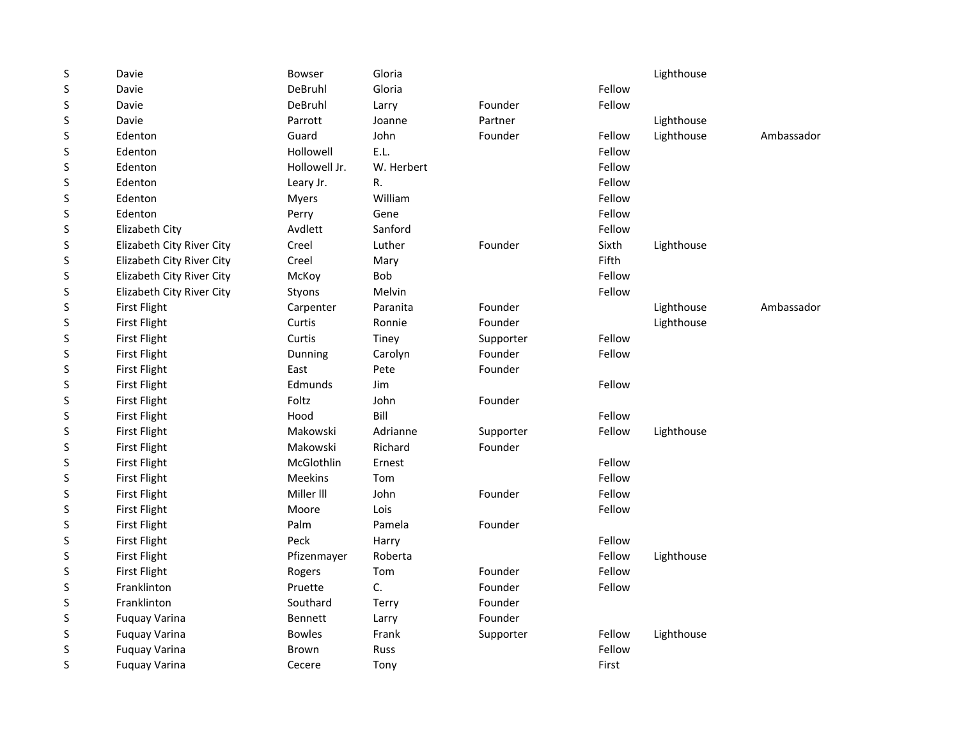| S | Davie                     | <b>Bowser</b>  | Gloria      |           |        | Lighthouse |            |
|---|---------------------------|----------------|-------------|-----------|--------|------------|------------|
| S | Davie                     | DeBruhl        | Gloria      |           | Fellow |            |            |
| S | Davie                     | DeBruhl        | Larry       | Founder   | Fellow |            |            |
| S | Davie                     | Parrott        | Joanne      | Partner   |        | Lighthouse |            |
| S | Edenton                   | Guard          | John        | Founder   | Fellow | Lighthouse | Ambassador |
| S | Edenton                   | Hollowell      | E.L.        |           | Fellow |            |            |
| S | Edenton                   | Hollowell Jr.  | W. Herbert  |           | Fellow |            |            |
| S | Edenton                   | Leary Jr.      | R.          |           | Fellow |            |            |
| S | Edenton                   | Myers          | William     |           | Fellow |            |            |
| S | Edenton                   | Perry          | Gene        |           | Fellow |            |            |
| S | Elizabeth City            | Avdlett        | Sanford     |           | Fellow |            |            |
| S | Elizabeth City River City | Creel          | Luther      | Founder   | Sixth  | Lighthouse |            |
| S | Elizabeth City River City | Creel          | Mary        |           | Fifth  |            |            |
| S | Elizabeth City River City | McKoy          | Bob         |           | Fellow |            |            |
| S | Elizabeth City River City | Styons         | Melvin      |           | Fellow |            |            |
| S | <b>First Flight</b>       | Carpenter      | Paranita    | Founder   |        | Lighthouse | Ambassador |
| S | <b>First Flight</b>       | Curtis         | Ronnie      | Founder   |        | Lighthouse |            |
| S | <b>First Flight</b>       | Curtis         | Tiney       | Supporter | Fellow |            |            |
| S | <b>First Flight</b>       | Dunning        | Carolyn     | Founder   | Fellow |            |            |
| S | <b>First Flight</b>       | East           | Pete        | Founder   |        |            |            |
| S | First Flight              | Edmunds        | Jim         |           | Fellow |            |            |
| S | First Flight              | Foltz          | John        | Founder   |        |            |            |
| S | First Flight              | Hood           | Bill        |           | Fellow |            |            |
| S | First Flight              | Makowski       | Adrianne    | Supporter | Fellow | Lighthouse |            |
| S | First Flight              | Makowski       | Richard     | Founder   |        |            |            |
| S | <b>First Flight</b>       | McGlothlin     | Ernest      |           | Fellow |            |            |
| S | <b>First Flight</b>       | Meekins        | Tom         |           | Fellow |            |            |
| S | First Flight              | Miller III     | John        | Founder   | Fellow |            |            |
| S | <b>First Flight</b>       | Moore          | Lois        |           | Fellow |            |            |
| S | <b>First Flight</b>       | Palm           | Pamela      | Founder   |        |            |            |
| S | <b>First Flight</b>       | Peck           | Harry       |           | Fellow |            |            |
| S | <b>First Flight</b>       | Pfizenmayer    | Roberta     |           | Fellow | Lighthouse |            |
| S | First Flight              | Rogers         | Tom         | Founder   | Fellow |            |            |
| S | Franklinton               | Pruette        | C.          | Founder   | Fellow |            |            |
| S | Franklinton               | Southard       | Terry       | Founder   |        |            |            |
| S | <b>Fuquay Varina</b>      | <b>Bennett</b> | Larry       | Founder   |        |            |            |
| S | <b>Fuquay Varina</b>      | <b>Bowles</b>  | Frank       | Supporter | Fellow | Lighthouse |            |
| S | <b>Fuquay Varina</b>      | Brown          | <b>Russ</b> |           | Fellow |            |            |
| S | <b>Fuquay Varina</b>      | Cecere         | Tony        |           | First  |            |            |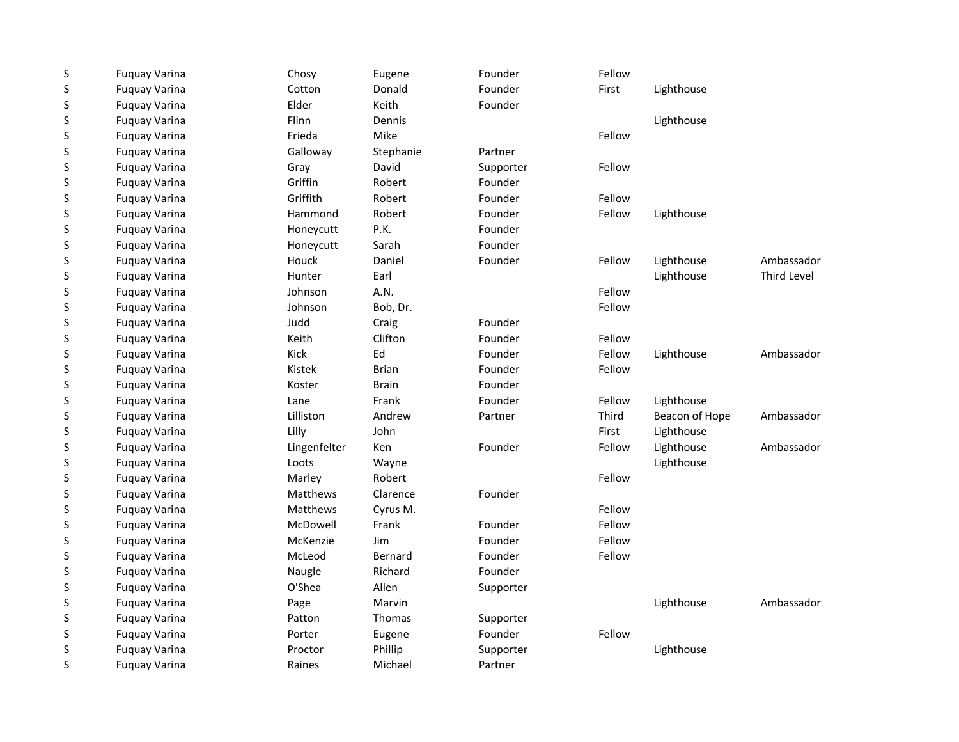| $\sf S$     | <b>Fuquay Varina</b> | Chosy        | Eugene       | Founder   | Fellow |                |             |
|-------------|----------------------|--------------|--------------|-----------|--------|----------------|-------------|
| $\mathsf S$ | <b>Fuquay Varina</b> | Cotton       | Donald       | Founder   | First  | Lighthouse     |             |
| $\sf S$     | <b>Fuquay Varina</b> | Elder        | Keith        | Founder   |        |                |             |
| S           | <b>Fuquay Varina</b> | Flinn        | Dennis       |           |        | Lighthouse     |             |
| S           | <b>Fuguay Varina</b> | Frieda       | Mike         |           | Fellow |                |             |
| S           | <b>Fuquay Varina</b> | Galloway     | Stephanie    | Partner   |        |                |             |
| S           | <b>Fuguay Varina</b> | Gray         | David        | Supporter | Fellow |                |             |
| S           | <b>Fuquay Varina</b> | Griffin      | Robert       | Founder   |        |                |             |
| S           | <b>Fuquay Varina</b> | Griffith     | Robert       | Founder   | Fellow |                |             |
| S           | <b>Fuquay Varina</b> | Hammond      | Robert       | Founder   | Fellow | Lighthouse     |             |
| $\sf S$     | <b>Fuguay Varina</b> | Honeycutt    | P.K.         | Founder   |        |                |             |
| $\sf S$     | <b>Fuquay Varina</b> | Honeycutt    | Sarah        | Founder   |        |                |             |
| $\sf S$     | <b>Fuquay Varina</b> | Houck        | Daniel       | Founder   | Fellow | Lighthouse     | Ambassador  |
| $\sf S$     | <b>Fuquay Varina</b> | Hunter       | Earl         |           |        | Lighthouse     | Third Level |
| $\sf S$     | <b>Fuguay Varina</b> | Johnson      | A.N.         |           | Fellow |                |             |
| $\sf S$     | <b>Fuquay Varina</b> | Johnson      | Bob, Dr.     |           | Fellow |                |             |
| S           | <b>Fuquay Varina</b> | Judd         | Craig        | Founder   |        |                |             |
| S           | <b>Fuguay Varina</b> | Keith        | Clifton      | Founder   | Fellow |                |             |
| $\sf S$     | <b>Fuguay Varina</b> | Kick         | Ed           | Founder   | Fellow | Lighthouse     | Ambassador  |
| S           | <b>Fuguay Varina</b> | Kistek       | <b>Brian</b> | Founder   | Fellow |                |             |
| $\sf S$     | <b>Fuquay Varina</b> | Koster       | <b>Brain</b> | Founder   |        |                |             |
| $\sf S$     | <b>Fuguay Varina</b> | Lane         | Frank        | Founder   | Fellow | Lighthouse     |             |
| S           | <b>Fuquay Varina</b> | Lilliston    | Andrew       | Partner   | Third  | Beacon of Hope | Ambassador  |
| $\sf S$     | <b>Fuguay Varina</b> | Lilly        | John         |           | First  | Lighthouse     |             |
| $\sf S$     | <b>Fuquay Varina</b> | Lingenfelter | Ken          | Founder   | Fellow | Lighthouse     | Ambassador  |
| $\sf S$     | <b>Fuquay Varina</b> | Loots        | Wayne        |           |        | Lighthouse     |             |
| $\sf S$     | <b>Fuquay Varina</b> | Marley       | Robert       |           | Fellow |                |             |
| $\sf S$     | <b>Fuguay Varina</b> | Matthews     | Clarence     | Founder   |        |                |             |
| $\sf S$     | <b>Fuquay Varina</b> | Matthews     | Cyrus M.     |           | Fellow |                |             |
| S           | <b>Fuquay Varina</b> | McDowell     | Frank        | Founder   | Fellow |                |             |
| S           | <b>Fuguay Varina</b> | McKenzie     | Jim          | Founder   | Fellow |                |             |
| S           | <b>Fuquay Varina</b> | McLeod       | Bernard      | Founder   | Fellow |                |             |
| S           | <b>Fuguay Varina</b> | Naugle       | Richard      | Founder   |        |                |             |
| $\sf S$     | <b>Fuquay Varina</b> | O'Shea       | Allen        | Supporter |        |                |             |
| S           | <b>Fuquay Varina</b> | Page         | Marvin       |           |        | Lighthouse     | Ambassador  |
| S           | <b>Fuquay Varina</b> | Patton       | Thomas       | Supporter |        |                |             |
| $\sf S$     | <b>Fuquay Varina</b> | Porter       | Eugene       | Founder   | Fellow |                |             |
| $\sf S$     | <b>Fuquay Varina</b> | Proctor      | Phillip      | Supporter |        | Lighthouse     |             |
| S           | <b>Fuquay Varina</b> | Raines       | Michael      | Partner   |        |                |             |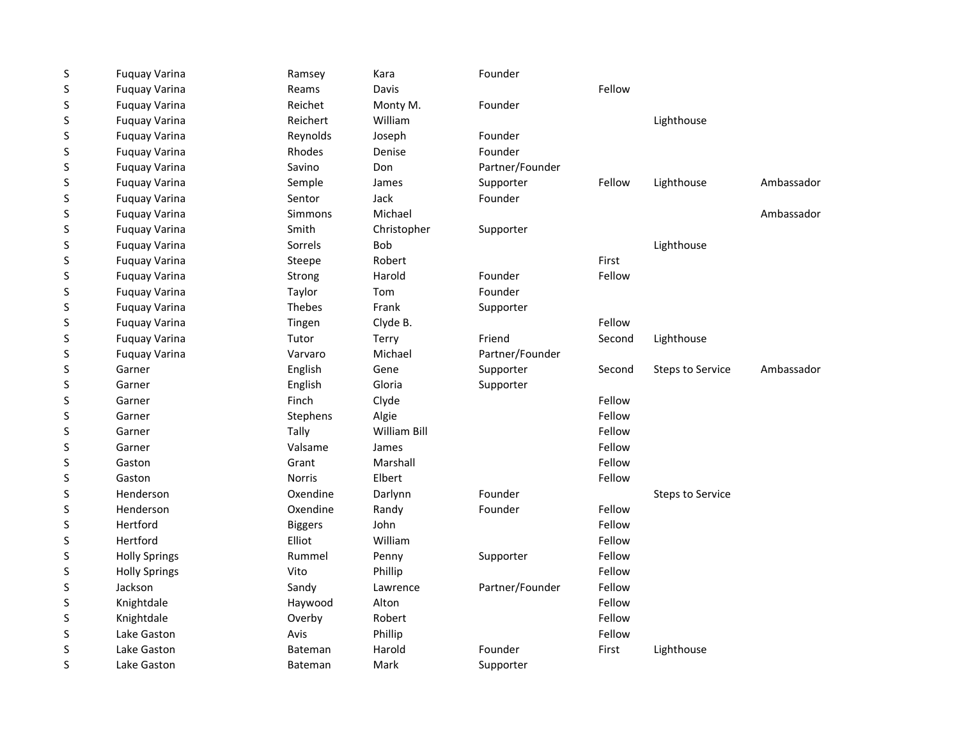| $\sf S$ | <b>Fuquay Varina</b> | Ramsey         | Kara                | Founder         |        |                         |            |
|---------|----------------------|----------------|---------------------|-----------------|--------|-------------------------|------------|
| $\sf S$ | <b>Fuquay Varina</b> | Reams          | Davis               |                 | Fellow |                         |            |
| $\sf S$ | <b>Fuquay Varina</b> | Reichet        | Monty M.            | Founder         |        |                         |            |
| $\sf S$ | <b>Fuquay Varina</b> | Reichert       | William             |                 |        | Lighthouse              |            |
| S       | <b>Fuquay Varina</b> | Reynolds       | Joseph              | Founder         |        |                         |            |
| S       | <b>Fuquay Varina</b> | Rhodes         | Denise              | Founder         |        |                         |            |
| S       | <b>Fuquay Varina</b> | Savino         | Don                 | Partner/Founder |        |                         |            |
| S       | <b>Fuquay Varina</b> | Semple         | James               | Supporter       | Fellow | Lighthouse              | Ambassador |
| $\sf S$ | <b>Fuquay Varina</b> | Sentor         | Jack                | Founder         |        |                         |            |
| $\sf S$ | <b>Fuquay Varina</b> | <b>Simmons</b> | Michael             |                 |        |                         | Ambassador |
| S       | <b>Fuquay Varina</b> | Smith          | Christopher         | Supporter       |        |                         |            |
| S       | <b>Fuquay Varina</b> | Sorrels        | <b>Bob</b>          |                 |        | Lighthouse              |            |
| $\sf S$ | <b>Fuquay Varina</b> | Steepe         | Robert              |                 | First  |                         |            |
| S       | <b>Fuquay Varina</b> | Strong         | Harold              | Founder         | Fellow |                         |            |
| $\sf S$ | <b>Fuquay Varina</b> | Taylor         | Tom                 | Founder         |        |                         |            |
| $\sf S$ | <b>Fuquay Varina</b> | <b>Thebes</b>  | Frank               | Supporter       |        |                         |            |
| S       | <b>Fuquay Varina</b> | Tingen         | Clyde B.            |                 | Fellow |                         |            |
| S       | <b>Fuquay Varina</b> | Tutor          | Terry               | Friend          | Second | Lighthouse              |            |
| S       | <b>Fuquay Varina</b> | Varvaro        | Michael             | Partner/Founder |        |                         |            |
| $\sf S$ | Garner               | English        | Gene                | Supporter       | Second | <b>Steps to Service</b> | Ambassador |
| $\sf S$ | Garner               | English        | Gloria              | Supporter       |        |                         |            |
| S       | Garner               | Finch          | Clyde               |                 | Fellow |                         |            |
| S       | Garner               | Stephens       | Algie               |                 | Fellow |                         |            |
| S       | Garner               | Tally          | <b>William Bill</b> |                 | Fellow |                         |            |
| S       | Garner               | Valsame        | James               |                 | Fellow |                         |            |
| S       | Gaston               | Grant          | Marshall            |                 | Fellow |                         |            |
| S       | Gaston               | <b>Norris</b>  | Elbert              |                 | Fellow |                         |            |
| S       | Henderson            | Oxendine       | Darlynn             | Founder         |        | <b>Steps to Service</b> |            |
| $\sf S$ | Henderson            | Oxendine       | Randy               | Founder         | Fellow |                         |            |
| S       | Hertford             | <b>Biggers</b> | John                |                 | Fellow |                         |            |
| $\sf S$ | Hertford             | Elliot         | William             |                 | Fellow |                         |            |
| S       | <b>Holly Springs</b> | Rummel         | Penny               | Supporter       | Fellow |                         |            |
| $\sf S$ | <b>Holly Springs</b> | Vito           | Phillip             |                 | Fellow |                         |            |
| $\sf S$ | Jackson              | Sandy          | Lawrence            | Partner/Founder | Fellow |                         |            |
| S       | Knightdale           | Haywood        | Alton               |                 | Fellow |                         |            |
| S       | Knightdale           | Overby         | Robert              |                 | Fellow |                         |            |
| S       | Lake Gaston          | Avis           | Phillip             |                 | Fellow |                         |            |
| S       | Lake Gaston          | Bateman        | Harold              | Founder         | First  | Lighthouse              |            |
| S       | Lake Gaston          | <b>Bateman</b> | Mark                | Supporter       |        |                         |            |
|         |                      |                |                     |                 |        |                         |            |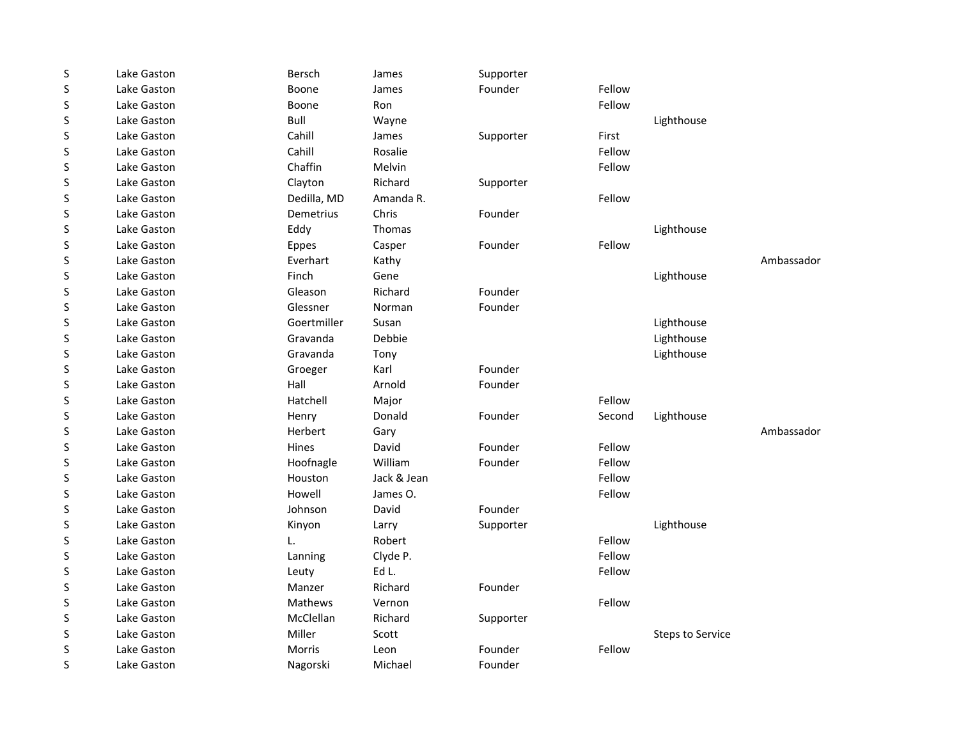| S       | Lake Gaston | <b>Bersch</b> | James       | Supporter |        |                         |            |
|---------|-------------|---------------|-------------|-----------|--------|-------------------------|------------|
| $\sf S$ | Lake Gaston | Boone         | James       | Founder   | Fellow |                         |            |
| S       | Lake Gaston | Boone         | Ron         |           | Fellow |                         |            |
| S       | Lake Gaston | Bull          | Wayne       |           |        | Lighthouse              |            |
| S       | Lake Gaston | Cahill        | James       | Supporter | First  |                         |            |
| S       | Lake Gaston | Cahill        | Rosalie     |           | Fellow |                         |            |
| S       | Lake Gaston | Chaffin       | Melvin      |           | Fellow |                         |            |
| S       | Lake Gaston | Clayton       | Richard     | Supporter |        |                         |            |
| S       | Lake Gaston | Dedilla, MD   | Amanda R.   |           | Fellow |                         |            |
| S       | Lake Gaston | Demetrius     | Chris       | Founder   |        |                         |            |
| S       | Lake Gaston | Eddy          | Thomas      |           |        | Lighthouse              |            |
| S       | Lake Gaston | <b>Eppes</b>  | Casper      | Founder   | Fellow |                         |            |
| S       | Lake Gaston | Everhart      | Kathy       |           |        |                         | Ambassador |
| $\sf S$ | Lake Gaston | Finch         | Gene        |           |        | Lighthouse              |            |
| S       | Lake Gaston | Gleason       | Richard     | Founder   |        |                         |            |
| S       | Lake Gaston | Glessner      | Norman      | Founder   |        |                         |            |
| S       | Lake Gaston | Goertmiller   | Susan       |           |        | Lighthouse              |            |
| S       | Lake Gaston | Gravanda      | Debbie      |           |        | Lighthouse              |            |
| S       | Lake Gaston | Gravanda      | Tony        |           |        | Lighthouse              |            |
| S       | Lake Gaston | Groeger       | Karl        | Founder   |        |                         |            |
| S       | Lake Gaston | Hall          | Arnold      | Founder   |        |                         |            |
| S       | Lake Gaston | Hatchell      | Major       |           | Fellow |                         |            |
| S       | Lake Gaston | Henry         | Donald      | Founder   | Second | Lighthouse              |            |
| S       | Lake Gaston | Herbert       | Gary        |           |        |                         | Ambassador |
| S       | Lake Gaston | Hines         | David       | Founder   | Fellow |                         |            |
| S       | Lake Gaston | Hoofnagle     | William     | Founder   | Fellow |                         |            |
| S       | Lake Gaston | Houston       | Jack & Jean |           | Fellow |                         |            |
| S       | Lake Gaston | Howell        | James O.    |           | Fellow |                         |            |
| S       | Lake Gaston | Johnson       | David       | Founder   |        |                         |            |
| S       | Lake Gaston | Kinyon        | Larry       | Supporter |        | Lighthouse              |            |
| S       | Lake Gaston | L.            | Robert      |           | Fellow |                         |            |
| S       | Lake Gaston | Lanning       | Clyde P.    |           | Fellow |                         |            |
| S       | Lake Gaston | Leuty         | Ed L.       |           | Fellow |                         |            |
| S       | Lake Gaston | Manzer        | Richard     | Founder   |        |                         |            |
| S       | Lake Gaston | Mathews       | Vernon      |           | Fellow |                         |            |
| S       | Lake Gaston | McClellan     | Richard     | Supporter |        |                         |            |
| $\sf S$ | Lake Gaston | Miller        | Scott       |           |        | <b>Steps to Service</b> |            |
| S       | Lake Gaston | Morris        | Leon        | Founder   | Fellow |                         |            |
| S       | Lake Gaston | Nagorski      | Michael     | Founder   |        |                         |            |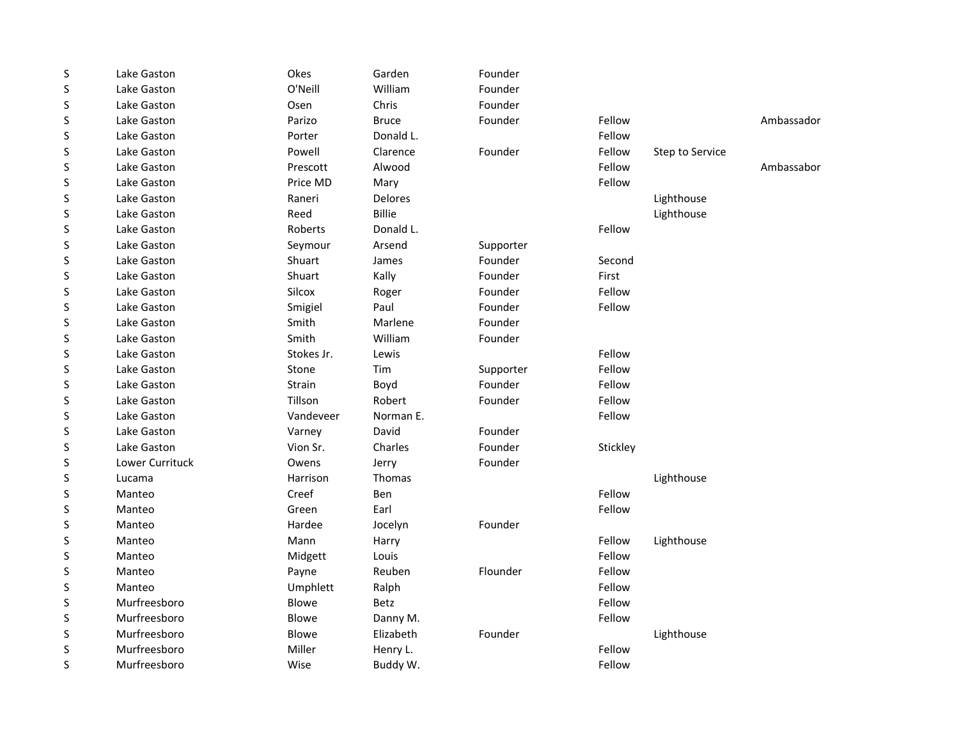| S       | Lake Gaston     | Okes         | Garden         | Founder   |          |                 |            |
|---------|-----------------|--------------|----------------|-----------|----------|-----------------|------------|
| S       | Lake Gaston     | O'Neill      | William        | Founder   |          |                 |            |
| S       | Lake Gaston     | Osen         | Chris          | Founder   |          |                 |            |
| S       | Lake Gaston     | Parizo       | <b>Bruce</b>   | Founder   | Fellow   |                 | Ambassador |
| S       | Lake Gaston     | Porter       | Donald L.      |           | Fellow   |                 |            |
| S       | Lake Gaston     | Powell       | Clarence       | Founder   | Fellow   | Step to Service |            |
| S       | Lake Gaston     | Prescott     | Alwood         |           | Fellow   |                 | Ambassabor |
| S       | Lake Gaston     | Price MD     | Mary           |           | Fellow   |                 |            |
| S       | Lake Gaston     | Raneri       | <b>Delores</b> |           |          | Lighthouse      |            |
| S       | Lake Gaston     | Reed         | <b>Billie</b>  |           |          | Lighthouse      |            |
| S       | Lake Gaston     | Roberts      | Donald L.      |           | Fellow   |                 |            |
| S       | Lake Gaston     | Seymour      | Arsend         | Supporter |          |                 |            |
| S       | Lake Gaston     | Shuart       | James          | Founder   | Second   |                 |            |
| S       | Lake Gaston     | Shuart       | Kally          | Founder   | First    |                 |            |
| S       | Lake Gaston     | Silcox       | Roger          | Founder   | Fellow   |                 |            |
| S       | Lake Gaston     | Smigiel      | Paul           | Founder   | Fellow   |                 |            |
| S       | Lake Gaston     | Smith        | Marlene        | Founder   |          |                 |            |
| S       | Lake Gaston     | Smith        | William        | Founder   |          |                 |            |
| S       | Lake Gaston     | Stokes Jr.   | Lewis          |           | Fellow   |                 |            |
| S       | Lake Gaston     | Stone        | Tim            | Supporter | Fellow   |                 |            |
| $\sf S$ | Lake Gaston     | Strain       | Boyd           | Founder   | Fellow   |                 |            |
| S       | Lake Gaston     | Tillson      | Robert         | Founder   | Fellow   |                 |            |
| S       | Lake Gaston     | Vandeveer    | Norman E.      |           | Fellow   |                 |            |
| S       | Lake Gaston     | Varney       | David          | Founder   |          |                 |            |
| S       | Lake Gaston     | Vion Sr.     | Charles        | Founder   | Stickley |                 |            |
| S       | Lower Currituck | Owens        | Jerry          | Founder   |          |                 |            |
| S       | Lucama          | Harrison     | Thomas         |           |          | Lighthouse      |            |
| S       | Manteo          | Creef        | Ben            |           | Fellow   |                 |            |
| S       | Manteo          | Green        | Earl           |           | Fellow   |                 |            |
| S       | Manteo          | Hardee       | Jocelyn        | Founder   |          |                 |            |
| S       | Manteo          | Mann         | Harry          |           | Fellow   | Lighthouse      |            |
| S       | Manteo          | Midgett      | Louis          |           | Fellow   |                 |            |
| S       | Manteo          | Payne        | Reuben         | Flounder  | Fellow   |                 |            |
| S       | Manteo          | Umphlett     | Ralph          |           | Fellow   |                 |            |
| S       | Murfreesboro    | <b>Blowe</b> | Betz           |           | Fellow   |                 |            |
| S       | Murfreesboro    | <b>Blowe</b> | Danny M.       |           | Fellow   |                 |            |
| S       | Murfreesboro    | Blowe        | Elizabeth      | Founder   |          | Lighthouse      |            |
| S       | Murfreesboro    | Miller       | Henry L.       |           | Fellow   |                 |            |
| S       | Murfreesboro    | Wise         | Buddy W.       |           | Fellow   |                 |            |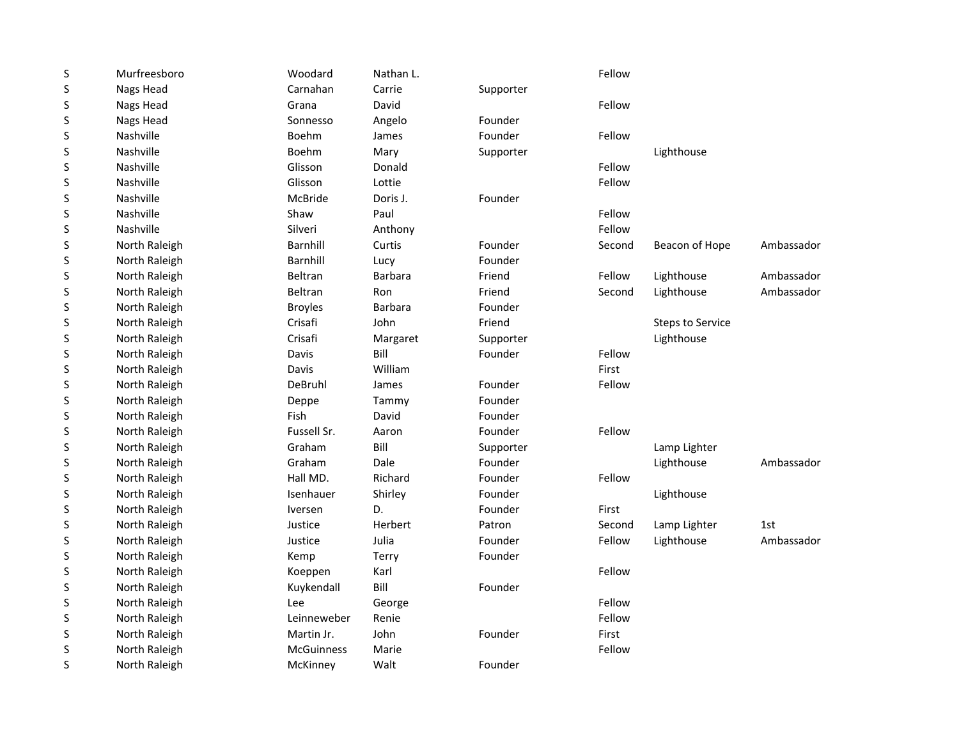| $\sf S$ | Murfreesboro  | Woodard           | Nathan L.      |           | Fellow |                         |            |
|---------|---------------|-------------------|----------------|-----------|--------|-------------------------|------------|
| S       | Nags Head     | Carnahan          | Carrie         | Supporter |        |                         |            |
| S       | Nags Head     | Grana             | David          |           | Fellow |                         |            |
| S       | Nags Head     | Sonnesso          | Angelo         | Founder   |        |                         |            |
| S       | Nashville     | Boehm             | James          | Founder   | Fellow |                         |            |
| S       | Nashville     | Boehm             | Mary           | Supporter |        | Lighthouse              |            |
| S       | Nashville     | Glisson           | Donald         |           | Fellow |                         |            |
| S       | Nashville     | Glisson           | Lottie         |           | Fellow |                         |            |
| S       | Nashville     | <b>McBride</b>    | Doris J.       | Founder   |        |                         |            |
| $\sf S$ | Nashville     | Shaw              | Paul           |           | Fellow |                         |            |
| S       | Nashville     | Silveri           | Anthony        |           | Fellow |                         |            |
| S       | North Raleigh | Barnhill          | Curtis         | Founder   | Second | Beacon of Hope          | Ambassador |
| S       | North Raleigh | <b>Barnhill</b>   | Lucy           | Founder   |        |                         |            |
| S       | North Raleigh | Beltran           | <b>Barbara</b> | Friend    | Fellow | Lighthouse              | Ambassador |
| S       | North Raleigh | <b>Beltran</b>    | Ron            | Friend    | Second | Lighthouse              | Ambassador |
| S       | North Raleigh | <b>Broyles</b>    | <b>Barbara</b> | Founder   |        |                         |            |
| S       | North Raleigh | Crisafi           | John           | Friend    |        | <b>Steps to Service</b> |            |
| S       | North Raleigh | Crisafi           | Margaret       | Supporter |        | Lighthouse              |            |
| S       | North Raleigh | Davis             | Bill           | Founder   | Fellow |                         |            |
| $\sf S$ | North Raleigh | Davis             | William        |           | First  |                         |            |
| S       | North Raleigh | DeBruhl           | James          | Founder   | Fellow |                         |            |
| $\sf S$ | North Raleigh | Deppe             | Tammy          | Founder   |        |                         |            |
| S       | North Raleigh | Fish              | David          | Founder   |        |                         |            |
| S       | North Raleigh | Fussell Sr.       | Aaron          | Founder   | Fellow |                         |            |
| S       | North Raleigh | Graham            | Bill           | Supporter |        | Lamp Lighter            |            |
| S       | North Raleigh | Graham            | Dale           | Founder   |        | Lighthouse              | Ambassador |
| S       | North Raleigh | Hall MD.          | Richard        | Founder   | Fellow |                         |            |
| S       | North Raleigh | Isenhauer         | Shirley        | Founder   |        | Lighthouse              |            |
| S       | North Raleigh | Iversen           | D.             | Founder   | First  |                         |            |
| S       | North Raleigh | Justice           | Herbert        | Patron    | Second | Lamp Lighter            | 1st        |
| S       | North Raleigh | Justice           | Julia          | Founder   | Fellow | Lighthouse              | Ambassador |
| S       | North Raleigh | Kemp              | Terry          | Founder   |        |                         |            |
| S       | North Raleigh | Koeppen           | Karl           |           | Fellow |                         |            |
| $\sf S$ | North Raleigh | Kuykendall        | Bill           | Founder   |        |                         |            |
| S       | North Raleigh | Lee               | George         |           | Fellow |                         |            |
| S       | North Raleigh | Leinneweber       | Renie          |           | Fellow |                         |            |
| S       | North Raleigh | Martin Jr.        | John           | Founder   | First  |                         |            |
| S       | North Raleigh | <b>McGuinness</b> | Marie          |           | Fellow |                         |            |
| S       | North Raleigh | McKinney          | Walt           | Founder   |        |                         |            |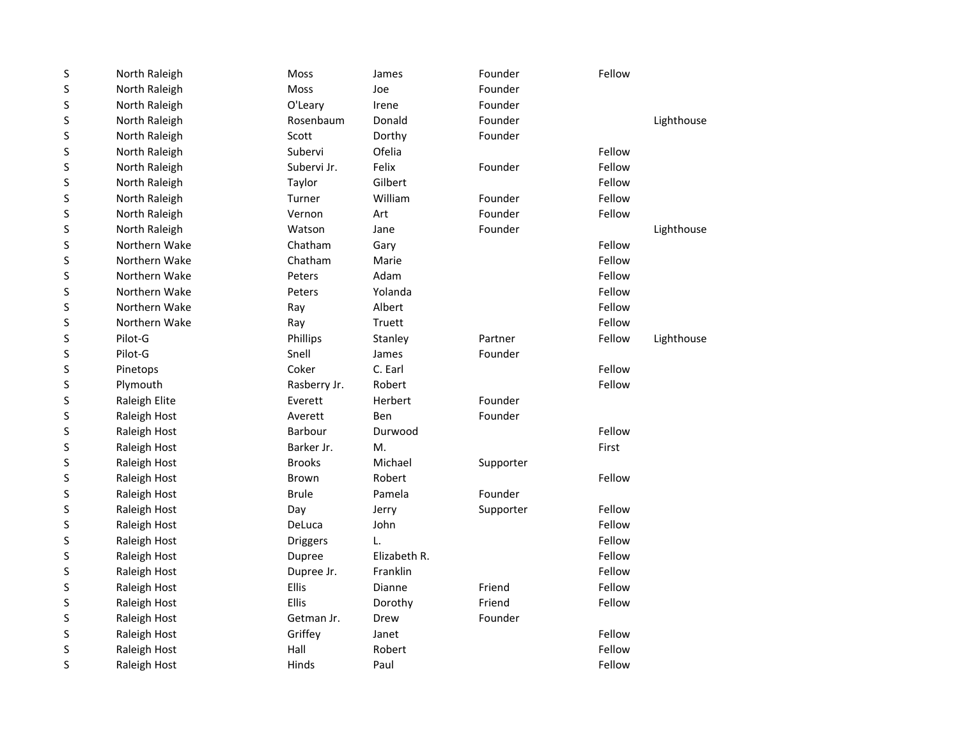| S | North Raleigh | Moss            | James        | Founder   | Fellow |            |
|---|---------------|-----------------|--------------|-----------|--------|------------|
| S | North Raleigh | Moss            | Joe          | Founder   |        |            |
| S | North Raleigh | O'Leary         | Irene        | Founder   |        |            |
| S | North Raleigh | Rosenbaum       | Donald       | Founder   |        | Lighthouse |
| S | North Raleigh | Scott           | Dorthy       | Founder   |        |            |
| S | North Raleigh | Subervi         | Ofelia       |           | Fellow |            |
| S | North Raleigh | Subervi Jr.     | Felix        | Founder   | Fellow |            |
| S | North Raleigh | Taylor          | Gilbert      |           | Fellow |            |
| S | North Raleigh | Turner          | William      | Founder   | Fellow |            |
| S | North Raleigh | Vernon          | Art          | Founder   | Fellow |            |
| S | North Raleigh | Watson          | Jane         | Founder   |        | Lighthouse |
| S | Northern Wake | Chatham         | Gary         |           | Fellow |            |
| S | Northern Wake | Chatham         | Marie        |           | Fellow |            |
| S | Northern Wake | Peters          | Adam         |           | Fellow |            |
| S | Northern Wake | Peters          | Yolanda      |           | Fellow |            |
| S | Northern Wake | Ray             | Albert       |           | Fellow |            |
| S | Northern Wake | Ray             | Truett       |           | Fellow |            |
| S | Pilot-G       | Phillips        | Stanley      | Partner   | Fellow | Lighthouse |
| S | Pilot-G       | Snell           | James        | Founder   |        |            |
| S | Pinetops      | Coker           | C. Earl      |           | Fellow |            |
| S | Plymouth      | Rasberry Jr.    | Robert       |           | Fellow |            |
| S | Raleigh Elite | Everett         | Herbert      | Founder   |        |            |
| S | Raleigh Host  | Averett         | Ben          | Founder   |        |            |
| S | Raleigh Host  | <b>Barbour</b>  | Durwood      |           | Fellow |            |
| S | Raleigh Host  | Barker Jr.      | М.           |           | First  |            |
| S | Raleigh Host  | <b>Brooks</b>   | Michael      | Supporter |        |            |
| S | Raleigh Host  | <b>Brown</b>    | Robert       |           | Fellow |            |
| S | Raleigh Host  | <b>Brule</b>    | Pamela       | Founder   |        |            |
| S | Raleigh Host  | Day             | Jerry        | Supporter | Fellow |            |
| S | Raleigh Host  | DeLuca          | John         |           | Fellow |            |
| S | Raleigh Host  | <b>Driggers</b> | L.           |           | Fellow |            |
| S | Raleigh Host  | Dupree          | Elizabeth R. |           | Fellow |            |
| S | Raleigh Host  | Dupree Jr.      | Franklin     |           | Fellow |            |
| S | Raleigh Host  | Ellis           | Dianne       | Friend    | Fellow |            |
| S | Raleigh Host  | <b>Ellis</b>    | Dorothy      | Friend    | Fellow |            |
| S | Raleigh Host  | Getman Jr.      | Drew         | Founder   |        |            |
| S | Raleigh Host  | Griffey         | Janet        |           | Fellow |            |
| S | Raleigh Host  | Hall            | Robert       |           | Fellow |            |
| S | Raleigh Host  | Hinds           | Paul         |           | Fellow |            |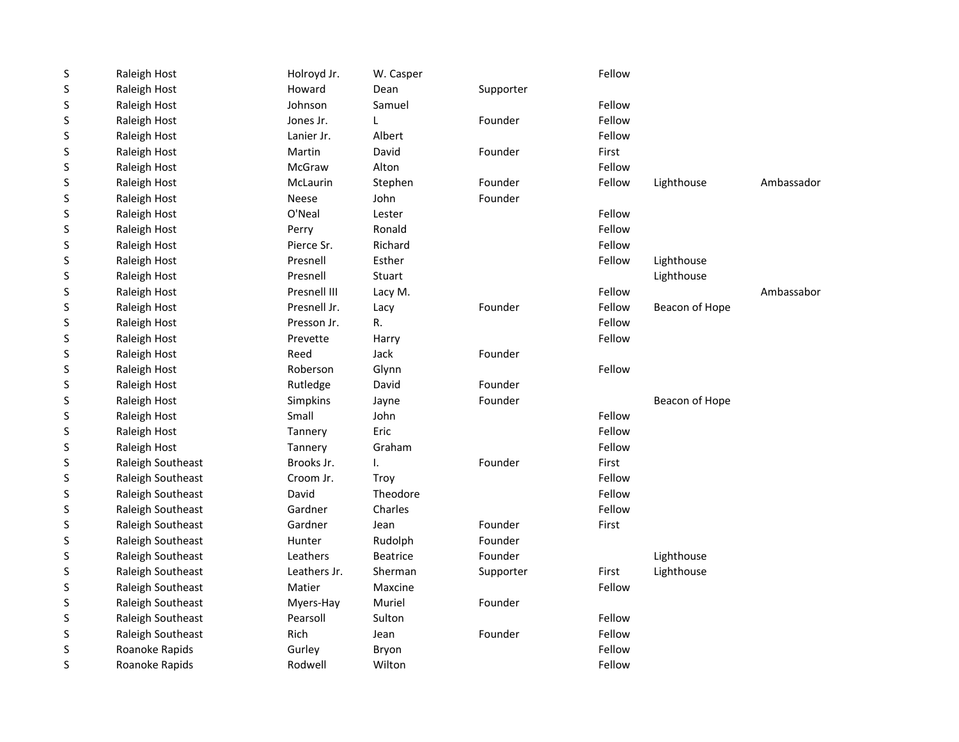| $\sf S$ | Raleigh Host      | Holroyd Jr.     | W. Casper       |           | Fellow |                |            |
|---------|-------------------|-----------------|-----------------|-----------|--------|----------------|------------|
| $\sf S$ | Raleigh Host      | Howard          | Dean            | Supporter |        |                |            |
| S       | Raleigh Host      | Johnson         | Samuel          |           | Fellow |                |            |
| S       | Raleigh Host      | Jones Jr.       | L               | Founder   | Fellow |                |            |
| S       | Raleigh Host      | Lanier Jr.      | Albert          |           | Fellow |                |            |
| S       | Raleigh Host      | Martin          | David           | Founder   | First  |                |            |
| S       | Raleigh Host      | McGraw          | Alton           |           | Fellow |                |            |
| S       | Raleigh Host      | <b>McLaurin</b> | Stephen         | Founder   | Fellow | Lighthouse     | Ambassador |
| S       | Raleigh Host      | Neese           | John            | Founder   |        |                |            |
| $\sf S$ | Raleigh Host      | O'Neal          | Lester          |           | Fellow |                |            |
| S       | Raleigh Host      | Perry           | Ronald          |           | Fellow |                |            |
| S       | Raleigh Host      | Pierce Sr.      | Richard         |           | Fellow |                |            |
| $\sf S$ | Raleigh Host      | Presnell        | Esther          |           | Fellow | Lighthouse     |            |
| S       | Raleigh Host      | Presnell        | Stuart          |           |        | Lighthouse     |            |
| S       | Raleigh Host      | Presnell III    | Lacy M.         |           | Fellow |                | Ambassabor |
| S       | Raleigh Host      | Presnell Jr.    | Lacy            | Founder   | Fellow | Beacon of Hope |            |
| S       | Raleigh Host      | Presson Jr.     | R.              |           | Fellow |                |            |
| S       | Raleigh Host      | Prevette        | Harry           |           | Fellow |                |            |
| S       | Raleigh Host      | Reed            | Jack            | Founder   |        |                |            |
| S       | Raleigh Host      | Roberson        | Glynn           |           | Fellow |                |            |
| S       | Raleigh Host      | Rutledge        | David           | Founder   |        |                |            |
| $\sf S$ | Raleigh Host      | Simpkins        | Jayne           | Founder   |        | Beacon of Hope |            |
| $\sf S$ | Raleigh Host      | Small           | John            |           | Fellow |                |            |
| $\sf S$ | Raleigh Host      | Tannery         | Eric            |           | Fellow |                |            |
| $\sf S$ | Raleigh Host      | Tannery         | Graham          |           | Fellow |                |            |
| S       | Raleigh Southeast | Brooks Jr.      | ı.              | Founder   | First  |                |            |
| $\sf S$ | Raleigh Southeast | Croom Jr.       | Troy            |           | Fellow |                |            |
| S       | Raleigh Southeast | David           | Theodore        |           | Fellow |                |            |
| S       | Raleigh Southeast | Gardner         | Charles         |           | Fellow |                |            |
| S       | Raleigh Southeast | Gardner         | Jean            | Founder   | First  |                |            |
| S       | Raleigh Southeast | Hunter          | Rudolph         | Founder   |        |                |            |
| S       | Raleigh Southeast | Leathers        | <b>Beatrice</b> | Founder   |        | Lighthouse     |            |
| S       | Raleigh Southeast | Leathers Jr.    | Sherman         | Supporter | First  | Lighthouse     |            |
| S       | Raleigh Southeast | Matier          | Maxcine         |           | Fellow |                |            |
| S       | Raleigh Southeast | Myers-Hay       | Muriel          | Founder   |        |                |            |
| S       | Raleigh Southeast | Pearsoll        | Sulton          |           | Fellow |                |            |
| S       | Raleigh Southeast | Rich            | Jean            | Founder   | Fellow |                |            |
| S       | Roanoke Rapids    | Gurley          | Bryon           |           | Fellow |                |            |
| S       | Roanoke Rapids    | Rodwell         | Wilton          |           | Fellow |                |            |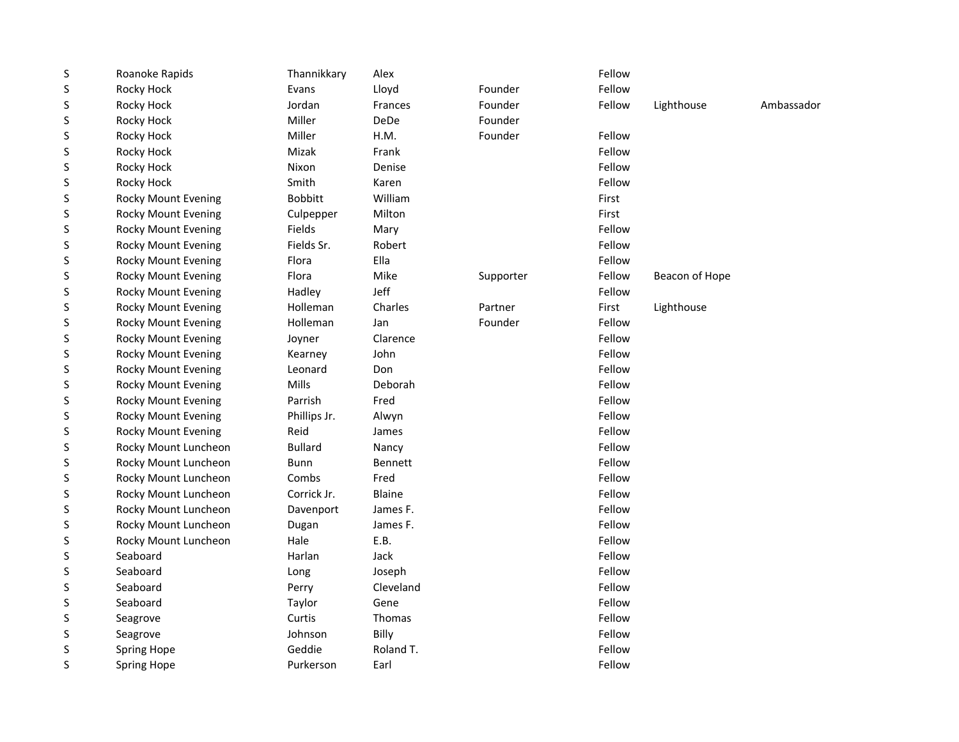| $\sf S$ | Roanoke Rapids             | Thannikkary    | Alex           |           | Fellow |                |            |
|---------|----------------------------|----------------|----------------|-----------|--------|----------------|------------|
| S       | Rocky Hock                 | Evans          | Lloyd          | Founder   | Fellow |                |            |
| S       | Rocky Hock                 | Jordan         | Frances        | Founder   | Fellow | Lighthouse     | Ambassador |
| S       | Rocky Hock                 | Miller         | <b>DeDe</b>    | Founder   |        |                |            |
| S       | Rocky Hock                 | Miller         | H.M.           | Founder   | Fellow |                |            |
| S       | Rocky Hock                 | Mizak          | Frank          |           | Fellow |                |            |
| S       | Rocky Hock                 | Nixon          | Denise         |           | Fellow |                |            |
| S       | Rocky Hock                 | Smith          | Karen          |           | Fellow |                |            |
| S       | <b>Rocky Mount Evening</b> | <b>Bobbitt</b> | William        |           | First  |                |            |
| S       | <b>Rocky Mount Evening</b> | Culpepper      | Milton         |           | First  |                |            |
| S       | <b>Rocky Mount Evening</b> | Fields         | Mary           |           | Fellow |                |            |
| S       | <b>Rocky Mount Evening</b> | Fields Sr.     | Robert         |           | Fellow |                |            |
| S       | <b>Rocky Mount Evening</b> | Flora          | Ella           |           | Fellow |                |            |
| S       | <b>Rocky Mount Evening</b> | Flora          | Mike           | Supporter | Fellow | Beacon of Hope |            |
| S       | <b>Rocky Mount Evening</b> | Hadley         | Jeff           |           | Fellow |                |            |
| S       | <b>Rocky Mount Evening</b> | Holleman       | Charles        | Partner   | First  | Lighthouse     |            |
| S       | <b>Rocky Mount Evening</b> | Holleman       | Jan            | Founder   | Fellow |                |            |
| S       | <b>Rocky Mount Evening</b> | Joyner         | Clarence       |           | Fellow |                |            |
| S       | <b>Rocky Mount Evening</b> | Kearney        | John           |           | Fellow |                |            |
| S       | <b>Rocky Mount Evening</b> | Leonard        | Don            |           | Fellow |                |            |
| S       | <b>Rocky Mount Evening</b> | Mills          | Deborah        |           | Fellow |                |            |
| S       | <b>Rocky Mount Evening</b> | Parrish        | Fred           |           | Fellow |                |            |
| S       | <b>Rocky Mount Evening</b> | Phillips Jr.   | Alwyn          |           | Fellow |                |            |
| S       | <b>Rocky Mount Evening</b> | Reid           | James          |           | Fellow |                |            |
| S       | Rocky Mount Luncheon       | <b>Bullard</b> | Nancy          |           | Fellow |                |            |
| S       | Rocky Mount Luncheon       | <b>Bunn</b>    | <b>Bennett</b> |           | Fellow |                |            |
| S       | Rocky Mount Luncheon       | Combs          | Fred           |           | Fellow |                |            |
| S       | Rocky Mount Luncheon       | Corrick Jr.    | <b>Blaine</b>  |           | Fellow |                |            |
| S       | Rocky Mount Luncheon       | Davenport      | James F.       |           | Fellow |                |            |
| S       | Rocky Mount Luncheon       | Dugan          | James F.       |           | Fellow |                |            |
| S       | Rocky Mount Luncheon       | Hale           | E.B.           |           | Fellow |                |            |
| S       | Seaboard                   | Harlan         | Jack           |           | Fellow |                |            |
| S       | Seaboard                   | Long           | Joseph         |           | Fellow |                |            |
| S       | Seaboard                   | Perry          | Cleveland      |           | Fellow |                |            |
| S       | Seaboard                   | Taylor         | Gene           |           | Fellow |                |            |
| S       | Seagrove                   | Curtis         | Thomas         |           | Fellow |                |            |
| S       | Seagrove                   | Johnson        | Billy          |           | Fellow |                |            |
| S       | <b>Spring Hope</b>         | Geddie         | Roland T.      |           | Fellow |                |            |
| S       | <b>Spring Hope</b>         | Purkerson      | Earl           |           | Fellow |                |            |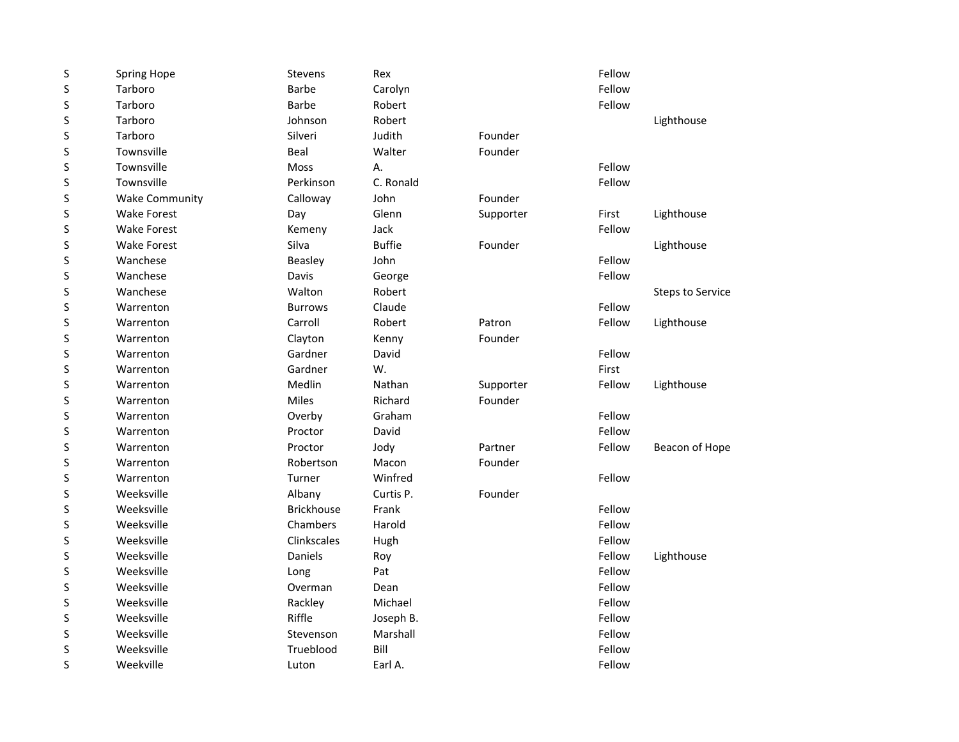| Fellow<br>Fellow<br>Lighthouse<br>Fellow<br>Fellow<br>Lighthouse<br>Fellow<br>Lighthouse<br>Fellow |
|----------------------------------------------------------------------------------------------------|
|                                                                                                    |
|                                                                                                    |
|                                                                                                    |
|                                                                                                    |
|                                                                                                    |
|                                                                                                    |
|                                                                                                    |
|                                                                                                    |
|                                                                                                    |
|                                                                                                    |
|                                                                                                    |
|                                                                                                    |
| Fellow                                                                                             |
| <b>Steps to Service</b>                                                                            |
| Fellow                                                                                             |
| Fellow<br>Lighthouse                                                                               |
|                                                                                                    |
| Fellow                                                                                             |
|                                                                                                    |
| Fellow<br>Lighthouse                                                                               |
|                                                                                                    |
| Fellow                                                                                             |
| Fellow                                                                                             |
| Fellow<br>Beacon of Hope                                                                           |
|                                                                                                    |
| Fellow                                                                                             |
|                                                                                                    |
| Fellow                                                                                             |
| Fellow                                                                                             |
| Fellow                                                                                             |
| Fellow<br>Lighthouse                                                                               |
| Fellow                                                                                             |
| Fellow                                                                                             |
| Fellow                                                                                             |
| Fellow                                                                                             |
| Fellow                                                                                             |
| Fellow                                                                                             |
| Fellow                                                                                             |
|                                                                                                    |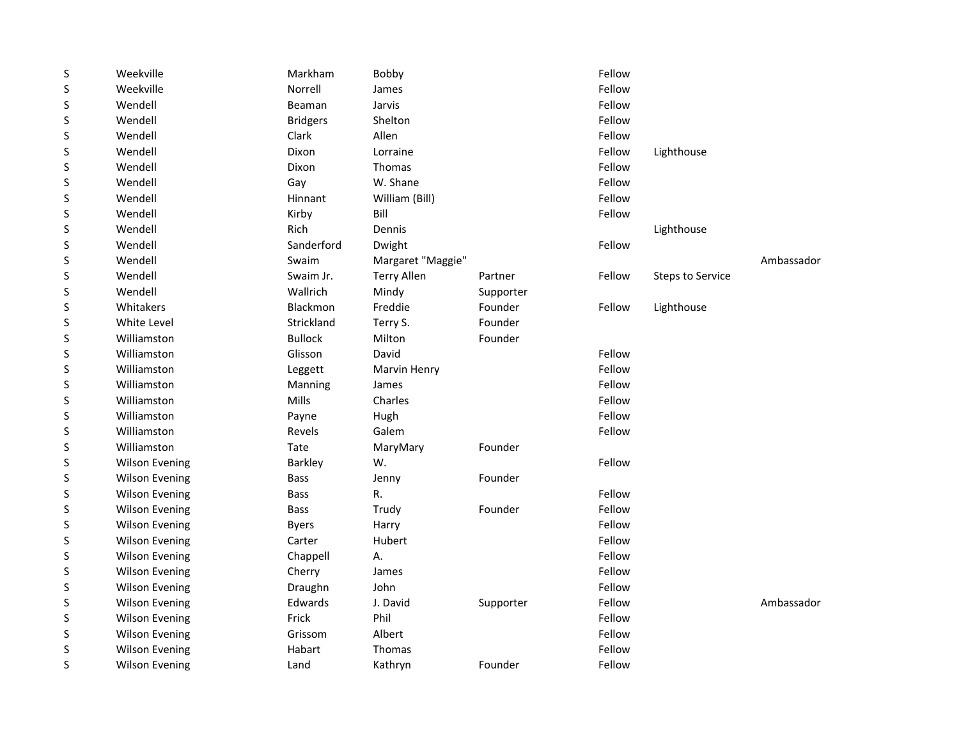| $\sf S$ | Weekville             | Markham         | Bobby              |           | Fellow |                         |            |
|---------|-----------------------|-----------------|--------------------|-----------|--------|-------------------------|------------|
| S       | Weekville             | Norrell         | James              |           | Fellow |                         |            |
| S       | Wendell               | Beaman          | Jarvis             |           | Fellow |                         |            |
| S       | Wendell               | <b>Bridgers</b> | Shelton            |           | Fellow |                         |            |
| S       | Wendell               | Clark           | Allen              |           | Fellow |                         |            |
| S       | Wendell               | Dixon           | Lorraine           |           | Fellow | Lighthouse              |            |
| S       | Wendell               | Dixon           | Thomas             |           | Fellow |                         |            |
| S       | Wendell               | Gay             | W. Shane           |           | Fellow |                         |            |
| S       | Wendell               | Hinnant         | William (Bill)     |           | Fellow |                         |            |
| S       | Wendell               | Kirby           | Bill               |           | Fellow |                         |            |
| S       | Wendell               | Rich            | Dennis             |           |        | Lighthouse              |            |
| S       | Wendell               | Sanderford      | Dwight             |           | Fellow |                         |            |
| S       | Wendell               | Swaim           | Margaret "Maggie"  |           |        |                         | Ambassador |
| S       | Wendell               | Swaim Jr.       | <b>Terry Allen</b> | Partner   | Fellow | <b>Steps to Service</b> |            |
| S       | Wendell               | Wallrich        | Mindy              | Supporter |        |                         |            |
| S       | Whitakers             | Blackmon        | Freddie            | Founder   | Fellow | Lighthouse              |            |
| S       | White Level           | Strickland      | Terry S.           | Founder   |        |                         |            |
| S       | Williamston           | <b>Bullock</b>  | Milton             | Founder   |        |                         |            |
| S       | Williamston           | Glisson         | David              |           | Fellow |                         |            |
| S       | Williamston           | Leggett         | Marvin Henry       |           | Fellow |                         |            |
| S       | Williamston           | Manning         | James              |           | Fellow |                         |            |
| S       | Williamston           | Mills           | Charles            |           | Fellow |                         |            |
| S       | Williamston           | Payne           | Hugh               |           | Fellow |                         |            |
| S       | Williamston           | Revels          | Galem              |           | Fellow |                         |            |
| S       | Williamston           | Tate            | MaryMary           | Founder   |        |                         |            |
| S       | <b>Wilson Evening</b> | <b>Barkley</b>  | W.                 |           | Fellow |                         |            |
| S       | <b>Wilson Evening</b> | <b>Bass</b>     | Jenny              | Founder   |        |                         |            |
| S       | <b>Wilson Evening</b> | <b>Bass</b>     | R.                 |           | Fellow |                         |            |
| S       | <b>Wilson Evening</b> | Bass            | Trudy              | Founder   | Fellow |                         |            |
| S       | <b>Wilson Evening</b> | <b>Byers</b>    | Harry              |           | Fellow |                         |            |
| S       | <b>Wilson Evening</b> | Carter          | Hubert             |           | Fellow |                         |            |
| S       | <b>Wilson Evening</b> | Chappell        | А.                 |           | Fellow |                         |            |
| S       | <b>Wilson Evening</b> | Cherry          | James              |           | Fellow |                         |            |
| S       | <b>Wilson Evening</b> | Draughn         | John               |           | Fellow |                         |            |
| S       | <b>Wilson Evening</b> | Edwards         | J. David           | Supporter | Fellow |                         | Ambassador |
| S       | <b>Wilson Evening</b> | Frick           | Phil               |           | Fellow |                         |            |
| S       | <b>Wilson Evening</b> | Grissom         | Albert             |           | Fellow |                         |            |
| S       | <b>Wilson Evening</b> | Habart          | Thomas             |           | Fellow |                         |            |
| S       | <b>Wilson Evening</b> | Land            | Kathryn            | Founder   | Fellow |                         |            |